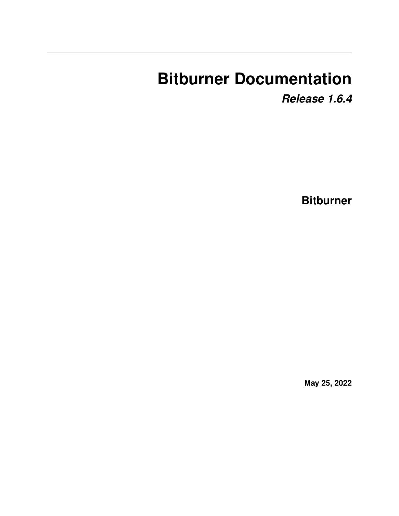# **Bitburner Documentation**

*Release 1.6.4*

**Bitburner**

**May 25, 2022**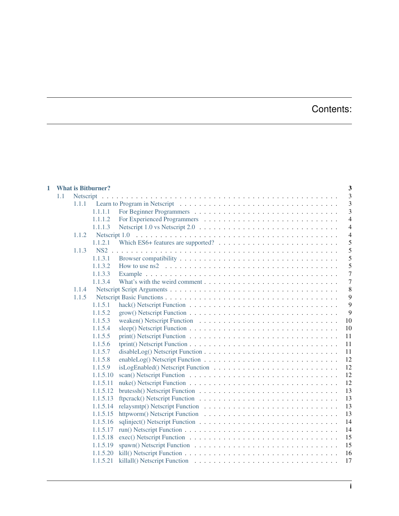# Contents:

| 1 |     |       | <b>What is Bitburner?</b> |                                                                                                      | 3              |
|---|-----|-------|---------------------------|------------------------------------------------------------------------------------------------------|----------------|
|   | 1.1 |       |                           |                                                                                                      | 3              |
|   |     | 1.1.1 |                           |                                                                                                      | 3              |
|   |     |       | 1.1.1.1                   |                                                                                                      | 3              |
|   |     |       | 1.1.1.2                   |                                                                                                      | $\overline{4}$ |
|   |     |       | 1.1.1.3                   |                                                                                                      | $\overline{4}$ |
|   |     | 1.1.2 |                           |                                                                                                      | $\overline{4}$ |
|   |     |       | 1.1.2.1                   |                                                                                                      | 5              |
|   |     | 1.1.3 |                           |                                                                                                      | 5              |
|   |     |       | 1.1.3.1                   |                                                                                                      | 5              |
|   |     |       | 1.1.3.2                   | How to use ns2 $\dots \dots \dots \dots \dots \dots \dots \dots \dots \dots \dots \dots \dots \dots$ | 5              |
|   |     |       | 1.1.3.3                   |                                                                                                      | $\overline{7}$ |
|   |     |       | 1.1.3.4                   |                                                                                                      | $\overline{7}$ |
|   |     | 1.1.4 |                           |                                                                                                      | 8              |
|   |     | 1.1.5 |                           |                                                                                                      | 9              |
|   |     |       | 1.1.5.1                   |                                                                                                      | 9              |
|   |     |       | 1.1.5.2                   |                                                                                                      | 9              |
|   |     |       | 1.1.5.3                   | 10                                                                                                   |                |
|   |     |       | 1.1.5.4                   | 10                                                                                                   |                |
|   |     |       | 1.1.5.5                   | 11                                                                                                   |                |
|   |     |       | 1.1.5.6                   | 11                                                                                                   |                |
|   |     |       | 1.1.5.7                   | 11                                                                                                   |                |
|   |     |       | 1.1.5.8                   | 12                                                                                                   |                |
|   |     |       | 1.1.5.9                   | 12                                                                                                   |                |
|   |     |       | 1.1.5.10                  | 12                                                                                                   |                |
|   |     |       | 1.1.5.11                  | 12                                                                                                   |                |
|   |     |       | 1.1.5.12                  | 13                                                                                                   |                |
|   |     |       | 1.1.5.13                  | 13                                                                                                   |                |
|   |     |       | 1.1.5.14                  | 13                                                                                                   |                |
|   |     |       | 1.1.5.15                  | 13                                                                                                   |                |
|   |     |       | 1.1.5.16                  | 14                                                                                                   |                |
|   |     |       | 1.1.5.17                  | 14                                                                                                   |                |
|   |     |       | 1.1.5.18                  | 15                                                                                                   |                |
|   |     |       | 1.1.5.19                  | 15                                                                                                   |                |
|   |     |       | 1.1.5.20                  | 16                                                                                                   |                |
|   |     |       | 1.1.5.21                  | 17                                                                                                   |                |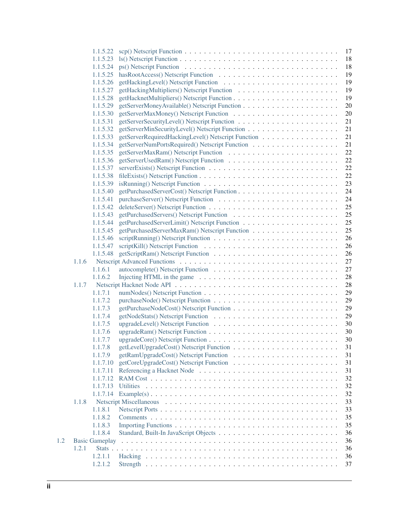|     |       |                       | 1.1.5.22 scp() Netscript Function $\ldots \ldots \ldots \ldots \ldots \ldots \ldots \ldots \ldots \ldots \ldots \ldots$<br>17 |
|-----|-------|-----------------------|-------------------------------------------------------------------------------------------------------------------------------|
|     |       | 1.1.5.23              | 18                                                                                                                            |
|     |       | 1.1.5.24              | 18                                                                                                                            |
|     |       | 1.1.5.25              | 19                                                                                                                            |
|     |       | 1.1.5.26              | 19                                                                                                                            |
|     |       | 1.1.5.27              | 19                                                                                                                            |
|     |       | 1.1.5.28              | 19                                                                                                                            |
|     |       | 1.1.5.29              | 20                                                                                                                            |
|     |       | 1.1.5.30              | 20                                                                                                                            |
|     |       | 1.1.5.31              | 21                                                                                                                            |
|     |       | 1.1.5.32              | 21                                                                                                                            |
|     |       | 1.1.5.33              | getServerRequiredHackingLevel() Netscript Function<br>21                                                                      |
|     |       | 1.1.5.34              | 21                                                                                                                            |
|     |       | 1.1.5.35              | 22                                                                                                                            |
|     |       | 1.1.5.36              | 22                                                                                                                            |
|     |       | 1.1.5.37              | 22                                                                                                                            |
|     |       | 1.1.5.38              | 22                                                                                                                            |
|     |       | 1.1.5.39              | 23                                                                                                                            |
|     |       | 1.1.5.40              | 24                                                                                                                            |
|     |       | 1.1.5.41              |                                                                                                                               |
|     |       |                       | 24                                                                                                                            |
|     |       | 1.1.5.42              | 25                                                                                                                            |
|     |       | 1.1.5.43              | 25                                                                                                                            |
|     |       | 1.1.5.44              | 25                                                                                                                            |
|     |       | 1.1.5.45              | 25                                                                                                                            |
|     |       | 1.1.5.46              | 26                                                                                                                            |
|     |       | 1.1.5.47              | 26                                                                                                                            |
|     |       | 1.1.5.48              | 26                                                                                                                            |
|     | 1.1.6 |                       | 27                                                                                                                            |
|     |       | 1.1.6.1               | 27                                                                                                                            |
|     |       | 1.1.6.2               | Injecting HTML in the game $\ldots \ldots \ldots \ldots \ldots \ldots \ldots \ldots \ldots$<br>28                             |
|     | 1.1.7 |                       | 28                                                                                                                            |
|     |       | 1.1.7.1               | 29                                                                                                                            |
|     |       | 1.1.7.2               | 29                                                                                                                            |
|     |       | 1.1.7.3               | 29                                                                                                                            |
|     |       | 1.1.7.4               | 29                                                                                                                            |
|     |       | 1.1.7.5               | 30                                                                                                                            |
|     |       | 1.1.7.6               | 30                                                                                                                            |
|     |       | 1.1.7.7               | 30                                                                                                                            |
|     |       | 1.1.7.8               | 31                                                                                                                            |
|     |       | 1.1.7.9               | 31                                                                                                                            |
|     |       | 1.1.7.10              | 31                                                                                                                            |
|     |       | 1.1.7.11              | 31                                                                                                                            |
|     |       | 1.1.7.12              | 32                                                                                                                            |
|     |       | 1.1.7.13              | 32<br><b>Utilities</b>                                                                                                        |
|     |       | 1.1.7.14              | 32                                                                                                                            |
|     | 1.1.8 |                       | 33                                                                                                                            |
|     |       | 1.1.8.1               | 33                                                                                                                            |
|     |       | 1.1.8.2               | 35                                                                                                                            |
|     |       | 1.1.8.3               | 35                                                                                                                            |
|     |       | 1.1.8.4               | 36                                                                                                                            |
| 1.2 |       | <b>Basic Gameplay</b> | 36                                                                                                                            |
|     | 1.2.1 |                       | 36                                                                                                                            |
|     |       | 1.2.1.1               | 36                                                                                                                            |
|     |       |                       |                                                                                                                               |
|     |       | 1.2.1.2               | 37                                                                                                                            |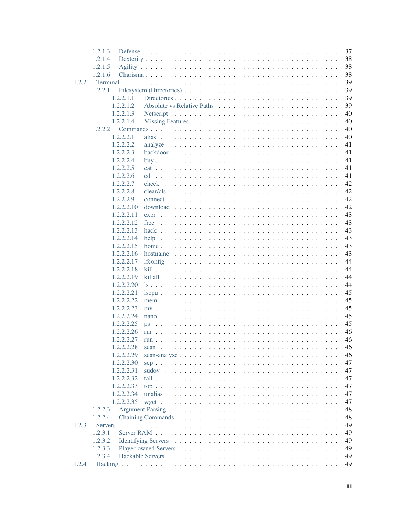|       | 1.2.1.3        |                                                                                         | 37 |
|-------|----------------|-----------------------------------------------------------------------------------------|----|
|       | 1.2.1.4        |                                                                                         | 38 |
|       | 1.2.1.5        |                                                                                         | 38 |
|       | 1.2.1.6        |                                                                                         | 38 |
| 1.2.2 |                |                                                                                         | 39 |
|       | 1, 2, 2, 1     |                                                                                         | 39 |
|       | 1.2.2.1.1      |                                                                                         | 39 |
|       | 1.2.2.1.2      |                                                                                         | 39 |
|       | 1.2.2.1.3      |                                                                                         | 40 |
|       | 1.2.2.1.4      |                                                                                         | 40 |
|       |                |                                                                                         | 40 |
|       | 1.2.2.2.1      |                                                                                         | 40 |
|       | 1.2.2.2.2      | analyze                                                                                 | 41 |
|       | 1.2.2.2.3      |                                                                                         | 41 |
|       | 1.2.2.2.4      |                                                                                         | 41 |
|       | 1.2.2.2.5      |                                                                                         | 41 |
|       | 1.2.2.2.6      |                                                                                         | 41 |
|       | 1.2.2.2.7      | check                                                                                   | 42 |
|       | 1.2.2.2.8      |                                                                                         | 42 |
|       | 1.2.2.2.9      |                                                                                         | 42 |
|       |                |                                                                                         |    |
|       | 1.2.2.2.10     |                                                                                         | 42 |
|       | 1.2.2.2.11     |                                                                                         | 43 |
|       | 1.2.2.2.12     | free                                                                                    | 43 |
|       | 1.2.2.2.13     |                                                                                         | 43 |
|       | 1.2.2.2.14     | help                                                                                    | 43 |
|       | 1.2.2.2.15     |                                                                                         | 43 |
|       | 1.2.2.2.16     | hostname $\ldots \ldots \ldots \ldots \ldots \ldots \ldots \ldots \ldots \ldots \ldots$ | 43 |
|       | 1.2.2.2.17     |                                                                                         | 44 |
|       | 1.2.2.2.18     |                                                                                         | 44 |
|       | 1.2.2.2.19     | killall                                                                                 | 44 |
|       | 1.2.2.2.20     |                                                                                         | 44 |
|       | 1.2.2.2.21     |                                                                                         | 45 |
|       | 1.2.2.2.22     |                                                                                         | 45 |
|       | 1.2.2.2.23     |                                                                                         | 45 |
|       | 1.2.2.2.24     |                                                                                         | 45 |
|       | 1.2.2.2.25     | ps                                                                                      | 45 |
|       | 1.2.2.2.26     |                                                                                         | 46 |
|       | 1.2.2.2.27     | run                                                                                     | 46 |
|       | 1.2.2.2.28     |                                                                                         | 46 |
|       | 1.2.2.2.29     |                                                                                         | 46 |
|       | 1.2.2.2.30     |                                                                                         | 47 |
|       | 1.2.2.2.31     |                                                                                         | 47 |
|       | 1.2.2.2.32     |                                                                                         | 47 |
|       | 1.2.2.2.33     |                                                                                         | 47 |
|       | 1.2.2.2.34     |                                                                                         | 47 |
|       | 1.2.2.2.35     |                                                                                         | 47 |
|       | 1.2.2.3        |                                                                                         | 48 |
|       | 1.2.2.4        |                                                                                         | 48 |
| 1.2.3 | <b>Servers</b> |                                                                                         | 49 |
|       | 1.2.3.1        |                                                                                         | 49 |
|       | 1.2.3.2        |                                                                                         | 49 |
|       | 1.2.3.3        |                                                                                         | 49 |
|       | 1.2.3.4        |                                                                                         | 49 |
| 1.2.4 |                |                                                                                         | 49 |
|       |                |                                                                                         |    |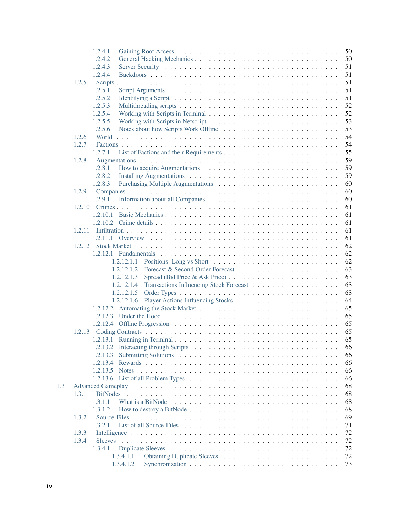|     |       | 1.2.4.1         |            |                                                                                                                    |  |  |  |  |  |  | 50 |
|-----|-------|-----------------|------------|--------------------------------------------------------------------------------------------------------------------|--|--|--|--|--|--|----|
|     |       | 1.2.4.2         |            |                                                                                                                    |  |  |  |  |  |  | 50 |
|     |       | 1.2.4.3         |            |                                                                                                                    |  |  |  |  |  |  | 51 |
|     |       | 1.2.4.4         |            |                                                                                                                    |  |  |  |  |  |  | 51 |
|     | 1.2.5 |                 |            |                                                                                                                    |  |  |  |  |  |  | 51 |
|     |       | 1.2.5.1         |            |                                                                                                                    |  |  |  |  |  |  | 51 |
|     |       | 1.2.5.2         |            |                                                                                                                    |  |  |  |  |  |  | 51 |
|     |       | 1.2.5.3         |            |                                                                                                                    |  |  |  |  |  |  | 52 |
|     |       | 1.2.5.4         |            |                                                                                                                    |  |  |  |  |  |  | 52 |
|     |       | 1.2.5.5         |            |                                                                                                                    |  |  |  |  |  |  | 53 |
|     |       | 1.2.5.6         |            |                                                                                                                    |  |  |  |  |  |  | 53 |
|     | 1.2.6 |                 |            |                                                                                                                    |  |  |  |  |  |  | 54 |
|     | 1.2.7 |                 |            |                                                                                                                    |  |  |  |  |  |  | 54 |
|     |       | 1.2.7.1         |            |                                                                                                                    |  |  |  |  |  |  | 55 |
|     | 1.2.8 |                 |            |                                                                                                                    |  |  |  |  |  |  | 59 |
|     |       | 1.2.8.1         |            |                                                                                                                    |  |  |  |  |  |  | 59 |
|     |       | 1.2.8.2         |            |                                                                                                                    |  |  |  |  |  |  | 59 |
|     |       | 1.2.8.3         |            |                                                                                                                    |  |  |  |  |  |  | 60 |
|     | 1.2.9 |                 |            |                                                                                                                    |  |  |  |  |  |  | 60 |
|     |       | 1.2.9.1         |            |                                                                                                                    |  |  |  |  |  |  | 60 |
|     |       |                 |            |                                                                                                                    |  |  |  |  |  |  | 61 |
|     |       |                 |            |                                                                                                                    |  |  |  |  |  |  | 61 |
|     |       |                 |            |                                                                                                                    |  |  |  |  |  |  | 61 |
|     |       |                 |            |                                                                                                                    |  |  |  |  |  |  | 61 |
|     |       |                 |            |                                                                                                                    |  |  |  |  |  |  | 61 |
|     |       |                 |            |                                                                                                                    |  |  |  |  |  |  | 62 |
|     |       |                 |            |                                                                                                                    |  |  |  |  |  |  | 62 |
|     |       |                 | 1.2.12.1.1 |                                                                                                                    |  |  |  |  |  |  | 62 |
|     |       |                 | 1.2.12.1.2 |                                                                                                                    |  |  |  |  |  |  | 63 |
|     |       |                 | 1.2.12.1.3 |                                                                                                                    |  |  |  |  |  |  | 63 |
|     |       |                 | 1.2.12.1.4 |                                                                                                                    |  |  |  |  |  |  | 63 |
|     |       |                 | 1.2.12.1.5 |                                                                                                                    |  |  |  |  |  |  | 63 |
|     |       |                 | 1.2.12.1.6 |                                                                                                                    |  |  |  |  |  |  | 64 |
|     |       |                 |            |                                                                                                                    |  |  |  |  |  |  | 65 |
|     |       |                 |            |                                                                                                                    |  |  |  |  |  |  | 65 |
|     |       |                 |            |                                                                                                                    |  |  |  |  |  |  | 65 |
|     |       |                 |            |                                                                                                                    |  |  |  |  |  |  | 65 |
|     |       |                 |            |                                                                                                                    |  |  |  |  |  |  | 65 |
|     |       |                 |            |                                                                                                                    |  |  |  |  |  |  | 66 |
|     |       | 1.2.13.3        |            |                                                                                                                    |  |  |  |  |  |  | 66 |
|     |       | 1.2.13.4        |            |                                                                                                                    |  |  |  |  |  |  | 66 |
|     |       |                 |            |                                                                                                                    |  |  |  |  |  |  | 66 |
|     |       |                 |            | 1.2.13.6 List of all Problem Types $\dots \dots \dots \dots \dots \dots \dots \dots \dots \dots \dots \dots \dots$ |  |  |  |  |  |  | 66 |
| 1.3 |       |                 |            |                                                                                                                    |  |  |  |  |  |  | 68 |
|     | 1.3.1 | <b>BitNodes</b> |            |                                                                                                                    |  |  |  |  |  |  | 68 |
|     |       | 1.3.1.1         |            |                                                                                                                    |  |  |  |  |  |  | 68 |
|     |       | 1.3.1.2         |            |                                                                                                                    |  |  |  |  |  |  | 68 |
|     | 1.3.2 |                 |            |                                                                                                                    |  |  |  |  |  |  | 69 |
|     |       | 1.3.2.1         |            |                                                                                                                    |  |  |  |  |  |  | 71 |
|     | 1.3.3 |                 |            |                                                                                                                    |  |  |  |  |  |  | 72 |
|     | 1.3.4 |                 |            |                                                                                                                    |  |  |  |  |  |  | 72 |
|     |       | 1.3.4.1         |            |                                                                                                                    |  |  |  |  |  |  | 72 |
|     |       |                 | 1.3.4.1.1  |                                                                                                                    |  |  |  |  |  |  | 72 |
|     |       |                 | 1.3.4.1.2  |                                                                                                                    |  |  |  |  |  |  | 73 |
|     |       |                 |            |                                                                                                                    |  |  |  |  |  |  |    |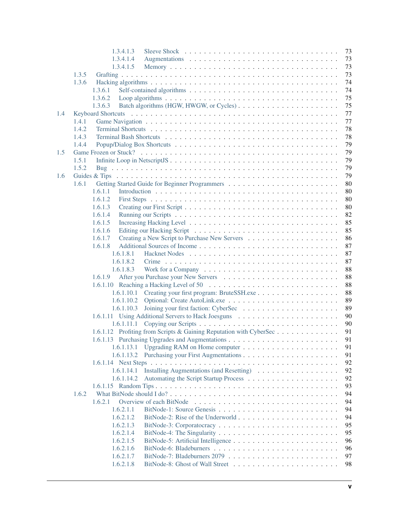|     | 1.3.4.1.3<br>73                                                          |
|-----|--------------------------------------------------------------------------|
|     | 1.3.4.1.4<br>73                                                          |
|     | 1.3.4.1.5<br>73                                                          |
|     | 1.3.5<br>73                                                              |
|     | 1.3.6<br>74                                                              |
|     | 74<br>1.3.6.1                                                            |
|     | 1.3.6.2<br>75                                                            |
|     | 75<br>1.3.6.3                                                            |
| 1.4 | 77                                                                       |
|     | 77<br>1.4.1                                                              |
|     | 78<br>1.4.2                                                              |
|     | 1.4.3<br>78                                                              |
|     | 79<br>1.4.4                                                              |
| 1.5 | 79                                                                       |
|     | 79<br>1.5.1                                                              |
|     | 1.5.2<br>79                                                              |
| 1.6 | 79                                                                       |
|     | 1.6.1<br>80                                                              |
|     | 80<br>1.6.1.1                                                            |
|     | 80<br>1.6.1.2                                                            |
|     | 1.6.1.3<br>80                                                            |
|     | 82<br>1.6.1.4                                                            |
|     | 85<br>1.6.1.5                                                            |
|     | 85<br>1.6.1.6                                                            |
|     | 86<br>1.6.1.7                                                            |
|     | 87<br>1.6.1.8                                                            |
|     | 87<br>1.6.1.8.1                                                          |
|     | 87<br>1.6.1.8.2                                                          |
|     | 88<br>1.6.1.8.3                                                          |
|     | 88<br>1.6.1.9                                                            |
|     | 88                                                                       |
|     | 88                                                                       |
|     | 89<br>1.6.1.10.2                                                         |
|     | 89<br>1.6.1.10.3                                                         |
|     | 90                                                                       |
|     | 90<br>1.6.1.11.1                                                         |
|     | 1.6.1.12 Profiting from Scripts & Gaining Reputation with CyberSec<br>91 |
|     | 91                                                                       |
|     | 91                                                                       |
|     | 91                                                                       |
|     | 92                                                                       |
|     | 92<br>1.6.1.14.1 Installing Augmentations (and Resetting)                |
|     | 92<br>1.6.1.14.2                                                         |
|     | 93                                                                       |
|     | 94<br>1.6.2                                                              |
|     | 94<br>1.6.2.1                                                            |
|     | 94<br>1.6.2.1.1                                                          |
|     | 1.6.2.1.2<br>94                                                          |
|     | 95<br>1.6.2.1.3                                                          |
|     | 95<br>1.6.2.1.4                                                          |
|     | 96<br>1.6.2.1.5                                                          |
|     | 1.6.2.1.6<br>96                                                          |
|     | 1.6.2.1.7<br>97                                                          |
|     | 1.6.2.1.8<br>98                                                          |
|     |                                                                          |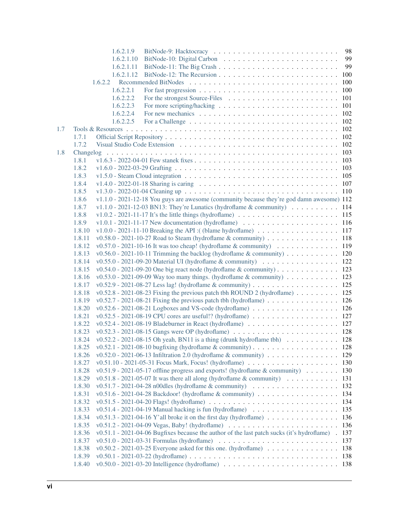|     |        | 1.6.2.1.9  |                                                                                                                            |     |
|-----|--------|------------|----------------------------------------------------------------------------------------------------------------------------|-----|
|     |        | 1.6.2.1.10 |                                                                                                                            | 99  |
|     |        | 1.6.2.1.11 |                                                                                                                            | 99  |
|     |        | 1.6.2.1.12 |                                                                                                                            |     |
|     |        |            |                                                                                                                            |     |
|     |        | 1.6.2.2.1  | For fast progression $\ldots \ldots \ldots \ldots \ldots \ldots \ldots \ldots \ldots \ldots$                               |     |
|     |        | 1.6.2.2.2  |                                                                                                                            |     |
|     |        | 1.6.2.2.3  |                                                                                                                            |     |
|     |        | 1.6.2.2.4  | For new mechanics $\ldots \ldots \ldots \ldots \ldots \ldots \ldots \ldots \ldots \ldots \ldots \ldots 102$                |     |
|     |        | 1.6.2.2.5  | For a Challenge $\ldots \ldots \ldots \ldots \ldots \ldots \ldots \ldots \ldots \ldots \ldots \ldots \ldots 102$           |     |
| 1.7 |        |            |                                                                                                                            |     |
|     | 1.7.1  |            |                                                                                                                            |     |
|     | 1.7.2  |            |                                                                                                                            |     |
| 1.8 |        |            |                                                                                                                            |     |
|     | 1.8.1  |            |                                                                                                                            |     |
|     | 1.8.2  |            |                                                                                                                            |     |
|     | 1.8.3  |            |                                                                                                                            |     |
|     | 1.8.4  |            |                                                                                                                            |     |
|     | 1.8.5  |            |                                                                                                                            |     |
|     | 1.8.6  |            | $v1.1.0 - 2021 - 12 - 18$ You guys are awesome (community because they're god damn awesome) 112                            |     |
|     | 1.8.7  |            | v1.1.0 - 2021-12-03 BN13: They're Lunatics (hydroflame & community) $\ldots \ldots \ldots$ 114                             |     |
|     | 1.8.8  |            |                                                                                                                            |     |
|     | 1.8.9  |            |                                                                                                                            |     |
|     | 1.8.10 |            | v1.0.0 - 2021-11-10 Breaking the API: ((blame hydroflame) 117                                                              |     |
|     | 1.8.11 |            | v0.58.0 - 2021-10-27 Road to Steam (hydroflame & community) $\ldots \ldots \ldots \ldots \ldots$ 118                       |     |
|     | 1.8.12 |            | v0.57.0 - 2021-10-16 It was too cheap! (hydroflame & community) $\dots \dots \dots \dots \dots \dots$ 119                  |     |
|     | 1.8.13 |            | v0.56.0 - 2021-10-11 Trimming the backlog (hydroflame & community) $\ldots \ldots \ldots \ldots$ 120                       |     |
|     | 1.8.14 |            | v0.55.0 - 2021-09-20 Material UI (hydroflame & community) $\ldots \ldots \ldots \ldots \ldots$ 122                         |     |
|     | 1.8.15 |            | v0.54.0 - 2021-09-20 One big react node (hydroflame & community) 123                                                       |     |
|     | 1.8.16 |            | v0.53.0 - 2021-09-09 Way too many things. (hydroflame & community) $\ldots \ldots \ldots$ 123                              |     |
|     | 1.8.17 |            | v0.52.9 - 2021-08-27 Less lag! (hydroflame & community) 125                                                                |     |
|     | 1.8.18 |            | v0.52.8 - 2021-08-23 Fixing the previous patch tbh ROUND 2 (hydroflame) 125                                                |     |
|     |        |            |                                                                                                                            |     |
|     | 1.8.19 |            |                                                                                                                            |     |
|     | 1.8.20 |            | v0.52.6 - 2021-08-21 Logboxes and VS-code (hydroflame) 126                                                                 |     |
|     | 1.8.21 |            | v0.52.5 - 2021-08-19 CPU cores are useful!? (hydroflame) 127                                                               |     |
|     | 1.8.22 |            |                                                                                                                            |     |
|     | 1.8.23 |            |                                                                                                                            |     |
|     | 1.8.24 |            | $v0.52.2 - 2021 - 08 - 15$ Oh yeah, BN11 is a thing (drunk hydroflame tbh) 128                                             |     |
|     | 1.8.25 |            | v0.52.1 - 2021-08-10 bugfixing (hydroflame & community) $\ldots \ldots \ldots \ldots \ldots \ldots$ 128                    |     |
|     | 1.8.26 |            | v0.52.0 - 2021-06-13 Infiltration 2.0 (hydroflame & community) $\ldots \ldots \ldots \ldots$ .                             |     |
|     | 1.8.27 |            |                                                                                                                            |     |
|     | 1.8.28 |            | $v0.51.9 - 2021-05-17$ offline progress and exports! (hydroflame & community) 130                                          |     |
|     | 1.8.29 |            | $v0.51.8 - 2021-05-07$ It was there all along (hydroflame & community) 131                                                 |     |
|     | 1.8.30 |            | $v0.51.7 - 2021 - 04 - 28$ n00dles (hydroflame & community) 132                                                            |     |
|     | 1.8.31 |            | v0.51.6 - 2021-04-28 Backdoor! (hydroflame & community) 134                                                                |     |
|     | 1.8.32 |            |                                                                                                                            |     |
|     | 1.8.33 |            | $v0.51.4 - 2021 - 04 - 19$ Manual hacking is fun (hydroflame) 135                                                          |     |
|     | 1.8.34 |            |                                                                                                                            |     |
|     | 1.8.35 |            | v0.51.2 - 2021-04-09 Vegas, Baby! (hydroflame) $\ldots \ldots \ldots \ldots \ldots \ldots \ldots \ldots \ldots$ 136        |     |
|     | 1.8.36 |            | v0.51.1 - 2021-04-06 Bugfixes because the author of the last patch sucks (it's hydroflame) . 137                           |     |
|     | 1.8.37 |            |                                                                                                                            | 137 |
|     | 1.8.38 |            | v0.50.2 - 2021-03-25 Everyone asked for this one. (hydroflame) $\ldots \ldots \ldots \ldots$                               |     |
|     | 1.8.39 |            |                                                                                                                            |     |
|     | 1.8.40 |            | v0.50.0 - 2021-03-20 Intelligence (hydroflame) $\ldots \ldots \ldots \ldots \ldots \ldots \ldots \ldots \ldots \ldots$ 138 |     |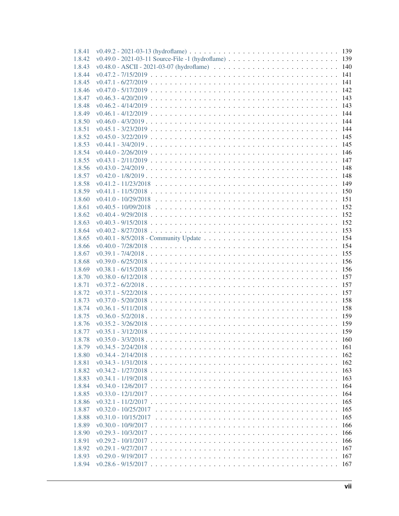| 1.8.41 |                            |
|--------|----------------------------|
| 1.8.42 |                            |
| 1.8.43 |                            |
| 1.8.44 |                            |
| 1.8.45 |                            |
| 1.8.46 |                            |
| 1.8.47 |                            |
| 1.8.48 |                            |
| 1.8.49 |                            |
| 1.8.50 |                            |
| 1.8.51 |                            |
| 1.8.52 |                            |
| 1.8.53 |                            |
| 1.8.54 |                            |
| 1.8.55 |                            |
| 1.8.56 |                            |
| 1.8.57 |                            |
| 1.8.58 |                            |
| 1.8.59 |                            |
| 1.8.60 |                            |
| 1.8.61 |                            |
| 1.8.62 |                            |
|        |                            |
| 1.8.63 |                            |
| 1.8.64 |                            |
| 1.8.65 |                            |
| 1.8.66 |                            |
| 1.8.67 |                            |
| 1.8.68 |                            |
| 1.8.69 |                            |
| 1.8.70 |                            |
| 1.8.71 |                            |
| 1.8.72 |                            |
| 1.8.73 |                            |
| 1.8.74 |                            |
| 1.8.75 |                            |
| 1.8.76 |                            |
| 1.8.77 |                            |
| 1.8.78 |                            |
| 1.8.79 |                            |
| 1.8.80 |                            |
| 1.8.81 |                            |
| 1.8.82 |                            |
| 1.8.83 |                            |
| 1.8.84 | 164                        |
| 1.8.85 | v0.33.0 - 12/1/2017<br>164 |
| 1.8.86 | 165                        |
| 1.8.87 | 165                        |
| 1.8.88 | 165                        |
| 1.8.89 | 166                        |
| 1.8.90 | 166                        |
| 1.8.91 |                            |
| 1.8.92 |                            |
| 1.8.93 |                            |
| 1.8.94 |                            |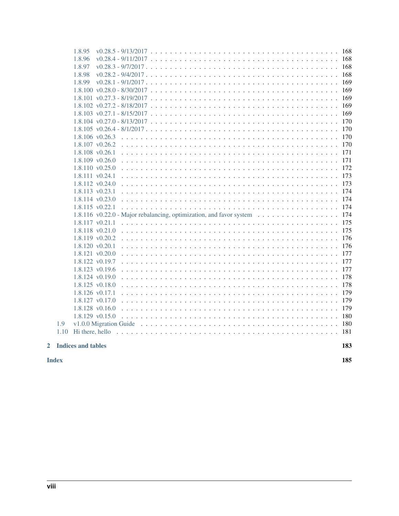| $\mathbf{2}$ |      | <b>Indices and tables</b><br>183                                                                                 |
|--------------|------|------------------------------------------------------------------------------------------------------------------|
|              |      |                                                                                                                  |
|              | 1.10 |                                                                                                                  |
|              | 1.9  |                                                                                                                  |
|              |      | 1.8.128 v0.16.0<br>179<br>1.8.129 v0.15.0                                                                        |
|              |      | 179<br>1.8.127 v0.17.0                                                                                           |
|              |      | 179<br>1.8.126 v0.17.1                                                                                           |
|              |      | 178<br>1.8.125 v0.18.0                                                                                           |
|              |      | 178<br>1.8.124 v0.19.0                                                                                           |
|              |      | 1.8.123 v0.19.6<br>177                                                                                           |
|              |      | 177<br>1.8.122 v0.19.7                                                                                           |
|              |      | 1.8.121 v0.20.0                                                                                                  |
|              |      | 1.8.120 v0.20.1                                                                                                  |
|              |      | 1.8.119 v0.20.2<br>176                                                                                           |
|              |      | 1.8.118 v0.21.0<br>175                                                                                           |
|              |      | 175<br>$1.8.117$ v $0.21.1$                                                                                      |
|              |      | 1.8.116 v0.22.0 - Major rebalancing, optimization, and favor system $\dots \dots \dots \dots \dots \dots$<br>174 |
|              |      | 1.8.115 v0.22.1                                                                                                  |
|              |      | 1.8.114 v0.23.0                                                                                                  |
|              |      | 1.8.113 v0.23.1                                                                                                  |
|              |      | 1.8.112 v0.24.0                                                                                                  |
|              |      | 1.8.111 v0.24.1                                                                                                  |
|              |      | 1.8.110 v0.25.0                                                                                                  |
|              |      | 1.8.109 v0.26.0                                                                                                  |
|              |      | 1.8.108 v0.26.1                                                                                                  |
|              |      | 1.8.107 v0.26.2                                                                                                  |
|              |      | 1.8.106 v0.26.3                                                                                                  |
|              |      | 170                                                                                                              |
|              |      | 170                                                                                                              |
|              |      | 169                                                                                                              |
|              |      | 169                                                                                                              |
|              |      |                                                                                                                  |
|              |      | 1.8.99<br>169                                                                                                    |
|              |      | 1.8.98                                                                                                           |
|              |      | 1.8.97                                                                                                           |
|              |      | 1.8.96                                                                                                           |
|              |      | 1.8.95                                                                                                           |
|              |      |                                                                                                                  |

**Index** 

185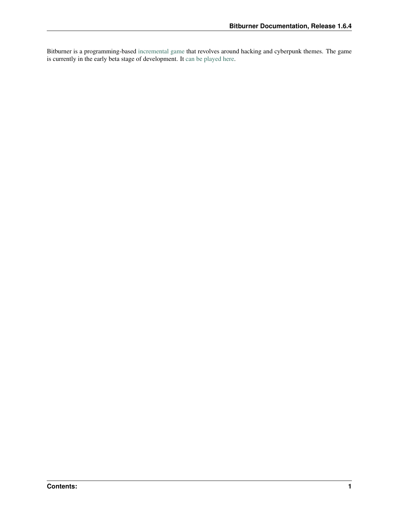Bitburner is a programming-based [incremental game](https://en.wikipedia.org/wiki/Incremental_game) that revolves around hacking and cyberpunk themes. The game is currently in the early beta stage of development. It [can be played here.](https://danielyxie.github.io/bitburner/)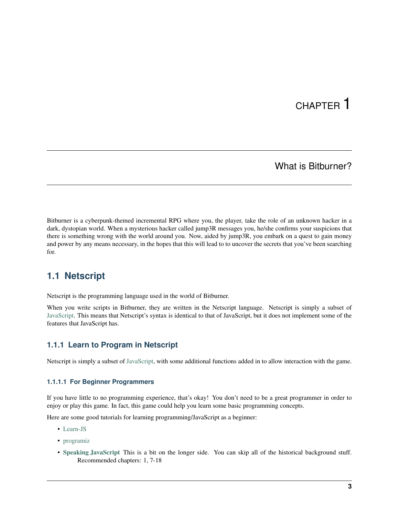# CHAPTER 1

## What is Bitburner?

<span id="page-12-0"></span>Bitburner is a cyberpunk-themed incremental RPG where you, the player, take the role of an unknown hacker in a dark, dystopian world. When a mysterious hacker called jump3R messages you, he/she confirms your suspicions that there is something wrong with the world around you. Now, aided by jump3R, you embark on a quest to gain money and power by any means necessary, in the hopes that this will lead to to uncover the secrets that you've been searching for.

# <span id="page-12-1"></span>**1.1 Netscript**

Netscript is the programming language used in the world of Bitburner.

When you write scripts in Bitburner, they are written in the Netscript language. Netscript is simply a subset of [JavaScript.](https://developer.mozilla.org/en-US/docs/Web/JavaScript) This means that Netscript's syntax is identical to that of JavaScript, but it does not implement some of the features that JavaScript has.

## <span id="page-12-2"></span>**1.1.1 Learn to Program in Netscript**

Netscript is simply a subset of [JavaScript,](https://developer.mozilla.org/en-US/docs/Web/JavaScript) with some additional functions added in to allow interaction with the game.

## <span id="page-12-3"></span>**1.1.1.1 For Beginner Programmers**

If you have little to no programming experience, that's okay! You don't need to be a great programmer in order to enjoy or play this game. In fact, this game could help you learn some basic programming concepts.

Here are some good tutorials for learning programming/JavaScript as a beginner:

- [Learn-JS](http://www.learn-js.org/en/Welcome)
- [programiz](https://www.programiz.com/javascript/get-started)
- [Speaking JavaScript](http://speakingjs.com/es5/index.html) This is a bit on the longer side. You can skip all of the historical background stuff. Recommended chapters: 1, 7-18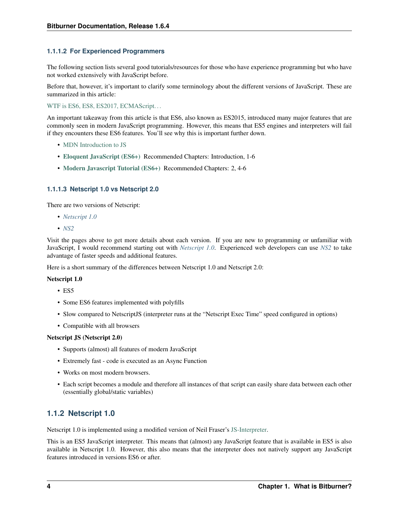## <span id="page-13-0"></span>**1.1.1.2 For Experienced Programmers**

The following section lists several good tutorials/resources for those who have experience programming but who have not worked extensively with JavaScript before.

Before that, however, it's important to clarify some terminology about the different versions of JavaScript. These are summarized in this article:

WTF is ES6, ES8, ES2017, ECMAScript...

An important takeaway from this article is that ES6, also known as ES2015, introduced many major features that are commonly seen in modern JavaScript programming. However, this means that ES5 engines and interpreters will fail if they encounters these ES6 features. You'll see why this is important further down.

- [MDN Introduction to JS](https://developer.mozilla.org/en-US/docs/Web/JavaScript/A_re-introduction_to_JavaScript)
- [Eloquent JavaScript \(ES6+\)](http://eloquentjavascript.net/) Recommended Chapters: Introduction, 1-6
- [Modern Javascript Tutorial \(ES6+\)](https://javascript.info/) Recommended Chapters: 2, 4-6

## <span id="page-13-1"></span>**1.1.1.3 Netscript 1.0 vs Netscript 2.0**

There are two versions of Netscript:

- *[Netscript 1.0](#page-13-2)*
- *[NS2](#page-14-1)*

Visit the pages above to get more details about each version. If you are new to programming or unfamiliar with JavaScript, I would recommend starting out with *[Netscript 1.0](#page-13-2)*. Experienced web developers can use *[NS2](#page-14-1)* to take advantage of faster speeds and additional features.

Here is a short summary of the differences between Netscript 1.0 and Netscript 2.0:

#### Netscript 1.0

- ES5
- Some ES6 features implemented with polyfills
- Slow compared to NetscriptJS (interpreter runs at the "Netscript Exec Time" speed configured in options)
- Compatible with all browsers

## Netscript JS (Netscript 2.0)

- Supports (almost) all features of modern JavaScript
- Extremely fast code is executed as an Async Function
- Works on most modern browsers.
- Each script becomes a module and therefore all instances of that script can easily share data between each other (essentially global/static variables)

## <span id="page-13-2"></span>**1.1.2 Netscript 1.0**

Netscript 1.0 is implemented using a modified version of Neil Fraser's [JS-Interpreter.](https://github.com/NeilFraser/JS-Interpreter)

This is an ES5 JavaScript interpreter. This means that (almost) any JavaScript feature that is available in ES5 is also available in Netscript 1.0. However, this also means that the interpreter does not natively support any JavaScript features introduced in versions ES6 or after.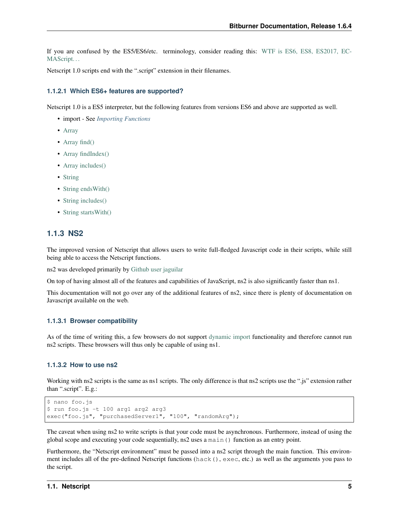If you are confused by the ES5/ES6/etc. terminology, consider reading this: [WTF is ES6, ES8, ES2017, EC-](https://codeburst.io/javascript-wtf-is-es6-es8-es-2017-ecmascript-dca859e4821c)[MAScript. . .](https://codeburst.io/javascript-wtf-is-es6-es8-es-2017-ecmascript-dca859e4821c)

Netscript 1.0 scripts end with the ".script" extension in their filenames.

#### <span id="page-14-0"></span>**1.1.2.1 Which ES6+ features are supported?**

Netscript 1.0 is a ES5 interpreter, but the following features from versions ES6 and above are supported as well.

- import See *[Importing Functions](#page-44-1)*
- [Array](https://developer.mozilla.org/en-US/docs/Web/JavaScript/Reference/Global_Objects/Array)
- [Array find\(\)](https://developer.mozilla.org/en-US/docs/Web/JavaScript/Reference/Global_Objects/Array/find)
- [Array findIndex\(\)](https://developer.mozilla.org/en-US/docs/Web/JavaScript/Reference/Global_Objects/Array/findIndex)
- [Array includes\(\)](https://developer.mozilla.org/en-US/docs/Web/JavaScript/Reference/Global_Objects/Array/includes)
- [String](https://developer.mozilla.org/en-US/docs/Web/JavaScript/Reference/Global_Objects/String)
- String ends With()
- [String includes\(\)](https://developer.mozilla.org/en-US/docs/Web/JavaScript/Reference/Global_Objects/String/includes)
- String starts With()

## <span id="page-14-1"></span>**1.1.3 NS2**

The improved version of Netscript that allows users to write full-fledged Javascript code in their scripts, while still being able to access the Netscript functions.

ns2 was developed primarily by [Github user jaguilar](https://github.com/jaguilar)

On top of having almost all of the features and capabilities of JavaScript, ns2 is also significantly faster than ns1.

This documentation will not go over any of the additional features of ns2, since there is plenty of documentation on Javascript available on the web.

#### <span id="page-14-2"></span>**1.1.3.1 Browser compatibility**

As of the time of writing this, a few browsers do not support [dynamic import](https://developer.mozilla.org/en-US/docs/Web/JavaScript/Reference/Statements/import) functionality and therefore cannot run ns2 scripts. These browsers will thus only be capable of using ns1.

#### <span id="page-14-3"></span>**1.1.3.2 How to use ns2**

Working with ns2 scripts is the same as ns1 scripts. The only difference is that ns2 scripts use the ".js" extension rather than ".script". E.g.:

```
$ nano foo.js
$ run foo.js -t 100 arg1 arg2 arg3
exec("foo.js", "purchasedServer1", "100", "randomArg");
```
The caveat when using ns2 to write scripts is that your code must be asynchronous. Furthermore, instead of using the global scope and executing your code sequentially, ns2 uses a main() function as an entry point.

Furthermore, the "Netscript environment" must be passed into a ns2 script through the main function. This environment includes all of the pre-defined Netscript functions (hack(), exec, etc.) as well as the arguments you pass to the script.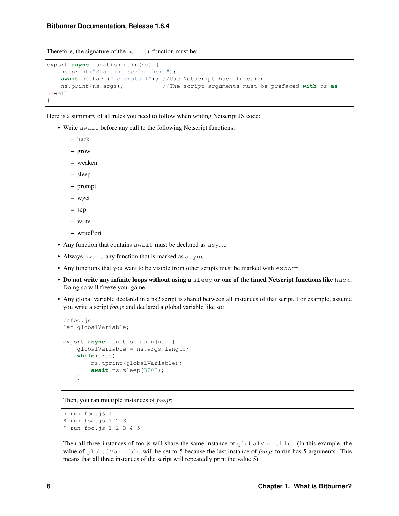Therefore, the signature of the main() function must be:

```
export async function main(ns) {
   ns.print("Starting script here");
   await ns.hack("foodnstuff"); //Use Netscript hack function
   ns.print(ns.args); //The script arguments must be prefaced with ns as
˓→well
}
```
Here is a summary of all rules you need to follow when writing Netscript JS code:

- Write await before any call to the following Netscript functions:
	- hack
	- grow
	- weaken
	- sleep
	- prompt
	- wget
	- scp
	- write
	- writePort
- Any function that contains await must be declared as async
- Always await any function that is marked as async
- Any functions that you want to be visible from other scripts must be marked with export.
- Do not write any infinite loops without using a sleep or one of the timed Netscript functions like hack. Doing so will freeze your game.
- Any global variable declared in a ns2 script is shared between all instances of that script. For example, assume you write a script *foo.js* and declared a global variable like so:

```
//foo.js
let globalVariable;
export async function main(ns) {
    globalVariable = ns.args.length;
    while(true) {
        ns.tprint(globalVariable);
        await ns.sleep(3000);
    }
}
```
Then, you ran multiple instances of *foo.js*:

```
$ run foo.js 1
$ run foo.js 1 2 3
$ run foo.js 1 2 3 4 5
```
Then all three instances of foo.js will share the same instance of globalVariable. (In this example, the value of globalVariable will be set to 5 because the last instance of *foo.js* to run has 5 arguments. This means that all three instances of the script will repeatedly print the value 5).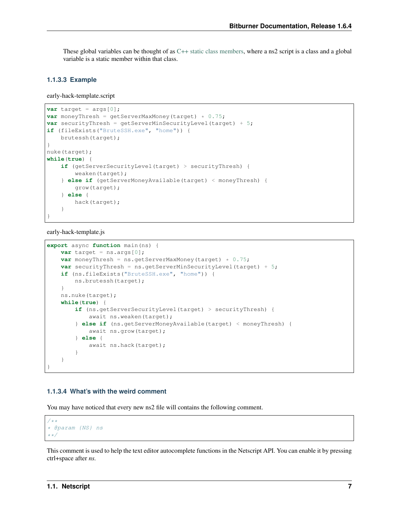These global variables can be thought of as [C++ static class members,](https://www.tutorialspoint.com/cplusplus/cpp_static_members.htm) where a ns2 script is a class and a global variable is a static member within that class.

#### <span id="page-16-0"></span>**1.1.3.3 Example**

early-hack-template.script

```
var target = args[0];
var moneyThresh = getServerMaxMoney(target) * 0.75;
var securityThresh = getServerMinSecurityLevel(target) + 5;
if (fileExists("BruteSSH.exe", "home")) {
   brutessh(target);
}
nuke(target);
while(true) {
    if (getServerSecurityLevel(target) > securityThresh) {
        weaken(target);
    } else if (getServerMoneyAvailable(target) < moneyThresh) {
        grow(target);
    } else {
        hack(target);
    }
}
```
early-hack-template.js

```
export async function main(ns) {
   var target = ns.args[0];
   var moneyThresh = ns.getServerMaxMoney(target) * 0.75;
   var securityThresh = ns.getServerMinSecurityLevel(target) + 5;
   if (ns.fileExists("BruteSSH.exe", "home")) {
       ns.brutessh(target);
    }
   ns.nuke(target);
   while(true) {
        if (ns.getServerSecurityLevel(target) > securityThresh) {
            await ns.weaken(target);
        } else if (ns.getServerMoneyAvailable(target) < moneyThresh) {
            await ns.grow(target);
        } else {
           await ns.hack(target);
        }
    }
}
```
#### <span id="page-16-1"></span>**1.1.3.4 What's with the weird comment**

You may have noticed that every new ns2 file will contains the following comment.

```
/**
* @param {NS} ns
**/
```
This comment is used to help the text editor autocomplete functions in the Netscript API. You can enable it by pressing ctrl+space after *ns.*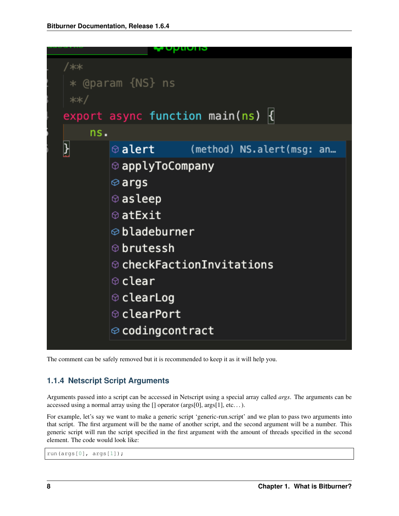| /∗∗<br>**/ | * @param {NS} ns<br>export async function main(ns) $  \{$                                                                                                                                                                                                |                           |  |
|------------|----------------------------------------------------------------------------------------------------------------------------------------------------------------------------------------------------------------------------------------------------------|---------------------------|--|
| ns.        |                                                                                                                                                                                                                                                          |                           |  |
| ł          | $\circ$ alert                                                                                                                                                                                                                                            | (method) NS.alert(msg: an |  |
|            | $\circledcirc$ applyToCompany<br>$\otimes$ args<br>$\circledcirc$ as leep<br>⊕atExit<br>$\otimes$ bladeburner<br>$\circledcirc$ brutessh<br>$\circledcirc$ checkFactionInvitations<br>⊕clear<br>⊕clearLog<br>⊕clearPort<br>$\circledcirc$ codingcontract |                           |  |

The comment can be safely removed but it is recommended to keep it as it will help you.

## <span id="page-17-0"></span>**1.1.4 Netscript Script Arguments**

Arguments passed into a script can be accessed in Netscript using a special array called *args*. The arguments can be accessed using a normal array using the [] operator (args[0], args[1], etc. . . ).

For example, let's say we want to make a generic script 'generic-run.script' and we plan to pass two arguments into that script. The first argument will be the name of another script, and the second argument will be a number. This generic script will run the script specified in the first argument with the amount of threads specified in the second element. The code would look like:

run(args[0], args[1]);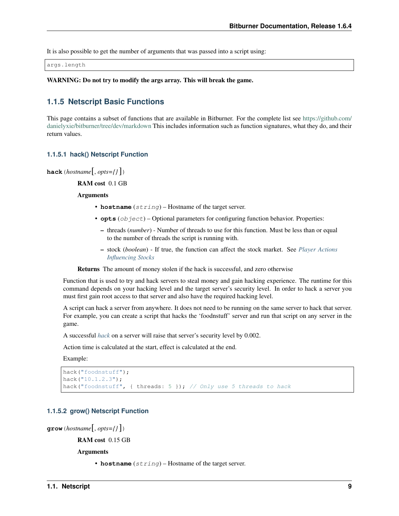It is also possible to get the number of arguments that was passed into a script using:

args.length

WARNING: Do not try to modify the args array. This will break the game.

## <span id="page-18-0"></span>**1.1.5 Netscript Basic Functions**

This page contains a subset of functions that are available in Bitburner. For the complete list see [https://github.com/](https://github.com/danielyxie/bitburner/tree/dev/markdown) [danielyxie/bitburner/tree/dev/markdown](https://github.com/danielyxie/bitburner/tree/dev/markdown) This includes information such as function signatures, what they do, and their return values.

#### <span id="page-18-1"></span>**1.1.5.1 hack() Netscript Function**

**hack**(*hostname*[, *opts={}* ])

RAM cost 0.1 GB

Arguments

- **hostname** (string) Hostname of the target server.
- **opts** (object) Optional parameters for configuring function behavior. Properties:
	- threads (*number*) Number of threads to use for this function. Must be less than or equal to the number of threads the script is running with.
	- stock (*boolean*) If true, the function can affect the stock market. See *[Player Actions](#page-73-0) [Influencing Stocks](#page-73-0)*

Returns The amount of money stolen if the hack is successful, and zero otherwise

Function that is used to try and hack servers to steal money and gain hacking experience. The runtime for this command depends on your hacking level and the target server's security level. In order to hack a server you must first gain root access to that server and also have the required hacking level.

A script can hack a server from anywhere. It does not need to be running on the same server to hack that server. For example, you can create a script that hacks the 'foodnstuff' server and run that script on any server in the game.

A successful *[hack](#page-18-1)* on a server will raise that server's security level by 0.002.

Action time is calculated at the start, effect is calculated at the end.

Example:

```
hack("foodnstuff");
hack("10.1.2.3");
hack("foodnstuff", { threads: 5 }); // Only use 5 threads to hack
```
#### <span id="page-18-2"></span>**1.1.5.2 grow() Netscript Function**

```
grow(hostname[, opts={} ])
```
RAM cost 0.15 GB

Arguments

• **hostname**  $(string)$  – Hostname of the target server.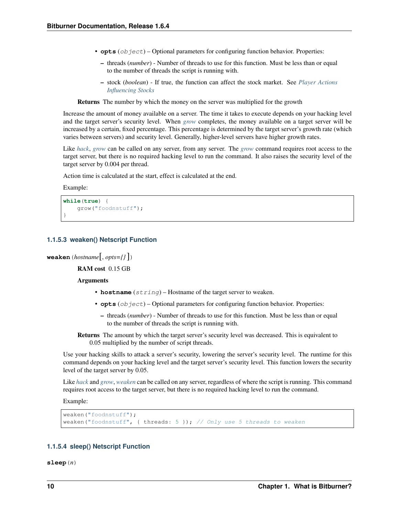- **opts**  $(\circ b \text{ } \text{ } i \text{ } \text{ } c \text{ } \text{ } c)$  Optional parameters for configuring function behavior. Properties:
	- threads (*number*) Number of threads to use for this function. Must be less than or equal to the number of threads the script is running with.
	- stock (*boolean*) If true, the function can affect the stock market. See *[Player Actions](#page-73-0) [Influencing Stocks](#page-73-0)*

Returns The number by which the money on the server was multiplied for the growth

Increase the amount of money available on a server. The time it takes to execute depends on your hacking level and the target server's security level. When *[grow](#page-18-2)* completes, the money available on a target server will be increased by a certain, fixed percentage. This percentage is determined by the target server's growth rate (which varies between servers) and security level. Generally, higher-level servers have higher growth rates.

Like *[hack](#page-18-1)*, *[grow](#page-18-2)* can be called on any server, from any server. The *[grow](#page-18-2)* command requires root access to the target server, but there is no required hacking level to run the command. It also raises the security level of the target server by 0.004 per thread.

Action time is calculated at the start, effect is calculated at the end.

Example:

```
while(true) {
    grow("foodnstuff");
}
```
## <span id="page-19-0"></span>**1.1.5.3 weaken() Netscript Function**

**weaken**(*hostname*[, *opts={}* ])

RAM cost 0.15 GB

**Arguments** 

- **hostname**  $(string)$  Hostname of the target server to weaken.
- **opts** (*ob*  $ject$ ) Optional parameters for configuring function behavior. Properties:
	- threads (*number*) Number of threads to use for this function. Must be less than or equal to the number of threads the script is running with.

Returns The amount by which the target server's security level was decreased. This is equivalent to 0.05 multiplied by the number of script threads.

Use your hacking skills to attack a server's security, lowering the server's security level. The runtime for this command depends on your hacking level and the target server's security level. This function lowers the security level of the target server by 0.05.

Like *[hack](#page-18-1)* and *[grow](#page-18-2)*, *[weaken](#page-19-0)* can be called on any server, regardless of where the script is running. This command requires root access to the target server, but there is no required hacking level to run the command.

Example:

```
weaken("foodnstuff");
weaken("foodnstuff", { threads: 5 }); // Only use 5 threads to weaken
```
#### <span id="page-19-1"></span>**1.1.5.4 sleep() Netscript Function**

**sleep**(*n*)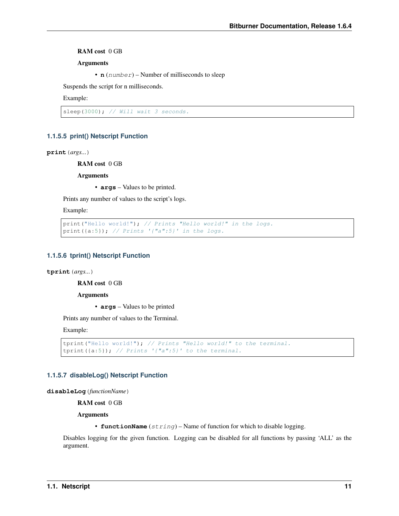RAM cost 0 GB

Arguments

• **n** (number) – Number of milliseconds to sleep

Suspends the script for n milliseconds.

Example:

sleep(3000); // Will wait 3 seconds.

#### <span id="page-20-0"></span>**1.1.5.5 print() Netscript Function**

**print**(*args...*)

RAM cost 0 GB

**Arguments** 

• **args** – Values to be printed.

Prints any number of values to the script's logs.

Example:

```
print ("Hello world!"); // Prints "Hello world!" in the logs.
print({a:5}); // Prints '{"a":5}' in the logs.
```
#### <span id="page-20-1"></span>**1.1.5.6 tprint() Netscript Function**

**tprint**(*args...*)

RAM cost 0 GB

Arguments

• **args** – Values to be printed

Prints any number of values to the Terminal.

Example:

```
tprint("Hello world!"); // Prints "Hello world!" to the terminal.
tprint({a:5}); // Prints '{"a":5}' to the terminal.
```
#### <span id="page-20-2"></span>**1.1.5.7 disableLog() Netscript Function**

**disableLog**(*functionName*)

RAM cost 0 GB

Arguments

• **functionName** (string) – Name of function for which to disable logging.

Disables logging for the given function. Logging can be disabled for all functions by passing 'ALL' as the argument.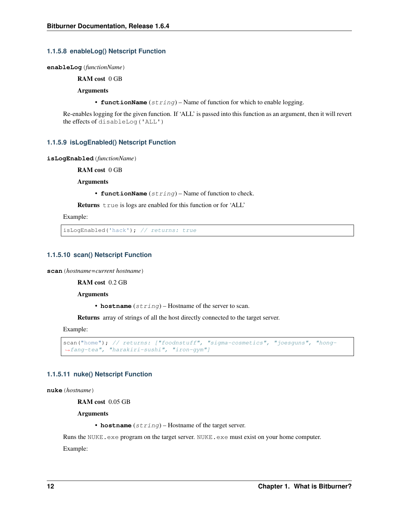#### <span id="page-21-0"></span>**1.1.5.8 enableLog() Netscript Function**

**enableLog**(*functionName*)

RAM cost 0 GB

Arguments

• **functionName** (string) – Name of function for which to enable logging.

Re-enables logging for the given function. If 'ALL' is passed into this function as an argument, then it will revert the effects of disableLog('ALL')

#### <span id="page-21-1"></span>**1.1.5.9 isLogEnabled() Netscript Function**

**isLogEnabled**(*functionName*)

RAM cost 0 GB

Arguments

• **functionName** (string) – Name of function to check.

Returns true is logs are enabled for this function or for 'ALL'

Example:

isLogEnabled('hack'); // returns: true

#### <span id="page-21-2"></span>**1.1.5.10 scan() Netscript Function**

**scan**(*hostname=current hostname*)

RAM cost 0.2 GB

**Arguments** 

• **hostname**  $(string)$  – Hostname of the server to scan.

Returns array of strings of all the host directly connected to the target server.

Example:

```
scan("home"); // returns: ["foodnstuff", "sigma-cosmetics", "joesguns", "hong-
˓→fang-tea", "harakiri-sushi", "iron-gym"]
```
#### <span id="page-21-3"></span>**1.1.5.11 nuke() Netscript Function**

**nuke**(*hostname*)

RAM cost 0.05 GB

Arguments

• **hostname** (string) – Hostname of the target server.

Runs the NUKE.exe program on the target server. NUKE.exe must exist on your home computer. Example: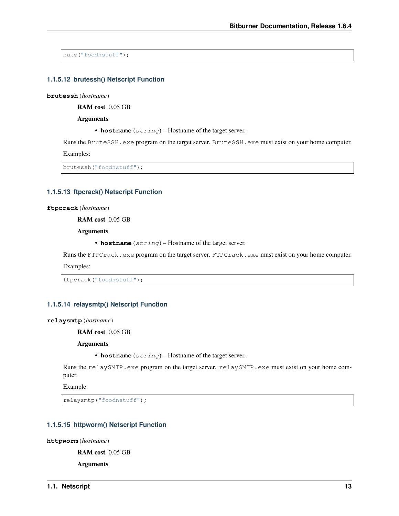nuke("foodnstuff");

#### <span id="page-22-0"></span>**1.1.5.12 brutessh() Netscript Function**

**brutessh**(*hostname*)

RAM cost 0.05 GB

Arguments

• **hostname** (string) – Hostname of the target server.

Runs the BruteSSH.exe program on the target server. BruteSSH.exe must exist on your home computer.

Examples:

brutessh("foodnstuff");

#### <span id="page-22-1"></span>**1.1.5.13 ftpcrack() Netscript Function**

**ftpcrack**(*hostname*)

RAM cost 0.05 GB

Arguments

• **hostname** (string) – Hostname of the target server.

Runs the FTPCrack.exe program on the target server. FTPCrack.exe must exist on your home computer.

Examples:

ftpcrack("foodnstuff");

#### <span id="page-22-2"></span>**1.1.5.14 relaysmtp() Netscript Function**

**relaysmtp**(*hostname*)

RAM cost 0.05 GB

Arguments

```
• hostname (string) – Hostname of the target server.
```
Runs the relaySMTP.exe program on the target server. relaySMTP.exe must exist on your home computer.

Example:

relaysmtp("foodnstuff");

#### <span id="page-22-3"></span>**1.1.5.15 httpworm() Netscript Function**

**httpworm**(*hostname*)

RAM cost 0.05 GB

Arguments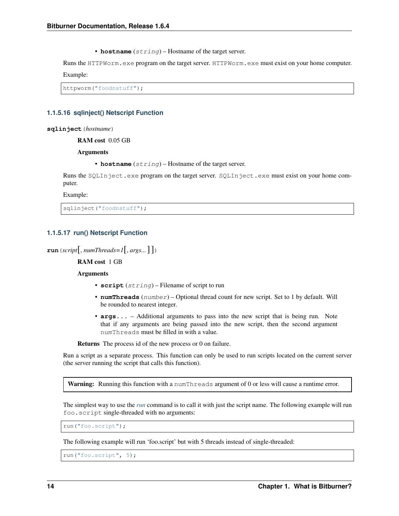• **hostname** (string) – Hostname of the target server.

Runs the HTTPWorm.exe program on the target server. HTTPWorm.exe must exist on your home computer.

Example:

httpworm("foodnstuff");

## <span id="page-23-0"></span>**1.1.5.16 sqlinject() Netscript Function**

**sqlinject**(*hostname*)

RAM cost 0.05 GB

Arguments

• **hostname** (string) – Hostname of the target server.

Runs the SQLInject.exe program on the target server. SQLInject.exe must exist on your home computer.

Example:

sqlinject("foodnstuff");

## <span id="page-23-1"></span>**1.1.5.17 run() Netscript Function**

```
\text{run}(script[, numThreads=1[, args...]
```
RAM cost 1 GB

Arguments

- **script** (string) Filename of script to run
- **numThreads** (number) Optional thread count for new script. Set to 1 by default. Will be rounded to nearest integer.
- **args...** Additional arguments to pass into the new script that is being run. Note that if any arguments are being passed into the new script, then the second argument numThreads must be filled in with a value.

Returns The process id of the new process or 0 on failure.

Run a script as a separate process. This function can only be used to run scripts located on the current server (the server running the script that calls this function).

Warning: Running this function with a numThreads argument of 0 or less will cause a runtime error.

The simplest way to use the *[run](#page-23-1)* command is to call it with just the script name. The following example will run foo.script single-threaded with no arguments:

run("foo.script");

The following example will run 'foo.script' but with 5 threads instead of single-threaded:

run("foo.script", 5);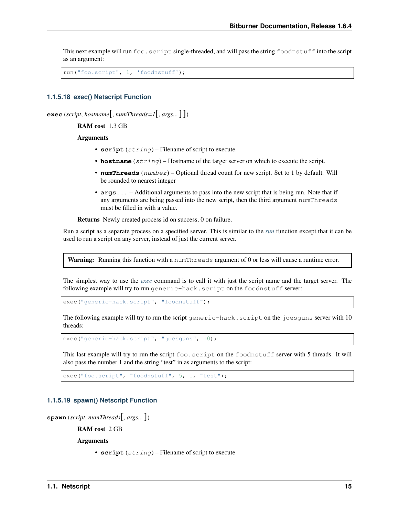This next example will run foo.script single-threaded, and will pass the string foodnstuff into the script as an argument:

```
run("foo.script", 1, 'foodnstuff');
```
#### <span id="page-24-0"></span>**1.1.5.18 exec() Netscript Function**

**exec**(*script*, *hostname*[, *numThreads=1*[, *args...*] ])

RAM cost 1.3 GB

## Arguments

- **script** (string) Filename of script to execute.
- **hostname** (string) Hostname of the target server on which to execute the script.
- **numThreads** (number) Optional thread count for new script. Set to 1 by default. Will be rounded to nearest integer
- **args...** Additional arguments to pass into the new script that is being run. Note that if any arguments are being passed into the new script, then the third argument numThreads must be filled in with a value.

Returns Newly created process id on success, 0 on failure.

Run a script as a separate process on a specified server. This is similar to the *[run](#page-23-1)* function except that it can be used to run a script on any server, instead of just the current server.

Warning: Running this function with a numThreads argument of 0 or less will cause a runtime error.

The simplest way to use the *[exec](#page-24-0)* command is to call it with just the script name and the target server. The following example will try to run generic-hack.script on the foodnstuff server:

exec("generic-hack.script", "foodnstuff");

The following example will try to run the script generic-hack.script on the joesguns server with 10 threads:

exec("generic-hack.script", "joesguns", 10);

This last example will try to run the script foo.script on the foodnstuff server with 5 threads. It will also pass the number 1 and the string "test" in as arguments to the script:

exec("foo.script", "foodnstuff", 5, 1, "test");

#### <span id="page-24-1"></span>**1.1.5.19 spawn() Netscript Function**

```
spawn(script, numThreads[, args...])
```
RAM cost 2 GB

Arguments

• **script** (string) – Filename of script to execute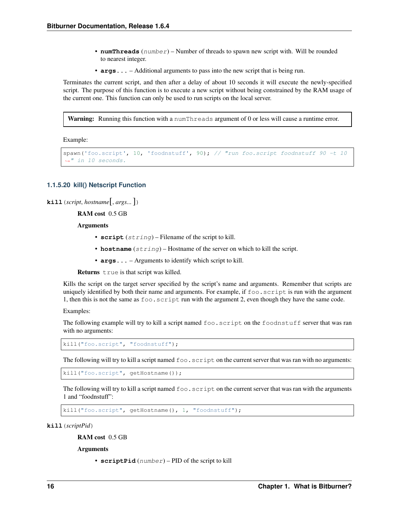- **numThreads**  $(number)$  Number of threads to spawn new script with. Will be rounded to nearest integer.
- **args...** Additional arguments to pass into the new script that is being run.

Terminates the current script, and then after a delay of about 10 seconds it will execute the newly-specified script. The purpose of this function is to execute a new script without being constrained by the RAM usage of the current one. This function can only be used to run scripts on the local server.

Warning: Running this function with a numThreads argument of 0 or less will cause a runtime error.

Example:

```
spawn('foo.script', 10, 'foodnstuff', 90); // "run foo.script foodnstuff 90 -t 10
˓→" in 10 seconds.
```
#### <span id="page-25-0"></span>**1.1.5.20 kill() Netscript Function**

```
\textbf{kill} (script, hostname[, args...])
```
RAM cost 0.5 GB

Arguments

- **script** (string) Filename of the script to kill.
- **hostname** (string) Hostname of the server on which to kill the script.
- **args...** Arguments to identify which script to kill.

Returns true is that script was killed.

Kills the script on the target server specified by the script's name and arguments. Remember that scripts are uniquely identified by both their name and arguments. For example, if  $f \circ \circ \circ \circ \circ \text{right}$  is run with the argument 1, then this is not the same as foo.script run with the argument 2, even though they have the same code.

Examples:

The following example will try to kill a script named foo. script on the foodnstuff server that was ran with no arguments:

kill("foo.script", "foodnstuff");

The following will try to kill a script named  $f \circ \circ \cdot s$  script on the current server that was ran with no arguments:

kill("foo.script", getHostname());

The following will try to kill a script named  $f \circ \circ \cdot s$  script on the current server that was ran with the arguments 1 and "foodnstuff":

kill("foo.script", getHostname(), 1, "foodnstuff");

**kill**(*scriptPid*)

RAM cost 0.5 GB

**Arguments** 

• **scriptPid** (number) – PID of the script to kill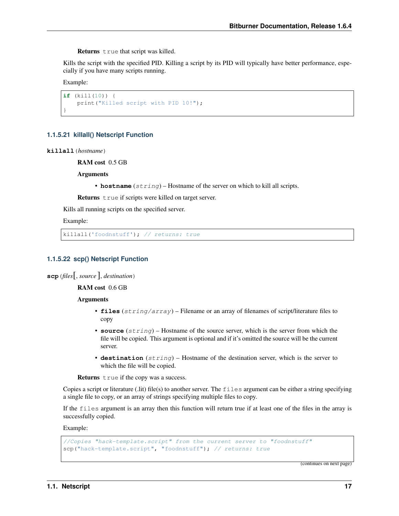Returns true that script was killed.

Kills the script with the specified PID. Killing a script by its PID will typically have better performance, especially if you have many scripts running.

Example:

```
if (kill(10)) {
    print("Killed script with PID 10!");
}
```
## <span id="page-26-0"></span>**1.1.5.21 killall() Netscript Function**

**killall**(*hostname*)

RAM cost 0.5 GB

Arguments

• **hostname**  $(string)$  – Hostname of the server on which to kill all scripts.

Returns true if scripts were killed on target server.

Kills all running scripts on the specified server.

Example:

killall('foodnstuff'); // returns: true

## <span id="page-26-1"></span>**1.1.5.22 scp() Netscript Function**

**scp**(*files*[, *source* ], *destination*)

RAM cost 0.6 GB

**Arguments** 

- **files** (string/array) Filename or an array of filenames of script/literature files to copy
- **source** (string) Hostname of the source server, which is the server from which the file will be copied. This argument is optional and if it's omitted the source will be the current server.
- **destination** (string) Hostname of the destination server, which is the server to which the file will be copied.

Returns true if the copy was a success.

Copies a script or literature (.lit) file(s) to another server. The  $f$  iles argument can be either a string specifying a single file to copy, or an array of strings specifying multiple files to copy.

If the files argument is an array then this function will return true if at least one of the files in the array is successfully copied.

Example:

```
//Copies "hack-template.script" from the current server to "foodnstuff"
scp("hack-template.script", "foodnstuff"); // returns: true
```
(continues on next page)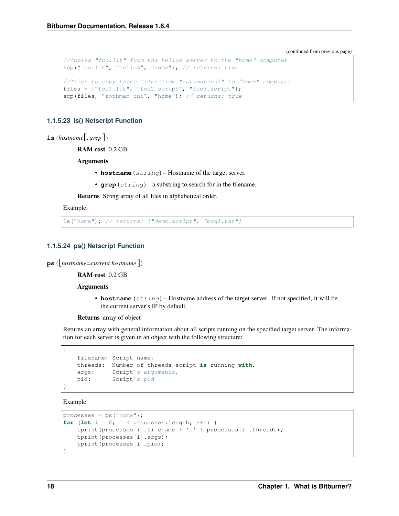(continued from previous page)

```
//Copies "foo.lit" from the helios server to the "home" computer
scp("foo.lit", "helios", "home"); // returns: true
//Tries to copy three files from "rothman-uni" to "home" computer
files = ["foo1.lit", "foo2.script", "foo3.script"];
scp(files, "rothman-uni", "home"); // returns: true
```
#### <span id="page-27-0"></span>**1.1.5.23 ls() Netscript Function**

**ls**(*hostname*[, *grep* ])

RAM cost 0.2 GB

Arguments

- **hostname** (string) Hostname of the target server.
- **grep** (string) a substring to search for in the filename.

Returns String array of all files in alphabetical order.

Example:

ls("home"); // returns: ["demo.script", "msg1.txt"]

#### <span id="page-27-1"></span>**1.1.5.24 ps() Netscript Function**

**ps**([*hostname=current hostname* ])

RAM cost 0.2 GB

#### Arguments

• **hostname** (string) – Hostname address of the target server. If not specified, it will be the current server's IP by default.

Returns array of object

Returns an array with general information about all scripts running on the specified target server. The information for each server is given in an object with the following structure:

```
filename: Script name,
threads: Number of threads script is running with,
args: Script's arguments,
pid: Script's pid
```
Example:

{

}

```
processes = ps("home");for (let i = 0; i < processes.length; +i) {
    tprint(processes[i].filename + ' ' + processes[i].threads);
    tprint(processes[i].args);
    tprint(processes[i].pid);
}
```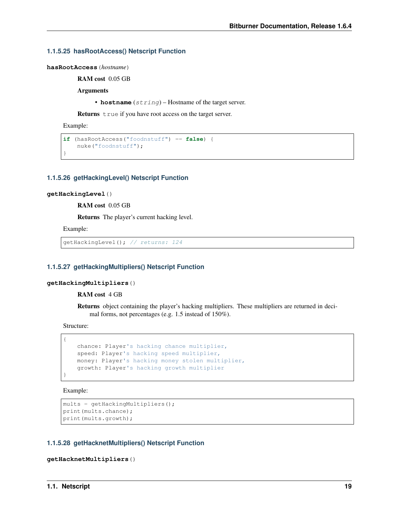#### <span id="page-28-0"></span>**1.1.5.25 hasRootAccess() Netscript Function**

**hasRootAccess**(*hostname*)

RAM cost 0.05 GB

Arguments

• **hostname**  $(string)$  – Hostname of the target server.

Returns true if you have root access on the target server.

Example:

}

```
if (hasRootAccess("foodnstuff") == false) {
   nuke("foodnstuff");
```
#### <span id="page-28-1"></span>**1.1.5.26 getHackingLevel() Netscript Function**

#### **getHackingLevel**()

RAM cost 0.05 GB

Returns The player's current hacking level.

Example:

```
getHackingLevel(); // returns: 124
```
#### <span id="page-28-2"></span>**1.1.5.27 getHackingMultipliers() Netscript Function**

#### **getHackingMultipliers**()

RAM cost 4 GB

Returns object containing the player's hacking multipliers. These multipliers are returned in decimal forms, not percentages (e.g. 1.5 instead of 150%).

Structure:

{

}

```
chance: Player's hacking chance multiplier,
speed: Player's hacking speed multiplier,
money: Player's hacking money stolen multiplier,
growth: Player's hacking growth multiplier
```
Example:

```
mults = getHackingMultipliers();
print(mults.chance);
print(mults.growth);
```
## <span id="page-28-3"></span>**1.1.5.28 getHacknetMultipliers() Netscript Function**

```
getHacknetMultipliers()
```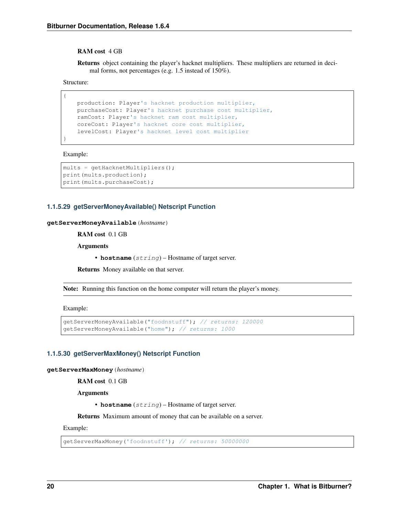#### RAM cost 4 GB

Returns object containing the player's hacknet multipliers. These multipliers are returned in decimal forms, not percentages (e.g. 1.5 instead of 150%).

Structure:

{

}

```
production: Player's hacknet production multiplier,
purchaseCost: Player's hacknet purchase cost multiplier,
ramCost: Player's hacknet ram cost multiplier,
coreCost: Player's hacknet core cost multiplier,
levelCost: Player's hacknet level cost multiplier
```
Example:

```
mults = getHacknetMultipliers();
print(mults.production);
print(mults.purchaseCost);
```
#### <span id="page-29-0"></span>**1.1.5.29 getServerMoneyAvailable() Netscript Function**

#### **getServerMoneyAvailable**(*hostname*)

RAM cost 0.1 GB

Arguments

• **hostname** (string) – Hostname of target server.

Returns Money available on that server.

Note: Running this function on the home computer will return the player's money.

Example:

```
getServerMoneyAvailable("foodnstuff"); // returns: 120000
getServerMoneyAvailable("home"); // returns: 1000
```
#### <span id="page-29-1"></span>**1.1.5.30 getServerMaxMoney() Netscript Function**

**getServerMaxMoney**(*hostname*)

RAM cost 0.1 GB

**Arguments** 

• **hostname** (string) – Hostname of target server.

Returns Maximum amount of money that can be available on a server.

Example:

getServerMaxMoney('foodnstuff'); // returns: 50000000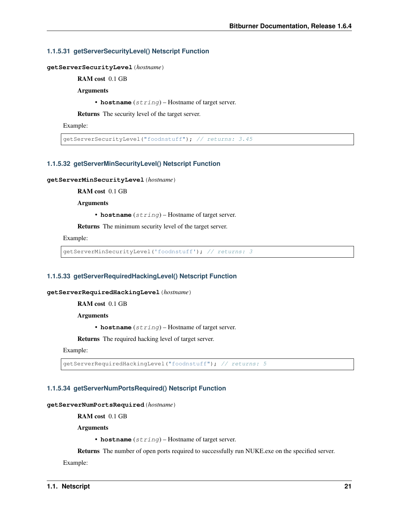#### <span id="page-30-0"></span>**1.1.5.31 getServerSecurityLevel() Netscript Function**

**getServerSecurityLevel**(*hostname*)

RAM cost 0.1 GB

Arguments

• **hostname** (string) – Hostname of target server.

Returns The security level of the target server.

Example:

getServerSecurityLevel("foodnstuff"); // returns: 3.45

#### <span id="page-30-1"></span>**1.1.5.32 getServerMinSecurityLevel() Netscript Function**

#### **getServerMinSecurityLevel**(*hostname*)

RAM cost 0.1 GB

Arguments

• **hostname** (string) – Hostname of target server.

Returns The minimum security level of the target server.

Example:

getServerMinSecurityLevel('foodnstuff'); // returns: 3

#### <span id="page-30-2"></span>**1.1.5.33 getServerRequiredHackingLevel() Netscript Function**

#### **getServerRequiredHackingLevel**(*hostname*)

RAM cost 0.1 GB

Arguments

• **hostname** (string) – Hostname of target server.

Returns The required hacking level of target server.

Example:

getServerRequiredHackingLevel("foodnstuff"); // returns: 5

#### <span id="page-30-3"></span>**1.1.5.34 getServerNumPortsRequired() Netscript Function**

**getServerNumPortsRequired**(*hostname*)

RAM cost 0.1 GB

Arguments

• **hostname** (string) – Hostname of target server.

Returns The number of open ports required to successfully run NUKE.exe on the specified server.

Example: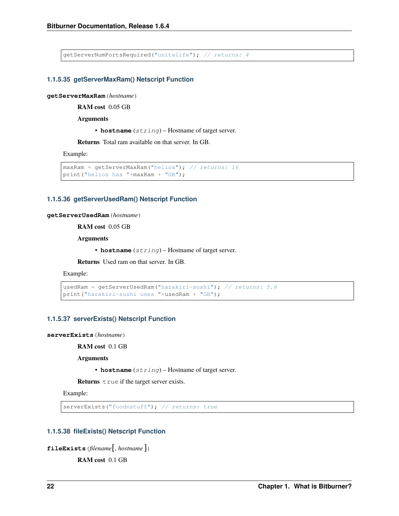getServerNumPortsRequired("unitalife"); // returns: 4

#### <span id="page-31-0"></span>**1.1.5.35 getServerMaxRam() Netscript Function**

**getServerMaxRam**(*hostname*)

RAM cost 0.05 GB

Arguments

• **hostname** (string) – Hostname of target server.

Returns Total ram available on that server. In GB.

Example:

```
maxRam = getServerMaxRam("helios"); // returns: 16print("helios has "+maxRam + "GB");
```
## <span id="page-31-1"></span>**1.1.5.36 getServerUsedRam() Netscript Function**

#### **getServerUsedRam**(*hostname*)

RAM cost 0.05 GB

Arguments

• **hostname** (string) – Hostname of target server.

Returns Used ram on that server. In GB.

Example:

```
usedRam = getServerUsedRam("harakiri-sushi"); // returns: 5.6
print("harakiri-sushi uses "+usedRam + "GB");
```
#### <span id="page-31-2"></span>**1.1.5.37 serverExists() Netscript Function**

**serverExists**(*hostname*)

RAM cost 0.1 GB

Arguments

• **hostname** (string) – Hostname of target server.

Returns true if the target server exists.

Example:

serverExists("foodnstuff"); // returns: true

## <span id="page-31-3"></span>**1.1.5.38 fileExists() Netscript Function**

```
fileExists(filename[, hostname ])
```
RAM cost 0.1 GB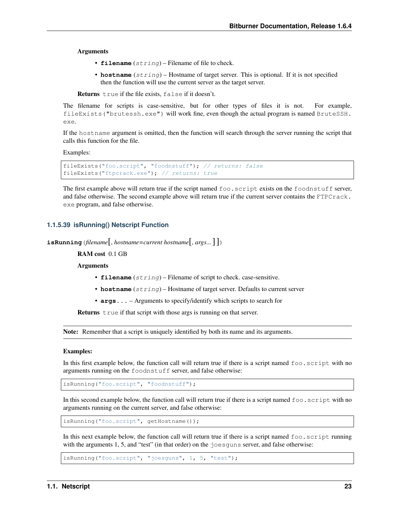#### **Arguments**

- **filename** (string) Filename of file to check.
- **hostname**  $(string)$  Hostname of target server. This is optional. If it is not specified then the function will use the current server as the target server.

Returns true if the file exists, false if it doesn't.

The filename for scripts is case-sensitive, but for other types of files it is not. For example, fileExists("brutessh.exe") will work fine, even though the actual program is named BruteSSH. exe.

If the hostname argument is omitted, then the function will search through the server running the script that calls this function for the file.

Examples:

```
fileExists("foo.script", "foodnstuff"); // returns: false
fileExists("ftpcrack.exe"); // returns: true
```
The first example above will return true if the script named foo.script exists on the foodnstuff server, and false otherwise. The second example above will return true if the current server contains the FTPCrack. exe program, and false otherwise.

#### <span id="page-32-0"></span>**1.1.5.39 isRunning() Netscript Function**

```
isRunning(filename[, hostname=current hostname[, args...] ])
```
RAM cost 0.1 GB

Arguments

- **filename** (string) Filename of script to check. case-sensitive.
- **hostname** (string) Hostname of target server. Defaults to current server
- **args...** Arguments to specify/identify which scripts to search for

Returns true if that script with those args is running on that server.

Note: Remember that a script is uniquely identified by both its name and its arguments.

#### Examples:

In this first example below, the function call will return true if there is a script named  $f \circ \circ \cdot s$  script with no arguments running on the foodnstuff server, and false otherwise:

isRunning("foo.script", "foodnstuff");

In this second example below, the function call will return true if there is a script named  $f \circ \circ \cdot s$  script with no arguments running on the current server, and false otherwise:

isRunning("foo.script", getHostname());

In this next example below, the function call will return true if there is a script named  $f \circ \circ \cdot s$  script running with the arguments 1, 5, and "test" (in that order) on the joesguns server, and false otherwise:

isRunning("foo.script", "joesguns", 1, 5, "test");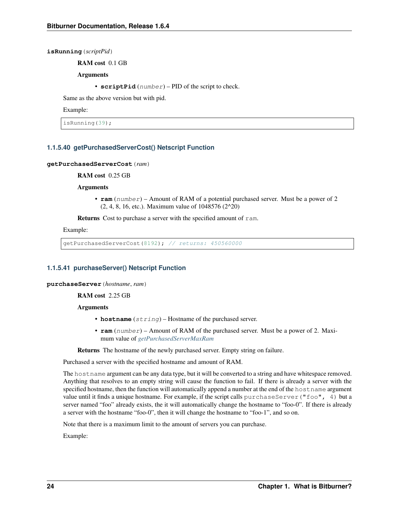**isRunning**(*scriptPid*)

RAM cost 0.1 GB

Arguments

• **scriptPid** (number) – PID of the script to check.

Same as the above version but with pid.

Example:

isRunning(39);

## <span id="page-33-0"></span>**1.1.5.40 getPurchasedServerCost() Netscript Function**

#### **getPurchasedServerCost**(*ram*)

RAM cost 0.25 GB

Arguments

• **ram** (number) – Amount of RAM of a potential purchased server. Must be a power of 2 (2, 4, 8, 16, etc.). Maximum value of 1048576 (2^20)

Returns Cost to purchase a server with the specified amount of ram.

Example:

getPurchasedServerCost(8192); // returns: 450560000

## <span id="page-33-1"></span>**1.1.5.41 purchaseServer() Netscript Function**

**purchaseServer**(*hostname*, *ram*)

RAM cost 2.25 GB

**Arguments** 

- **hostname** (string) Hostname of the purchased server.
- **ram** (number) Amount of RAM of the purchased server. Must be a power of 2. Maximum value of *[getPurchasedServerMaxRam](#page-34-3)*

Returns The hostname of the newly purchased server. Empty string on failure.

Purchased a server with the specified hostname and amount of RAM.

The hostname argument can be any data type, but it will be converted to a string and have whitespace removed. Anything that resolves to an empty string will cause the function to fail. If there is already a server with the specified hostname, then the function will automatically append a number at the end of the hostname argument value until it finds a unique hostname. For example, if the script calls purchaseServer ("foo", 4) but a server named "foo" already exists, the it will automatically change the hostname to "foo-0". If there is already a server with the hostname "foo-0", then it will change the hostname to "foo-1", and so on.

Note that there is a maximum limit to the amount of servers you can purchase.

Example: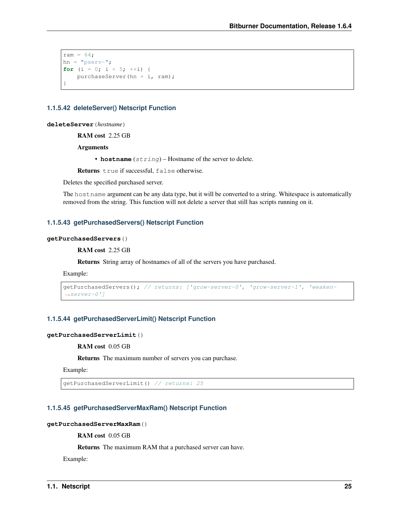```
ram = 64;hn = "pserv-";
for (i = 0; i < 5; ++i) {
    purchaseServer(hn + i, ram);
}
```
#### <span id="page-34-0"></span>**1.1.5.42 deleteServer() Netscript Function**

**deleteServer**(*hostname*)

RAM cost 2.25 GB

Arguments

• **hostname**  $(string)$  – Hostname of the server to delete.

Returns true if successful, false otherwise.

Deletes the specified purchased server.

The hostname argument can be any data type, but it will be converted to a string. Whitespace is automatically removed from the string. This function will not delete a server that still has scripts running on it.

#### <span id="page-34-1"></span>**1.1.5.43 getPurchasedServers() Netscript Function**

#### **getPurchasedServers**()

RAM cost 2.25 GB

Returns String array of hostnames of all of the servers you have purchased.

Example:

```
getPurchasedServers(); // returns: ['grow-server-0', 'grow-server-1', 'weaken-
˓→server-0']
```
## <span id="page-34-2"></span>**1.1.5.44 getPurchasedServerLimit() Netscript Function**

#### **getPurchasedServerLimit**()

RAM cost 0.05 GB

Returns The maximum number of servers you can purchase.

Example:

getPurchasedServerLimit() // returns: 25

#### <span id="page-34-3"></span>**1.1.5.45 getPurchasedServerMaxRam() Netscript Function**

#### **getPurchasedServerMaxRam**()

RAM cost 0.05 GB

Returns The maximum RAM that a purchased server can have.

Example: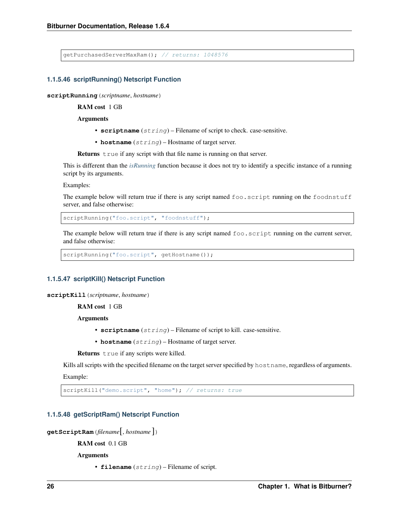```
getPurchasedServerMaxRam(); // returns: 1048576
```
#### <span id="page-35-0"></span>**1.1.5.46 scriptRunning() Netscript Function**

**scriptRunning**(*scriptname*, *hostname*)

RAM cost 1 GB

Arguments

- **scriptname** (string) Filename of script to check. case-sensitive.
- **hostname** (string) Hostname of target server.

Returns true if any script with that file name is running on that server.

This is different than the *[isRunning](#page-32-0)* function because it does not try to identify a specific instance of a running script by its arguments.

Examples:

The example below will return true if there is any script named foo.script running on the foodnstuff server, and false otherwise:

scriptRunning("foo.script", "foodnstuff");

The example below will return true if there is any script named foo.script running on the current server, and false otherwise:

scriptRunning("foo.script", getHostname());

#### <span id="page-35-1"></span>**1.1.5.47 scriptKill() Netscript Function**

**scriptKill**(*scriptname*, *hostname*)

RAM cost 1 GB

Arguments

- **scriptname** (string) Filename of script to kill. case-sensitive.
- **hostname** (string) Hostname of target server.

Returns true if any scripts were killed.

Kills all scripts with the specified filename on the target server specified by hostname, regardless of arguments.

Example:

scriptKill("demo.script", "home"); // returns: true

#### <span id="page-35-2"></span>**1.1.5.48 getScriptRam() Netscript Function**

```
getScriptRam(filename[, hostname ])
```
RAM cost 0.1 GB

Arguments

• **filename** (string) – Filename of script.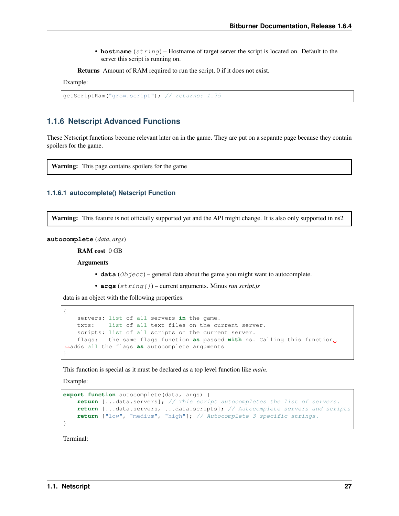• **hostname**  $(string)$  – Hostname of target server the script is located on. Default to the server this script is running on.

Returns Amount of RAM required to run the script, 0 if it does not exist.

Example:

```
getScriptRam("grow.script"); // returns: 1.75
```
# **1.1.6 Netscript Advanced Functions**

These Netscript functions become relevant later on in the game. They are put on a separate page because they contain spoilers for the game.

Warning: This page contains spoilers for the game

# **1.1.6.1 autocomplete() Netscript Function**

Warning: This feature is not officially supported yet and the API might change. It is also only supported in ns2

**autocomplete**(*data*, *args*)

RAM cost 0 GB

Arguments

- $\bullet$  **data** (*Ob*  $ject$ ) general data about the game you might want to autocomplete.
- **args** (string[]) current arguments. Minus *run script.js*

data is an object with the following properties:

```
{
   servers: list of all servers in the game.
   txts: list of all text files on the current server.
   scripts: list of all scripts on the current server.
   flags: the same flags function as passed with ns. Calling this function
˓→adds all the flags as autocomplete arguments
}
```
This function is special as it must be declared as a top level function like *main*.

Example:

```
export function autocomplete(data, args) {
   return [...data.servers]; // This script autocompletes the list of servers.
    return [...data.servers, ...data.scripts]; // Autocomplete servers and scripts
    return ["low", "medium", "high"]; // Autocomplete 3 specific strings.
}
```
Terminal: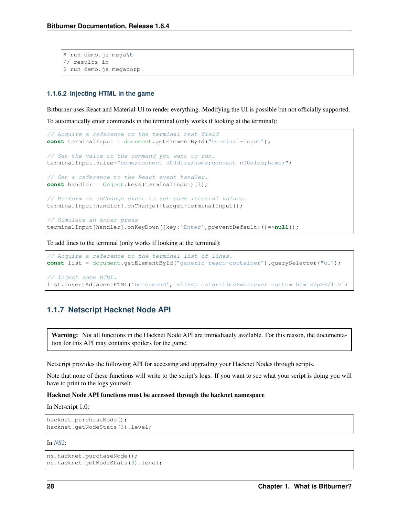```
$ run demo.js mega\t
// results in
$ run demo.js megacorp
```
# **1.1.6.2 Injecting HTML in the game**

Bitburner uses React and Material-UI to render everything. Modifying the UI is possible but not officially supported.

To automatically enter commands in the terminal (only works if looking at the terminal):

```
// Acquire a reference to the terminal text field
const terminalInput = document.getElementById("terminal-input");
// Set the value to the command you want to run.
terminalInput.value="home;connect n00dles;home;connect n00dles;home;";
// Get a reference to the React event handler.
const handler = Object.keys(terminalInput)[1];
// Perform an onChange event to set some internal values.
terminalInput[handler].onChange({target:terminalInput});
// Simulate an enter press
terminalInput[handler].onKeyDown({key:'Enter',preventDefault:()=>null});
```
To add lines to the terminal (only works if looking at the terminal):

```
// Acquire a reference to the terminal list of lines.
const list = document.getElementById("generic-react-container").querySelector("ul");
// Inject some HTML.
list.insertAdjacentHTML('beforeend',`<li><p color=lime>whatever custom html</p></li>`)
```
# **1.1.7 Netscript Hacknet Node API**

Warning: Not all functions in the Hacknet Node API are immediately available. For this reason, the documentation for this API may contains spoilers for the game.

Netscript provides the following API for accessing and upgrading your Hacknet Nodes through scripts.

Note that none of these functions will write to the script's logs. If you want to see what your script is doing you will have to print to the logs yourself.

#### Hacknet Node API functions must be accessed through the hacknet namespace

In Netscript 1.0:

```
hacknet.purchaseNode();
hacknet.getNodeStats(3).level;
```
#### In *[NS2](#page-14-0)*:

```
ns.hacknet.purchaseNode();
ns.hacknet.getNodeStats(3).level;
```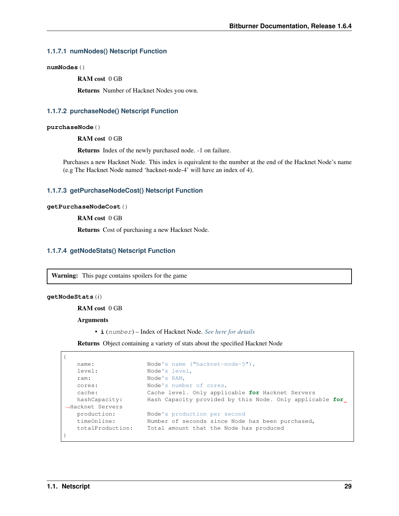### **1.1.7.1 numNodes() Netscript Function**

**numNodes**()

RAM cost 0 GB

Returns Number of Hacknet Nodes you own.

#### **1.1.7.2 purchaseNode() Netscript Function**

#### **purchaseNode**()

RAM cost 0 GB

Returns Index of the newly purchased node. -1 on failure.

Purchases a new Hacknet Node. This index is equivalent to the number at the end of the Hacknet Node's name (e.g The Hacknet Node named 'hacknet-node-4' will have an index of 4).

### **1.1.7.3 getPurchaseNodeCost() Netscript Function**

#### **getPurchaseNodeCost**()

RAM cost 0 GB

Returns Cost of purchasing a new Hacknet Node.

## **1.1.7.4 getNodeStats() Netscript Function**

Warning: This page contains spoilers for the game

#### **getNodeStats**(*i*)

RAM cost 0 GB

#### **Arguments**

• **i** (number) – Index of Hacknet Node. *[See here for details](#page-40-0)*

Returns Object containing a variety of stats about the specified Hacknet Node

```
{
   name: Node's name ("hacknet-node-5"),
   level: Node's level,
   ram: Node's RAM,
   cores: Node's number of cores,
   cache: Cache level. Only applicable for Hacknet Servers
                  Hash Capacity provided by this Node. Only applicable for.
hashCapacity:<br>→Hacknet Servers
   production: Node's production per second
   timeOnline: Number of seconds since Node has been purchased,
   totalProduction: Total amount that the Node has produced
}
```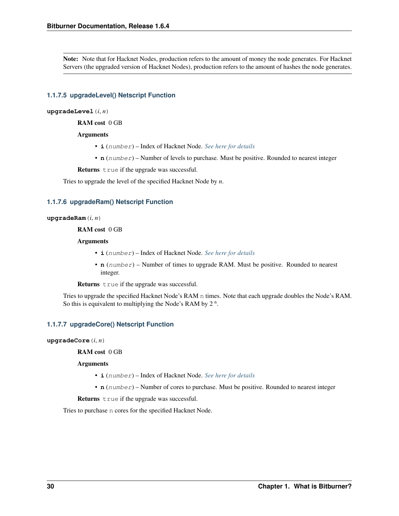Note: Note that for Hacknet Nodes, production refers to the amount of money the node generates. For Hacknet Servers (the upgraded version of Hacknet Nodes), production refers to the amount of hashes the node generates.

# **1.1.7.5 upgradeLevel() Netscript Function**

#### **upgradeLevel**(*i*, *n*)

RAM cost 0 GB

#### Arguments

- **i** (number) Index of Hacknet Node. *[See here for details](#page-40-0)*
- **n** (number) Number of levels to purchase. Must be positive. Rounded to nearest integer

Returns true if the upgrade was successful.

Tries to upgrade the level of the specified Hacknet Node by *n*.

### **1.1.7.6 upgradeRam() Netscript Function**

#### **upgradeRam**(*i*, *n*)

RAM cost 0 GB

#### **Arguments**

- **i** (number) Index of Hacknet Node. *[See here for details](#page-40-0)*
- **n** (number) Number of times to upgrade RAM. Must be positive. Rounded to nearest integer.

Returns true if the upgrade was successful.

Tries to upgrade the specified Hacknet Node's RAM n times. Note that each upgrade doubles the Node's RAM. So this is equivalent to multiplying the Node's RAM by  $2<sup>n</sup>$ .

# **1.1.7.7 upgradeCore() Netscript Function**

#### **upgradeCore**(*i*, *n*)

RAM cost 0 GB

#### Arguments

- **i** (number) Index of Hacknet Node. *[See here for details](#page-40-0)*
- **n** (number) Number of cores to purchase. Must be positive. Rounded to nearest integer

Returns true if the upgrade was successful.

Tries to purchase n cores for the specified Hacknet Node.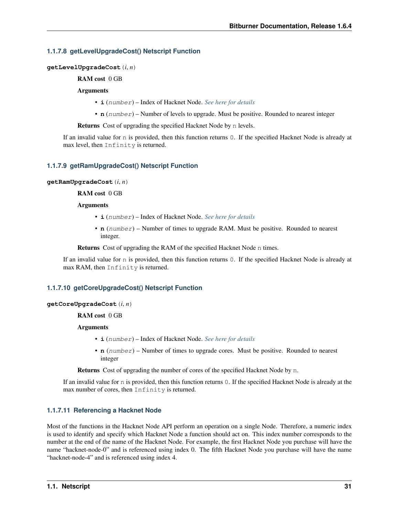# **1.1.7.8 getLevelUpgradeCost() Netscript Function**

**getLevelUpgradeCost**(*i*, *n*)

RAM cost 0 GB

#### Arguments

- **i** (number) Index of Hacknet Node. *[See here for details](#page-40-0)*
- **n** (number) Number of levels to upgrade. Must be positive. Rounded to nearest integer

Returns Cost of upgrading the specified Hacknet Node by n levels.

If an invalid value for n is provided, then this function returns 0. If the specified Hacknet Node is already at max level, then Infinity is returned.

# **1.1.7.9 getRamUpgradeCost() Netscript Function**

#### **getRamUpgradeCost**(*i*, *n*)

# RAM cost 0 GB

#### Arguments

- **i** (number) Index of Hacknet Node. *[See here for details](#page-40-0)*
- **n** (number) Number of times to upgrade RAM. Must be positive. Rounded to nearest integer.

Returns Cost of upgrading the RAM of the specified Hacknet Node n times.

If an invalid value for n is provided, then this function returns 0. If the specified Hacknet Node is already at max RAM, then Infinity is returned.

# **1.1.7.10 getCoreUpgradeCost() Netscript Function**

#### **getCoreUpgradeCost**(*i*, *n*)

RAM cost 0 GB

#### **Arguments**

- **i** (number) Index of Hacknet Node. *[See here for details](#page-40-0)*
- **n** (number) Number of times to upgrade cores. Must be positive. Rounded to nearest integer

Returns Cost of upgrading the number of cores of the specified Hacknet Node by n.

If an invalid value for n is provided, then this function returns 0. If the specified Hacknet Node is already at the max number of cores, then Infinity is returned.

# <span id="page-40-0"></span>**1.1.7.11 Referencing a Hacknet Node**

Most of the functions in the Hacknet Node API perform an operation on a single Node. Therefore, a numeric index is used to identify and specify which Hacknet Node a function should act on. This index number corresponds to the number at the end of the name of the Hacknet Node. For example, the first Hacknet Node you purchase will have the name "hacknet-node-0" and is referenced using index 0. The fifth Hacknet Node you purchase will have the name "hacknet-node-4" and is referenced using index 4.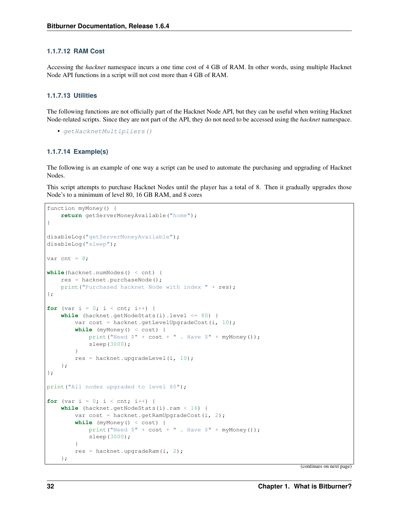# **1.1.7.12 RAM Cost**

Accessing the *hacknet* namespace incurs a one time cost of 4 GB of RAM. In other words, using multiple Hacknet Node API functions in a script will not cost more than 4 GB of RAM.

### **1.1.7.13 Utilities**

The following functions are not officially part of the Hacknet Node API, but they can be useful when writing Hacknet Node-related scripts. Since they are not part of the API, they do not need to be accessed using the *hacknet* namespace.

```
• getHacknetMultipliers()
```
#### **1.1.7.14 Example(s)**

The following is an example of one way a script can be used to automate the purchasing and upgrading of Hacknet Nodes.

This script attempts to purchase Hacknet Nodes until the player has a total of 8. Then it gradually upgrades those Node's to a minimum of level 80, 16 GB RAM, and 8 cores

```
function myMoney() {
    return getServerMoneyAvailable("home");
}
disableLog("getServerMoneyAvailable");
disableLog("sleep");
var cnt = 8;
while(hacknet.numNodes() < cnt) {
   res = hacknet.purchaseNode();
    print("Purchased hacknet Node with index " + res);
};
for (var i = 0; i < cnt; i++) {
    while (hacknet.getNodeStats(i).level <= 80) {
        var cost = hacknet.getLevelUpgradeCost(i, 10);
        while (myMoney() < cost) {
            print ("Need $" + cost + ". Have $" + myMoney();
            sleep(3000);
        }
        res = hacknet.upgradeLevel(i, 10);
    };
};
print ("All nodes upgraded to level 80");
for (var i = 0; i < cnt; i++) {
    while (hacknet.getNodeStats(i).ram < 16) {
        var cost = hacknet.getRamUpgradeCost(i, 2);
        while (myMoney() < cost) {
            print("Need $" + cost + ". Have $" + myMoney();
            sleep(3000);
        }
        res = hacknet.upgradeRam(i, 2);
    };
```
(continues on next page)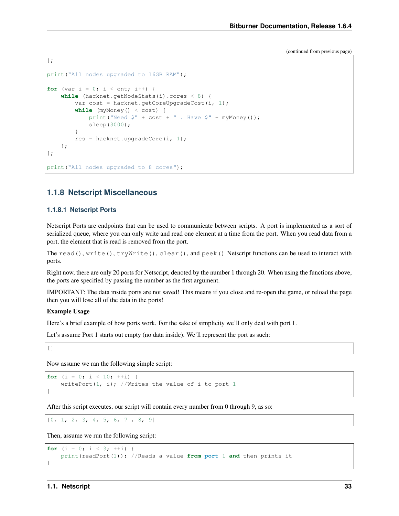(continued from previous page)

```
};
print ("All nodes upgraded to 16GB RAM");
for (var i = 0; i < cnt; i+1) {
    while (hacknet.getNodeStats(i).cores < 8) {
        var cost = hacknet.getCoreUpgradeCost(i, 1);
        while (myMoney() < cost) {
           print("Need $" + cost + ". Have $" + myMoney();
            sleep(3000);
        }
        res = hacknet.upgradeCore(i, 1);
    };
};
print ("All nodes upgraded to 8 cores");
```
# **1.1.8 Netscript Miscellaneous**

# **1.1.8.1 Netscript Ports**

Netscript Ports are endpoints that can be used to communicate between scripts. A port is implemented as a sort of serialized queue, where you can only write and read one element at a time from the port. When you read data from a port, the element that is read is removed from the port.

The read(), write(), tryWrite(), clear(), and peek() Netscript functions can be used to interact with ports.

Right now, there are only 20 ports for Netscript, denoted by the number 1 through 20. When using the functions above, the ports are specified by passing the number as the first argument.

IMPORTANT: The data inside ports are not saved! This means if you close and re-open the game, or reload the page then you will lose all of the data in the ports!

#### Example Usage

Here's a brief example of how ports work. For the sake of simplicity we'll only deal with port 1.

Let's assume Port 1 starts out empty (no data inside). We'll represent the port as such:

[]

Now assume we ran the following simple script:

```
for (i = 0; i < 10; ++i) {
    writePort(1, i); //Writes the value of i to port 1
}
```
After this script executes, our script will contain every number from 0 through 9, as so:

 $[0, 1, 2, 3, 4, 5, 6, 7, 8, 9]$ 

Then, assume we run the following script:

```
for (i = 0; i < 3; ++i) {
   print(readPort(1)); //Reads a value from port 1 and then prints it
}
```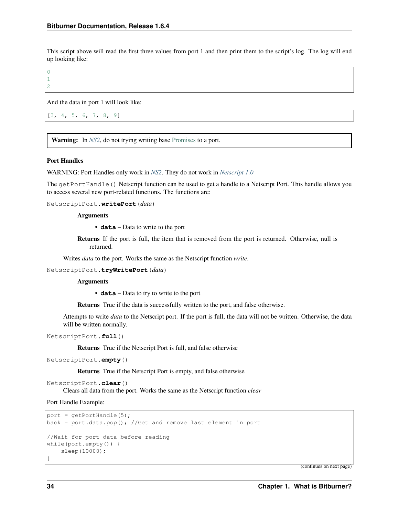This script above will read the first three values from port 1 and then print them to the script's log. The log will end up looking like:

 $\overline{0}$ 1 2

And the data in port 1 will look like:

```
[3, 4, 5, 6, 7, 8, 9]
```
Warning: In *[NS2](#page-14-0)*, do not trying writing base [Promises](https://developer.mozilla.org/en-US/docs/Web/JavaScript/Reference/Global_Objects/Promise) to a port.

#### Port Handles

WARNING: Port Handles only work in *[NS2](#page-14-0)*. They do not work in *[Netscript 1.0](#page-13-0)*

The getPortHandle() Netscript function can be used to get a handle to a Netscript Port. This handle allows you to access several new port-related functions. The functions are:

NetscriptPort.**writePort**(*data*)

### **Arguments**

• **data** – Data to write to the port

Returns If the port is full, the item that is removed from the port is returned. Otherwise, null is returned.

Writes *data* to the port. Works the same as the Netscript function *write*.

NetscriptPort.**tryWritePort**(*data*)

#### Arguments

• **data** – Data to try to write to the port

Returns True if the data is successfully written to the port, and false otherwise.

Attempts to write *data* to the Netscript port. If the port is full, the data will not be written. Otherwise, the data will be written normally.

NetscriptPort.**full**()

Returns True if the Netscript Port is full, and false otherwise

```
NetscriptPort.empty()
```
Returns True if the Netscript Port is empty, and false otherwise

```
NetscriptPort.clear()
```
Clears all data from the port. Works the same as the Netscript function *clear*

Port Handle Example:

```
port = getPortHandle(5);
back = port.data.pop(); //Get and remove last element in port
//Wait for port data before reading
while(port.empty()) {
    sleep(10000);
}
```
(continues on next page)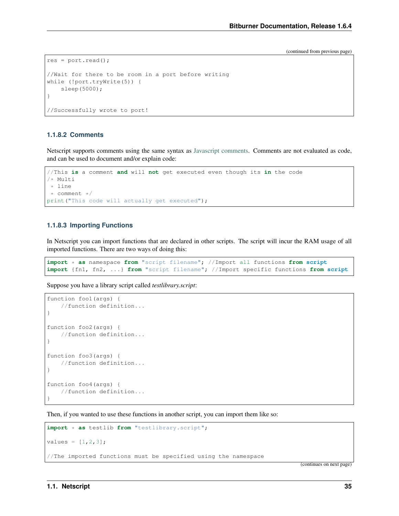(continued from previous page)

```
res = port.read();
//Wait for there to be room in a port before writing
while (!port.tryWrite(5)) {
   sleep(5000);
}
//Successfully wrote to port!
```
## **1.1.8.2 Comments**

Netscript supports comments using the same syntax as [Javascript comments.](https://www.w3schools.com/js/js_comments.asp) Comments are not evaluated as code, and can be used to document and/or explain code:

```
//This is a comment and will not get executed even though its in the code
/* Multi
* line
* comment */
print ("This code will actually get executed");
```
## **1.1.8.3 Importing Functions**

In Netscript you can import functions that are declared in other scripts. The script will incur the RAM usage of all imported functions. There are two ways of doing this:

```
import * as namespace from "script filename"; //Import all functions from script
import {fn1, fn2, ...} from "script filename"; //Import specific functions from script
```
Suppose you have a library script called *testlibrary.script*:

```
function foo1(args) {
    //function definition...
}
function foo2(args) {
    //function definition...
}
function foo3(args) {
    //function definition...
}
function foo4(args) {
    //function definition...
}
```
Then, if you wanted to use these functions in another script, you can import them like so:

```
import * as testlib from "testlibrary.script";
values = [1, 2, 3];
//The imported functions must be specified using the namespace
```
(continues on next page)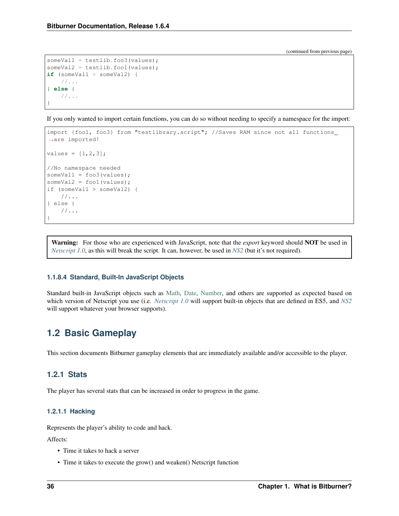(continued from previous page)

```
someVal1 = testlib.foo3(values);
someVal2 = testlib.foo1(values);
if (someVal1 > someVal2) {
    //...
} else {
    //...
}
```
If you only wanted to import certain functions, you can do so without needing to specify a namespace for the import:

```
import {foo1, foo3} from "testlibrary.script"; //Saves RAM since not all functions
˓→are imported!
values = [1, 2, 3];
//No namespace needed
someVal1 = foo3(values);
someVal2 = foo1(values);
if (someVal1 > someVal2) {
    //...
} else {
    //...
}
```
Warning: For those who are experienced with JavaScript, note that the *export* keyword should NOT be used in *[Netscript 1.0](#page-13-0)*, as this will break the script. It can, however, be used in *[NS2](#page-14-0)* (but it's not required).

#### **1.1.8.4 Standard, Built-In JavaScript Objects**

Standard built-in JavaScript objects such as [Math,](https://developer.mozilla.org/en-US/docs/Web/JavaScript/Reference/Global_Objects/Math) [Date,](https://developer.mozilla.org/en-US/docs/Web/JavaScript/Reference/Global_Objects/Date) [Number,](https://developer.mozilla.org/en-US/docs/Web/JavaScript/Reference/Global_Objects/Number) and others are supported as expected based on which version of Netscript you use (i.e. *[Netscript 1.0](#page-13-0)* will support built-in objects that are defined in ES5, and *[NS2](#page-14-0)* will support whatever your browser supports).

# **1.2 Basic Gameplay**

This section documents Bitburner gameplay elements that are immediately available and/or accessible to the player.

# **1.2.1 Stats**

The player has several stats that can be increased in order to progress in the game.

## **1.2.1.1 Hacking**

Represents the player's ability to code and hack.

Affects:

- Time it takes to hack a server
- Time it takes to execute the grow() and weaken() Netscript function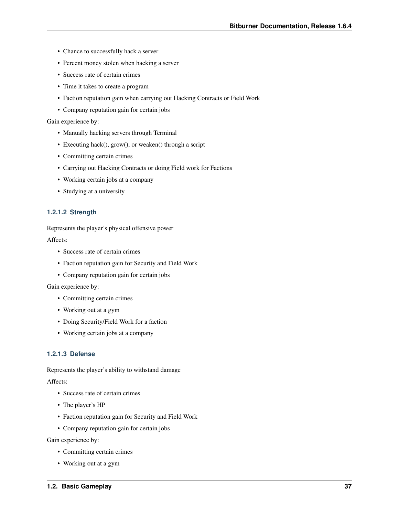- Chance to successfully hack a server
- Percent money stolen when hacking a server
- Success rate of certain crimes
- Time it takes to create a program
- Faction reputation gain when carrying out Hacking Contracts or Field Work
- Company reputation gain for certain jobs

Gain experience by:

- Manually hacking servers through Terminal
- Executing hack(), grow(), or weaken() through a script
- Committing certain crimes
- Carrying out Hacking Contracts or doing Field work for Factions
- Working certain jobs at a company
- Studying at a university

# **1.2.1.2 Strength**

Represents the player's physical offensive power

Affects:

- Success rate of certain crimes
- Faction reputation gain for Security and Field Work
- Company reputation gain for certain jobs

Gain experience by:

- Committing certain crimes
- Working out at a gym
- Doing Security/Field Work for a faction
- Working certain jobs at a company

# **1.2.1.3 Defense**

Represents the player's ability to withstand damage

Affects:

- Success rate of certain crimes
- The player's HP
- Faction reputation gain for Security and Field Work
- Company reputation gain for certain jobs

Gain experience by:

- Committing certain crimes
- Working out at a gym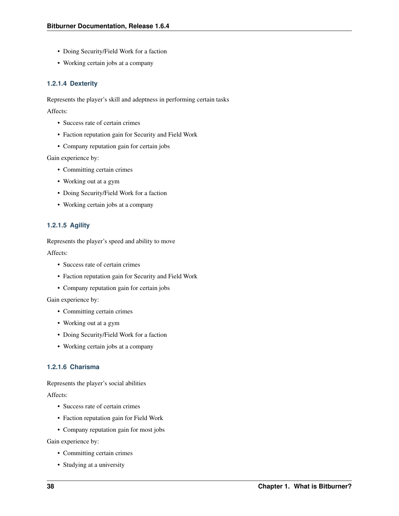- Doing Security/Field Work for a faction
- Working certain jobs at a company

# **1.2.1.4 Dexterity**

Represents the player's skill and adeptness in performing certain tasks

Affects:

- Success rate of certain crimes
- Faction reputation gain for Security and Field Work
- Company reputation gain for certain jobs

Gain experience by:

- Committing certain crimes
- Working out at a gym
- Doing Security/Field Work for a faction
- Working certain jobs at a company

# **1.2.1.5 Agility**

Represents the player's speed and ability to move

Affects:

- Success rate of certain crimes
- Faction reputation gain for Security and Field Work
- Company reputation gain for certain jobs

Gain experience by:

- Committing certain crimes
- Working out at a gym
- Doing Security/Field Work for a faction
- Working certain jobs at a company

# **1.2.1.6 Charisma**

Represents the player's social abilities

Affects:

- Success rate of certain crimes
- Faction reputation gain for Field Work
- Company reputation gain for most jobs

Gain experience by:

- Committing certain crimes
- Studying at a university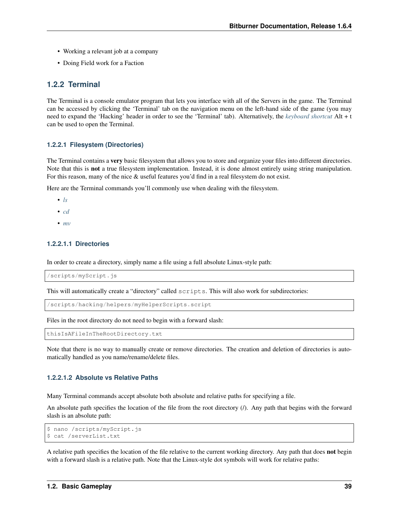- Working a relevant job at a company
- Doing Field work for a Faction

# <span id="page-48-1"></span>**1.2.2 Terminal**

The Terminal is a console emulator program that lets you interface with all of the Servers in the game. The Terminal can be accessed by clicking the 'Terminal' tab on the navigation menu on the left-hand side of the game (you may need to expand the 'Hacking' header in order to see the 'Terminal' tab). Alternatively, the *[keyboard shortcut](#page-86-0)* Alt + t can be used to open the Terminal.

# <span id="page-48-0"></span>**1.2.2.1 Filesystem (Directories)**

The Terminal contains a very basic filesystem that allows you to store and organize your files into different directories. Note that this is not a true filesystem implementation. Instead, it is done almost entirely using string manipulation. For this reason, many of the nice & useful features you'd find in a real filesystem do not exist.

Here are the Terminal commands you'll commonly use when dealing with the filesystem.

- *[ls](#page-53-0)*
- *[cd](#page-50-0)*
- *[mv](#page-54-0)*

# **1.2.2.1.1 Directories**

In order to create a directory, simply name a file using a full absolute Linux-style path:

/scripts/myScript.js

This will automatically create a "directory" called scripts. This will also work for subdirectories:

/scripts/hacking/helpers/myHelperScripts.script

Files in the root directory do not need to begin with a forward slash:

thisIsAFileInTheRootDirectory.txt

Note that there is no way to manually create or remove directories. The creation and deletion of directories is automatically handled as you name/rename/delete files.

# **1.2.2.1.2 Absolute vs Relative Paths**

Many Terminal commands accept absolute both absolute and relative paths for specifying a file.

An absolute path specifies the location of the file from the root directory (/). Any path that begins with the forward slash is an absolute path:

```
$ nano /scripts/myScript.js
$ cat /serverList.txt
```
A relative path specifies the location of the file relative to the current working directory. Any path that does not begin with a forward slash is a relative path. Note that the Linux-style dot symbols will work for relative paths: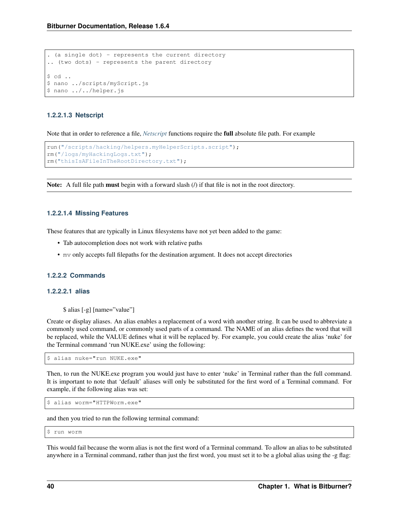```
. (a single dot) - represents the current directory
.. (two dots) - represents the parent directory
$ cd ..
$ nano ../scripts/myScript.js
$ nano ../../helper.js
```
# **1.2.2.1.3 Netscript**

Note that in order to reference a file, *[Netscript](#page-12-0)* functions require the full absolute file path. For example

```
run("/scripts/hacking/helpers.myHelperScripts.script");
rm("/logs/myHackingLogs.txt");
rm("thisIsAFileInTheRootDirectory.txt");
```
Note: A full file path must begin with a forward slash (*/*) if that file is not in the root directory.

# **1.2.2.1.4 Missing Features**

These features that are typically in Linux filesystems have not yet been added to the game:

- Tab autocompletion does not work with relative paths
- mv only accepts full filepaths for the destination argument. It does not accept directories

### **1.2.2.2 Commands**

#### **1.2.2.2.1 alias**

\$ alias [-g] [name="value"]

Create or display aliases. An alias enables a replacement of a word with another string. It can be used to abbreviate a commonly used command, or commonly used parts of a command. The NAME of an alias defines the word that will be replaced, while the VALUE defines what it will be replaced by. For example, you could create the alias 'nuke' for the Terminal command 'run NUKE.exe' using the following:

\$ alias nuke="run NUKE.exe"

Then, to run the NUKE.exe program you would just have to enter 'nuke' in Terminal rather than the full command. It is important to note that 'default' aliases will only be substituted for the first word of a Terminal command. For example, if the following alias was set:

```
$ alias worm="HTTPWorm.exe"
```
and then you tried to run the following terminal command:

\$ run worm

This would fail because the worm alias is not the first word of a Terminal command. To allow an alias to be substituted anywhere in a Terminal command, rather than just the first word, you must set it to be a global alias using the -g flag: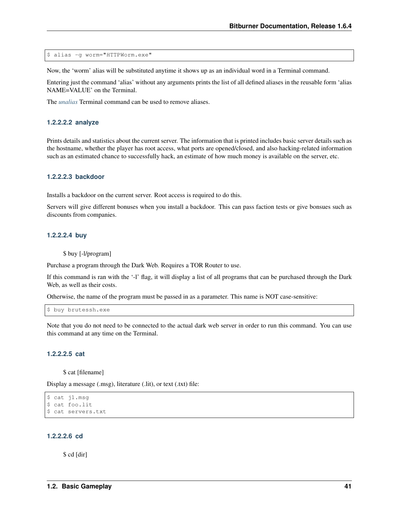\$ alias -g worm="HTTPWorm.exe"

Now, the 'worm' alias will be substituted anytime it shows up as an individual word in a Terminal command.

Entering just the command 'alias' without any arguments prints the list of all defined aliases in the reusable form 'alias NAME=VALUE' on the Terminal.

The *[unalias](#page-56-0)* Terminal command can be used to remove aliases.

### <span id="page-50-1"></span>**1.2.2.2.2 analyze**

Prints details and statistics about the current server. The information that is printed includes basic server details such as the hostname, whether the player has root access, what ports are opened/closed, and also hacking-related information such as an estimated chance to successfully hack, an estimate of how much money is available on the server, etc.

#### **1.2.2.2.3 backdoor**

Installs a backdoor on the current server. Root access is required to do this.

Servers will give different bonuses when you install a backdoor. This can pass faction tests or give bonsues such as discounts from companies.

#### **1.2.2.2.4 buy**

\$ buy [-l/program]

Purchase a program through the Dark Web. Requires a TOR Router to use.

If this command is ran with the '-l' flag, it will display a list of all programs that can be purchased through the Dark Web, as well as their costs.

Otherwise, the name of the program must be passed in as a parameter. This name is NOT case-sensitive:

\$ buy brutessh.exe

Note that you do not need to be connected to the actual dark web server in order to run this command. You can use this command at any time on the Terminal.

## **1.2.2.2.5 cat**

\$ cat [filename]

Display a message (.msg), literature (.lit), or text (.txt) file:

```
$ cat j1.msg
$ cat foo.lit
$ cat servers.txt
```
### <span id="page-50-0"></span>**1.2.2.2.6 cd**

\$ cd [dir]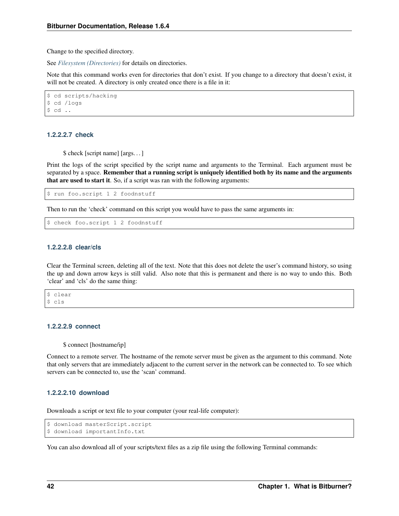Change to the specified directory.

See *[Filesystem \(Directories\)](#page-48-0)* for details on directories.

Note that this command works even for directories that don't exist. If you change to a directory that doesn't exist, it will not be created. A directory is only created once there is a file in it:

```
$ cd scripts/hacking
$ cd /logs
$ cd ..
```
## **1.2.2.2.7 check**

\$ check [script name] [args. . . ]

Print the logs of the script specified by the script name and arguments to the Terminal. Each argument must be separated by a space. Remember that a running script is uniquely identified both by its name and the arguments that are used to start it. So, if a script was ran with the following arguments:

\$ run foo.script 1 2 foodnstuff

Then to run the 'check' command on this script you would have to pass the same arguments in:

```
$ check foo.script 1 2 foodnstuff
```
# **1.2.2.2.8 clear/cls**

Clear the Terminal screen, deleting all of the text. Note that this does not delete the user's command history, so using the up and down arrow keys is still valid. Also note that this is permanent and there is no way to undo this. Both 'clear' and 'cls' do the same thing:

\$ clear \$ cls

## **1.2.2.2.9 connect**

\$ connect [hostname/ip]

Connect to a remote server. The hostname of the remote server must be given as the argument to this command. Note that only servers that are immediately adjacent to the current server in the network can be connected to. To see which servers can be connected to, use the 'scan' command.

# **1.2.2.2.10 download**

Downloads a script or text file to your computer (your real-life computer):

```
$ download masterScript.script
$ download importantInfo.txt
```
You can also download all of your scripts/text files as a zip file using the following Terminal commands: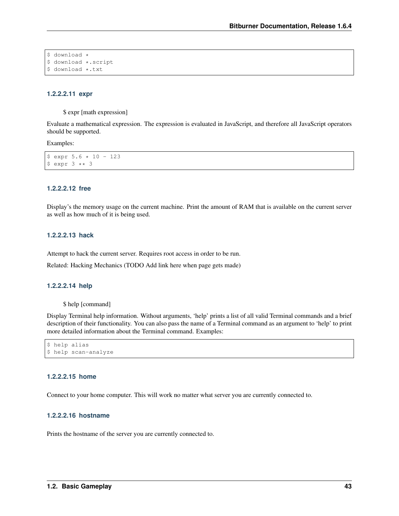```
$ download *
$ download *.script
$ download *.txt
```
#### **1.2.2.2.11 expr**

\$ expr [math expression]

Evaluate a mathematical expression. The expression is evaluated in JavaScript, and therefore all JavaScript operators should be supported.

Examples:

```
$ expr 5.6 * 10 - 123$ expr 3 ** 3
```
### **1.2.2.2.12 free**

Display's the memory usage on the current machine. Print the amount of RAM that is available on the current server as well as how much of it is being used.

#### **1.2.2.2.13 hack**

Attempt to hack the current server. Requires root access in order to be run.

Related: Hacking Mechanics (TODO Add link here when page gets made)

## **1.2.2.2.14 help**

\$ help [command]

Display Terminal help information. Without arguments, 'help' prints a list of all valid Terminal commands and a brief description of their functionality. You can also pass the name of a Terminal command as an argument to 'help' to print more detailed information about the Terminal command. Examples:

```
$ help alias
$ help scan-analyze
```
## **1.2.2.2.15 home**

Connect to your home computer. This will work no matter what server you are currently connected to.

# **1.2.2.2.16 hostname**

Prints the hostname of the server you are currently connected to.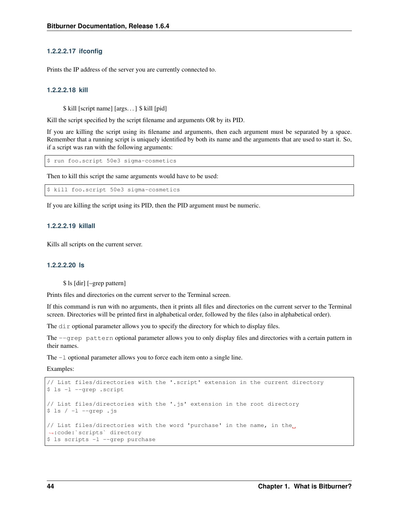# **1.2.2.2.17 ifconfig**

Prints the IP address of the server you are currently connected to.

# **1.2.2.2.18 kill**

\$ kill [script name] [args. . . ] \$ kill [pid]

Kill the script specified by the script filename and arguments OR by its PID.

If you are killing the script using its filename and arguments, then each argument must be separated by a space. Remember that a running script is uniquely identified by both its name and the arguments that are used to start it. So, if a script was ran with the following arguments:

\$ run foo.script 50e3 sigma-cosmetics

Then to kill this script the same arguments would have to be used:

\$ kill foo.script 50e3 sigma-cosmetics

If you are killing the script using its PID, then the PID argument must be numeric.

# **1.2.2.2.19 killall**

Kills all scripts on the current server.

# <span id="page-53-0"></span>**1.2.2.2.20 ls**

\$ ls [dir] [–grep pattern]

Prints files and directories on the current server to the Terminal screen.

If this command is run with no arguments, then it prints all files and directories on the current server to the Terminal screen. Directories will be printed first in alphabetical order, followed by the files (also in alphabetical order).

The dir optional parameter allows you to specify the directory for which to display files.

The --grep pattern optional parameter allows you to only display files and directories with a certain pattern in their names.

The -l optional parameter allows you to force each item onto a single line.

Examples:

```
// List files/directories with the '.script' extension in the current directory
$ ls -l --grep .script
// List files/directories with the '.js' extension in the root directory
$ 1s / -1 -qrep. js
// List files/directories with the word 'purchase' in the name, in the
˓→:code:`scripts` directory
$ ls scripts -l --grep purchase
```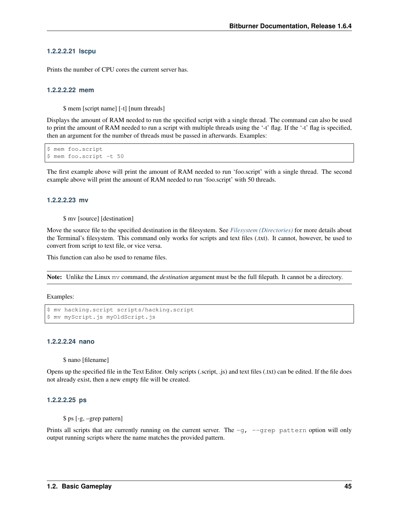#### **1.2.2.2.21 lscpu**

Prints the number of CPU cores the current server has.

#### <span id="page-54-1"></span>**1.2.2.2.22 mem**

\$ mem [script name] [-t] [num threads]

Displays the amount of RAM needed to run the specified script with a single thread. The command can also be used to print the amount of RAM needed to run a script with multiple threads using the '-t' flag. If the '-t' flag is specified, then an argument for the number of threads must be passed in afterwards. Examples:

```
$ mem foo.script
$ mem foo.script -t 50
```
The first example above will print the amount of RAM needed to run 'foo.script' with a single thread. The second example above will print the amount of RAM needed to run 'foo.script' with 50 threads.

#### <span id="page-54-0"></span>**1.2.2.2.23 mv**

\$ mv [source] [destination]

Move the source file to the specified destination in the filesystem. See *[Filesystem \(Directories\)](#page-48-0)* for more details about the Terminal's filesystem. This command only works for scripts and text files (.txt). It cannot, however, be used to convert from script to text file, or vice versa.

This function can also be used to rename files.

Note: Unlike the Linux mv command, the *destination* argument must be the full filepath. It cannot be a directory.

Examples:

```
$ mv hacking.script scripts/hacking.script
$ mv myScript.js myOldScript.js
```
### **1.2.2.2.24 nano**

\$ nano [filename]

Opens up the specified file in the Text Editor. Only scripts (.script, .js) and text files (.txt) can be edited. If the file does not already exist, then a new empty file will be created.

#### **1.2.2.2.25 ps**

\$ ps [-g, –grep pattern]

Prints all scripts that are currently running on the current server. The  $-q$ ,  $-q$  rep pattern option will only output running scripts where the name matches the provided pattern.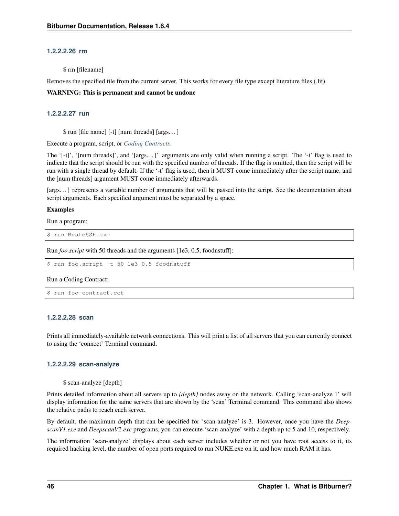# **1.2.2.2.26 rm**

\$ rm [filename]

Removes the specified file from the current server. This works for every file type except literature files (.lit).

#### WARNING: This is permanent and cannot be undone

# <span id="page-55-0"></span>**1.2.2.2.27 run**

\$ run [file name] [-t] [num threads] [args. . . ]

Execute a program, script, or *[Coding Contracts](#page-74-0)*.

The '[-t]', '[num threads]', and '[args. . . ]' arguments are only valid when running a script. The '-t' flag is used to indicate that the script should be run with the specified number of threads. If the flag is omitted, then the script will be run with a single thread by default. If the '-t' flag is used, then it MUST come immediately after the script name, and the [num threads] argument MUST come immediately afterwards.

[args. . . ] represents a variable number of arguments that will be passed into the script. See the documentation about script arguments. Each specified argument must be separated by a space.

#### Examples

Run a program:

\$ run BruteSSH.exe

Run *foo.script* with 50 threads and the arguments [1e3, 0.5, foodnstuff]:

\$ run foo.script -t 50 1e3 0.5 foodnstuff

#### Run a Coding Contract:

```
$ run foo-contract.cct
```
#### **1.2.2.2.28 scan**

Prints all immediately-available network connections. This will print a list of all servers that you can currently connect to using the 'connect' Terminal command.

# **1.2.2.2.29 scan-analyze**

```
$ scan-analyze [depth]
```
Prints detailed information about all servers up to *[depth]* nodes away on the network. Calling 'scan-analyze 1' will display information for the same servers that are shown by the 'scan' Terminal command. This command also shows the relative paths to reach each server.

By default, the maximum depth that can be specified for 'scan-analyze' is 3. However, once you have the *DeepscanV1.exe* and *DeepscanV2.exe* programs, you can execute 'scan-analyze' with a depth up to 5 and 10, respectively.

The information 'scan-analyze' displays about each server includes whether or not you have root access to it, its required hacking level, the number of open ports required to run NUKE.exe on it, and how much RAM it has.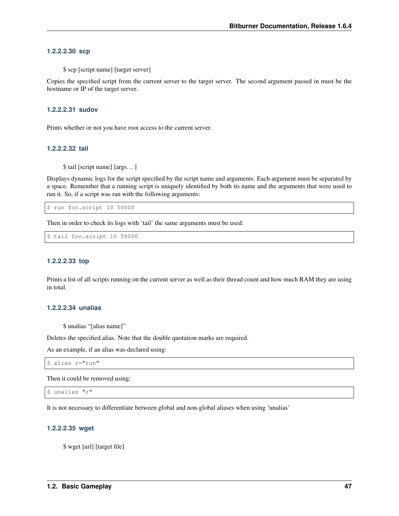# **1.2.2.2.30 scp**

\$ scp [script name] [target server]

Copies the specified script from the current server to the target server. The second argument passed in must be the hostname or IP of the target server.

#### **1.2.2.2.31 sudov**

Prints whether or not you have root access to the current server.

#### **1.2.2.2.32 tail**

\$ tail [script name] [args. . . ]

Displays dynamic logs for the script specified by the script name and arguments. Each argument must be separated by a space. Remember that a running script is uniquely identified by both its name and the arguments that were used to run it. So, if a script was ran with the following arguments:

\$ run foo.script 10 50000

Then in order to check its logs with 'tail' the same arguments must be used:

\$ tail foo.script 10 50000

# **1.2.2.2.33 top**

Prints a list of all scripts running on the current server as well as their thread count and how much RAM they are using in total.

# <span id="page-56-0"></span>**1.2.2.2.34 unalias**

\$ unalias "[alias name]"

Deletes the specified alias. Note that the double quotation marks are required.

As an example, if an alias was declared using:

```
$ alias r="run"
```
Then it could be removed using:

```
$ unalias "r"
```
It is not necessary to differentiate between global and non-global aliases when using 'unalias'

#### **1.2.2.2.35 wget**

\$ wget [url] [target file]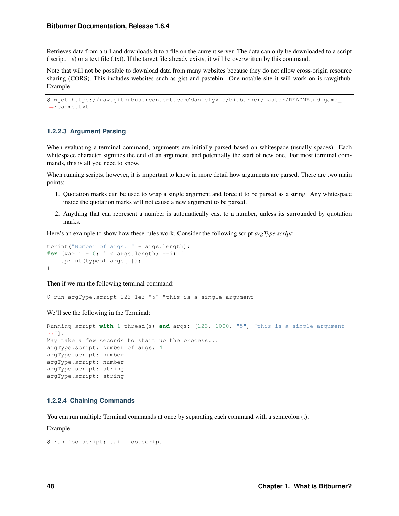Retrieves data from a url and downloads it to a file on the current server. The data can only be downloaded to a script (.script, .js) or a text file (.txt). If the target file already exists, it will be overwritten by this command.

Note that will not be possible to download data from many websites because they do not allow cross-origin resource sharing (CORS). This includes websites such as gist and pastebin. One notable site it will work on is rawgithub. Example:

```
$ wget https://raw.githubusercontent.com/danielyxie/bitburner/master/README.md game_
˓→readme.txt
```
#### **1.2.2.3 Argument Parsing**

When evaluating a terminal command, arguments are initially parsed based on whitespace (usually spaces). Each whitespace character signifies the end of an argument, and potentially the start of new one. For most terminal commands, this is all you need to know.

When running scripts, however, it is important to know in more detail how arguments are parsed. There are two main points:

- 1. Quotation marks can be used to wrap a single argument and force it to be parsed as a string. Any whitespace inside the quotation marks will not cause a new argument to be parsed.
- 2. Anything that can represent a number is automatically cast to a number, unless its surrounded by quotation marks.

Here's an example to show how these rules work. Consider the following script *argType.script*:

```
tprint("Number of args: " + args.length);
for (var i = 0; i < args.length; ++i) {
    tprint(typeof args[i]);
}
```
Then if we run the following terminal command:

\$ run argType.script 123 1e3 "5" "this is a single argument"

We'll see the following in the Terminal:

```
Running script with 1 thread(s) and args: [123, 1000, "5", "this is a single argument
ightharpoonup "].
May take a few seconds to start up the process...
argType.script: Number of args: 4
argType.script: number
argType.script: number
argType.script: string
argType.script: string
```
## **1.2.2.4 Chaining Commands**

You can run multiple Terminal commands at once by separating each command with a semicolon (;).

Example:

```
$ run foo.script; tail foo.script
```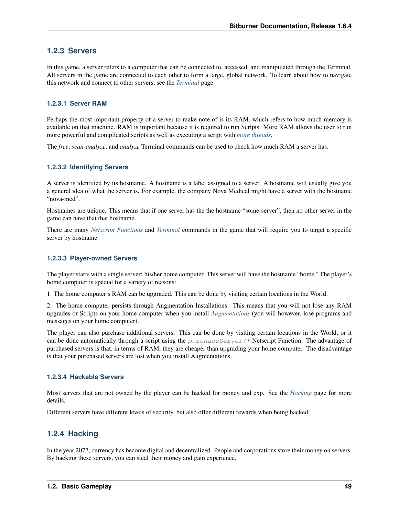# **1.2.3 Servers**

In this game, a server refers to a computer that can be connected to, accessed, and manipulated through the Terminal. All servers in the game are connected to each other to form a large, global network. To learn about how to navigate this network and connect to other servers, see the *[Terminal](#page-48-1)* page.

# **1.2.3.1 Server RAM**

Perhaps the most important property of a server to make note of is its RAM, which refers to how much memory is available on that machine. RAM is important because it is required to run Scripts. More RAM allows the user to run more powerful and complicated scripts as well as executing a script with *[more threads](#page-61-0)*.

The *free*, *scan-analyze*, and *analyze* Terminal commands can be used to check how much RAM a server has.

# **1.2.3.2 Identifying Servers**

A server is identified by its hostname. A hostname is a label assigned to a server. A hostname will usually give you a general idea of what the server is. For example, the company Nova Medical might have a server with the hostname "nova-med".

Hostnames are unique. This means that if one server has the the hostname "some-server", then no other server in the game can have that that hostname.

There are many *[Netscript Functions](#page-18-0)* and *[Terminal](#page-48-1)* commands in the game that will require you to target a specific server by hostname.

# **1.2.3.3 Player-owned Servers**

The player starts with a single server: his/her home computer. This server will have the hostname "home." The player's home computer is special for a variety of reasons:

1. The home computer's RAM can be upgraded. This can be done by visiting certain locations in the World.

2. The home computer persists through Augmentation Installations. This means that you will not lose any RAM upgrades or Scripts on your home computer when you install *[Augmentations](#page-68-0)* (you will however, lose programs and messages on your home computer).

The player can also purchase additional servers. This can be done by visiting certain locations in the World, or it can be done automatically through a script using the  $purchaseServer$  () Netscript Function. The advantage of purchased servers is that, in terms of RAM, they are cheaper than upgrading your home computer. The disadvantage is that your purchased servers are lost when you install Augmentations.

# **1.2.3.4 Hackable Servers**

Most servers that are not owned by the player can be hacked for money and exp. See the *[Hacking](#page-58-0)* page for more details.

Different servers have different levels of security, but also offer different rewards when being hacked.

# <span id="page-58-0"></span>**1.2.4 Hacking**

In the year 2077, currency has become digital and decentralized. People and corporations store their money on servers. By hacking these servers, you can steal their money and gain experience.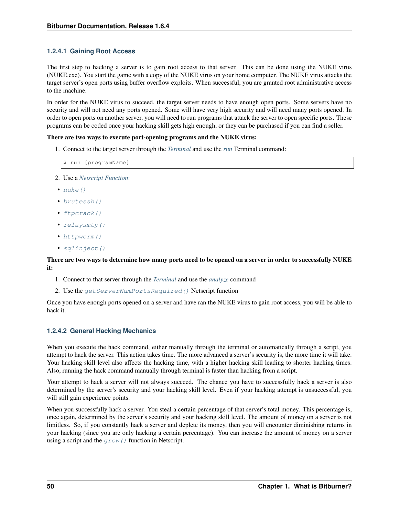# **1.2.4.1 Gaining Root Access**

The first step to hacking a server is to gain root access to that server. This can be done using the NUKE virus (NUKE.exe). You start the game with a copy of the NUKE virus on your home computer. The NUKE virus attacks the target server's open ports using buffer overflow exploits. When successful, you are granted root administrative access to the machine.

In order for the NUKE virus to succeed, the target server needs to have enough open ports. Some servers have no security and will not need any ports opened. Some will have very high security and will need many ports opened. In order to open ports on another server, you will need to run programs that attack the server to open specific ports. These programs can be coded once your hacking skill gets high enough, or they can be purchased if you can find a seller.

#### There are two ways to execute port-opening programs and the NUKE virus:

1. Connect to the target server through the *[Terminal](#page-48-1)* and use the *[run](#page-55-0)* Terminal command:

```
$ run [programName]
```
- 2. Use a *[Netscript Function](#page-18-0)*:
- $\bullet$  [nuke\(\)](#page-21-0)
- [brutessh\(\)](#page-22-0)
- [ftpcrack\(\)](#page-22-1)
- [relaysmtp\(\)](#page-22-2)
- [httpworm\(\)](#page-22-3)
- [sqlinject\(\)](#page-23-0)

### There are two ways to determine how many ports need to be opened on a server in order to successfully NUKE it:

- 1. Connect to that server through the *[Terminal](#page-48-1)* and use the *[analyze](#page-50-1)* command
- 2. Use the [getServerNumPortsRequired\(\)](#page-30-0) Netscript function

Once you have enough ports opened on a server and have ran the NUKE virus to gain root access, you will be able to hack it.

# **1.2.4.2 General Hacking Mechanics**

When you execute the hack command, either manually through the terminal or automatically through a script, you attempt to hack the server. This action takes time. The more advanced a server's security is, the more time it will take. Your hacking skill level also affects the hacking time, with a higher hacking skill leading to shorter hacking times. Also, running the hack command manually through terminal is faster than hacking from a script.

Your attempt to hack a server will not always succeed. The chance you have to successfully hack a server is also determined by the server's security and your hacking skill level. Even if your hacking attempt is unsuccessful, you will still gain experience points.

When you successfully hack a server. You steal a certain percentage of that server's total money. This percentage is, once again, determined by the server's security and your hacking skill level. The amount of money on a server is not limitless. So, if you constantly hack a server and deplete its money, then you will encounter diminishing returns in your hacking (since you are only hacking a certain percentage). You can increase the amount of money on a server using a script and the  $q_{\text{row}}(t)$  function in Netscript.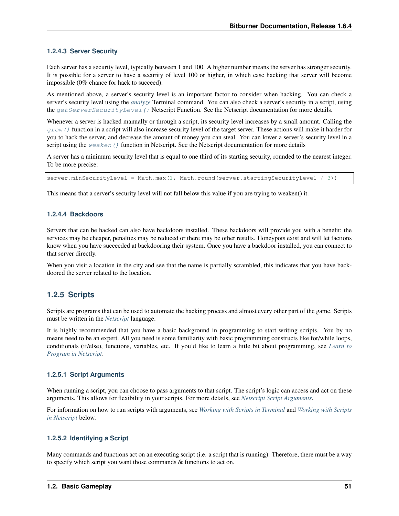# **1.2.4.3 Server Security**

Each server has a security level, typically between 1 and 100. A higher number means the server has stronger security. It is possible for a server to have a security of level 100 or higher, in which case hacking that server will become impossible (0% chance for hack to succeed).

As mentioned above, a server's security level is an important factor to consider when hacking. You can check a server's security level using the *[analyze](#page-50-1)* Terminal command. You can also check a server's security in a script, using the [getServerSecurityLevel\(\)](#page-30-1) Netscript Function. See the Netscript documentation for more details.

Whenever a server is hacked manually or through a script, its security level increases by a small amount. Calling the  $q_{\text{row}}$  () function in a script will also increase security level of the target server. These actions will make it harder for you to hack the server, and decrease the amount of money you can steal. You can lower a server's security level in a script using the  $weaken()$  function in Netscript. See the Netscript documentation for more details

A server has a minimum security level that is equal to one third of its starting security, rounded to the nearest integer. To be more precise:

server.minSecurityLevel = Math.max(1, Math.round(server.startingSecurityLevel / 3))

This means that a server's security level will not fall below this value if you are trying to weaken() it.

# **1.2.4.4 Backdoors**

Servers that can be hacked can also have backdoors installed. These backdoors will provide you with a benefit; the services may be cheaper, penalties may be reduced or there may be other results. Honeypots exist and will let factions know when you have succeeded at backdooring their system. Once you have a backdoor installed, you can connect to that server directly.

When you visit a location in the city and see that the name is partially scrambled, this indicates that you have backdoored the server related to the location.

# **1.2.5 Scripts**

Scripts are programs that can be used to automate the hacking process and almost every other part of the game. Scripts must be written in the *[Netscript](#page-12-0)* language.

It is highly recommended that you have a basic background in programming to start writing scripts. You by no means need to be an expert. All you need is some familiarity with basic programming constructs like for/while loops, conditionals (if/else), functions, variables, etc. If you'd like to learn a little bit about programming, see *[Learn to](#page-12-1) [Program in Netscript](#page-12-1)*.

# **1.2.5.1 Script Arguments**

When running a script, you can choose to pass arguments to that script. The script's logic can access and act on these arguments. This allows for flexibility in your scripts. For more details, see *[Netscript Script Arguments](#page-17-0)*.

For information on how to run scripts with arguments, see *[Working with Scripts in Terminal](#page-61-1)* and *[Working with Scripts](#page-62-0) [in Netscript](#page-62-0)* below.

# **1.2.5.2 Identifying a Script**

Many commands and functions act on an executing script (i.e. a script that is running). Therefore, there must be a way to specify which script you want those commands & functions to act on.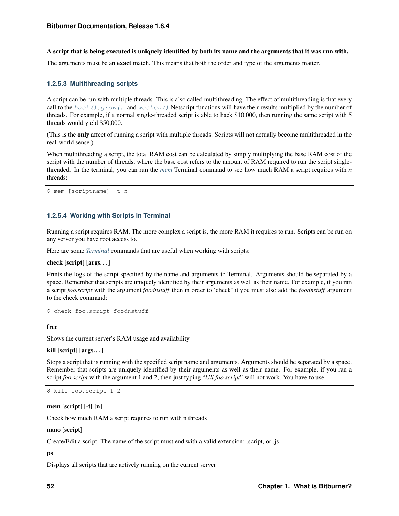A script that is being executed is uniquely identified by both its name and the arguments that it was run with.

The arguments must be an **exact** match. This means that both the order and type of the arguments matter.

# <span id="page-61-0"></span>**1.2.5.3 Multithreading scripts**

A script can be run with multiple threads. This is also called multithreading. The effect of multithreading is that every call to the hack (),  $qrow$ ), and [weaken\(\)](#page-19-0) Netscript functions will have their results multiplied by the number of threads. For example, if a normal single-threaded script is able to hack \$10,000, then running the same script with 5 threads would yield \$50,000.

(This is the only affect of running a script with multiple threads. Scripts will not actually become multithreaded in the real-world sense.)

When multithreading a script, the total RAM cost can be calculated by simply multiplying the base RAM cost of the script with the number of threads, where the base cost refers to the amount of RAM required to run the script singlethreaded. In the terminal, you can run the *[mem](#page-54-1)* Terminal command to see how much RAM a script requires with *n* threads:

```
$ mem [scriptname] -t n
```
# <span id="page-61-1"></span>**1.2.5.4 Working with Scripts in Terminal**

Running a script requires RAM. The more complex a script is, the more RAM it requires to run. Scripts can be run on any server you have root access to.

Here are some *[Terminal](#page-48-1)* commands that are useful when working with scripts:

#### check [script] [args. . . ]

Prints the logs of the script specified by the name and arguments to Terminal. Arguments should be separated by a space. Remember that scripts are uniquely identified by their arguments as well as their name. For example, if you ran a script *foo.script* with the argument *foodnstuff* then in order to 'check' it you must also add the *foodnstuff* argument to the check command:

\$ check foo.script foodnstuff

#### free

Shows the current server's RAM usage and availability

#### kill [script] [args. . . ]

Stops a script that is running with the specified script name and arguments. Arguments should be separated by a space. Remember that scripts are uniquely identified by their arguments as well as their name. For example, if you ran a script *foo.script* with the argument 1 and 2, then just typing "*kill foo.script*" will not work. You have to use:

```
$ kill foo.script 1 2
```
#### mem [script] [-t] [n]

Check how much RAM a script requires to run with n threads

#### nano [script]

Create/Edit a script. The name of the script must end with a valid extension: .script, or .js

#### ps

Displays all scripts that are actively running on the current server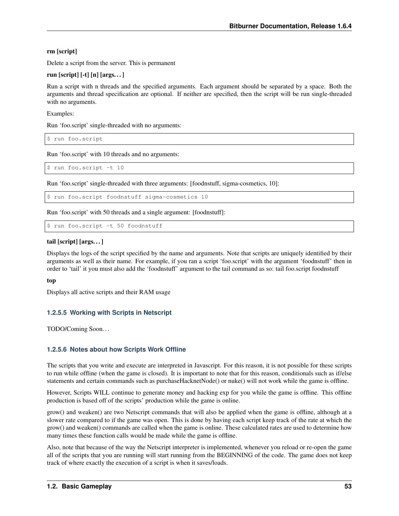# rm [script]

Delete a script from the server. This is permanent

# run [script] [-t] [n] [args. . . ]

Run a script with n threads and the specified arguments. Each argument should be separated by a space. Both the arguments and thread specification are optional. If neither are specified, then the script will be run single-threaded with no arguments.

Examples:

Run 'foo.script' single-threaded with no arguments:

\$ run foo.script

Run 'foo.script' with 10 threads and no arguments:

\$ run foo.script -t 10

Run 'foo.script' single-threaded with three arguments: [foodnstuff, sigma-cosmetics, 10]:

\$ run foo.script foodnstuff sigma-cosmetics 10

Run 'foo.script' with 50 threads and a single argument: [foodnstuff]:

\$ run foo.script -t 50 foodnstuff

# tail [script] [args. . . ]

Displays the logs of the script specified by the name and arguments. Note that scripts are uniquely identified by their arguments as well as their name. For example, if you ran a script 'foo.script' with the argument 'foodnstuff' then in order to 'tail' it you must also add the 'foodnstuff' argument to the tail command as so: tail foo.script foodnstuff

# top

Displays all active scripts and their RAM usage

# <span id="page-62-0"></span>**1.2.5.5 Working with Scripts in Netscript**

TODO/Coming Soon. . .

# **1.2.5.6 Notes about how Scripts Work Offline**

The scripts that you write and execute are interpreted in Javascript. For this reason, it is not possible for these scripts to run while offline (when the game is closed). It is important to note that for this reason, conditionals such as if/else statements and certain commands such as purchaseHacknetNode() or nuke() will not work while the game is offline.

However, Scripts WILL continue to generate money and hacking exp for you while the game is offline. This offline production is based off of the scripts' production while the game is online.

grow() and weaken() are two Netscript commands that will also be applied when the game is offline, although at a slower rate compared to if the game was open. This is done by having each script keep track of the rate at which the grow() and weaken() commands are called when the game is online. These calculated rates are used to determine how many times these function calls would be made while the game is offline.

Also, note that because of the way the Netscript interpreter is implemented, whenever you reload or re-open the game all of the scripts that you are running will start running from the BEGINNING of the code. The game does not keep track of where exactly the execution of a script is when it saves/loads.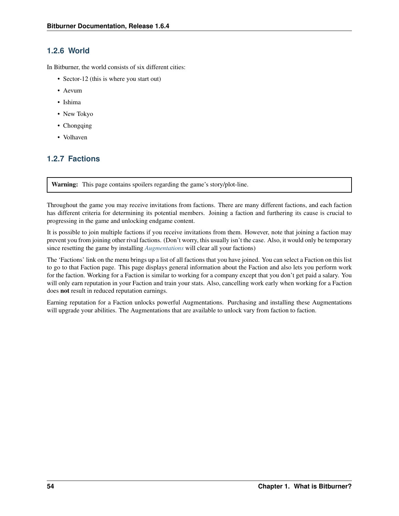# <span id="page-63-0"></span>**1.2.6 World**

In Bitburner, the world consists of six different cities:

- Sector-12 (this is where you start out)
- Aevum
- Ishima
- New Tokyo
- Chongqing
- Volhaven

# **1.2.7 Factions**

Warning: This page contains spoilers regarding the game's story/plot-line.

Throughout the game you may receive invitations from factions. There are many different factions, and each faction has different criteria for determining its potential members. Joining a faction and furthering its cause is crucial to progressing in the game and unlocking endgame content.

It is possible to join multiple factions if you receive invitations from them. However, note that joining a faction may prevent you from joining other rival factions. (Don't worry, this usually isn't the case. Also, it would only be temporary since resetting the game by installing *[Augmentations](#page-68-0)* will clear all your factions)

The 'Factions' link on the menu brings up a list of all factions that you have joined. You can select a Faction on this list to go to that Faction page. This page displays general information about the Faction and also lets you perform work for the faction. Working for a Faction is similar to working for a company except that you don't get paid a salary. You will only earn reputation in your Faction and train your stats. Also, cancelling work early when working for a Faction does not result in reduced reputation earnings.

Earning reputation for a Faction unlocks powerful Augmentations. Purchasing and installing these Augmentations will upgrade your abilities. The Augmentations that are available to unlock vary from faction to faction.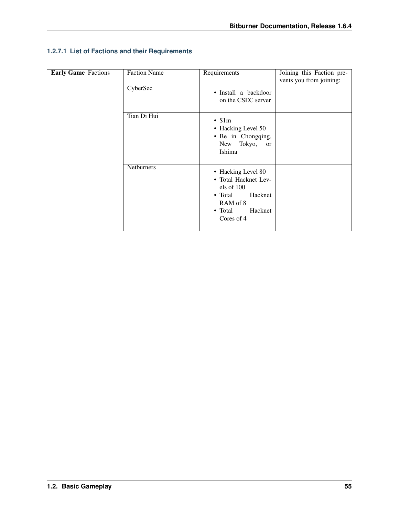| <b>Early Game</b> Factions | <b>Faction Name</b> | Requirements                                                                                                                                   | Joining this Faction pre-<br>vents you from joining: |
|----------------------------|---------------------|------------------------------------------------------------------------------------------------------------------------------------------------|------------------------------------------------------|
|                            | CyberSec            | • Install a backdoor<br>on the CSEC server                                                                                                     |                                                      |
|                            | Tian Di Hui         | $\cdot$ \$1m<br>• Hacking Level 50<br>· Be in Chongqing,<br>New Tokyo,<br>or<br>Ishima                                                         |                                                      |
|                            | Netburners          | • Hacking Level 80<br>• Total Hacknet Lev-<br>els of 100<br>$\bullet$ Total<br>Hacknet<br>RAM of 8<br>$\bullet$ Total<br>Hacknet<br>Cores of 4 |                                                      |

# **1.2.7.1 List of Factions and their Requirements**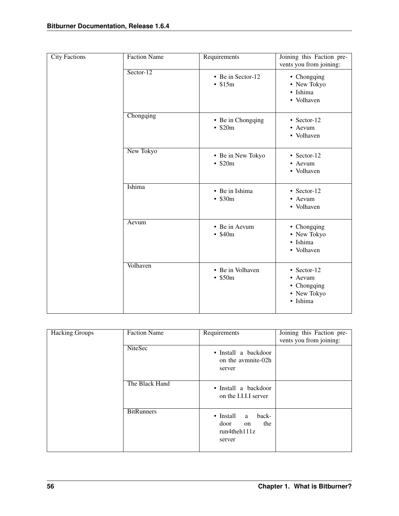| <b>City Factions</b> | <b>Faction Name</b> | Requirements                       | Joining this Faction pre-<br>vents you from joining:                   |
|----------------------|---------------------|------------------------------------|------------------------------------------------------------------------|
|                      | $Sector-12$         | • Be in Sector-12<br>$\cdot$ \$15m | • Chongqing<br>• New Tokyo<br>· Ishima<br>• Volhaven                   |
|                      | Chongqing           | • Be in Chongqing<br>$\cdot$ \$20m | $\bullet$ Sector-12<br>• Aevum<br>• Volhaven                           |
|                      | New Tokyo           | • Be in New Tokyo<br>$\cdot$ \$20m | $\bullet$ Sector-12<br>• Aevum<br>• Volhaven                           |
|                      | Ishima              | • Be in Ishima<br>$\cdot$ \$30m    | $\cdot$ Sector-12<br>• Aevum<br>• Volhaven                             |
|                      | Aevum               | • Be in Aevum<br>$\cdot$ \$40m     | • Chongqing<br>• New Tokyo<br>· Ishima<br>• Volhaven                   |
|                      | Volhaven            | • Be in Volhaven<br>$\cdot$ \$50m  | $\cdot$ Sector-12<br>• Aevum<br>• Chongqing<br>• New Tokyo<br>· Ishima |

| <b>Hacking Groups</b> | <b>Faction Name</b> | Requirements                                                                         | Joining this Faction pre-<br>vents you from joining: |
|-----------------------|---------------------|--------------------------------------------------------------------------------------|------------------------------------------------------|
|                       | NiteSec             | • Install a backdoor<br>on the avmnite-02h<br>server                                 |                                                      |
|                       | The Black Hand      | • Install a backdoor<br>on the I.I.I.I server                                        |                                                      |
|                       | <b>BitRunners</b>   | $\bullet$ Install<br>back-<br>a<br>door<br>the<br>on<br>$run4$ theh $111z$<br>server |                                                      |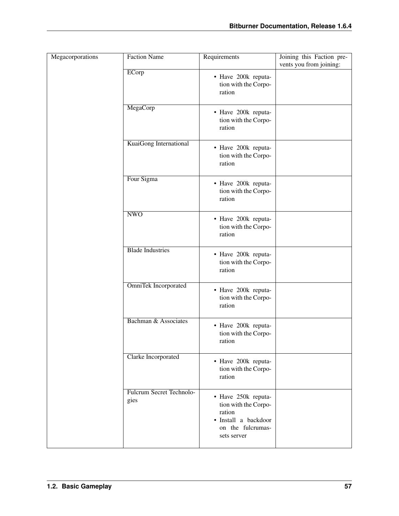| Megacorporations | <b>Faction Name</b>                     | Requirements                                                                                                      | Joining this Faction pre-<br>vents you from joining: |
|------------------|-----------------------------------------|-------------------------------------------------------------------------------------------------------------------|------------------------------------------------------|
|                  | ECorp                                   | • Have 200k reputa-<br>tion with the Corpo-<br>ration                                                             |                                                      |
|                  | MegaCorp                                | • Have 200k reputa-<br>tion with the Corpo-<br>ration                                                             |                                                      |
|                  | KuaiGong International                  | • Have 200k reputa-<br>tion with the Corpo-<br>ration                                                             |                                                      |
|                  | Four Sigma                              | • Have 200k reputa-<br>tion with the Corpo-<br>ration                                                             |                                                      |
|                  | <b>NWO</b>                              | • Have 200k reputa-<br>tion with the Corpo-<br>ration                                                             |                                                      |
|                  | <b>Blade Industries</b>                 | • Have 200k reputa-<br>tion with the Corpo-<br>ration                                                             |                                                      |
|                  | <b>OmniTek Incorporated</b>             | · Have 200k reputa-<br>tion with the Corpo-<br>ration                                                             |                                                      |
|                  | Bachman & Associates                    | · Have 200k reputa-<br>tion with the Corpo-<br>ration                                                             |                                                      |
|                  | <b>Clarke Incorporated</b>              | · Have 200k reputa-<br>tion with the Corpo-<br>ration                                                             |                                                      |
|                  | <b>Fulcrum Secret Technolo-</b><br>gies | · Have 250k reputa-<br>tion with the Corpo-<br>ration<br>· Install a backdoor<br>on the fulcrumas-<br>sets server |                                                      |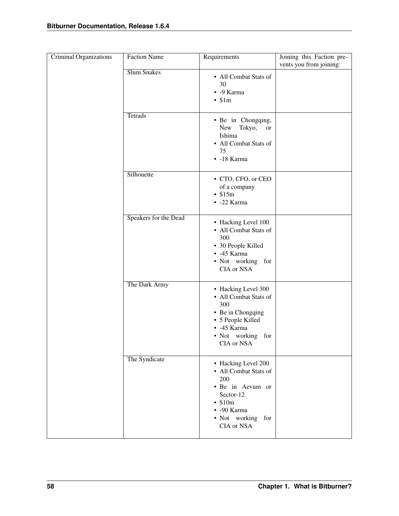| Criminal Organizations | <b>Faction Name</b>   | Requirements                                                                                                                                                  | Joining this Faction pre-<br>vents you from joining: |
|------------------------|-----------------------|---------------------------------------------------------------------------------------------------------------------------------------------------------------|------------------------------------------------------|
|                        | <b>Slum Snakes</b>    | • All Combat Stats of<br>30<br>• - 9 Karma<br>$\cdot$ \$1m                                                                                                    |                                                      |
|                        | <b>Tetrads</b>        | · Be in Chongqing,<br>New Tokyo,<br>or<br>Ishima<br>• All Combat Stats of<br>75<br>$-18$ Karma                                                                |                                                      |
|                        | Silhouette            | • CTO, CFO, or CEO<br>of a company<br>$\cdot$ \$15m<br>• -22 Karma                                                                                            |                                                      |
|                        | Speakers for the Dead | • Hacking Level 100<br>• All Combat Stats of<br>300<br>• 30 People Killed<br>$-45$ Karma<br>· Not working for<br>CIA or NSA                                   |                                                      |
|                        | The Dark Army         | • Hacking Level 300<br>• All Combat Stats of<br>300<br>• Be in Chongqing<br>• 5 People Killed<br>$-45$ Karma<br>· Not working for<br>CIA or NSA               |                                                      |
|                        | The Syndicate         | • Hacking Level 200<br>• All Combat Stats of<br>200<br>· Be in Aevum or<br>Sector-12<br>$\cdot$ \$10m<br>$\cdot$ -90 Karma<br>• Not working for<br>CIA or NSA |                                                      |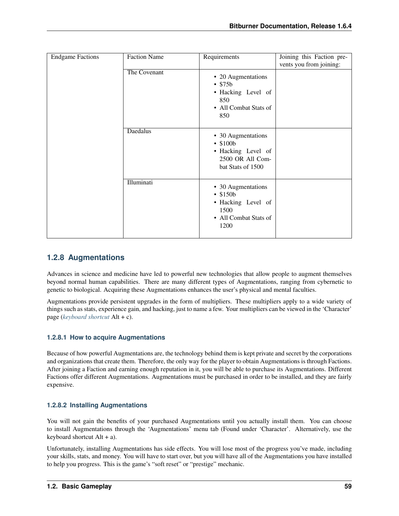| <b>Endgame Factions</b> | <b>Faction Name</b> | Requirements                                                                                     | Joining this Faction pre- |
|-------------------------|---------------------|--------------------------------------------------------------------------------------------------|---------------------------|
|                         |                     |                                                                                                  | vents you from joining:   |
|                         | The Covenant        | • 20 Augmentations<br>$\cdot$ \$75b<br>• Hacking Level of<br>850<br>• All Combat Stats of<br>850 |                           |
|                         | <b>Daedalus</b>     | • 30 Augmentations<br>• \$100b<br>• Hacking Level of<br>2500 OR All Com-<br>bat Stats of 1500    |                           |
|                         | <b>Illuminati</b>   | • 30 Augmentations<br>• \$150b<br>• Hacking Level of<br>1500<br>• All Combat Stats of<br>1200    |                           |

# <span id="page-68-0"></span>**1.2.8 Augmentations**

Advances in science and medicine have led to powerful new technologies that allow people to augment themselves beyond normal human capabilities. There are many different types of Augmentations, ranging from cybernetic to genetic to biological. Acquiring these Augmentations enhances the user's physical and mental faculties.

Augmentations provide persistent upgrades in the form of multipliers. These multipliers apply to a wide variety of things such as stats, experience gain, and hacking, just to name a few. Your multipliers can be viewed in the 'Character' page (*[keyboard shortcut](#page-86-0)* Alt + c).

# **1.2.8.1 How to acquire Augmentations**

Because of how powerful Augmentations are, the technology behind them is kept private and secret by the corporations and organizations that create them. Therefore, the only way for the player to obtain Augmentations is through Factions. After joining a Faction and earning enough reputation in it, you will be able to purchase its Augmentations. Different Factions offer different Augmentations. Augmentations must be purchased in order to be installed, and they are fairly expensive.

# **1.2.8.2 Installing Augmentations**

You will not gain the benefits of your purchased Augmentations until you actually install them. You can choose to install Augmentations through the 'Augmentations' menu tab (Found under 'Character'. Alternatively, use the keyboard shortcut Alt + a).

Unfortunately, installing Augmentations has side effects. You will lose most of the progress you've made, including your skills, stats, and money. You will have to start over, but you will have all of the Augmentations you have installed to help you progress. This is the game's "soft reset" or "prestige" mechanic.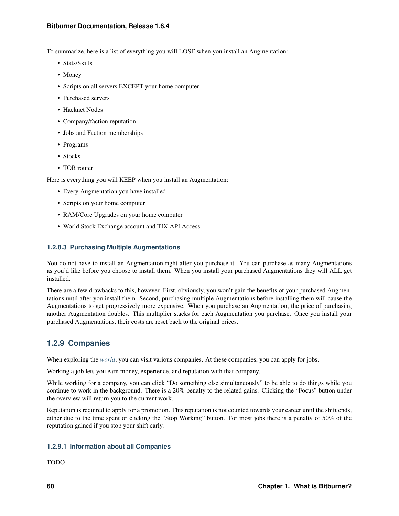To summarize, here is a list of everything you will LOSE when you install an Augmentation:

- Stats/Skills
- Money
- Scripts on all servers EXCEPT your home computer
- Purchased servers
- Hacknet Nodes
- Company/faction reputation
- Jobs and Faction memberships
- Programs
- Stocks
- TOR router

Here is everything you will KEEP when you install an Augmentation:

- Every Augmentation you have installed
- Scripts on your home computer
- RAM/Core Upgrades on your home computer
- World Stock Exchange account and TIX API Access

# **1.2.8.3 Purchasing Multiple Augmentations**

You do not have to install an Augmentation right after you purchase it. You can purchase as many Augmentations as you'd like before you choose to install them. When you install your purchased Augmentations they will ALL get installed.

There are a few drawbacks to this, however. First, obviously, you won't gain the benefits of your purchased Augmentations until after you install them. Second, purchasing multiple Augmentations before installing them will cause the Augmentations to get progressively more expensive. When you purchase an Augmentation, the price of purchasing another Augmentation doubles. This multiplier stacks for each Augmentation you purchase. Once you install your purchased Augmentations, their costs are reset back to the original prices.

# **1.2.9 Companies**

When exploring the *[world](#page-63-0)*, you can visit various companies. At these companies, you can apply for jobs.

Working a job lets you earn money, experience, and reputation with that company.

While working for a company, you can click "Do something else simultaneously" to be able to do things while you continue to work in the background. There is a 20% penalty to the related gains. Clicking the "Focus" button under the overview will return you to the current work.

Reputation is required to apply for a promotion. This reputation is not counted towards your career until the shift ends, either due to the time spent or clicking the "Stop Working" button. For most jobs there is a penalty of 50% of the reputation gained if you stop your shift early.

# **1.2.9.1 Information about all Companies**

TODO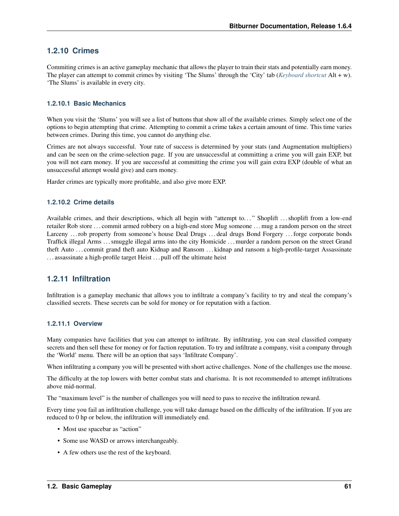# **1.2.10 Crimes**

Commiting crimes is an active gameplay mechanic that allows the player to train their stats and potentially earn money. The player can attempt to commit crimes by visiting 'The Slums' through the 'City' tab (*[Keyboard shortcut](#page-86-0)* Alt + w). 'The Slums' is available in every city.

# **1.2.10.1 Basic Mechanics**

When you visit the 'Slums' you will see a list of buttons that show all of the available crimes. Simply select one of the options to begin attempting that crime. Attempting to commit a crime takes a certain amount of time. This time varies between crimes. During this time, you cannot do anything else.

Crimes are not always successful. Your rate of success is determined by your stats (and Augmentation multipliers) and can be seen on the crime-selection page. If you are unsuccessful at committing a crime you will gain EXP, but you will not earn money. If you are successful at committing the crime you will gain extra EXP (double of what an unsuccessful attempt would give) and earn money.

Harder crimes are typically more profitable, and also give more EXP.

# **1.2.10.2 Crime details**

Available crimes, and their descriptions, which all begin with "attempt to. . . " Shoplift . . . shoplift from a low-end retailer Rob store . . . commit armed robbery on a high-end store Mug someone . . . mug a random person on the street Larceny ... rob property from someone's house Deal Drugs ... deal drugs Bond Forgery ... forge corporate bonds Traffick illegal Arms . . . smuggle illegal arms into the city Homicide . . . murder a random person on the street Grand theft Auto . . . commit grand theft auto Kidnap and Ransom . . . kidnap and ransom a high-profile-target Assassinate . . . assassinate a high-profile target Heist . . . pull off the ultimate heist

# **1.2.11 Infiltration**

Infiltration is a gameplay mechanic that allows you to infiltrate a company's facility to try and steal the company's classified secrets. These secrets can be sold for money or for reputation with a faction.

# **1.2.11.1 Overview**

Many companies have facilities that you can attempt to infiltrate. By infiltrating, you can steal classified company secrets and then sell these for money or for faction reputation. To try and infiltrate a company, visit a company through the 'World' menu. There will be an option that says 'Infiltrate Company'.

When infiltrating a company you will be presented with short active challenges. None of the challenges use the mouse.

The difficulty at the top lowers with better combat stats and charisma. It is not recommended to attempt infiltrations above mid-normal.

The "maximum level" is the number of challenges you will need to pass to receive the infiltration reward.

Every time you fail an infiltration challenge, you will take damage based on the difficulty of the infiltration. If you are reduced to 0 hp or below, the infiltration will immediately end.

- Most use spacebar as "action"
- Some use WASD or arrows interchangeably.
- A few others use the rest of the keyboard.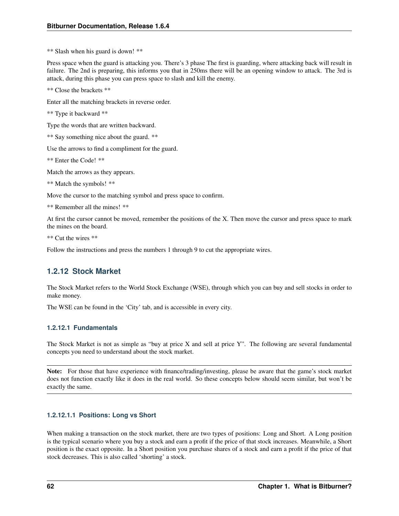\*\* Slash when his guard is down! \*\*

Press space when the guard is attacking you. There's 3 phase The first is guarding, where attacking back will result in failure. The 2nd is preparing, this informs you that in 250ms there will be an opening window to attack. The 3rd is attack, during this phase you can press space to slash and kill the enemy.

\*\* Close the brackets \*\*

Enter all the matching brackets in reverse order.

```
** Type it backward **
```
Type the words that are written backward.

\*\* Say something nice about the guard. \*\*

Use the arrows to find a compliment for the guard.

\*\* Enter the Code! \*\*

Match the arrows as they appears.

\*\* Match the symbols! \*\*

Move the cursor to the matching symbol and press space to confirm.

\*\* Remember all the mines! \*\*

At first the cursor cannot be moved, remember the positions of the X. Then move the cursor and press space to mark the mines on the board.

\*\* Cut the wires \*\*

Follow the instructions and press the numbers 1 through 9 to cut the appropriate wires.

# **1.2.12 Stock Market**

The Stock Market refers to the World Stock Exchange (WSE), through which you can buy and sell stocks in order to make money.

The WSE can be found in the 'City' tab, and is accessible in every city.

# **1.2.12.1 Fundamentals**

The Stock Market is not as simple as "buy at price X and sell at price Y". The following are several fundamental concepts you need to understand about the stock market.

Note: For those that have experience with finance/trading/investing, please be aware that the game's stock market does not function exactly like it does in the real world. So these concepts below should seem similar, but won't be exactly the same.

# **1.2.12.1.1 Positions: Long vs Short**

When making a transaction on the stock market, there are two types of positions: Long and Short. A Long position is the typical scenario where you buy a stock and earn a profit if the price of that stock increases. Meanwhile, a Short position is the exact opposite. In a Short position you purchase shares of a stock and earn a profit if the price of that stock decreases. This is also called 'shorting' a stock.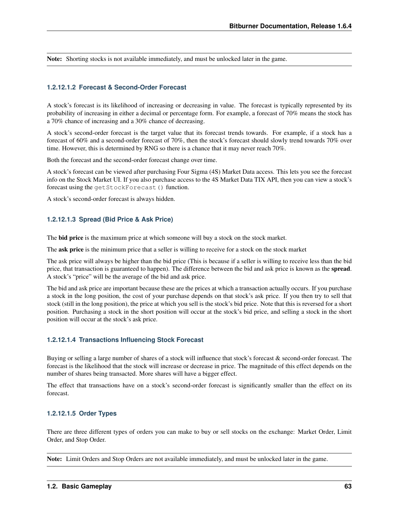Note: Shorting stocks is not available immediately, and must be unlocked later in the game.

### **1.2.12.1.2 Forecast & Second-Order Forecast**

A stock's forecast is its likelihood of increasing or decreasing in value. The forecast is typically represented by its probability of increasing in either a decimal or percentage form. For example, a forecast of 70% means the stock has a 70% chance of increasing and a 30% chance of decreasing.

A stock's second-order forecast is the target value that its forecast trends towards. For example, if a stock has a forecast of 60% and a second-order forecast of 70%, then the stock's forecast should slowly trend towards 70% over time. However, this is determined by RNG so there is a chance that it may never reach 70%.

Both the forecast and the second-order forecast change over time.

A stock's forecast can be viewed after purchasing Four Sigma (4S) Market Data access. This lets you see the forecast info on the Stock Market UI. If you also purchase access to the 4S Market Data TIX API, then you can view a stock's forecast using the getStockForecast() function.

A stock's second-order forecast is always hidden.

### **1.2.12.1.3 Spread (Bid Price & Ask Price)**

The **bid price** is the maximum price at which someone will buy a stock on the stock market.

The **ask price** is the minimum price that a seller is willing to receive for a stock on the stock market

The ask price will always be higher than the bid price (This is because if a seller is willing to receive less than the bid price, that transaction is guaranteed to happen). The difference between the bid and ask price is known as the spread. A stock's "price" will be the average of the bid and ask price.

The bid and ask price are important because these are the prices at which a transaction actually occurs. If you purchase a stock in the long position, the cost of your purchase depends on that stock's ask price. If you then try to sell that stock (still in the long position), the price at which you sell is the stock's bid price. Note that this is reversed for a short position. Purchasing a stock in the short position will occur at the stock's bid price, and selling a stock in the short position will occur at the stock's ask price.

## **1.2.12.1.4 Transactions Influencing Stock Forecast**

Buying or selling a large number of shares of a stock will influence that stock's forecast & second-order forecast. The forecast is the likelihood that the stock will increase or decrease in price. The magnitude of this effect depends on the number of shares being transacted. More shares will have a bigger effect.

The effect that transactions have on a stock's second-order forecast is significantly smaller than the effect on its forecast.

## **1.2.12.1.5 Order Types**

There are three different types of orders you can make to buy or sell stocks on the exchange: Market Order, Limit Order, and Stop Order.

Note: Limit Orders and Stop Orders are not available immediately, and must be unlocked later in the game.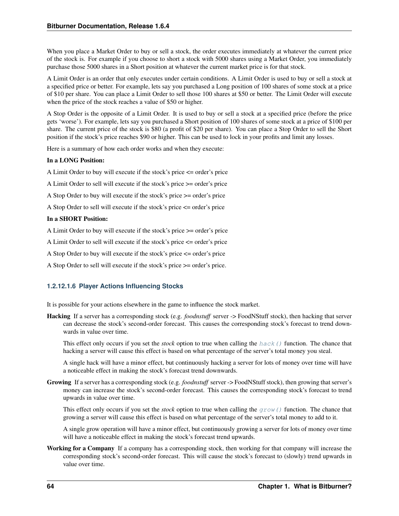When you place a Market Order to buy or sell a stock, the order executes immediately at whatever the current price of the stock is. For example if you choose to short a stock with 5000 shares using a Market Order, you immediately purchase those 5000 shares in a Short position at whatever the current market price is for that stock.

A Limit Order is an order that only executes under certain conditions. A Limit Order is used to buy or sell a stock at a specified price or better. For example, lets say you purchased a Long position of 100 shares of some stock at a price of \$10 per share. You can place a Limit Order to sell those 100 shares at \$50 or better. The Limit Order will execute when the price of the stock reaches a value of \$50 or higher.

A Stop Order is the opposite of a Limit Order. It is used to buy or sell a stock at a specified price (before the price gets 'worse'). For example, lets say you purchased a Short position of 100 shares of some stock at a price of \$100 per share. The current price of the stock is \$80 (a profit of \$20 per share). You can place a Stop Order to sell the Short position if the stock's price reaches \$90 or higher. This can be used to lock in your profits and limit any losses.

Here is a summary of how each order works and when they execute:

### In a LONG Position:

A Limit Order to buy will execute if the stock's price <= order's price

A Limit Order to sell will execute if the stock's price >= order's price

- A Stop Order to buy will execute if the stock's price >= order's price
- A Stop Order to sell will execute if the stock's price <= order's price

#### In a SHORT Position:

A Limit Order to buy will execute if the stock's price >= order's price

- A Limit Order to sell will execute if the stock's price <= order's price
- A Stop Order to buy will execute if the stock's price <= order's price
- A Stop Order to sell will execute if the stock's price >= order's price.

### **1.2.12.1.6 Player Actions Influencing Stocks**

It is possible for your actions elsewhere in the game to influence the stock market.

Hacking If a server has a corresponding stock (e.g. *foodnstuff* server -> FoodNStuff stock), then hacking that server can decrease the stock's second-order forecast. This causes the corresponding stock's forecast to trend downwards in value over time.

This effect only occurs if you set the *stock* option to true when calling the [hack\(\)](#page-18-0) function. The chance that hacking a server will cause this effect is based on what percentage of the server's total money you steal.

A single hack will have a minor effect, but continuously hacking a server for lots of money over time will have a noticeable effect in making the stock's forecast trend downwards.

Growing If a server has a corresponding stock (e.g. *foodnstuff* server -> FoodNStuff stock), then growing that server's money can increase the stock's second-order forecast. This causes the corresponding stock's forecast to trend upwards in value over time.

This effect only occurs if you set the *stock* option to true when calling the [grow\(\)](#page-18-1) function. The chance that growing a server will cause this effect is based on what percentage of the server's total money to add to it.

A single grow operation will have a minor effect, but continuously growing a server for lots of money over time will have a noticeable effect in making the stock's forecast trend upwards.

Working for a Company If a company has a corresponding stock, then working for that company will increase the corresponding stock's second-order forecast. This will cause the stock's forecast to (slowly) trend upwards in value over time.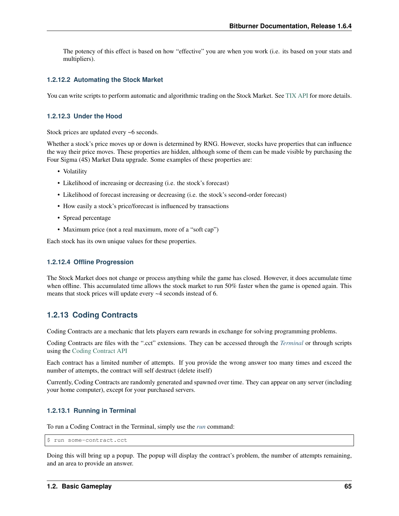The potency of this effect is based on how "effective" you are when you work (i.e. its based on your stats and multipliers).

#### **1.2.12.2 Automating the Stock Market**

You can write scripts to perform automatic and algorithmic trading on the Stock Market. See [TIX API](https://github.com/danielyxie/bitburner/blob/dev/markdown/bitburner.tix.md) for more details.

#### **1.2.12.3 Under the Hood**

Stock prices are updated every ~6 seconds.

Whether a stock's price moves up or down is determined by RNG. However, stocks have properties that can influence the way their price moves. These properties are hidden, although some of them can be made visible by purchasing the Four Sigma (4S) Market Data upgrade. Some examples of these properties are:

- Volatility
- Likelihood of increasing or decreasing (i.e. the stock's forecast)
- Likelihood of forecast increasing or decreasing (i.e. the stock's second-order forecast)
- How easily a stock's price/forecast is influenced by transactions
- Spread percentage
- Maximum price (not a real maximum, more of a "soft cap")

Each stock has its own unique values for these properties.

#### **1.2.12.4 Offline Progression**

The Stock Market does not change or process anything while the game has closed. However, it does accumulate time when offline. This accumulated time allows the stock market to run 50% faster when the game is opened again. This means that stock prices will update every ~4 seconds instead of 6.

## **1.2.13 Coding Contracts**

Coding Contracts are a mechanic that lets players earn rewards in exchange for solving programming problems.

Coding Contracts are files with the ".cct" extensions. They can be accessed through the *[Terminal](#page-48-0)* or through scripts using the [Coding Contract API](https://github.com/danielyxie/bitburner/blob/dev/markdown/bitburner.codingcontract.md)

Each contract has a limited number of attempts. If you provide the wrong answer too many times and exceed the number of attempts, the contract will self destruct (delete itself)

Currently, Coding Contracts are randomly generated and spawned over time. They can appear on any server (including your home computer), except for your purchased servers.

### **1.2.13.1 Running in Terminal**

To run a Coding Contract in the Terminal, simply use the *[run](#page-55-0)* command:

\$ run some-contract.cct

Doing this will bring up a popup. The popup will display the contract's problem, the number of attempts remaining, and an area to provide an answer.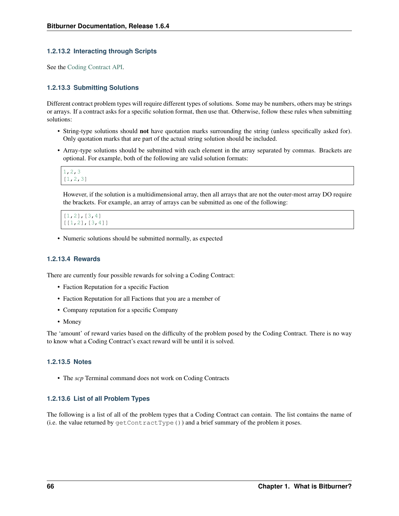### **1.2.13.2 Interacting through Scripts**

See the [Coding Contract API.](https://github.com/danielyxie/bitburner/blob/dev/markdown/bitburner.codingcontract.md)

### **1.2.13.3 Submitting Solutions**

Different contract problem types will require different types of solutions. Some may be numbers, others may be strings or arrays. If a contract asks for a specific solution format, then use that. Otherwise, follow these rules when submitting solutions:

- String-type solutions should not have quotation marks surrounding the string (unless specifically asked for). Only quotation marks that are part of the actual string solution should be included.
- Array-type solutions should be submitted with each element in the array separated by commas. Brackets are optional. For example, both of the following are valid solution formats:

```
1,2,3
[1,2,3]
```
However, if the solution is a multidimensional array, then all arrays that are not the outer-most array DO require the brackets. For example, an array of arrays can be submitted as one of the following:

[1,2],[3,4] [[1,2],[3,4]]

• Numeric solutions should be submitted normally, as expected

#### **1.2.13.4 Rewards**

There are currently four possible rewards for solving a Coding Contract:

- Faction Reputation for a specific Faction
- Faction Reputation for all Factions that you are a member of
- Company reputation for a specific Company
- Money

The 'amount' of reward varies based on the difficulty of the problem posed by the Coding Contract. There is no way to know what a Coding Contract's exact reward will be until it is solved.

### **1.2.13.5 Notes**

• The *scp* Terminal command does not work on Coding Contracts

#### **1.2.13.6 List of all Problem Types**

The following is a list of all of the problem types that a Coding Contract can contain. The list contains the name of (i.e. the value returned by  $\text{getContractType}()$ ) and a brief summary of the problem it poses.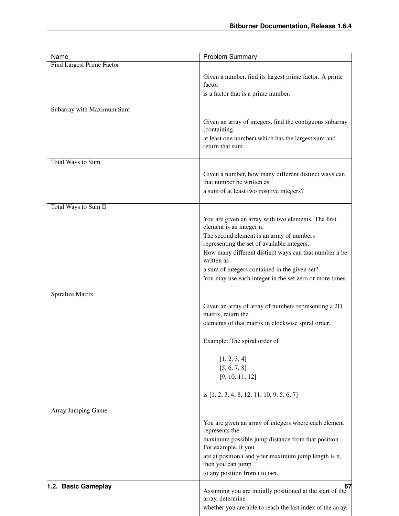| <b>Name</b>               | <b>Problem Summary</b>                                                                                                                                                                                                                                                                                                                                         |
|---------------------------|----------------------------------------------------------------------------------------------------------------------------------------------------------------------------------------------------------------------------------------------------------------------------------------------------------------------------------------------------------------|
| Find Largest Prime Factor |                                                                                                                                                                                                                                                                                                                                                                |
|                           | Given a number, find its largest prime factor. A prime<br>factor<br>is a factor that is a prime number.                                                                                                                                                                                                                                                        |
| Subarray with Maximum Sum |                                                                                                                                                                                                                                                                                                                                                                |
|                           | Given an array of integers, find the contiguous subarray<br>(containing<br>at least one number) which has the largest sum and<br>return that sum.                                                                                                                                                                                                              |
| Total Ways to Sum         |                                                                                                                                                                                                                                                                                                                                                                |
|                           | Given a number, how many different distinct ways can<br>that number be written as<br>a sum of at least two positive integers?                                                                                                                                                                                                                                  |
| Total Ways to Sum II      |                                                                                                                                                                                                                                                                                                                                                                |
|                           | You are given an array with two elements. The first<br>element is an integer n.<br>The second element is an array of numbers<br>representing the set of available integers.<br>How many different distinct ways can that number n be<br>written as<br>a sum of integers contained in the given set?<br>You may use each integer in the set zero or more times. |
| Spiralize Matrix          |                                                                                                                                                                                                                                                                                                                                                                |
|                           | Given an array of array of numbers representing a 2D<br>matrix, return the<br>elements of that matrix in clockwise spiral order.<br>Example: The spiral order of<br>[1, 2, 3, 4]<br>[5, 6, 7, 8]<br>[9, 10, 11, 12]<br>is $[1, 2, 3, 4, 8, 12, 11, 10, 9, 5, 6, 7]$                                                                                            |
| Array Jumping Game        |                                                                                                                                                                                                                                                                                                                                                                |
| 1.2. Basic Gameplay       | You are given an array of integers where each element<br>represents the<br>maximum possible jump distance from that position.<br>For example, if you<br>are at position i and your maximum jump length is n,<br>then you can jump<br>to any position from i to i+n.<br>67                                                                                      |
|                           | Assuming you are initially positioned at the start of the<br>array, determine<br>whether you are able to reach the last index of the array.                                                                                                                                                                                                                    |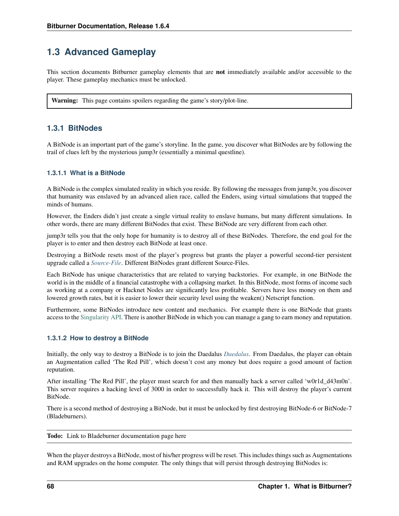# **1.3 Advanced Gameplay**

This section documents Bitburner gameplay elements that are **not** immediately available and/or accessible to the player. These gameplay mechanics must be unlocked.

<span id="page-77-0"></span>Warning: This page contains spoilers regarding the game's story/plot-line.

# **1.3.1 BitNodes**

A BitNode is an important part of the game's storyline. In the game, you discover what BitNodes are by following the trail of clues left by the mysterious jump3r (essentially a minimal questline).

### **1.3.1.1 What is a BitNode**

A BitNode is the complex simulated reality in which you reside. By following the messages from jump3r, you discover that humanity was enslaved by an advanced alien race, called the Enders, using virtual simulations that trapped the minds of humans.

However, the Enders didn't just create a single virtual reality to enslave humans, but many different simulations. In other words, there are many different BitNodes that exist. These BitNode are very different from each other.

jump3r tells you that the only hope for humanity is to destroy all of these BitNodes. Therefore, the end goal for the player is to enter and then destroy each BitNode at least once.

Destroying a BitNode resets most of the player's progress but grants the player a powerful second-tier persistent upgrade called a *[Source-File](#page-78-0)*. Different BitNodes grant different Source-Files.

Each BitNode has unique characteristics that are related to varying backstories. For example, in one BitNode the world is in the middle of a financial catastrophe with a collapsing market. In this BitNode, most forms of income such as working at a company or Hacknet Nodes are significantly less profitable. Servers have less money on them and lowered growth rates, but it is easier to lower their security level using the weaken() Netscript function.

Furthermore, some BitNodes introduce new content and mechanics. For example there is one BitNode that grants access to the [Singularity API.](https://github.com/danielyxie/bitburner/blob/dev/markdown/bitburner.singularity.md) There is another BitNode in which you can manage a gang to earn money and reputation.

### **1.3.1.2 How to destroy a BitNode**

Initially, the only way to destroy a BitNode is to join the Daedalus *[Daedalus](#page-63-0)*. From Daedalus, the player can obtain an Augmentation called 'The Red Pill', which doesn't cost any money but does require a good amount of faction reputation.

After installing 'The Red Pill', the player must search for and then manually hack a server called 'w0r1d\_d43m0n'. This server requires a hacking level of 3000 in order to successfully hack it. This will destroy the player's current BitNode.

There is a second method of destroying a BitNode, but it must be unlocked by first destroying BitNode-6 or BitNode-7 (Bladeburners).

#### Todo: Link to Bladeburner documentation page here

When the player destroys a BitNode, most of his/her progress will be reset. This includes things such as Augmentations and RAM upgrades on the home computer. The only things that will persist through destroying BitNodes is: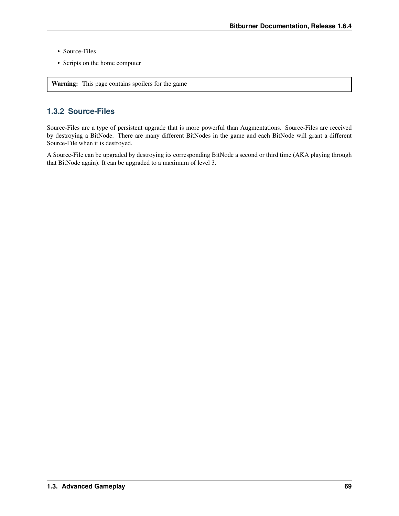- Source-Files
- <span id="page-78-0"></span>• Scripts on the home computer

Warning: This page contains spoilers for the game

# **1.3.2 Source-Files**

Source-Files are a type of persistent upgrade that is more powerful than Augmentations. Source-Files are received by destroying a BitNode. There are many different BitNodes in the game and each BitNode will grant a different Source-File when it is destroyed.

A Source-File can be upgraded by destroying its corresponding BitNode a second or third time (AKA playing through that BitNode again). It can be upgraded to a maximum of level 3.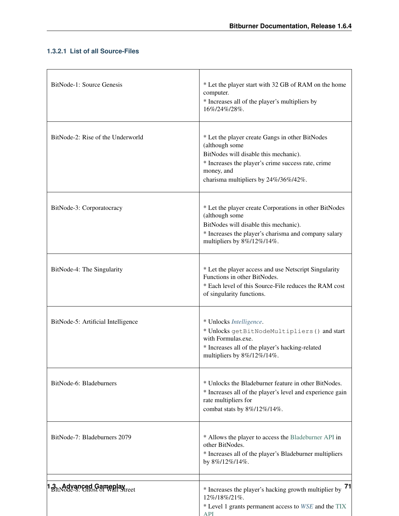# **1.3.2.1 List of all Source-Files**

 $\Gamma$ 

| BitNode-1: Source Genesis                                      | * Let the player start with 32 GB of RAM on the home<br>computer.<br>* Increases all of the player's multipliers by<br>16%/24%/28%.                                                                                    |
|----------------------------------------------------------------|------------------------------------------------------------------------------------------------------------------------------------------------------------------------------------------------------------------------|
| BitNode-2: Rise of the Underworld                              | * Let the player create Gangs in other BitNodes<br>(although some<br>BitNodes will disable this mechanic).<br>* Increases the player's crime success rate, crime<br>money, and<br>charisma multipliers by 24%/36%/42%. |
| BitNode-3: Corporatocracy                                      | * Let the player create Corporations in other BitNodes<br>(although some<br>BitNodes will disable this mechanic).<br>* Increases the player's charisma and company salary<br>multipliers by 8%/12%/14%.                |
| BitNode-4: The Singularity                                     | * Let the player access and use Netscript Singularity<br>Functions in other BitNodes.<br>* Each level of this Source-File reduces the RAM cost<br>of singularity functions.                                            |
| BitNode-5: Artificial Intelligence                             | * Unlocks Intelligence.<br>* Unlocks getBitNodeMultipliers () and start<br>with Formulas.exe.<br>* Increases all of the player's hacking-related<br>multipliers by 8%/12%/14%.                                         |
| BitNode-6: Bladeburners                                        | * Unlocks the Bladeburner feature in other BitNodes.<br>* Increases all of the player's level and experience gain<br>rate multipliers for<br>combat stats by 8%/12%/14%.                                               |
| BitNode-7: Bladeburners 2079                                   | * Allows the player to access the Bladeburner API in<br>other BitNodes.<br>* Increases all of the player's Bladeburner multipliers<br>by 8%/12%/14%.                                                                   |
| <b>3. Advanced Gamenlay</b><br>BitNode-8: Chost of Wall Street | * Increases the player's hacking growth multiplier by 71<br>12%/18%/21%.<br>* Level 1 grants permanent access to WSE and the TIX<br><b>API</b>                                                                         |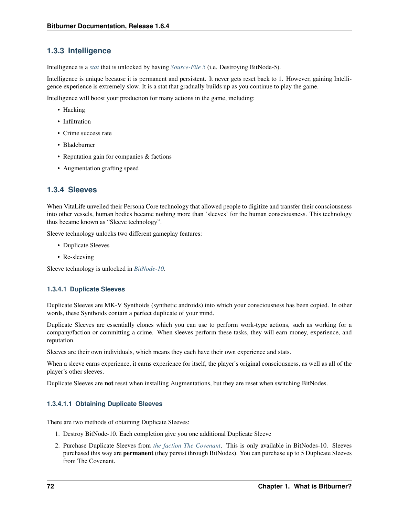# <span id="page-81-0"></span>**1.3.3 Intelligence**

Intelligence is a *[stat](#page-45-0)* that is unlocked by having *[Source-File 5](#page-78-0)* (i.e. Destroying BitNode-5).

Intelligence is unique because it is permanent and persistent. It never gets reset back to 1. However, gaining Intelligence experience is extremely slow. It is a stat that gradually builds up as you continue to play the game.

Intelligence will boost your production for many actions in the game, including:

- Hacking
- Infiltration
- Crime success rate
- Bladeburner
- Reputation gain for companies & factions
- Augmentation grafting speed

# **1.3.4 Sleeves**

When VitaLife unveiled their Persona Core technology that allowed people to digitize and transfer their consciousness into other vessels, human bodies became nothing more than 'sleeves' for the human consciousness. This technology thus became known as "Sleeve technology".

Sleeve technology unlocks two different gameplay features:

- Duplicate Sleeves
- Re-sleeving

Sleeve technology is unlocked in *[BitNode-10](#page-77-0)*.

### **1.3.4.1 Duplicate Sleeves**

Duplicate Sleeves are MK-V Synthoids (synthetic androids) into which your consciousness has been copied. In other words, these Synthoids contain a perfect duplicate of your mind.

Duplicate Sleeves are essentially clones which you can use to perform work-type actions, such as working for a company/faction or committing a crime. When sleeves perform these tasks, they will earn money, experience, and reputation.

Sleeves are their own individuals, which means they each have their own experience and stats.

When a sleeve earns experience, it earns experience for itself, the player's original consciousness, as well as all of the player's other sleeves.

Duplicate Sleeves are not reset when installing Augmentations, but they are reset when switching BitNodes.

## **1.3.4.1.1 Obtaining Duplicate Sleeves**

There are two methods of obtaining Duplicate Sleeves:

- 1. Destroy BitNode-10. Each completion give you one additional Duplicate Sleeve
- 2. Purchase Duplicate Sleeves from *[the faction The Covenant](#page-63-0)*. This is only available in BitNodes-10. Sleeves purchased this way are permanent (they persist through BitNodes). You can purchase up to 5 Duplicate Sleeves from The Covenant.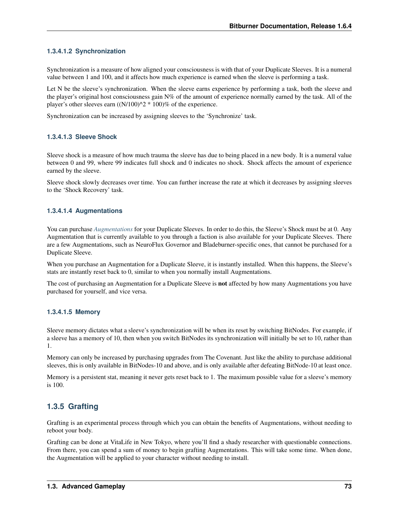## **1.3.4.1.2 Synchronization**

Synchronization is a measure of how aligned your consciousness is with that of your Duplicate Sleeves. It is a numeral value between 1 and 100, and it affects how much experience is earned when the sleeve is performing a task.

Let N be the sleeve's synchronization. When the sleeve earns experience by performing a task, both the sleeve and the player's original host consciousness gain N% of the amount of experience normally earned by the task. All of the player's other sleeves earn  $((N/100)^2 * 100)$ % of the experience.

Synchronization can be increased by assigning sleeves to the 'Synchronize' task.

### **1.3.4.1.3 Sleeve Shock**

Sleeve shock is a measure of how much trauma the sleeve has due to being placed in a new body. It is a numeral value between 0 and 99, where 99 indicates full shock and 0 indicates no shock. Shock affects the amount of experience earned by the sleeve.

Sleeve shock slowly decreases over time. You can further increase the rate at which it decreases by assigning sleeves to the 'Shock Recovery' task.

### **1.3.4.1.4 Augmentations**

You can purchase *[Augmentations](#page-68-0)* for your Duplicate Sleeves. In order to do this, the Sleeve's Shock must be at 0. Any Augmentation that is currently available to you through a faction is also available for your Duplicate Sleeves. There are a few Augmentations, such as NeuroFlux Governor and Bladeburner-specific ones, that cannot be purchased for a Duplicate Sleeve.

When you purchase an Augmentation for a Duplicate Sleeve, it is instantly installed. When this happens, the Sleeve's stats are instantly reset back to 0, similar to when you normally install Augmentations.

The cost of purchasing an Augmentation for a Duplicate Sleeve is **not** affected by how many Augmentations you have purchased for yourself, and vice versa.

### **1.3.4.1.5 Memory**

Sleeve memory dictates what a sleeve's synchronization will be when its reset by switching BitNodes. For example, if a sleeve has a memory of 10, then when you switch BitNodes its synchronization will initially be set to 10, rather than 1.

Memory can only be increased by purchasing upgrades from The Covenant. Just like the ability to purchase additional sleeves, this is only available in BitNodes-10 and above, and is only available after defeating BitNode-10 at least once.

Memory is a persistent stat, meaning it never gets reset back to 1. The maximum possible value for a sleeve's memory is 100.

# **1.3.5 Grafting**

Grafting is an experimental process through which you can obtain the benefits of Augmentations, without needing to reboot your body.

Grafting can be done at VitaLife in New Tokyo, where you'll find a shady researcher with questionable connections. From there, you can spend a sum of money to begin grafting Augmentations. This will take some time. When done, the Augmentation will be applied to your character without needing to install.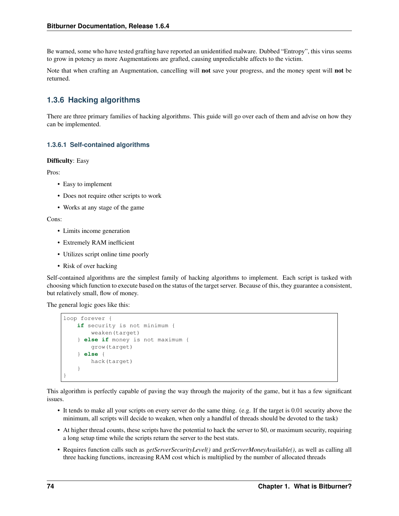Be warned, some who have tested grafting have reported an unidentified malware. Dubbed "Entropy", this virus seems to grow in potency as more Augmentations are grafted, causing unpredictable affects to the victim.

Note that when crafting an Augmentation, cancelling will not save your progress, and the money spent will not be returned.

# **1.3.6 Hacking algorithms**

There are three primary families of hacking algorithms. This guide will go over each of them and advise on how they can be implemented.

### **1.3.6.1 Self-contained algorithms**

#### Difficulty: Easy

Pros:

- Easy to implement
- Does not require other scripts to work
- Works at any stage of the game

Cons:

- Limits income generation
- Extremely RAM inefficient
- Utilizes script online time poorly
- Risk of over hacking

Self-contained algorithms are the simplest family of hacking algorithms to implement. Each script is tasked with choosing which function to execute based on the status of the target server. Because of this, they guarantee a consistent, but relatively small, flow of money.

The general logic goes like this:

```
loop forever {
    if security is not minimum {
        weaken(target)
    } else if money is not maximum {
        grow(target)
    } else {
        hack(target)
    }
}
```
This algorithm is perfectly capable of paving the way through the majority of the game, but it has a few significant issues.

- It tends to make all your scripts on every server do the same thing. (e.g. If the target is 0.01 security above the minimum, all scripts will decide to weaken, when only a handful of threads should be devoted to the task)
- At higher thread counts, these scripts have the potential to hack the server to \$0, or maximum security, requiring a long setup time while the scripts return the server to the best stats.
- Requires function calls such as *getServerSecurityLevel()* and *getServerMoneyAvailable()*, as well as calling all three hacking functions, increasing RAM cost which is multiplied by the number of allocated threads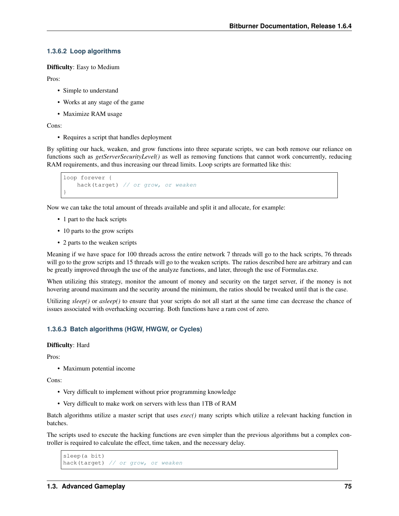#### **1.3.6.2 Loop algorithms**

Difficulty: Easy to Medium

Pros:

- Simple to understand
- Works at any stage of the game
- Maximize RAM usage

Cons:

• Requires a script that handles deployment

By splitting our hack, weaken, and grow functions into three separate scripts, we can both remove our reliance on functions such as *getServerSecurityLevel()* as well as removing functions that cannot work concurrently, reducing RAM requirements, and thus increasing our thread limits. Loop scripts are formatted like this:

```
loop forever {
   hack(target) // or grow, or weaken
}
```
Now we can take the total amount of threads available and split it and allocate, for example:

- 1 part to the hack scripts
- 10 parts to the grow scripts
- 2 parts to the weaken scripts

Meaning if we have space for 100 threads across the entire network 7 threads will go to the hack scripts, 76 threads will go to the grow scripts and 15 threads will go to the weaken scripts. The ratios described here are arbitrary and can be greatly improved through the use of the analyze functions, and later, through the use of Formulas.exe.

When utilizing this strategy, monitor the amount of money and security on the target server, if the money is not hovering around maximum and the security around the minimum, the ratios should be tweaked until that is the case.

Utilizing *sleep()* or *asleep()* to ensure that your scripts do not all start at the same time can decrease the chance of issues associated with overhacking occurring. Both functions have a ram cost of zero.

#### **1.3.6.3 Batch algorithms (HGW, HWGW, or Cycles)**

#### Difficulty: Hard

Pros:

• Maximum potential income

Cons:

- Very difficult to implement without prior programming knowledge
- Very difficult to make work on servers with less than 1TB of RAM

Batch algorithms utilize a master script that uses *exec()* many scripts which utilize a relevant hacking function in batches.

The scripts used to execute the hacking functions are even simpler than the previous algorithms but a complex controller is required to calculate the effect, time taken, and the necessary delay.

```
sleep(a bit)
hack(target) // or grow, or weaken
```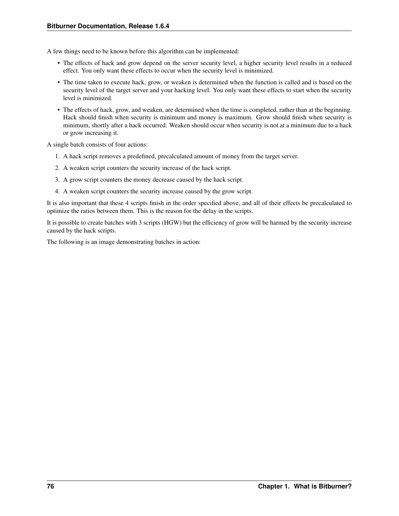A few things need to be known before this algorithm can be implemented:

- The effects of hack and grow depend on the server security level, a higher security level results in a reduced effect. You only want these effects to occur when the security level is minimized.
- The time taken to execute hack, grow, or weaken is determined when the function is called and is based on the security level of the target server and your hacking level. You only want these effects to start when the security level is minimized.
- The effects of hack, grow, and weaken, are determined when the time is completed, rather than at the beginning. Hack should finish when security is minimum and money is maximum. Grow should finish when security is minimum, shortly after a hack occurred. Weaken should occur when security is not at a minimum due to a hack or grow increasing it.

A single batch consists of four actions:

- 1. A hack script removes a predefined, precalculated amount of money from the target server.
- 2. A weaken script counters the security increase of the hack script.
- 3. A grow script counters the money decrease caused by the hack script.
- 4. A weaken script counters the security increase caused by the grow script.

It is also important that these 4 scripts finish in the order specified above, and all of their effects be precalculated to optimize the ratios between them. This is the reason for the delay in the scripts.

It is possible to create batches with 3 scripts (HGW) but the efficiency of grow will be harmed by the security increase caused by the hack scripts.

The following is an image demonstrating batches in action: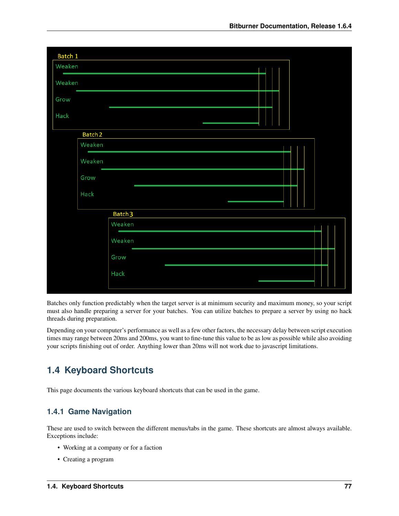| Batch 1                            |                                    |                                    |  |  |  |  |  |
|------------------------------------|------------------------------------|------------------------------------|--|--|--|--|--|
| Weaken<br><b>Contract Contract</b> |                                    |                                    |  |  |  |  |  |
| Weaken                             |                                    |                                    |  |  |  |  |  |
| Grow                               |                                    |                                    |  |  |  |  |  |
| Hack                               |                                    |                                    |  |  |  |  |  |
|                                    | Batch <sub>2</sub>                 |                                    |  |  |  |  |  |
|                                    | Weaken<br><b>Contract Contract</b> |                                    |  |  |  |  |  |
|                                    | Weaken                             |                                    |  |  |  |  |  |
|                                    | Grow                               |                                    |  |  |  |  |  |
|                                    | Hack                               |                                    |  |  |  |  |  |
|                                    |                                    | Batch <sub>3</sub>                 |  |  |  |  |  |
|                                    |                                    | Weaken                             |  |  |  |  |  |
|                                    |                                    | <b>Contract Contract</b><br>Weaken |  |  |  |  |  |
|                                    |                                    | Grow                               |  |  |  |  |  |
|                                    |                                    | Hack                               |  |  |  |  |  |
|                                    |                                    |                                    |  |  |  |  |  |

Batches only function predictably when the target server is at minimum security and maximum money, so your script must also handle preparing a server for your batches. You can utilize batches to prepare a server by using no hack threads during preparation.

Depending on your computer's performance as well as a few other factors, the necessary delay between script execution times may range between 20ms and 200ms, you want to fine-tune this value to be as low as possible while also avoiding your scripts finishing out of order. Anything lower than 20ms will not work due to javascript limitations.

# <span id="page-86-0"></span>**1.4 Keyboard Shortcuts**

This page documents the various keyboard shortcuts that can be used in the game.

# **1.4.1 Game Navigation**

These are used to switch between the different menus/tabs in the game. These shortcuts are almost always available. Exceptions include:

- Working at a company or for a faction
- Creating a program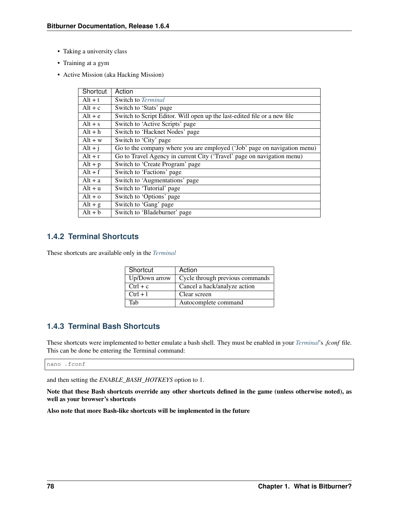- Taking a university class
- Training at a gym
- Active Mission (aka Hacking Mission)

| Shortcut  | Action                                                                   |
|-----------|--------------------------------------------------------------------------|
| $Alt + t$ | Switch to <i>Terminal</i>                                                |
| $Alt + c$ | Switch to 'Stats' page                                                   |
| $Alt + e$ | Switch to Script Editor. Will open up the last-edited file or a new file |
| $Alt + s$ | Switch to 'Active Scripts' page                                          |
| $Alt + h$ | Switch to 'Hacknet Nodes' page                                           |
| $Alt + w$ | Switch to 'City' page                                                    |
| $Alt + j$ | Go to the company where you are employed ('Job' page on navigation menu) |
| $Alt + r$ | Go to Travel Agency in current City ('Travel' page on navigation menu)   |
| $Alt + p$ | Switch to 'Create Program' page                                          |
| $Alt + f$ | Switch to 'Factions' page                                                |
| $Alt + a$ | Switch to 'Augmentations' page                                           |
| $Alt + u$ | Switch to 'Tutorial' page                                                |
| $Alt + o$ | Switch to 'Options' page                                                 |
| $Alt + g$ | Switch to 'Gang' page                                                    |
| $Alt + b$ | Switch to 'Bladeburner' page                                             |

# **1.4.2 Terminal Shortcuts**

These shortcuts are available only in the *[Terminal](#page-48-0)*

| Shortcut      | Action                          |
|---------------|---------------------------------|
| Up/Down arrow | Cycle through previous commands |
| $Ctrl + c$    | Cancel a hack/analyze action    |
| $Ctrl + 1$    | Clear screen                    |
| Tah           | Autocomplete command            |

# **1.4.3 Terminal Bash Shortcuts**

These shortcuts were implemented to better emulate a bash shell. They must be enabled in your *[Terminal](#page-48-0)*'s *.fconf* file. This can be done be entering the Terminal command:

nano .fconf

and then setting the *ENABLE\_BASH\_HOTKEYS* option to 1.

Note that these Bash shortcuts override any other shortcuts defined in the game (unless otherwise noted), as well as your browser's shortcuts

Also note that more Bash-like shortcuts will be implemented in the future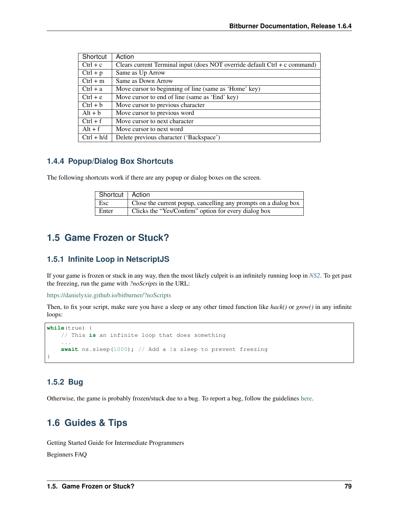| Shortcut     | Action                                                                       |
|--------------|------------------------------------------------------------------------------|
| $Ctrl + c$   | Clears current Terminal input (does NOT override default $Ctrl + c$ command) |
| $Ctrl + p$   | Same as Up Arrow                                                             |
| $Ctrl + m$   | Same as Down Arrow                                                           |
| $Ctrl + a$   | Move cursor to beginning of line (same as 'Home' key)                        |
| $Ctrl + e$   | Move cursor to end of line (same as 'End' key)                               |
| $Ctrl + b$   | Move cursor to previous character                                            |
| $Alt + b$    | Move cursor to previous word                                                 |
| $Ctrl + f$   | Move cursor to next character                                                |
| $Alt + f$    | Move cursor to next word                                                     |
| $Ctrl + h/d$ | Delete previous character ('Backspace')                                      |

# **1.4.4 Popup/Dialog Box Shortcuts**

The following shortcuts work if there are any popup or dialog boxes on the screen.

| Shortcut   Action |                                                                 |
|-------------------|-----------------------------------------------------------------|
| $\perp$ Esc       | Close the current popup, cancelling any prompts on a dialog box |
| Enter             | Clicks the "Yes/Confirm" option for every dialog box            |

# **1.5 Game Frozen or Stuck?**

# **1.5.1 Infinite Loop in NetscriptJS**

If your game is frozen or stuck in any way, then the most likely culprit is an infinitely running loop in *[NS2](#page-14-0)*. To get past the freezing, run the game with *?noScripts* in the URL:

<https://danielyxie.github.io/bitburner/?noScripts>

Then, to fix your script, make sure you have a sleep or any other timed function like *hack()* or *grow()* in any infinite loops:

```
while(true) {
   // This is an infinite loop that does something
    ...
    await ns.sleep(1000); // Add a 1s sleep to prevent freezing
}
```
# **1.5.2 Bug**

Otherwise, the game is probably frozen/stuck due to a bug. To report a bug, follow the guidelines [here.](https://github.com/danielyxie/bitburner/blob/master/doc/CONTRIBUTING.md#reporting-bugs)

# **1.6 Guides & Tips**

Getting Started Guide for Intermediate Programmers

Beginners FAQ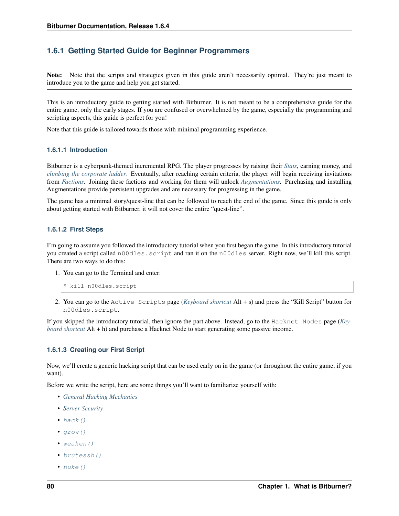# **1.6.1 Getting Started Guide for Beginner Programmers**

Note: Note that the scripts and strategies given in this guide aren't necessarily optimal. They're just meant to introduce you to the game and help you get started.

This is an introductory guide to getting started with Bitburner. It is not meant to be a comprehensive guide for the entire game, only the early stages. If you are confused or overwhelmed by the game, especially the programming and scripting aspects, this guide is perfect for you!

Note that this guide is tailored towards those with minimal programming experience.

### **1.6.1.1 Introduction**

Bitburner is a cyberpunk-themed incremental RPG. The player progresses by raising their *[Stats](#page-45-0)*, earning money, and *[climbing the corporate ladder](#page-69-0)*. Eventually, after reaching certain criteria, the player will begin receiving invitations from *[Factions](#page-63-0)*. Joining these factions and working for them will unlock *[Augmentations](#page-68-0)*. Purchasing and installing Augmentations provide persistent upgrades and are necessary for progressing in the game.

The game has a minimal story/quest-line that can be followed to reach the end of the game. Since this guide is only about getting started with Bitburner, it will not cover the entire "quest-line".

### **1.6.1.2 First Steps**

I'm going to assume you followed the introductory tutorial when you first began the game. In this introductory tutorial you created a script called n00dles.script and ran it on the n00dles server. Right now, we'll kill this script. There are two ways to do this:

1. You can go to the Terminal and enter:

```
$ kill n00dles.script
```
2. You can go to the Active Scripts page (*[Keyboard shortcut](#page-86-0)* Alt + s) and press the "Kill Script" button for n00dles.script.

If you skipped the introductory tutorial, then ignore the part above. Instead, go to the Hacknet Nodes page (*[Key](#page-86-0)[board shortcut](#page-86-0)* Alt + h) and purchase a Hacknet Node to start generating some passive income.

### **1.6.1.3 Creating our First Script**

Now, we'll create a generic hacking script that can be used early on in the game (or throughout the entire game, if you want).

Before we write the script, here are some things you'll want to familiarize yourself with:

- *[General Hacking Mechanics](#page-59-0)*
- *[Server Security](#page-60-0)*
- $\bullet$  [hack\(\)](#page-18-0)
- $qrow()$
- [weaken\(\)](#page-19-0)
- [brutessh\(\)](#page-22-0)
- $nuke()$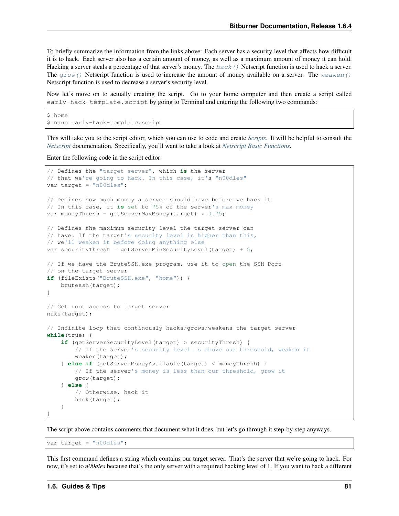To briefly summarize the information from the links above: Each server has a security level that affects how difficult it is to hack. Each server also has a certain amount of money, as well as a maximum amount of money it can hold. Hacking a server steals a percentage of that server's money. The  $hack()$  Netscript function is used to hack a server. The  $q_{TOW}(t)$  Netscript function is used to increase the amount of money available on a server. The [weaken\(\)](#page-19-0) Netscript function is used to decrease a server's security level.

Now let's move on to actually creating the script. Go to your home computer and then create a script called early-hack-template.script by going to Terminal and entering the following two commands:

```
$ home
$ nano early-hack-template.script
```
This will take you to the script editor, which you can use to code and create *[Scripts](#page-60-1)*. It will be helpful to consult the *[Netscript](#page-12-0)* documentation. Specifically, you'll want to take a look at *[Netscript Basic Functions](#page-18-2)*.

Enter the following code in the script editor:

```
// Defines the "target server", which is the server
// that we're going to hack. In this case, it's "n00dles"
var target = "n00dles";
// Defines how much money a server should have before we hack it
// In this case, it is set to 75% of the server's max money
var moneyThresh = getServerMaxMoney(target) * 0.75;
// Defines the maximum security level the target server can
// have. If the target's security level is higher than this,
// we'll weaken it before doing anything else
var securityThresh = qetServerMinSecurityLevel(target) + 5;
// If we have the BruteSSH.exe program, use it to open the SSH Port
// on the target server
if (fileExists("BruteSSH.exe", "home")) {
    brutessh(target);
}
// Get root access to target server
nuke(target);
// Infinite loop that continously hacks/grows/weakens the target server
while(true) {
    if (getServerSecurityLevel(target) > securityThresh) {
        // If the server's security level is above our threshold, weaken it
        weaken(target);
    } else if (getServerMoneyAvailable(target) < moneyThresh) {
        // If the server's money is less than our threshold, grow it
        grow(target);
    } else {
        // Otherwise, hack it
        hack(target);
    }
}
```
The script above contains comments that document what it does, but let's go through it step-by-step anyways.

var target =  $"n00dles"$ ;

This first command defines a string which contains our target server. That's the server that we're going to hack. For now, it's set to *n00dles* because that's the only server with a required hacking level of 1. If you want to hack a different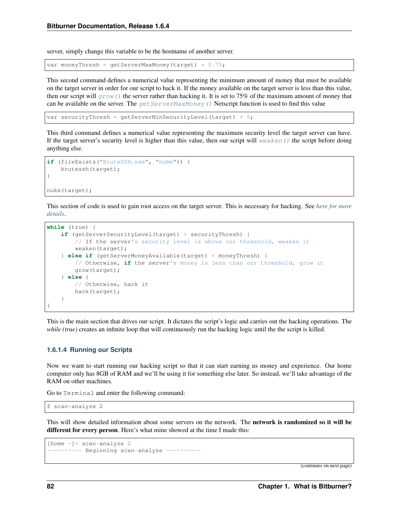server, simply change this variable to be the hostname of another server.

```
var moneyThresh = getServerMaxMoney(target) * 0.75;
```
This second command defines a numerical value representing the minimum amount of money that must be available on the target server in order for our script to hack it. If the money available on the target server is less than this value, then our script will  $q_{\text{row}}(t)$  the server rather than hacking it. It is set to 75% of the maximum amount of money that can be available on the server. The  $getServerMaxMoney()$  Netscript function is used to find this value

```
var securityThresh = qetServerMinSecurityLevel(target) + 5;
```
This third command defines a numerical value representing the maximum security level the target server can have. If the target server's security level is higher than this value, then our script will  $wear$ eaken() the script before doing anything else.

```
if (fileExists("BruteSSH.exe", "home")) {
    brutessh(target);
}
nuke(target);
```
This section of code is used to gain root access on the target server. This is necessary for hacking. See *[here for more](#page-58-0) [details](#page-58-0)*.

```
while (true) {
    if (getServerSecurityLevel(target) > securityThresh) {
        // If the server's security level is above our threshold, weaken it
        weaken(target);
    } else if (getServerMoneyAvailable(target) < moneyThresh) {
        // Otherwise, if the server's money is less than our threshold, grow it
        grow(target);
    } else {
        // Otherwise, hack it
        hack(target);
    }
}
```
This is the main section that drives our script. It dictates the script's logic and carries out the hacking operations. The *while (true)* creates an infinite loop that will continuously run the hacking logic until the the script is killed.

#### **1.6.1.4 Running our Scripts**

Now we want to start running our hacking script so that it can start earning us money and experience. Our home computer only has 8GB of RAM and we'll be using it for something else later. So instead, we'll take advantage of the RAM on other machines.

Go to Terminal and enter the following command:

```
$ scan-analyze 2
```
This will show detailed information about some servers on the network. The network is randomized so it will be different for every person. Here's what mine showed at the time I made this:

```
[home ~]> scan-analyze 2
  \sim \sim \sim \sim Beginning scan-analyze \sim \sim \sim \sim \sim \sim
```
(continues on next page)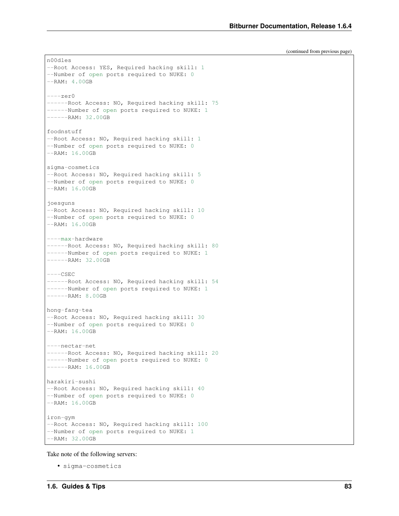(continued from previous page)

```
n00dles
--Root Access: YES, Required hacking skill: 1
--Number of open ports required to NUKE: 0
--RAM: 4.00GB
---zero------Root Access: NO, Required hacking skill: 75
------Number of open ports required to NUKE: 1
---RAM: 32.00GBfoodnstuff
--Root Access: NO, Required hacking skill: 1
--Number of open ports required to NUKE: 0
--RAM: 16.00GB
sigma-cosmetics
--Root Access: NO, Required hacking skill: 5
--Number of open ports required to NUKE: 0
--RAM: 16.00GB
joesguns
--Root Access: NO, Required hacking skill: 10
--Number of open ports required to NUKE: 0
--RAM: 16.00GB
----max-hardware
------Root Access: NO, Required hacking skill: 80
------Number of open ports required to NUKE: 1
---RAM: 32.00GB---CSEC------Root Access: NO, Required hacking skill: 54
------Number of open ports required to NUKE: 1
------RAM: 8.00GB
hong-fang-tea
--Root Access: NO, Required hacking skill: 30
--Number of open ports required to NUKE: 0
--RAM: 16.00GB
----nectar-net
------Root Access: NO, Required hacking skill: 20
------Number of open ports required to NUKE: 0
---RAM: 16.00GBharakiri-sushi
--Root Access: NO, Required hacking skill: 40
--Number of open ports required to NUKE: 0
--RAM: 16.00GB
iron-gym
--Root Access: NO, Required hacking skill: 100
--Number of open ports required to NUKE: 1
--RAM: 32.00GB
```
Take note of the following servers:

• sigma-cosmetics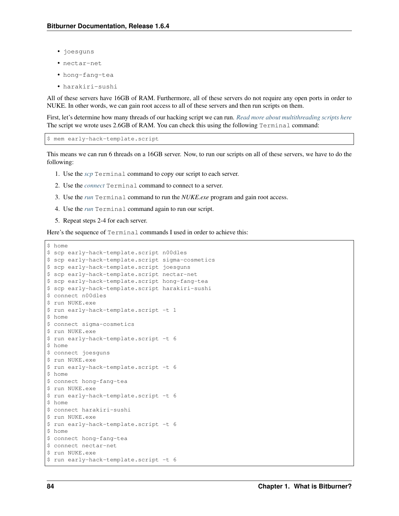- joesguns
- nectar-net
- hong-fang-tea
- harakiri-sushi

All of these servers have 16GB of RAM. Furthermore, all of these servers do not require any open ports in order to NUKE. In other words, we can gain root access to all of these servers and then run scripts on them.

First, let's determine how many threads of our hacking script we can run. *[Read more about multithreading scripts here](#page-61-0)* The script we wrote uses 2.6GB of RAM. You can check this using the following Terminal command:

\$ mem early-hack-template.script

This means we can run 6 threads on a 16GB server. Now, to run our scripts on all of these servers, we have to do the following:

- 1. Use the *[scp](#page-56-0)* Terminal command to copy our script to each server.
- 2. Use the *[connect](#page-51-0)* Terminal command to connect to a server.
- 3. Use the *[run](#page-55-0)* Terminal command to run the *NUKE.exe* program and gain root access.
- 4. Use the *[run](#page-55-0)* Terminal command again to run our script.
- 5. Repeat steps 2-4 for each server.

Here's the sequence of Terminal commands I used in order to achieve this:

```
$ home
```

```
$ scp early-hack-template.script n00dles
$ scp early-hack-template.script sigma-cosmetics
$ scp early-hack-template.script joesguns
$ scp early-hack-template.script nectar-net
$ scp early-hack-template.script hong-fang-tea
$ scp early-hack-template.script harakiri-sushi
$ connect n00dles
$ run NUKE.exe
$ run early-hack-template.script -t 1
$ home
$ connect sigma-cosmetics
$ run NUKE.exe
$ run early-hack-template.script -t 6
$ home
$ connect joesguns
$ run NUKE.exe
$ run early-hack-template.script -t 6
$ home
$ connect hong-fang-tea
$ run NUKE.exe
$ run early-hack-template.script -t 6
$ home
$ connect harakiri-sushi
$ run NUKE.exe
$ run early-hack-template.script -t 6
$ home
$ connect hong-fang-tea
$ connect nectar-net
$ run NUKE.exe
$ run early-hack-template.script -t 6
```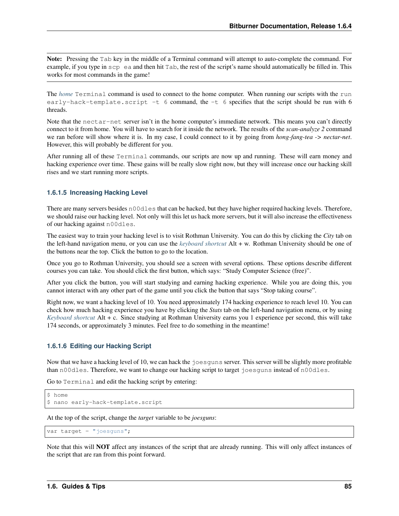Note: Pressing the Tab key in the middle of a Terminal command will attempt to auto-complete the command. For example, if you type in  $\sup$  ea and then hit Tab, the rest of the script's name should automatically be filled in. This works for most commands in the game!

The *[home](#page-52-0)* Terminal command is used to connect to the home computer. When running our scripts with the run early-hack-template.script  $-t$  6 command, the  $-t$  6 specifies that the script should be run with 6 threads.

Note that the nectar-net server isn't in the home computer's immediate network. This means you can't directly connect to it from home. You will have to search for it inside the network. The results of the *scan-analyze 2* command we ran before will show where it is. In my case, I could connect to it by going from *hong-fang-tea -> nectar-net*. However, this will probably be different for you.

After running all of these Terminal commands, our scripts are now up and running. These will earn money and hacking experience over time. These gains will be really slow right now, but they will increase once our hacking skill rises and we start running more scripts.

#### **1.6.1.5 Increasing Hacking Level**

There are many servers besides n00dles that can be hacked, but they have higher required hacking levels. Therefore, we should raise our hacking level. Not only will this let us hack more servers, but it will also increase the effectiveness of our hacking against n00dles.

The easiest way to train your hacking level is to visit Rothman University. You can do this by clicking the *City* tab on the left-hand navigation menu, or you can use the *[keyboard shortcut](#page-86-0)* Alt + w. Rothman University should be one of the buttons near the top. Click the button to go to the location.

Once you go to Rothman University, you should see a screen with several options. These options describe different courses you can take. You should click the first button, which says: "Study Computer Science (free)".

After you click the button, you will start studying and earning hacking experience. While you are doing this, you cannot interact with any other part of the game until you click the button that says "Stop taking course".

Right now, we want a hacking level of 10. You need approximately 174 hacking experience to reach level 10. You can check how much hacking experience you have by clicking the *Stats* tab on the left-hand navigation menu, or by using *[Keyboard shortcut](#page-86-0)* Alt + c. Since studying at Rothman University earns you 1 experience per second, this will take 174 seconds, or approximately 3 minutes. Feel free to do something in the meantime!

### **1.6.1.6 Editing our Hacking Script**

Now that we have a hacking level of 10, we can hack the joesguns server. This server will be slightly more profitable than n00dles. Therefore, we want to change our hacking script to target joesguns instead of n00dles.

Go to Terminal and edit the hacking script by entering:

```
$ home
$ nano early-hack-template.script
```
At the top of the script, change the *target* variable to be *joesguns*:

```
var target = "joesquns";
```
Note that this will NOT affect any instances of the script that are already running. This will only affect instances of the script that are ran from this point forward.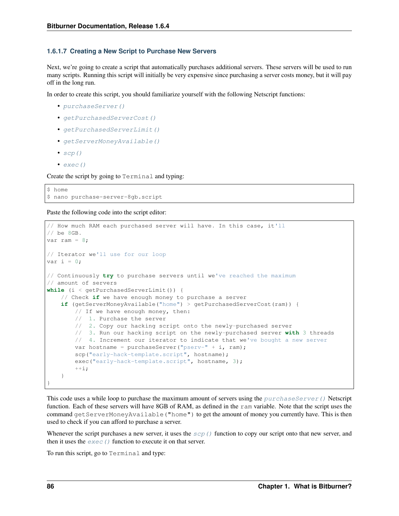#### **1.6.1.7 Creating a New Script to Purchase New Servers**

Next, we're going to create a script that automatically purchases additional servers. These servers will be used to run many scripts. Running this script will initially be very expensive since purchasing a server costs money, but it will pay off in the long run.

In order to create this script, you should familiarize yourself with the following Netscript functions:

- [purchaseServer\(\)](#page-33-0)
- [getPurchasedServerCost\(\)](#page-33-1)
- [getPurchasedServerLimit\(\)](#page-34-0)
- [getServerMoneyAvailable\(\)](#page-29-1)
- $scp()$
- $exec()$

Create the script by going to Terminal and typing:

\$ home \$ nano purchase-server-8gb.script

Paste the following code into the script editor:

```
// How much RAM each purchased server will have. In this case, it'll
// be 8GB.
var ram = 8;// Iterator we'll use for our loop
var i = 0;// Continuously try to purchase servers until we've reached the maximum
// amount of servers
while (i < getPurchasedServerLimit()) {
    // Check if we have enough money to purchase a server
    if (getServerMoneyAvailable("home") > getPurchasedServerCost(ram)) {
       // If we have enough money, then:
        // 1. Purchase the server
        // 2. Copy our hacking script onto the newly-purchased server
        // 3. Run our hacking script on the newly-purchased server with 3 threads
        // 4. Increment our iterator to indicate that we've bought a new server
        var hostname = purchaseServer("pserv-" + i, ram);
        scp("early-hack-template.script", hostname);
        exec("early-hack-template.script", hostname, 3);
        ++i;}
}
```
This code uses a while loop to purchase the maximum amount of servers using the  $purechaseServer$  () Netscript function. Each of these servers will have 8GB of RAM, as defined in the ram variable. Note that the script uses the command getServerMoneyAvailable("home") to get the amount of money you currently have. This is then used to check if you can afford to purchase a server.

Whenever the script purchases a new server, it uses the  $scp()$  function to copy our script onto that new server, and then it uses the  $exec()$  function to execute it on that server.

To run this script, go to Terminal and type: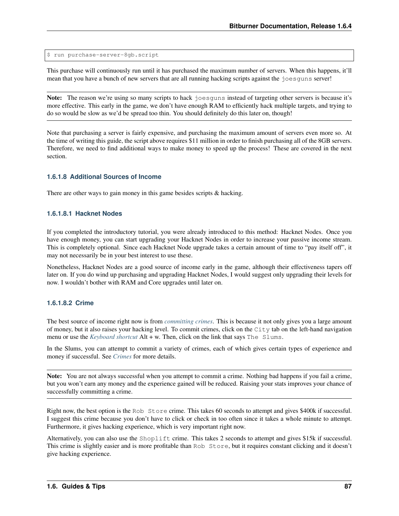\$ run purchase-server-8gb.script

This purchase will continuously run until it has purchased the maximum number of servers. When this happens, it'll mean that you have a bunch of new servers that are all running hacking scripts against the joesguns server!

Note: The reason we're using so many scripts to hack joesguns instead of targeting other servers is because it's more effective. This early in the game, we don't have enough RAM to efficiently hack multiple targets, and trying to do so would be slow as we'd be spread too thin. You should definitely do this later on, though!

Note that purchasing a server is fairly expensive, and purchasing the maximum amount of servers even more so. At the time of writing this guide, the script above requires \$11 million in order to finish purchasing all of the 8GB servers. Therefore, we need to find additional ways to make money to speed up the process! These are covered in the next section.

### **1.6.1.8 Additional Sources of Income**

There are other ways to gain money in this game besides scripts & hacking.

#### **1.6.1.8.1 Hacknet Nodes**

If you completed the introductory tutorial, you were already introduced to this method: Hacknet Nodes. Once you have enough money, you can start upgrading your Hacknet Nodes in order to increase your passive income stream. This is completely optional. Since each Hacknet Node upgrade takes a certain amount of time to "pay itself off", it may not necessarily be in your best interest to use these.

Nonetheless, Hacknet Nodes are a good source of income early in the game, although their effectiveness tapers off later on. If you do wind up purchasing and upgrading Hacknet Nodes, I would suggest only upgrading their levels for now. I wouldn't bother with RAM and Core upgrades until later on.

#### **1.6.1.8.2 Crime**

The best source of income right now is from *[committing crimes](#page-70-0)*. This is because it not only gives you a large amount of money, but it also raises your hacking level. To commit crimes, click on the City tab on the left-hand navigation menu or use the *[Keyboard shortcut](#page-86-0)* Alt + w. Then, click on the link that says The Slums.

In the Slums, you can attempt to commit a variety of crimes, each of which gives certain types of experience and money if successful. See *[Crimes](#page-70-0)* for more details.

Note: You are not always successful when you attempt to commit a crime. Nothing bad happens if you fail a crime, but you won't earn any money and the experience gained will be reduced. Raising your stats improves your chance of successfully committing a crime.

Right now, the best option is the Rob Store crime. This takes 60 seconds to attempt and gives \$400k if successful. I suggest this crime because you don't have to click or check in too often since it takes a whole minute to attempt. Furthermore, it gives hacking experience, which is very important right now.

Alternatively, you can also use the Shoplift crime. This takes 2 seconds to attempt and gives \$15k if successful. This crime is slightly easier and is more profitable than Rob Store, but it requires constant clicking and it doesn't give hacking experience.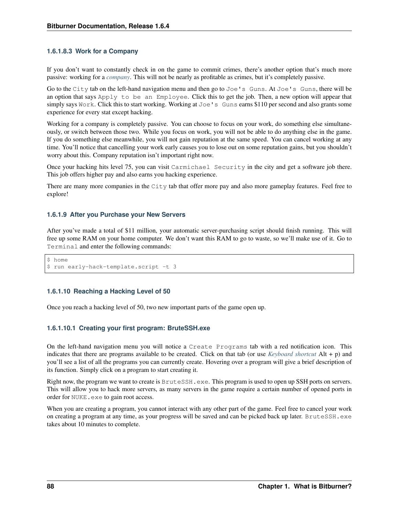### **1.6.1.8.3 Work for a Company**

If you don't want to constantly check in on the game to commit crimes, there's another option that's much more passive: working for a *[company](#page-69-0)*. This will not be nearly as profitable as crimes, but it's completely passive.

Go to the City tab on the left-hand navigation menu and then go to Joe's Guns. At Joe's Guns, there will be an option that says Apply to be an Employee. Click this to get the job. Then, a new option will appear that simply says Work. Click this to start working. Working at Joe's Guns earns \$110 per second and also grants some experience for every stat except hacking.

Working for a company is completely passive. You can choose to focus on your work, do something else simultaneously, or switch between those two. While you focus on work, you will not be able to do anything else in the game. If you do something else meanwhile, you will not gain reputation at the same speed. You can cancel working at any time. You'll notice that cancelling your work early causes you to lose out on some reputation gains, but you shouldn't worry about this. Company reputation isn't important right now.

Once your hacking hits level 75, you can visit Carmichael Security in the city and get a software job there. This job offers higher pay and also earns you hacking experience.

There are many more companies in the City tab that offer more pay and also more gameplay features. Feel free to explore!

#### **1.6.1.9 After you Purchase your New Servers**

After you've made a total of \$11 million, your automatic server-purchasing script should finish running. This will free up some RAM on your home computer. We don't want this RAM to go to waste, so we'll make use of it. Go to Terminal and enter the following commands:

```
$ home
$ run early-hack-template.script -t 3
```
### **1.6.1.10 Reaching a Hacking Level of 50**

Once you reach a hacking level of 50, two new important parts of the game open up.

### **1.6.1.10.1 Creating your first program: BruteSSH.exe**

On the left-hand navigation menu you will notice a Create Programs tab with a red notification icon. This indicates that there are programs available to be created. Click on that tab (or use *[Keyboard shortcut](#page-86-0)* Alt + p) and you'll see a list of all the programs you can currently create. Hovering over a program will give a brief description of its function. Simply click on a program to start creating it.

Right now, the program we want to create is BruteSSH.exe. This program is used to open up SSH ports on servers. This will allow you to hack more servers, as many servers in the game require a certain number of opened ports in order for NUKE.exe to gain root access.

When you are creating a program, you cannot interact with any other part of the game. Feel free to cancel your work on creating a program at any time, as your progress will be saved and can be picked back up later. BruteSSH.exe takes about 10 minutes to complete.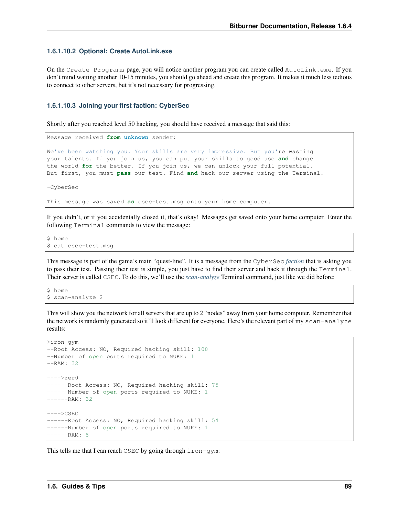#### **1.6.1.10.2 Optional: Create AutoLink.exe**

On the Create Programs page, you will notice another program you can create called AutoLink.exe. If you don't mind waiting another 10-15 minutes, you should go ahead and create this program. It makes it much less tedious to connect to other servers, but it's not necessary for progressing.

#### **1.6.1.10.3 Joining your first faction: CyberSec**

Shortly after you reached level 50 hacking, you should have received a message that said this:

```
Message received from unknown sender:
We've been watching you. Your skills are very impressive. But you're wasting
your talents. If you join us, you can put your skills to good use and change
the world for the better. If you join us, we can unlock your full potential.
But first, you must pass our test. Find and hack our server using the Terminal.
-CyberSec
This message was saved as csec-test.msg onto your home computer.
```
If you didn't, or if you accidentally closed it, that's okay! Messages get saved onto your home computer. Enter the following Terminal commands to view the message:

```
$ home
$ cat csec-test.msg
```
This message is part of the game's main "quest-line". It is a message from the CyberSec *[faction](#page-63-0)* that is asking you to pass their test. Passing their test is simple, you just have to find their server and hack it through the Terminal. Their server is called CSEC. To do this, we'll use the *[scan-analyze](#page-55-1)* Terminal command, just like we did before:

```
$ home
$ scan-analyze 2
```
This will show you the network for all servers that are up to 2 "nodes" away from your home computer. Remember that the network is randomly generated so it'll look different for everyone. Here's the relevant part of my scan-analyze results:

```
>iron-gym
--Root Access: NO, Required hacking skill: 100
--Number of open ports required to NUKE: 1
--RAM: 32---->zer0
------Root Access: NO, Required hacking skill: 75
------Number of open ports required to NUKE: 1
 ---RAM: 32---->CSEC
------Root Access: NO, Required hacking skill: 54
------Number of open ports required to NUKE: 1
 ---RAM: 8
```
This tells me that I can reach CSEC by going through  $\text{iron-qym:}$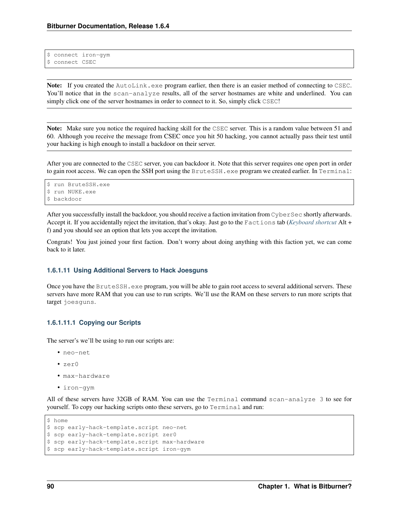```
$ connect iron-gym
$ connect CSEC
```
Note: If you created the AutoLink.exe program earlier, then there is an easier method of connecting to CSEC. You'll notice that in the scan-analyze results, all of the server hostnames are white and underlined. You can simply click one of the server hostnames in order to connect to it. So, simply click CSEC!

Note: Make sure you notice the required hacking skill for the CSEC server. This is a random value between 51 and 60. Although you receive the message from CSEC once you hit 50 hacking, you cannot actually pass their test until your hacking is high enough to install a backdoor on their server.

After you are connected to the CSEC server, you can backdoor it. Note that this server requires one open port in order to gain root access. We can open the SSH port using the BruteSSH.exe program we created earlier. In Terminal:

```
$ run BruteSSH.exe
$ run NUKE.exe
$ backdoor
```
After you successfully install the backdoor, you should receive a faction invitation from CyberSec shortly afterwards. Accept it. If you accidentally reject the invitation, that's okay. Just go to the Factions tab (*[Keyboard shortcut](#page-86-0)* Alt + f) and you should see an option that lets you accept the invitation.

Congrats! You just joined your first faction. Don't worry about doing anything with this faction yet, we can come back to it later.

#### **1.6.1.11 Using Additional Servers to Hack Joesguns**

Once you have the BruteSSH.exe program, you will be able to gain root access to several additional servers. These servers have more RAM that you can use to run scripts. We'll use the RAM on these servers to run more scripts that target joesguns.

### **1.6.1.11.1 Copying our Scripts**

The server's we'll be using to run our scripts are:

- neo-net
- zer0
- max-hardware
- iron-gym

All of these servers have 32GB of RAM. You can use the Terminal command scan-analyze 3 to see for yourself. To copy our hacking scripts onto these servers, go to Terminal and run:

```
$ home
```

```
$ scp early-hack-template.script neo-net
$ scp early-hack-template.script zer0
$ scp early-hack-template.script max-hardware
$ scp early-hack-template.script iron-gym
```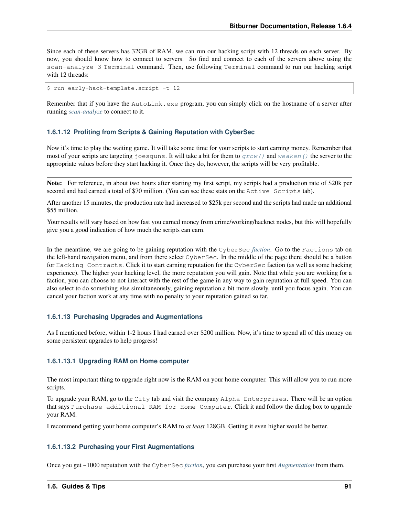Since each of these servers has 32GB of RAM, we can run our hacking script with 12 threads on each server. By now, you should know how to connect to servers. So find and connect to each of the servers above using the scan-analyze 3 Terminal command. Then, use following Terminal command to run our hacking script with 12 threads:

```
$ run early-hack-template.script -t 12
```
Remember that if you have the AutoLink.exe program, you can simply click on the hostname of a server after running *[scan-analyze](#page-55-1)* to connect to it.

#### **1.6.1.12 Profiting from Scripts & Gaining Reputation with CyberSec**

Now it's time to play the waiting game. It will take some time for your scripts to start earning money. Remember that most of your scripts are targeting joesquns. It will take a bit for them to  $q_{\text{row}}(t)$  and  $\text{weaken}(t)$  the server to the appropriate values before they start hacking it. Once they do, however, the scripts will be very profitable.

Note: For reference, in about two hours after starting my first script, my scripts had a production rate of \$20k per second and had earned a total of \$70 million. (You can see these stats on the Active Scripts tab).

After another 15 minutes, the production rate had increased to \$25k per second and the scripts had made an additional \$55 million.

Your results will vary based on how fast you earned money from crime/working/hacknet nodes, but this will hopefully give you a good indication of how much the scripts can earn.

In the meantime, we are going to be gaining reputation with the CyberSec *[faction](#page-63-0)*. Go to the Factions tab on the left-hand navigation menu, and from there select CyberSec. In the middle of the page there should be a button for Hacking Contracts. Click it to start earning reputation for the CyberSec faction (as well as some hacking experience). The higher your hacking level, the more reputation you will gain. Note that while you are working for a faction, you can choose to not interact with the rest of the game in any way to gain reputation at full speed. You can also select to do something else simultaneously, gaining reputation a bit more slowly, until you focus again. You can cancel your faction work at any time with no penalty to your reputation gained so far.

### **1.6.1.13 Purchasing Upgrades and Augmentations**

As I mentioned before, within 1-2 hours I had earned over \$200 million. Now, it's time to spend all of this money on some persistent upgrades to help progress!

#### **1.6.1.13.1 Upgrading RAM on Home computer**

The most important thing to upgrade right now is the RAM on your home computer. This will allow you to run more scripts.

To upgrade your RAM, go to the City tab and visit the company Alpha Enterprises. There will be an option that says Purchase additional RAM for Home Computer. Click it and follow the dialog box to upgrade your RAM.

I recommend getting your home computer's RAM to *at least* 128GB. Getting it even higher would be better.

#### **1.6.1.13.2 Purchasing your First Augmentations**

Once you get ~1000 reputation with the CyberSec *[faction](#page-63-0)*, you can purchase your first *[Augmentation](#page-68-0)* from them.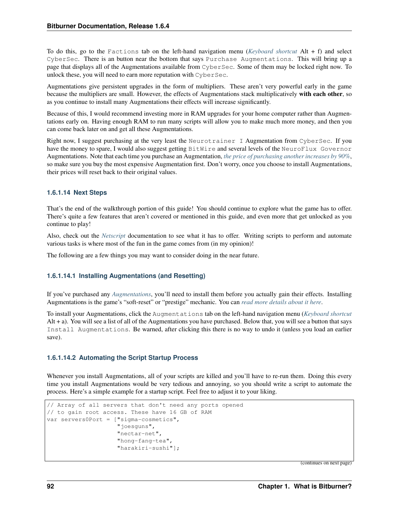To do this, go to the Factions tab on the left-hand navigation menu (*[Keyboard shortcut](#page-86-0)* Alt + f) and select CyberSec. There is an button near the bottom that says Purchase Augmentations. This will bring up a page that displays all of the Augmentations available from CyberSec. Some of them may be locked right now. To unlock these, you will need to earn more reputation with CyberSec.

Augmentations give persistent upgrades in the form of multipliers. These aren't very powerful early in the game because the multipliers are small. However, the effects of Augmentations stack multiplicatively with each other, so as you continue to install many Augmentations their effects will increase significantly.

Because of this, I would recommend investing more in RAM upgrades for your home computer rather than Augmentations early on. Having enough RAM to run many scripts will allow you to make much more money, and then you can come back later on and get all these Augmentations.

Right now, I suggest purchasing at the very least the Neurotrainer I Augmentation from CyberSec. If you have the money to spare, I would also suggest getting BitWire and several levels of the NeuroFlux Governor Augmentations. Note that each time you purchase an Augmentation, *[the price of purchasing another increases by 90%](#page-69-1)*, so make sure you buy the most expensive Augmentation first. Don't worry, once you choose to install Augmentations, their prices will reset back to their original values.

### **1.6.1.14 Next Steps**

That's the end of the walkthrough portion of this guide! You should continue to explore what the game has to offer. There's quite a few features that aren't covered or mentioned in this guide, and even more that get unlocked as you continue to play!

Also, check out the *[Netscript](#page-12-0)* documentation to see what it has to offer. Writing scripts to perform and automate various tasks is where most of the fun in the game comes from (in my opinion)!

The following are a few things you may want to consider doing in the near future.

### **1.6.1.14.1 Installing Augmentations (and Resetting)**

If you've purchased any *[Augmentations](#page-68-0)*, you'll need to install them before you actually gain their effects. Installing Augmentations is the game's "soft-reset" or "prestige" mechanic. You can *[read more details about it here](#page-68-1)*.

To install your Augmentations, click the Augmentations tab on the left-hand navigation menu (*[Keyboard shortcut](#page-86-0)* Alt + a). You will see a list of all of the Augmentations you have purchased. Below that, you will see a button that says Install Augmentations. Be warned, after clicking this there is no way to undo it (unless you load an earlier save).

### **1.6.1.14.2 Automating the Script Startup Process**

Whenever you install Augmentations, all of your scripts are killed and you'll have to re-run them. Doing this every time you install Augmentations would be very tedious and annoying, so you should write a script to automate the process. Here's a simple example for a startup script. Feel free to adjust it to your liking.

```
// Array of all servers that don't need any ports opened
// to gain root access. These have 16 GB of RAM
var servers0Port = ["sigma-cosmetics",
                    "joesguns",
                    "nectar-net",
                    "hong-fang-tea",
                    "harakiri-sushi"];
```
(continues on next page)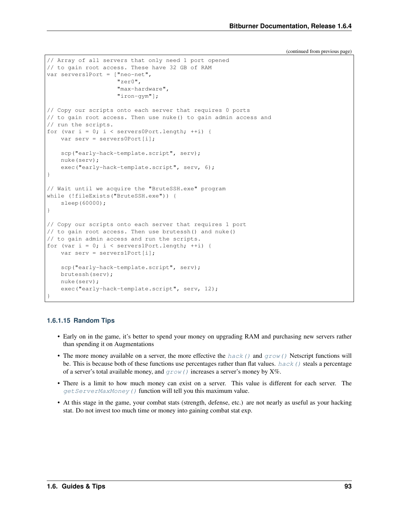(continued from previous page)

```
// Array of all servers that only need 1 port opened
// to gain root access. These have 32 GB of RAM
var servers1Port = ["neo-net",
                    "zer0",
                    "max-hardware",
                    "iron-gym"];
// Copy our scripts onto each server that requires 0 ports
// to gain root access. Then use nuke() to gain admin access and
// run the scripts.
for (var i = 0; i < servers0Port.length; ++i) {
   var serv = servers0Port[i];
   scp("early-hack-template.script", serv);
   nuke(serv);
   exec("early-hack-template.script", serv, 6);
}
// Wait until we acquire the "BruteSSH.exe" program
while (!fileExists("BruteSSH.exe")) {
    sleep(60000);
}
// Copy our scripts onto each server that requires 1 port
// to gain root access. Then use brutessh() and nuke()
// to gain admin access and run the scripts.
for (var i = 0; i < servers1Port.length; ++i) {
   var serv = servers1Port[i];
   scp("early-hack-template.script", serv);
   brutessh(serv);
   nuke(serv);
    exec("early-hack-template.script", serv, 12);
}
```
### **1.6.1.15 Random Tips**

- Early on in the game, it's better to spend your money on upgrading RAM and purchasing new servers rather than spending it on Augmentations
- The more money available on a server, the more effective the [hack\(\)](#page-18-0) and  $qrow()$  Netscript functions will be. This is because both of these functions use percentages rather than flat values. hack () steals a percentage of a server's total available money, and  $q_{\text{row}}(t)$  increases a server's money by X%.
- There is a limit to how much money can exist on a server. This value is different for each server. The get ServerMaxMoney () function will tell you this maximum value.
- At this stage in the game, your combat stats (strength, defense, etc.) are not nearly as useful as your hacking stat. Do not invest too much time or money into gaining combat stat exp.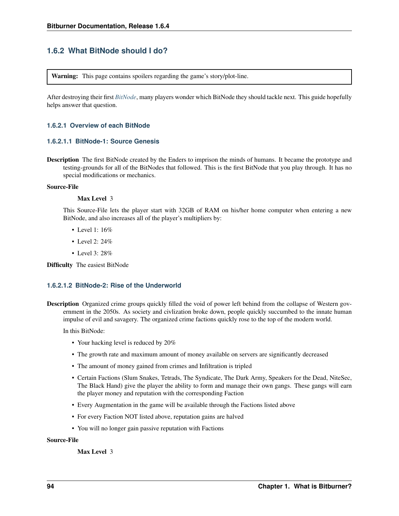# **1.6.2 What BitNode should I do?**

Warning: This page contains spoilers regarding the game's story/plot-line.

After destroying their first *[BitNode](#page-77-0)*, many players wonder which BitNode they should tackle next. This guide hopefully helps answer that question.

#### **1.6.2.1 Overview of each BitNode**

#### **1.6.2.1.1 BitNode-1: Source Genesis**

Description The first BitNode created by the Enders to imprison the minds of humans. It became the prototype and testing-grounds for all of the BitNodes that followed. This is the first BitNode that you play through. It has no special modifications or mechanics.

#### Source-File

#### Max Level 3

This Source-File lets the player start with 32GB of RAM on his/her home computer when entering a new BitNode, and also increases all of the player's multipliers by:

- Level 1: 16%
- Level 2: 24%
- Level 3: 28%

Difficulty The easiest BitNode

### **1.6.2.1.2 BitNode-2: Rise of the Underworld**

Description Organized crime groups quickly filled the void of power left behind from the collapse of Western government in the 2050s. As society and civlization broke down, people quickly succumbed to the innate human impulse of evil and savagery. The organized crime factions quickly rose to the top of the modern world.

In this BitNode:

- Your hacking level is reduced by 20%
- The growth rate and maximum amount of money available on servers are significantly decreased
- The amount of money gained from crimes and Infiltration is tripled
- Certain Factions (Slum Snakes, Tetrads, The Syndicate, The Dark Army, Speakers for the Dead, NiteSec, The Black Hand) give the player the ability to form and manage their own gangs. These gangs will earn the player money and reputation with the corresponding Faction
- Every Augmentation in the game will be available through the Factions listed above
- For every Faction NOT listed above, reputation gains are halved
- You will no longer gain passive reputation with Factions

#### Source-File

Max Level 3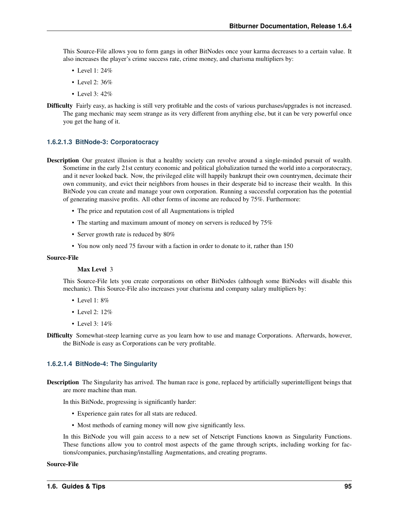This Source-File allows you to form gangs in other BitNodes once your karma decreases to a certain value. It also increases the player's crime success rate, crime money, and charisma multipliers by:

- Level 1: 24%
- Level 2: 36%
- Level 3: 42%
- Difficulty Fairly easy, as hacking is still very profitable and the costs of various purchases/upgrades is not increased. The gang mechanic may seem strange as its very different from anything else, but it can be very powerful once you get the hang of it.

#### **1.6.2.1.3 BitNode-3: Corporatocracy**

- Description Our greatest illusion is that a healthy society can revolve around a single-minded pursuit of wealth. Sometime in the early 21st century economic and political globalization turned the world into a corporatocracy, and it never looked back. Now, the privileged elite will happily bankrupt their own countrymen, decimate their own community, and evict their neighbors from houses in their desperate bid to increase their wealth. In this BitNode you can create and manage your own corporation. Running a successful corporation has the potential of generating massive profits. All other forms of income are reduced by 75%. Furthermore:
	- The price and reputation cost of all Augmentations is tripled
	- The starting and maximum amount of money on servers is reduced by 75%
	- Server growth rate is reduced by 80%
	- You now only need 75 favour with a faction in order to donate to it, rather than 150

#### Source-File

#### Max Level 3

This Source-File lets you create corporations on other BitNodes (although some BitNodes will disable this mechanic). This Source-File also increases your charisma and company salary multipliers by:

- Level 1: 8%
- Level 2: 12%
- Level 3: 14%
- Difficulty Somewhat-steep learning curve as you learn how to use and manage Corporations. Afterwards, however, the BitNode is easy as Corporations can be very profitable.

#### **1.6.2.1.4 BitNode-4: The Singularity**

Description The Singularity has arrived. The human race is gone, replaced by artificially superintelligent beings that are more machine than man.

In this BitNode, progressing is significantly harder:

- Experience gain rates for all stats are reduced.
- Most methods of earning money will now give significantly less.

In this BitNode you will gain access to a new set of Netscript Functions known as Singularity Functions. These functions allow you to control most aspects of the game through scripts, including working for factions/companies, purchasing/installing Augmentations, and creating programs.

#### Source-File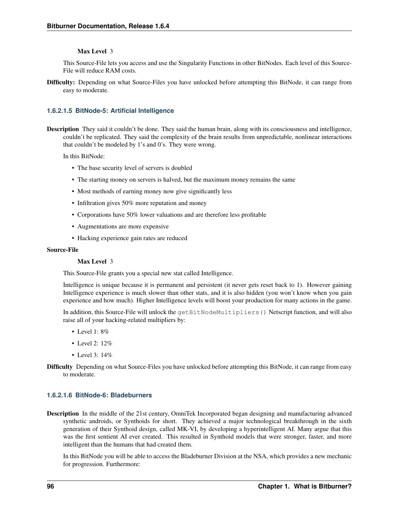#### Max Level 3

This Source-File lets you access and use the Singularity Functions in other BitNodes. Each level of this Source-File will reduce RAM costs.

Difficulty: Depending on what Source-Files you have unlocked before attempting this BitNode, it can range from easy to moderate.

#### **1.6.2.1.5 BitNode-5: Artificial Intelligence**

Description They said it couldn't be done. They said the human brain, along with its consciousness and intelligence, couldn't be replicated. They said the complexity of the brain results from unpredictable, nonlinear interactions that couldn't be modeled by 1's and 0's. They were wrong.

In this BitNode:

- The base security level of servers is doubled
- The starting money on servers is halved, but the maximum money remains the same
- Most methods of earning money now give significantly less
- Infiltration gives 50% more reputation and money
- Corporations have 50% lower valuations and are therefore less profitable
- Augmentations are more expensive
- Hacking experience gain rates are reduced

#### Source-File

#### Max Level 3

This Source-File grants you a special new stat called Intelligence.

Intelligence is unique because it is permanent and persistent (it never gets reset back to 1). However gaining Intelligence experience is much slower than other stats, and it is also hidden (you won't know when you gain experience and how much). Higher Intelligence levels will boost your production for many actions in the game.

In addition, this Source-File will unlock the getBitNodeMultipliers() Netscript function, and will also raise all of your hacking-related multipliers by:

- Level 1: 8%
- Level 2: 12%
- Level 3: 14%
- Difficulty Depending on what Source-Files you have unlocked before attempting this BitNode, it can range from easy to moderate.

### **1.6.2.1.6 BitNode-6: Bladeburners**

Description In the middle of the 21st century, OmniTek Incorporated began designing and manufacturing advanced synthetic androids, or Synthoids for short. They achieved a major technological breakthrough in the sixth generation of their Synthoid design, called MK-VI, by developing a hyperintelligent AI. Many argue that this was the first sentient AI ever created. This resulted in Synthoid models that were stronger, faster, and more intelligent than the humans that had created them.

In this BitNode you will be able to access the Bladeburner Division at the NSA, which provides a new mechanic for progression. Furthermore: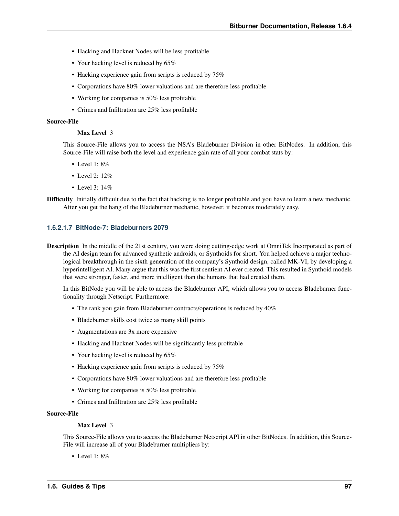- Hacking and Hacknet Nodes will be less profitable
- Your hacking level is reduced by 65%
- Hacking experience gain from scripts is reduced by 75%
- Corporations have 80% lower valuations and are therefore less profitable
- Working for companies is 50% less profitable
- Crimes and Infiltration are 25% less profitable

#### Source-File

#### Max Level 3

This Source-File allows you to access the NSA's Bladeburner Division in other BitNodes. In addition, this Source-File will raise both the level and experience gain rate of all your combat stats by:

- Level  $1: 8\%$
- Level 2: 12%
- Level 3: 14%
- Difficulty Initially difficult due to the fact that hacking is no longer profitable and you have to learn a new mechanic. After you get the hang of the Bladeburner mechanic, however, it becomes moderately easy.

#### **1.6.2.1.7 BitNode-7: Bladeburners 2079**

Description In the middle of the 21st century, you were doing cutting-edge work at OmniTek Incorporated as part of the AI design team for advanced synthetic androids, or Synthoids for short. You helped achieve a major technological breakthrough in the sixth generation of the company's Synthoid design, called MK-VI, by developing a hyperintelligent AI. Many argue that this was the first sentient AI ever created. This resulted in Synthoid models that were stronger, faster, and more intelligent than the humans that had created them.

In this BitNode you will be able to access the Bladeburner API, which allows you to access Bladeburner functionality through Netscript. Furthermore:

- The rank you gain from Bladeburner contracts/operations is reduced by 40%
- Bladeburner skills cost twice as many skill points
- Augmentations are 3x more expensive
- Hacking and Hacknet Nodes will be significantly less profitable
- Your hacking level is reduced by 65%
- Hacking experience gain from scripts is reduced by 75%
- Corporations have 80% lower valuations and are therefore less profitable
- Working for companies is 50% less profitable
- Crimes and Infiltration are 25% less profitable

#### Source-File

#### Max Level 3

This Source-File allows you to access the Bladeburner Netscript API in other BitNodes. In addition, this Source-File will increase all of your Bladeburner multipliers by:

• Level 1: 8%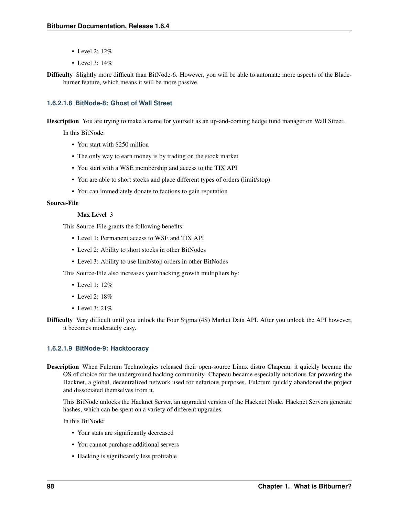- Level 2: 12%
- Level 3: 14%

Difficulty Slightly more difficult than BitNode-6. However, you will be able to automate more aspects of the Bladeburner feature, which means it will be more passive.

### **1.6.2.1.8 BitNode-8: Ghost of Wall Street**

Description You are trying to make a name for yourself as an up-and-coming hedge fund manager on Wall Street.

In this BitNode:

- You start with \$250 million
- The only way to earn money is by trading on the stock market
- You start with a WSE membership and access to the TIX API
- You are able to short stocks and place different types of orders (limit/stop)
- You can immediately donate to factions to gain reputation

#### Source-File

#### Max Level 3

This Source-File grants the following benefits:

- Level 1: Permanent access to WSE and TIX API
- Level 2: Ability to short stocks in other BitNodes
- Level 3: Ability to use limit/stop orders in other BitNodes

This Source-File also increases your hacking growth multipliers by:

- Level  $1: 12\%$
- Level  $2:18\%$
- Level 3: 21%
- Difficulty Very difficult until you unlock the Four Sigma (4S) Market Data API. After you unlock the API however, it becomes moderately easy.

#### **1.6.2.1.9 BitNode-9: Hacktocracy**

Description When Fulcrum Technologies released their open-source Linux distro Chapeau, it quickly became the OS of choice for the underground hacking community. Chapeau became especially notorious for powering the Hacknet, a global, decentralized network used for nefarious purposes. Fulcrum quickly abandoned the project and dissociated themselves from it.

This BitNode unlocks the Hacknet Server, an upgraded version of the Hacknet Node. Hacknet Servers generate hashes, which can be spent on a variety of different upgrades.

In this BitNode:

- Your stats are significantly decreased
- You cannot purchase additional servers
- Hacking is significantly less profitable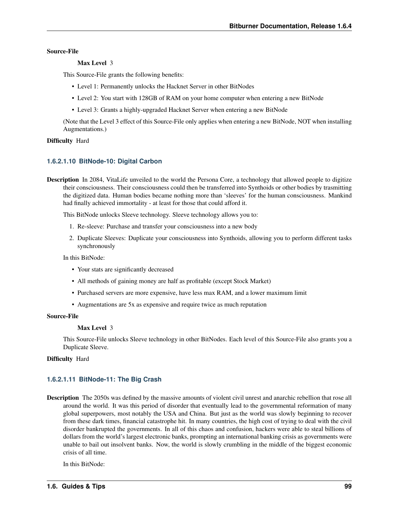#### Source-File

#### Max Level 3

This Source-File grants the following benefits:

- Level 1: Permanently unlocks the Hacknet Server in other BitNodes
- Level 2: You start with 128GB of RAM on your home computer when entering a new BitNode
- Level 3: Grants a highly-upgraded Hacknet Server when entering a new BitNode

(Note that the Level 3 effect of this Source-File only applies when entering a new BitNode, NOT when installing Augmentations.)

#### Difficulty Hard

#### **1.6.2.1.10 BitNode-10: Digital Carbon**

Description In 2084, VitaLife unveiled to the world the Persona Core, a technology that allowed people to digitize their consciousness. Their consciousness could then be transferred into Synthoids or other bodies by trasmitting the digitized data. Human bodies became nothing more than 'sleeves' for the human consciousness. Mankind had finally achieved immortality - at least for those that could afford it.

This BitNode unlocks Sleeve technology. Sleeve technology allows you to:

- 1. Re-sleeve: Purchase and transfer your consciousness into a new body
- 2. Duplicate Sleeves: Duplicate your consciousness into Synthoids, allowing you to perform different tasks synchronously

In this BitNode:

- Your stats are significantly decreased
- All methods of gaining money are half as profitable (except Stock Market)
- Purchased servers are more expensive, have less max RAM, and a lower maximum limit
- Augmentations are 5x as expensive and require twice as much reputation

#### Source-File

#### Max Level 3

This Source-File unlocks Sleeve technology in other BitNodes. Each level of this Source-File also grants you a Duplicate Sleeve.

Difficulty Hard

#### **1.6.2.1.11 BitNode-11: The Big Crash**

Description The 2050s was defined by the massive amounts of violent civil unrest and anarchic rebellion that rose all around the world. It was this period of disorder that eventually lead to the governmental reformation of many global superpowers, most notably the USA and China. But just as the world was slowly beginning to recover from these dark times, financial catastrophe hit. In many countries, the high cost of trying to deal with the civil disorder bankrupted the governments. In all of this chaos and confusion, hackers were able to steal billions of dollars from the world's largest electronic banks, prompting an international banking crisis as governments were unable to bail out insolvent banks. Now, the world is slowly crumbling in the middle of the biggest economic crisis of all time.

In this BitNode: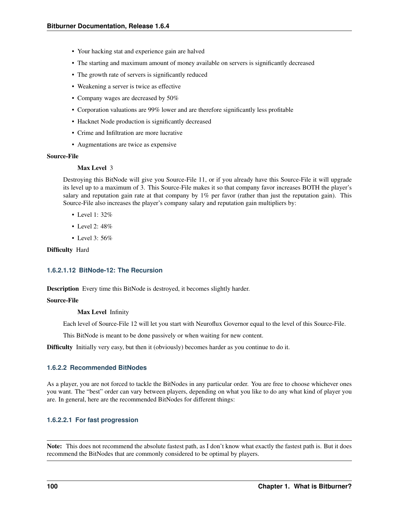- Your hacking stat and experience gain are halved
- The starting and maximum amount of money available on servers is significantly decreased
- The growth rate of servers is significantly reduced
- Weakening a server is twice as effective
- Company wages are decreased by 50%
- Corporation valuations are 99% lower and are therefore significantly less profitable
- Hacknet Node production is significantly decreased
- Crime and Infiltration are more lucrative
- Augmentations are twice as expensive

#### Source-File

#### Max Level 3

Destroying this BitNode will give you Source-File 11, or if you already have this Source-File it will upgrade its level up to a maximum of 3. This Source-File makes it so that company favor increases BOTH the player's salary and reputation gain rate at that company by 1% per favor (rather than just the reputation gain). This Source-File also increases the player's company salary and reputation gain multipliers by:

- Level 1: 32%
- Level 2: 48%
- Level 3: 56%

Difficulty Hard

#### **1.6.2.1.12 BitNode-12: The Recursion**

Description Every time this BitNode is destroyed, it becomes slightly harder.

#### Source-File

Max Level Infinity

Each level of Source-File 12 will let you start with Neuroflux Governor equal to the level of this Source-File.

This BitNode is meant to be done passively or when waiting for new content.

Difficulty Initially very easy, but then it (obviously) becomes harder as you continue to do it.

#### **1.6.2.2 Recommended BitNodes**

As a player, you are not forced to tackle the BitNodes in any particular order. You are free to choose whichever ones you want. The "best" order can vary between players, depending on what you like to do any what kind of player you are. In general, here are the recommended BitNodes for different things:

#### **1.6.2.2.1 For fast progression**

Note: This does not recommend the absolute fastest path, as I don't know what exactly the fastest path is. But it does recommend the BitNodes that are commonly considered to be optimal by players.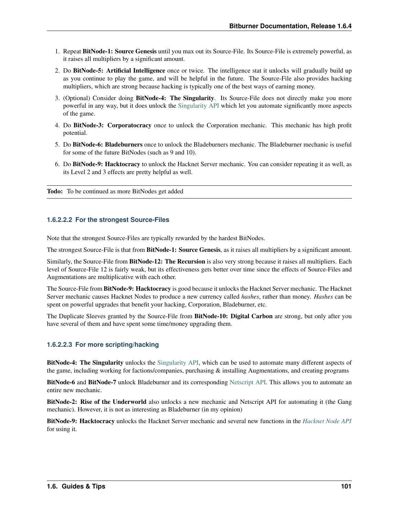- 1. Repeat BitNode-1: Source Genesis until you max out its Source-File. Its Source-File is extremely powerful, as it raises all multipliers by a significant amount.
- 2. Do BitNode-5: Artificial Intelligence once or twice. The intelligence stat it unlocks will gradually build up as you continue to play the game, and will be helpful in the future. The Source-File also provides hacking multipliers, which are strong because hacking is typically one of the best ways of earning money.
- 3. (Optional) Consider doing BitNode-4: The Singularity. Its Source-File does not directly make you more powerful in any way, but it does unlock the [Singularity API](https://github.com/danielyxie/bitburner/blob/dev/markdown/bitburner.singularity.md) which let you automate significantly more aspects of the game.
- 4. Do BitNode-3: Corporatocracy once to unlock the Corporation mechanic. This mechanic has high profit potential.
- 5. Do BitNode-6: Bladeburners once to unlock the Bladeburners mechanic. The Bladeburner mechanic is useful for some of the future BitNodes (such as 9 and 10).
- 6. Do BitNode-9: Hacktocracy to unlock the Hacknet Server mechanic. You can consider repeating it as well, as its Level 2 and 3 effects are pretty helpful as well.

Todo: To be continued as more BitNodes get added

### **1.6.2.2.2 For the strongest Source-Files**

Note that the strongest Source-Files are typically rewarded by the hardest BitNodes.

The strongest Source-File is that from BitNode-1: Source Genesis, as it raises all multipliers by a significant amount.

Similarly, the Source-File from BitNode-12: The Recursion is also very strong because it raises all multipliers. Each level of Source-File 12 is fairly weak, but its effectiveness gets better over time since the effects of Source-Files and Augmentations are multiplicative with each other.

The Source-File from BitNode-9: Hacktocracy is good because it unlocks the Hacknet Server mechanic. The Hacknet Server mechanic causes Hacknet Nodes to produce a new currency called *hashes*, rather than money. *Hashes* can be spent on powerful upgrades that benefit your hacking, Corporation, Bladeburner, etc.

The Duplicate Sleeves granted by the Source-File from BitNode-10: Digital Carbon are strong, but only after you have several of them and have spent some time/money upgrading them.

### **1.6.2.2.3 For more scripting/hacking**

BitNode-4: The Singularity unlocks the [Singularity API,](https://github.com/danielyxie/bitburner/blob/dev/markdown/bitburner.singularity.md) which can be used to automate many different aspects of the game, including working for factions/companies, purchasing & installing Augmentations, and creating programs

BitNode-6 and BitNode-7 unlock Bladeburner and its corresponding [Netscript API.](https://github.com/danielyxie/bitburner/blob/dev/markdown/bitburner.bladeburner.md) This allows you to automate an entire new mechanic.

BitNode-2: Rise of the Underworld also unlocks a new mechanic and Netscript API for automating it (the Gang mechanic). However, it is not as interesting as Bladeburner (in my opinion)

BitNode-9: Hacktocracy unlocks the Hacknet Server mechanic and several new functions in the *[Hacknet Node API](#page-37-0)* for using it.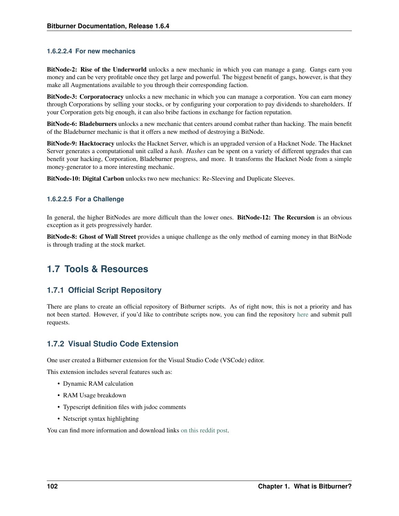### **1.6.2.2.4 For new mechanics**

BitNode-2: Rise of the Underworld unlocks a new mechanic in which you can manage a gang. Gangs earn you money and can be very profitable once they get large and powerful. The biggest benefit of gangs, however, is that they make all Augmentations available to you through their corresponding faction.

BitNode-3: Corporatocracy unlocks a new mechanic in which you can manage a corporation. You can earn money through Corporations by selling your stocks, or by configuring your corporation to pay dividends to shareholders. If your Corporation gets big enough, it can also bribe factions in exchange for faction reputation.

BitNode-6: Bladeburners unlocks a new mechanic that centers around combat rather than hacking. The main benefit of the Bladeburner mechanic is that it offers a new method of destroying a BitNode.

BitNode-9: Hacktocracy unlocks the Hacknet Server, which is an upgraded version of a Hacknet Node. The Hacknet Server generates a computational unit called a *hash*. *Hashes* can be spent on a variety of different upgrades that can benefit your hacking, Corporation, Bladeburner progress, and more. It transforms the Hacknet Node from a simple money-generator to a more interesting mechanic.

BitNode-10: Digital Carbon unlocks two new mechanics: Re-Sleeving and Duplicate Sleeves.

### **1.6.2.2.5 For a Challenge**

In general, the higher BitNodes are more difficult than the lower ones. BitNode-12: The Recursion is an obvious exception as it gets progressively harder.

BitNode-8: Ghost of Wall Street provides a unique challenge as the only method of earning money in that BitNode is through trading at the stock market.

# **1.7 Tools & Resources**

## **1.7.1 Official Script Repository**

There are plans to create an official repository of Bitburner scripts. As of right now, this is not a priority and has not been started. However, if you'd like to contribute scripts now, you can find the repository [here](https://github.com/bitburner-official/bitburner-scripts) and submit pull requests.

## **1.7.2 Visual Studio Code Extension**

One user created a Bitburner extension for the Visual Studio Code (VSCode) editor.

This extension includes several features such as:

- Dynamic RAM calculation
- RAM Usage breakdown
- Typescript definition files with jsdoc comments
- Netscript syntax highlighting

You can find more information and download links [on this reddit post.](https://www.reddit.com/r/Bitburner/comments/bh48y2/visual_studio_code_ram_calculator_extra/)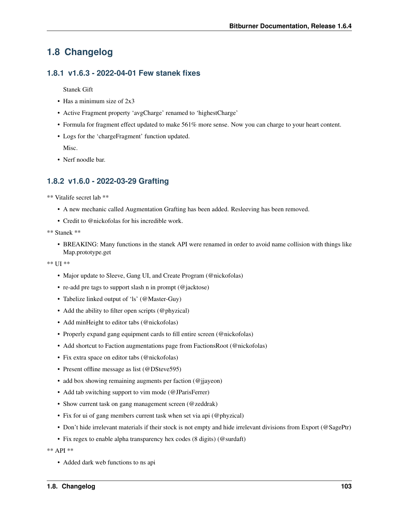# **1.8 Changelog**

### **1.8.1 v1.6.3 - 2022-04-01 Few stanek fixes**

Stanek Gift

- Has a minimum size of 2x3
- Active Fragment property 'avgCharge' renamed to 'highestCharge'
- Formula for fragment effect updated to make 561% more sense. Now you can charge to your heart content.
- Logs for the 'chargeFragment' function updated. Misc.
- Nerf noodle bar.

## **1.8.2 v1.6.0 - 2022-03-29 Grafting**

\*\* Vitalife secret lab \*\*

- A new mechanic called Augmentation Grafting has been added. Resleeving has been removed.
- Credit to @nickofolas for his incredible work.

\*\* Stanek \*\*

• BREAKING: Many functions in the stanek API were renamed in order to avoid name collision with things like Map.prototype.get

\*\* UI \*\*

- Major update to Sleeve, Gang UI, and Create Program (@nickofolas)
- re-add pre tags to support slash n in prompt (@jacktose)
- Tabelize linked output of 'ls' (@Master-Guy)
- Add the ability to filter open scripts (@phyzical)
- Add minHeight to editor tabs (@nickofolas)
- Properly expand gang equipment cards to fill entire screen (@nickofolas)
- Add shortcut to Faction augmentations page from FactionsRoot (@nickofolas)
- Fix extra space on editor tabs (@nickofolas)
- Present offline message as list (@DSteve595)
- add box showing remaining augments per faction (@jjayeon)
- Add tab switching support to vim mode (@JParisFerrer)
- Show current task on gang management screen (@zeddrak)
- Fix for ui of gang members current task when set via api (@phyzical)
- Don't hide irrelevant materials if their stock is not empty and hide irrelevant divisions from Export (@SagePtr)
- Fix regex to enable alpha transparency hex codes (8 digits) (@surdaft)

\*\* API \*\*

• Added dark web functions to ns api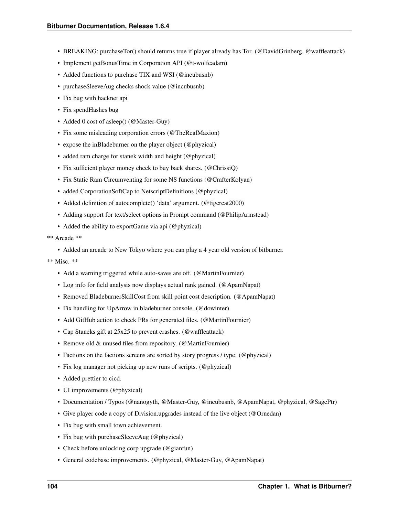- BREAKING: purchaseTor() should returns true if player already has Tor. (@DavidGrinberg, @waffleattack)
- Implement getBonusTime in Corporation API (@t-wolfeadam)
- Added functions to purchase TIX and WSI (@incubusnb)
- purchaseSleeveAug checks shock value (@incubusnb)
- Fix bug with hacknet api
- Fix spendHashes bug
- Added 0 cost of asleep() (@Master-Guy)
- Fix some misleading corporation errors (@TheRealMaxion)
- expose the inBladeburner on the player object (@phyzical)
- added ram charge for stanek width and height (@phyzical)
- Fix sufficient player money check to buy back shares. (@ChrissiQ)
- Fix Static Ram Circumventing for some NS functions (@CrafterKolyan)
- added CorporationSoftCap to NetscriptDefinitions (@phyzical)
- Added definition of autocomplete() 'data' argument. (@tigercat2000)
- Adding support for text/select options in Prompt command (@PhilipArmstead)
- Added the ability to exportGame via api (@phyzical)
- \*\* Arcade \*\*
	- Added an arcade to New Tokyo where you can play a 4 year old version of bitburner.

- Add a warning triggered while auto-saves are off. (@MartinFournier)
- Log info for field analysis now displays actual rank gained. (@ApamNapat)
- Removed BladeburnerSkillCost from skill point cost description. (@ApamNapat)
- Fix handling for UpArrow in bladeburner console. (@dowinter)
- Add GitHub action to check PRs for generated files. (@MartinFournier)
- Cap Staneks gift at 25x25 to prevent crashes. (@waffleattack)
- Remove old & unused files from repository. (@MartinFournier)
- Factions on the factions screens are sorted by story progress / type. (@phyzical)
- Fix log manager not picking up new runs of scripts. (@phyzical)
- Added prettier to cicd.
- UI improvements (@phyzical)
- Documentation / Typos (@nanogyth, @Master-Guy, @incubusnb, @ApamNapat, @phyzical, @SagePtr)
- Give player code a copy of Division.upgrades instead of the live object (@Ornedan)
- Fix bug with small town achievement.
- Fix bug with purchaseSleeveAug (@phyzical)
- Check before unlocking corp upgrade (@gianfun)
- General codebase improvements. (@phyzical, @Master-Guy, @ApamNapat)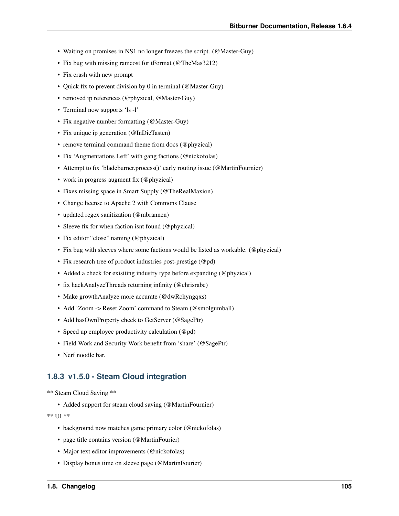- Waiting on promises in NS1 no longer freezes the script. (@Master-Guy)
- Fix bug with missing ramcost for tFormat (@TheMas3212)
- Fix crash with new prompt
- Quick fix to prevent division by 0 in terminal (@Master-Guy)
- removed ip references (@phyzical, @Master-Guy)
- Terminal now supports 'ls -l'
- Fix negative number formatting (@Master-Guy)
- Fix unique ip generation (@InDieTasten)
- remove terminal command theme from docs (@phyzical)
- Fix 'Augmentations Left' with gang factions (@nickofolas)
- Attempt to fix 'bladeburner.process()' early routing issue (@MartinFournier)
- work in progress augment fix (@phyzical)
- Fixes missing space in Smart Supply (@TheRealMaxion)
- Change license to Apache 2 with Commons Clause
- updated regex sanitization (@mbrannen)
- Sleeve fix for when faction isnt found (@phyzical)
- Fix editor "close" naming (@phyzical)
- Fix bug with sleeves where some factions would be listed as workable. (@phyzical)
- Fix research tree of product industries post-prestige (@pd)
- Added a check for exisiting industry type before expanding (@phyzical)
- fix hackAnalyzeThreads returning infinity (@chrisrabe)
- Make growthAnalyze more accurate (@dwRchyngqxs)
- Add 'Zoom -> Reset Zoom' command to Steam (@smolgumball)
- Add hasOwnProperty check to GetServer (@SagePtr)
- Speed up employee productivity calculation (@pd)
- Field Work and Security Work benefit from 'share' (@SagePtr)
- Nerf noodle bar.

### **1.8.3 v1.5.0 - Steam Cloud integration**

\*\* Steam Cloud Saving \*\*

• Added support for steam cloud saving (@MartinFournier)

\*\* UI \*\*

- background now matches game primary color (@nickofolas)
- page title contains version (@MartinFourier)
- Major text editor improvements (@nickofolas)
- Display bonus time on sleeve page (@MartinFourier)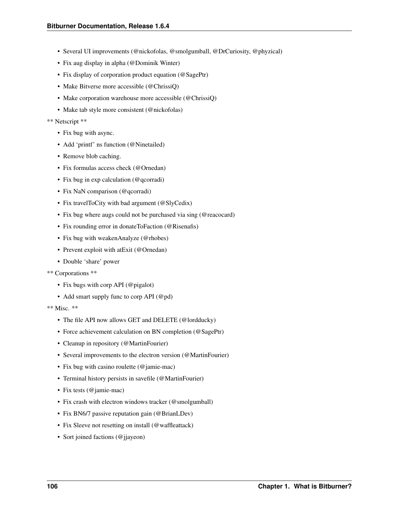- Several UI improvements (@nickofolas, @smolgumball, @DrCuriosity, @phyzical)
- Fix aug display in alpha (@Dominik Winter)
- Fix display of corporation product equation (@SagePtr)
- Make Bitverse more accessible (@ChrissiQ)
- Make corporation warehouse more accessible (@ChrissiQ)
- Make tab style more consistent (@nickofolas)

#### \*\* Netscript \*\*

- Fix bug with async.
- Add 'printf' ns function (@Ninetailed)
- Remove blob caching.
- Fix formulas access check (@Ornedan)
- Fix bug in exp calculation (@qcorradi)
- Fix NaN comparison (@qcorradi)
- Fix travelToCity with bad argument (@SlyCedix)
- Fix bug where augs could not be purchased via sing (@reacocard)
- Fix rounding error in donateToFaction (@Risenafis)
- Fix bug with weakenAnalyze (@rhobes)
- Prevent exploit with atExit (@Ornedan)
- Double 'share' power

#### \*\* Corporations \*\*

- Fix bugs with corp API (@pigalot)
- Add smart supply func to corp API (@pd)

- The file API now allows GET and DELETE (@lordducky)
- Force achievement calculation on BN completion (@SagePtr)
- Cleanup in repository (@MartinFourier)
- Several improvements to the electron version (@MartinFourier)
- Fix bug with casino roulette (@jamie-mac)
- Terminal history persists in savefile (@MartinFourier)
- Fix tests (@jamie-mac)
- Fix crash with electron windows tracker (@smolgumball)
- Fix BN6/7 passive reputation gain (@BrianLDev)
- Fix Sleeve not resetting on install (@waffleattack)
- Sort joined factions (@jjayeon)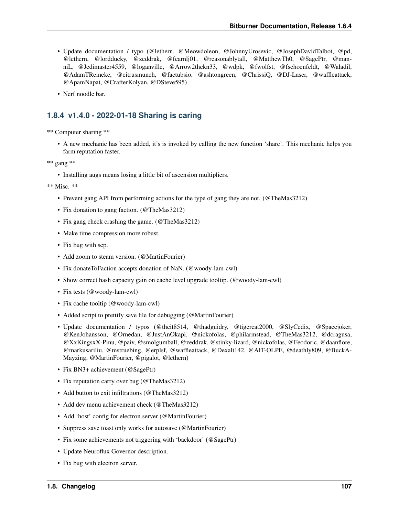- Update documentation / typo (@lethern, @Meowdoleon, @JohnnyUrosevic, @JosephDavidTalbot, @pd, @lethern, @lordducky, @zeddrak, @fearnlj01, @reasonablytall, @MatthewTh0, @SagePtr, @manniL, @Jedimaster4559, @loganville, @Arrow2thekn33, @wdpk, @fwolfst, @fschoenfeldt, @Waladil, @AdamTReineke, @citrusmunch, @factubsio, @ashtongreen, @ChrissiQ, @DJ-Laser, @waffleattack, @ApamNapat, @CrafterKolyan, @DSteve595)
- Nerf noodle bar.

## **1.8.4 v1.4.0 - 2022-01-18 Sharing is caring**

\*\* Computer sharing \*\*

• A new mechanic has been added, it's is invoked by calling the new function 'share'. This mechanic helps you farm reputation faster.

\*\* gang \*\*

• Installing augs means losing a little bit of ascension multipliers.

- Prevent gang API from performing actions for the type of gang they are not. (@TheMas3212)
- Fix donation to gang faction. (@TheMas3212)
- Fix gang check crashing the game. (@TheMas3212)
- Make time compression more robust.
- Fix bug with scp.
- Add zoom to steam version. (@MartinFourier)
- Fix donateToFaction accepts donation of NaN. (@woody-lam-cwl)
- Show correct hash capacity gain on cache level upgrade tooltip. (@woody-lam-cwl)
- Fix tests (@woody-lam-cwl)
- Fix cache tooltip (@woody-lam-cwl)
- Added script to prettify save file for debugging (@MartinFourier)
- Update documentation / typos (@theit8514, @thadguidry, @tigercat2000, @SlyCedix, @Spacejoker, @KenJohansson, @Ornedan, @JustAnOkapi, @nickofolas, @philarmstead, @TheMas3212, @dcragusa, @XxKingsxX-Pinu, @paiv, @smolgumball, @zeddrak, @stinky-lizard, @nickofolas, @Feodoric, @daanflore, @markusariliu, @mstruebing, @erplsf, @waffleattack, @Dexalt142, @AIT-OLPE, @deathly809, @BuckA-Mayzing, @MartinFourier, @pigalot, @lethern)
- Fix BN3+ achievement (@SagePtr)
- Fix reputation carry over bug (@TheMas3212)
- Add button to exit infiltrations (@TheMas3212)
- Add dev menu achievement check (@TheMas3212)
- Add 'host' config for electron server (@MartinFourier)
- Suppress save toast only works for autosave (@MartinFourier)
- Fix some achievements not triggering with 'backdoor' (@SagePtr)
- Update Neuroflux Governor description.
- Fix bug with electron server.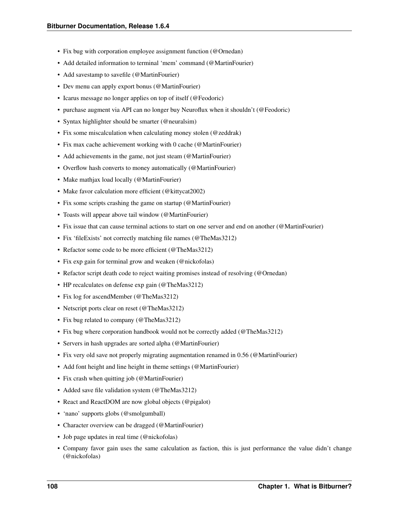- Fix bug with corporation employee assignment function (@Ornedan)
- Add detailed information to terminal 'mem' command (@MartinFourier)
- Add savestamp to savefile (@MartinFourier)
- Dev menu can apply export bonus (@MartinFourier)
- Icarus message no longer applies on top of itself (@Feodoric)
- purchase augment via API can no longer buy Neuroflux when it shouldn't (@Feodoric)
- Syntax highlighter should be smarter (@neuralsim)
- Fix some miscalculation when calculating money stolen (@zeddrak)
- Fix max cache achievement working with 0 cache (@MartinFourier)
- Add achievements in the game, not just steam (@MartinFourier)
- Overflow hash converts to money automatically (@MartinFourier)
- Make mathjax load locally (@MartinFourier)
- Make favor calculation more efficient (@kittycat2002)
- Fix some scripts crashing the game on startup (@MartinFourier)
- Toasts will appear above tail window (@MartinFourier)
- Fix issue that can cause terminal actions to start on one server and end on another (@MartinFourier)
- Fix 'file Exists' not correctly matching file names (@TheMas3212)
- Refactor some code to be more efficient (@TheMas3212)
- Fix exp gain for terminal grow and weaken (@nickofolas)
- Refactor script death code to reject waiting promises instead of resolving (@Ornedan)
- HP recalculates on defense exp gain (@TheMas3212)
- Fix log for ascendMember (@TheMas3212)
- Netscript ports clear on reset (@TheMas3212)
- Fix bug related to company (@TheMas3212)
- Fix bug where corporation handbook would not be correctly added (@TheMas3212)
- Servers in hash upgrades are sorted alpha (@MartinFourier)
- Fix very old save not properly migrating augmentation renamed in 0.56 (@MartinFourier)
- Add font height and line height in theme settings (@MartinFourier)
- Fix crash when quitting job (@MartinFourier)
- Added save file validation system (@TheMas3212)
- React and ReactDOM are now global objects (@pigalot)
- 'nano' supports globs (@smolgumball)
- Character overview can be dragged (@MartinFourier)
- Job page updates in real time (@nickofolas)
- Company favor gain uses the same calculation as faction, this is just performance the value didn't change (@nickofolas)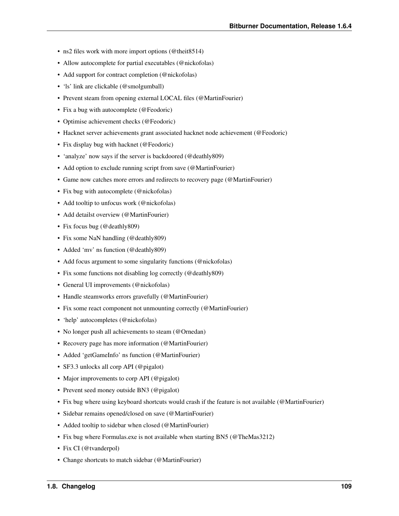- ns2 files work with more import options (@theit8514)
- Allow autocomplete for partial executables (@nickofolas)
- Add support for contract completion (@nickofolas)
- 'ls' link are clickable (@smolgumball)
- Prevent steam from opening external LOCAL files (@MartinFourier)
- Fix a bug with autocomplete (@Feodoric)
- Optimise achievement checks (@Feodoric)
- Hacknet server achievements grant associated hacknet node achievement (@Feodoric)
- Fix display bug with hacknet (@Feodoric)
- 'analyze' now says if the server is backdoored (@deathly809)
- Add option to exclude running script from save (@MartinFourier)
- Game now catches more errors and redirects to recovery page (@MartinFourier)
- Fix bug with autocomplete (@nickofolas)
- Add tooltip to unfocus work (@nickofolas)
- Add detailst overview (@MartinFourier)
- Fix focus bug (@deathly809)
- Fix some NaN handling (@deathly809)
- Added 'mv' ns function (@deathly809)
- Add focus argument to some singularity functions (@nickofolas)
- Fix some functions not disabling log correctly (@deathly809)
- General UI improvements (@nickofolas)
- Handle steamworks errors gravefully (@MartinFourier)
- Fix some react component not unmounting correctly (@MartinFourier)
- 'help' autocompletes (@nickofolas)
- No longer push all achievements to steam (@Ornedan)
- Recovery page has more information (@MartinFourier)
- Added 'getGameInfo' ns function (@MartinFourier)
- SF3.3 unlocks all corp API (@pigalot)
- Major improvements to corp API (@pigalot)
- Prevent seed money outside BN3 (@pigalot)
- Fix bug where using keyboard shortcuts would crash if the feature is not available (@MartinFourier)
- Sidebar remains opened/closed on save (@MartinFourier)
- Added tooltip to sidebar when closed (@MartinFourier)
- Fix bug where Formulas.exe is not available when starting BN5 (@TheMas3212)
- Fix CI (@tvanderpol)
- Change shortcuts to match sidebar (@MartinFourier)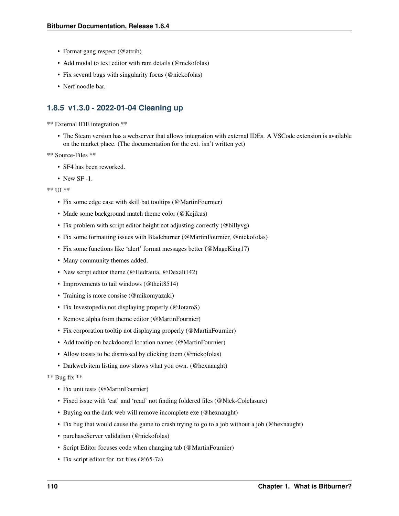- Format gang respect (@attrib)
- Add modal to text editor with ram details (@nickofolas)
- Fix several bugs with singularity focus (@nickofolas)
- Nerf noodle bar.

### **1.8.5 v1.3.0 - 2022-01-04 Cleaning up**

\*\* External IDE integration \*\*

• The Steam version has a webserver that allows integration with external IDEs. A VSCode extension is available on the market place. (The documentation for the ext. isn't written yet)

```
** Source-Files **
```
- SF4 has been reworked.
- New SF  $-1$ .

#### \*\* UI \*\*

- Fix some edge case with skill bat tooltips (@MartinFournier)
- Made some background match theme color (@Kejikus)
- Fix problem with script editor height not adjusting correctly (@billyvg)
- Fix some formatting issues with Bladeburner (@MartinFournier, @nickofolas)
- Fix some functions like 'alert' format messages better (@MageKing17)
- Many community themes added.
- New script editor theme (@Hedrauta, @Dexalt142)
- Improvements to tail windows (@theit8514)
- Training is more consise (@mikomyazaki)
- Fix Investopedia not displaying properly (@JotaroS)
- Remove alpha from theme editor (@MartinFournier)
- Fix corporation tooltip not displaying properly (@MartinFournier)
- Add tooltip on backdoored location names (@MartinFournier)
- Allow toasts to be dismissed by clicking them (@nickofolas)
- Darkweb item listing now shows what you own. (@hexnaught)

#### \*\* Bug fix \*\*

- Fix unit tests (@MartinFournier)
- Fixed issue with 'cat' and 'read' not finding foldered files (@Nick-Colclasure)
- Buying on the dark web will remove incomplete exe (@hexnaught)
- Fix bug that would cause the game to crash trying to go to a job without a job (@hexnaught)
- purchaseServer validation (@nickofolas)
- Script Editor focuses code when changing tab (@MartinFournier)
- Fix script editor for .txt files (@65-7a)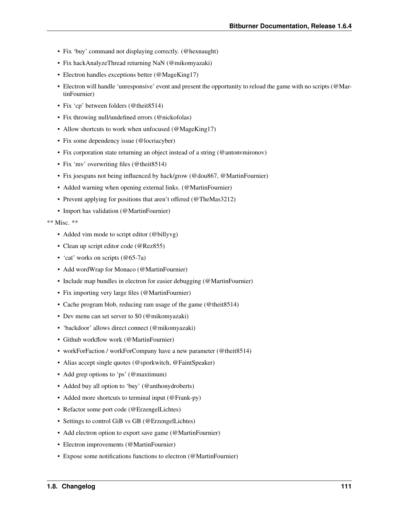- Fix 'buy' command not displaying correctly. (@hexnaught)
- Fix hackAnalyzeThread returning NaN (@mikomyazaki)
- Electron handles exceptions better (@MageKing17)
- Electron will handle 'unresponsive' event and present the opportunity to reload the game with no scripts (@MartinFournier)
- Fix 'cp' between folders (@theit8514)
- Fix throwing null/undefined errors (@nickofolas)
- Allow shortcuts to work when unfocused (@MageKing17)
- Fix some dependency issue (@locriacyber)
- Fix corporation state returning an object instead of a string (@antonvmironov)
- Fix 'mv' overwriting files (@theit8514)
- Fix joesguns not being influenced by hack/grow (@dou867, @MartinFournier)
- Added warning when opening external links. (@MartinFournier)
- Prevent applying for positions that aren't offered (@TheMas3212)
- Import has validation (@MartinFournier)

- Added vim mode to script editor (@billyvg)
- Clean up script editor code (@Rez855)
- 'cat' works on scripts (@65-7a)
- Add wordWrap for Monaco (@MartinFournier)
- Include map bundles in electron for easier debugging (@MartinFournier)
- Fix importing very large files (@MartinFournier)
- Cache program blob, reducing ram usage of the game (@theit8514)
- Dev menu can set server to \$0 (@mikomyazaki)
- 'backdoor' allows direct connect (@mikomyazaki)
- Github workflow work (@MartinFournier)
- workForFaction / workForCompany have a new parameter (@theit8514)
- Alias accept single quotes (@sporkwitch, @FaintSpeaker)
- Add grep options to 'ps' (@maxtimum)
- Added buy all option to 'buy' (@anthonydroberts)
- Added more shortcuts to terminal input (@Frank-py)
- Refactor some port code (@ErzengelLichtes)
- Settings to control GiB vs GB (@ErzengelLichtes)
- Add electron option to export save game (@MartinFournier)
- Electron improvements (@MartinFournier)
- Expose some notifications functions to electron (@MartinFournier)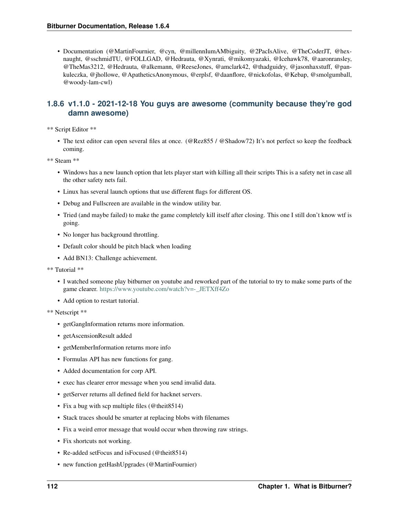• Documentation (@MartinFournier, @cyn, @millennIumAMbiguity, @2PacIsAlive, @TheCoderJT, @hexnaught, @sschmidTU, @FOLLGAD, @Hedrauta, @Xynrati, @mikomyazaki, @Icehawk78, @aaronransley, @TheMas3212, @Hedrauta, @alkemann, @ReeseJones, @amclark42, @thadguidry, @jasonhaxstuff, @pankuleczka, @jhollowe, @ApatheticsAnonymous, @erplsf, @daanflore, @nickofolas, @Kebap, @smolgumball, @woody-lam-cwl)

## **1.8.6 v1.1.0 - 2021-12-18 You guys are awesome (community because they're god damn awesome)**

\*\* Script Editor \*\*

• The text editor can open several files at once. (@Rez855 / @Shadow72) It's not perfect so keep the feedback coming.

\*\* Steam \*\*

- Windows has a new launch option that lets player start with killing all their scripts This is a safety net in case all the other safety nets fail.
- Linux has several launch options that use different flags for different OS.
- Debug and Fullscreen are available in the window utility bar.
- Tried (and maybe failed) to make the game completely kill itself after closing. This one I still don't know wtf is going.
- No longer has background throttling.
- Default color should be pitch black when loading
- Add BN13: Challenge achievement.
- \*\* Tutorial \*\*
	- I watched someone play bitburner on youtube and reworked part of the tutorial to try to make some parts of the game clearer. [https://www.youtube.com/watch?v=-\\_JETXff4Zo](https://www.youtube.com/watch?v=-_JETXff4Zo)
	- Add option to restart tutorial.
- \*\* Netscript \*\*
	- getGangInformation returns more information.
	- getAscensionResult added
	- getMemberInformation returns more info
	- Formulas API has new functions for gang.
	- Added documentation for corp API.
	- exec has clearer error message when you send invalid data.
	- getServer returns all defined field for hacknet servers.
	- Fix a bug with scp multiple files (@theit8514)
	- Stack traces should be smarter at replacing blobs with filenames
	- Fix a weird error message that would occur when throwing raw strings.
	- Fix shortcuts not working.
	- Re-added setFocus and isFocused (@theit8514)
	- new function getHashUpgrades (@MartinFournier)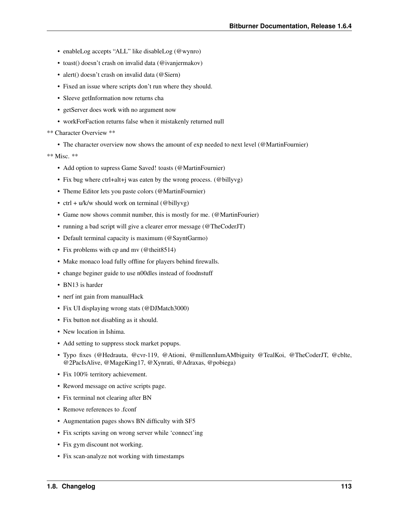- enableLog accepts "ALL" like disableLog (@wynro)
- toast() doesn't crash on invalid data (@ivanjermakov)
- alert() doesn't crash on invalid data (@Siern)
- Fixed an issue where scripts don't run where they should.
- Sleeve getInformation now returns cha
- getServer does work with no argument now
- workForFaction returns false when it mistakenly returned null

\*\* Character Overview \*\*

• The character overview now shows the amount of exp needed to next level (@MartinFournier)

- Add option to supress Game Saved! toasts (@MartinFournier)
- Fix bug where ctrl+alt+j was eaten by the wrong process. (@billyvg)
- Theme Editor lets you paste colors (@MartinFournier)
- ctrl +  $u/k/w$  should work on terminal (@billyvg)
- Game now shows commit number, this is mostly for me. (@MartinFourier)
- running a bad script will give a clearer error message (@TheCoderJT)
- Default terminal capacity is maximum (@SayntGarmo)
- Fix problems with cp and mv (@theit8514)
- Make monaco load fully offline for players behind firewalls.
- change beginer guide to use n00dles instead of foodnstuff
- BN13 is harder
- nerf int gain from manualHack
- Fix UI displaying wrong stats (@DJMatch3000)
- Fix button not disabling as it should.
- New location in Ishima.
- Add setting to suppress stock market popups.
- Typo fixes (@Hedrauta, @cvr-119, @Ationi, @millennIumAMbiguity @TealKoi, @TheCoderJT, @cblte, @2PacIsAlive, @MageKing17, @Xynrati, @Adraxas, @pobiega)
- Fix 100% territory achievement.
- Reword message on active scripts page.
- Fix terminal not clearing after BN
- Remove references to .fconf
- Augmentation pages shows BN difficulty with SF5
- Fix scripts saving on wrong server while 'connect'ing
- Fix gym discount not working.
- Fix scan-analyze not working with timestamps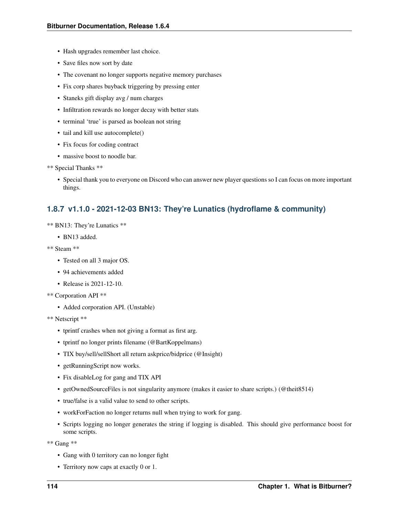- Hash upgrades remember last choice.
- Save files now sort by date
- The covenant no longer supports negative memory purchases
- Fix corp shares buyback triggering by pressing enter
- Staneks gift display avg / num charges
- Infiltration rewards no longer decay with better stats
- terminal 'true' is parsed as boolean not string
- tail and kill use autocomplete()
- Fix focus for coding contract
- massive boost to noodle bar.
- \*\* Special Thanks \*\*
	- Special thank you to everyone on Discord who can answer new player questions so I can focus on more important things.

### **1.8.7 v1.1.0 - 2021-12-03 BN13: They're Lunatics (hydroflame & community)**

- \*\* BN13: They're Lunatics \*\*
	- BN13 added.
- \*\* Steam \*\*
	- Tested on all 3 major OS.
	- 94 achievements added
	- Release is 2021-12-10.
- \*\* Corporation API \*\*
	- Added corporation API. (Unstable)
- \*\* Netscript \*\*
	- tprintf crashes when not giving a format as first arg.
	- tprintf no longer prints filename (@BartKoppelmans)
	- TIX buy/sell/sellShort all return askprice/bidprice (@Insight)
	- getRunningScript now works.
	- Fix disableLog for gang and TIX API
	- getOwnedSourceFiles is not singularity anymore (makes it easier to share scripts.) (@theit8514)
	- true/false is a valid value to send to other scripts.
	- workForFaction no longer returns null when trying to work for gang.
	- Scripts logging no longer generates the string if logging is disabled. This should give performance boost for some scripts.

\*\* Gang \*\*

- Gang with 0 territory can no longer fight
- Territory now caps at exactly 0 or 1.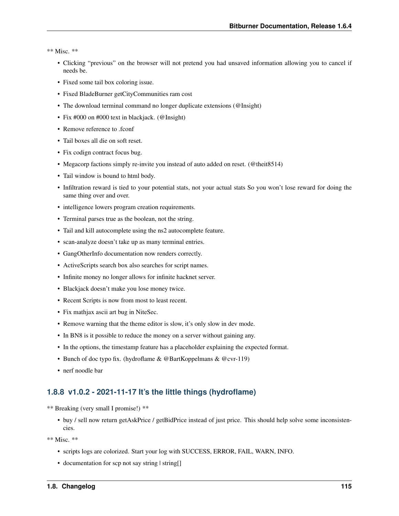\*\* Misc. \*\*

- Clicking "previous" on the browser will not pretend you had unsaved information allowing you to cancel if needs be.
- Fixed some tail box coloring issue.
- Fixed BladeBurner getCityCommunities ram cost
- The download terminal command no longer duplicate extensions (@Insight)
- Fix #000 on #000 text in blackjack. (@Insight)
- Remove reference to .fconf
- Tail boxes all die on soft reset.
- Fix codign contract focus bug.
- Megacorp factions simply re-invite you instead of auto added on reset. (@theit8514)
- Tail window is bound to html body.
- Infiltration reward is tied to your potential stats, not your actual stats So you won't lose reward for doing the same thing over and over.
- intelligence lowers program creation requirements.
- Terminal parses true as the boolean, not the string.
- Tail and kill autocomplete using the ns2 autocomplete feature.
- scan-analyze doesn't take up as many terminal entries.
- GangOtherInfo documentation now renders correctly.
- ActiveScripts search box also searches for script names.
- Infinite money no longer allows for infinite hacknet server.
- Blackjack doesn't make you lose money twice.
- Recent Scripts is now from most to least recent.
- Fix mathjax ascii art bug in NiteSec.
- Remove warning that the theme editor is slow, it's only slow in dev mode.
- In BN8 is it possible to reduce the money on a server without gaining any.
- In the options, the timestamp feature has a placeholder explaining the expected format.
- Bunch of doc typo fix. (hydroflame & @BartKoppelmans & @cvr-119)
- nerf noodle bar

### **1.8.8 v1.0.2 - 2021-11-17 It's the little things (hydroflame)**

\*\* Breaking (very small I promise!) \*\*

• buy / sell now return getAskPrice / getBidPrice instead of just price. This should help solve some inconsistencies.

- scripts logs are colorized. Start your log with SUCCESS, ERROR, FAIL, WARN, INFO.
- documentation for scp not say string | string []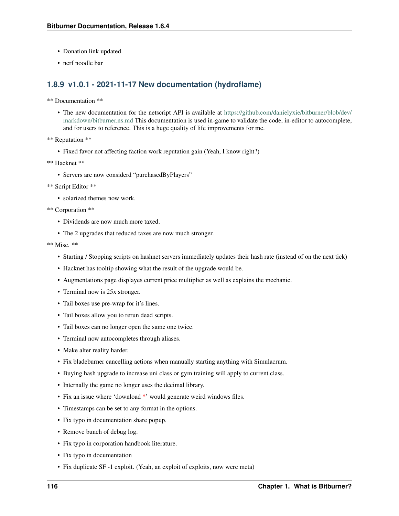- Donation link updated.
- nerf noodle bar

## **1.8.9 v1.0.1 - 2021-11-17 New documentation (hydroflame)**

```
** Documentation **
```
- The new documentation for the netscript API is available at [https://github.com/danielyxie/bitburner/blob/dev/](https://github.com/danielyxie/bitburner/blob/dev/markdown/bitburner.ns.md) [markdown/bitburner.ns.md](https://github.com/danielyxie/bitburner/blob/dev/markdown/bitburner.ns.md) This documentation is used in-game to validate the code, in-editor to autocomplete, and for users to reference. This is a huge quality of life improvements for me.
- \*\* Reputation \*\*
	- Fixed favor not affecting faction work reputation gain (Yeah, I know right?)
- \*\* Hacknet \*\*
	- Servers are now considerd "purchasedByPlayers"
- \*\* Script Editor \*\*
	- solarized themes now work.
- \*\* Corporation \*\*
	- Dividends are now much more taxed.
	- The 2 upgrades that reduced taxes are now much stronger.

- Starting / Stopping scripts on hashnet servers immediately updates their hash rate (instead of on the next tick)
- Hacknet has tooltip showing what the result of the upgrade would be.
- Augmentations page displayes current price multiplier as well as explains the mechanic.
- Terminal now is 25x stronger.
- Tail boxes use pre-wrap for it's lines.
- Tail boxes allow you to rerun dead scripts.
- Tail boxes can no longer open the same one twice.
- Terminal now autocompletes through aliases.
- Make alter reality harder.
- Fix bladeburner cancelling actions when manually starting anything with Simulacrum.
- Buying hash upgrade to increase uni class or gym training will apply to current class.
- Internally the game no longer uses the decimal library.
- Fix an issue where 'download \*' would generate weird windows files.
- Timestamps can be set to any format in the options.
- Fix typo in documentation share popup.
- Remove bunch of debug log.
- Fix typo in corporation handbook literature.
- Fix typo in documentation
- Fix duplicate SF -1 exploit. (Yeah, an exploit of exploits, now were meta)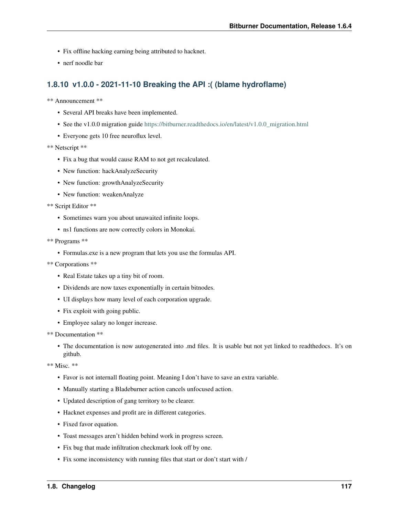- Fix offline hacking earning being attributed to hacknet.
- nerf noodle bar

### **1.8.10 v1.0.0 - 2021-11-10 Breaking the API :( (blame hydroflame)**

\*\* Announcement \*\*

- Several API breaks have been implemented.
- See the v1.0.0 migration guide [https://bitburner.readthedocs.io/en/latest/v1.0.0\\_migration.html](https://bitburner.readthedocs.io/en/latest/v1.0.0_migration.html)
- Everyone gets 10 free neuroflux level.

#### \*\* Netscript \*\*

- Fix a bug that would cause RAM to not get recalculated.
- New function: hackAnalyzeSecurity
- New function: growthAnalyzeSecurity
- New function: weakenAnalyze

\*\* Script Editor \*\*

- Sometimes warn you about unawaited infinite loops.
- ns1 functions are now correctly colors in Monokai.
- \*\* Programs \*\*
	- Formulas.exe is a new program that lets you use the formulas API.
- \*\* Corporations \*\*
	- Real Estate takes up a tiny bit of room.
	- Dividends are now taxes exponentially in certain bitnodes.
	- UI displays how many level of each corporation upgrade.
	- Fix exploit with going public.
	- Employee salary no longer increase.

```
** Documentation **
```
• The documentation is now autogenerated into .md files. It is usable but not yet linked to readthedocs. It's on github.

- Favor is not internall floating point. Meaning I don't have to save an extra variable.
- Manually starting a Bladeburner action cancels unfocused action.
- Updated description of gang territory to be clearer.
- Hacknet expenses and profit are in different categories.
- Fixed favor equation.
- Toast messages aren't hidden behind work in progress screen.
- Fix bug that made infiltration checkmark look off by one.
- Fix some inconsistency with running files that start or don't start with /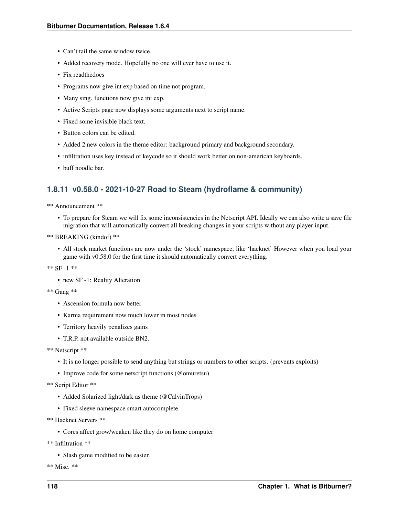- Can't tail the same window twice.
- Added recovery mode. Hopefully no one will ever have to use it.
- Fix readthedocs
- Programs now give int exp based on time not program.
- Many sing. functions now give int exp.
- Active Scripts page now displays some arguments next to script name.
- Fixed some invisible black text.
- Button colors can be edited.
- Added 2 new colors in the theme editor: background primary and background secondary.
- infiltration uses key instead of keycode so it should work better on non-american keyboards.
- buff noodle bar.

## **1.8.11 v0.58.0 - 2021-10-27 Road to Steam (hydroflame & community)**

- \*\* Announcement \*\*
	- To prepare for Steam we will fix some inconsistencies in the Netscript API. Ideally we can also write a save file migration that will automatically convert all breaking changes in your scripts without any player input.
- \*\* BREAKING (kindof) \*\*
	- All stock market functions are now under the 'stock' namespace, like 'hacknet' However when you load your game with v0.58.0 for the first time it should automatically convert everything.
- \*\* SF -1 \*\*
	- new SF -1: Reality Alteration
- \*\* Gang \*\*
	- Ascension formula now better
	- Karma requirement now much lower in most nodes
	- Territory heavily penalizes gains
	- T.R.P. not available outside BN2.
- \*\* Netscript \*\*
	- It is no longer possible to send anything but strings or numbers to other scripts. (prevents exploits)
	- Improve code for some netscript functions (@omuretsu)
- \*\* Script Editor \*\*
	- Added Solarized light/dark as theme (@CalvinTrops)
	- Fixed sleeve namespace smart autocomplete.
- \*\* Hacknet Servers \*\*
	- Cores affect grow/weaken like they do on home computer
- \*\* Infiltration \*\*
	- Slash game modified to be easier.
- \*\* Misc. \*\*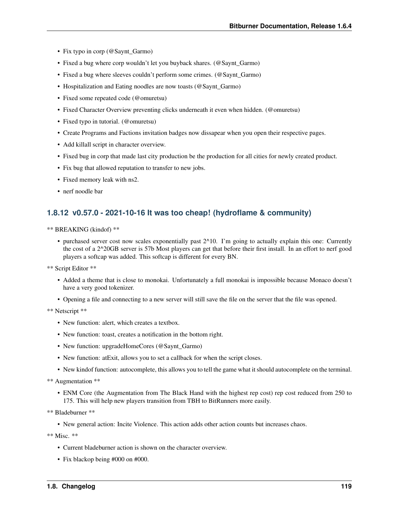- Fix typo in corp (@Saynt\_Garmo)
- Fixed a bug where corp wouldn't let you buyback shares. (@Saynt\_Garmo)
- Fixed a bug where sleeves couldn't perform some crimes. (@Saynt\_Garmo)
- Hospitalization and Eating noodles are now toasts (@Saynt\_Garmo)
- Fixed some repeated code (@omuretsu)
- Fixed Character Overview preventing clicks underneath it even when hidden. (@omuretsu)
- Fixed typo in tutorial. (@omuretsu)
- Create Programs and Factions invitation badges now dissapear when you open their respective pages.
- Add killall script in character overview.
- Fixed bug in corp that made last city production be the production for all cities for newly created product.
- Fix bug that allowed reputation to transfer to new jobs.
- Fixed memory leak with ns2.
- nerf noodle bar

### **1.8.12 v0.57.0 - 2021-10-16 It was too cheap! (hydroflame & community)**

\*\* BREAKING (kindof) \*\*

• purchased server cost now scales exponentially past 2^10. I'm going to actually explain this one: Currently the cost of a 2^20GB server is 57b Most players can get that before their first install. In an effort to nerf good players a softcap was added. This softcap is different for every BN.

\*\* Script Editor \*\*

- Added a theme that is close to monokai. Unfortunately a full monokai is impossible because Monaco doesn't have a very good tokenizer.
- Opening a file and connecting to a new server will still save the file on the server that the file was opened.

\*\* Netscript \*\*

- New function: alert, which creates a textbox.
- New function: toast, creates a notification in the bottom right.
- New function: upgradeHomeCores (@Saynt\_Garmo)
- New function: atExit, allows you to set a callback for when the script closes.
- New kindof function: autocomplete, this allows you to tell the game what it should autocomplete on the terminal.

\*\* Augmentation \*\*

• ENM Core (the Augmentation from The Black Hand with the highest rep cost) rep cost reduced from 250 to 175. This will help new players transition from TBH to BitRunners more easily.

\*\* Bladeburner \*\*

• New general action: Incite Violence. This action adds other action counts but increases chaos.

- Current bladeburner action is shown on the character overview.
- Fix blackop being #000 on #000.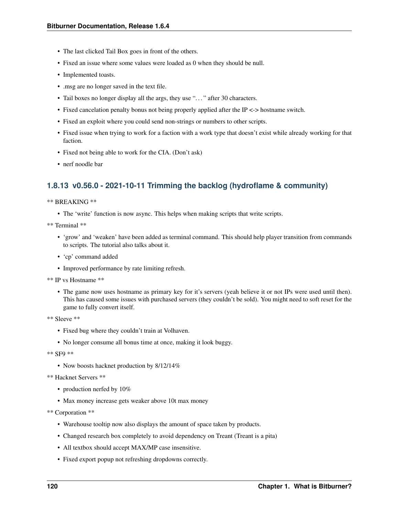- The last clicked Tail Box goes in front of the others.
- Fixed an issue where some values were loaded as 0 when they should be null.
- Implemented toasts.
- .msg are no longer saved in the text file.
- Tail boxes no longer display all the args, they use "..." after 30 characters.
- Fixed cancelation penalty bonus not being properly applied after the IP <-> hostname switch.
- Fixed an exploit where you could send non-strings or numbers to other scripts.
- Fixed issue when trying to work for a faction with a work type that doesn't exist while already working for that faction.
- Fixed not being able to work for the CIA. (Don't ask)
- nerf noodle bar

### **1.8.13 v0.56.0 - 2021-10-11 Trimming the backlog (hydroflame & community)**

#### \*\* BREAKING \*\*

• The 'write' function is now async. This helps when making scripts that write scripts.

\*\* Terminal \*\*

- 'grow' and 'weaken' have been added as terminal command. This should help player transition from commands to scripts. The tutorial also talks about it.
- 'cp' command added
- Improved performance by rate limiting refresh.

```
** IP vs Hostname **
```
• The game now uses hostname as primary key for it's servers (yeah believe it or not IPs were used until then). This has caused some issues with purchased servers (they couldn't be sold). You might need to soft reset for the game to fully convert itself.

```
** Sleeve **
```
- Fixed bug where they couldn't train at Volhaven.
- No longer consume all bonus time at once, making it look buggy.

\*\* SF9 \*\*

- Now boosts hacknet production by 8/12/14%
- \*\* Hacknet Servers \*\*
	- production nerfed by 10%
	- Max money increase gets weaker above 10t max money

\*\* Corporation \*\*

- Warehouse tooltip now also displays the amount of space taken by products.
- Changed research box completely to avoid dependency on Treant (Treant is a pita)
- All textbox should accept MAX/MP case insensitive.
- Fixed export popup not refreshing dropdowns correctly.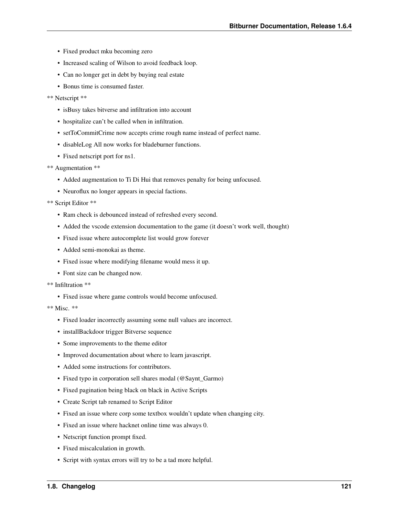- Fixed product mku becoming zero
- Increased scaling of Wilson to avoid feedback loop.
- Can no longer get in debt by buying real estate
- Bonus time is consumed faster.
- \*\* Netscript \*\*
	- isBusy takes bitverse and infiltration into account
	- hospitalize can't be called when in infiltration.
	- setToCommitCrime now accepts crime rough name instead of perfect name.
	- disableLog All now works for bladeburner functions.
	- Fixed netscript port for ns1.

```
** Augmentation **
```
- Added augmentation to Ti Di Hui that removes penalty for being unfocused.
- Neuroflux no longer appears in special factions.

\*\* Script Editor \*\*

- Ram check is debounced instead of refreshed every second.
- Added the vscode extension documentation to the game (it doesn't work well, thought)
- Fixed issue where autocomplete list would grow forever
- Added semi-monokai as theme.
- Fixed issue where modifying filename would mess it up.
- Font size can be changed now.
- \*\* Infiltration \*\*
	- Fixed issue where game controls would become unfocused.

- Fixed loader incorrectly assuming some null values are incorrect.
- installBackdoor trigger Bitverse sequence
- Some improvements to the theme editor
- Improved documentation about where to learn javascript.
- Added some instructions for contributors.
- Fixed typo in corporation sell shares modal (@Saynt\_Garmo)
- Fixed pagination being black on black in Active Scripts
- Create Script tab renamed to Script Editor
- Fixed an issue where corp some textbox wouldn't update when changing city.
- Fixed an issue where hacknet online time was always 0.
- Netscript function prompt fixed.
- Fixed miscalculation in growth.
- Script with syntax errors will try to be a tad more helpful.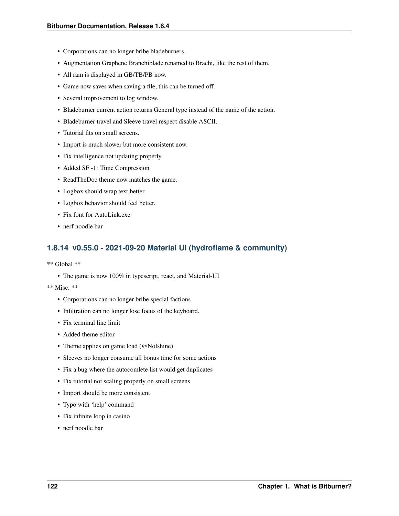- Corporations can no longer bribe bladeburners.
- Augmentation Graphene Branchiblade renamed to Brachi, like the rest of them.
- All ram is displayed in GB/TB/PB now.
- Game now saves when saving a file, this can be turned off.
- Several improvement to log window.
- Bladeburner current action returns General type instead of the name of the action.
- Bladeburner travel and Sleeve travel respect disable ASCII.
- Tutorial fits on small screens.
- Import is much slower but more consistent now.
- Fix intelligence not updating properly.
- Added SF -1: Time Compression
- ReadTheDoc theme now matches the game.
- Logbox should wrap text better
- Logbox behavior should feel better.
- Fix font for AutoLink.exe
- nerf noodle bar

### **1.8.14 v0.55.0 - 2021-09-20 Material UI (hydroflame & community)**

- \*\* Global \*\*
	- The game is now 100% in typescript, react, and Material-UI
- \*\* Misc. \*\*
	- Corporations can no longer bribe special factions
	- Infiltration can no longer lose focus of the keyboard.
	- Fix terminal line limit
	- Added theme editor
	- Theme applies on game load (@Nolshine)
	- Sleeves no longer consume all bonus time for some actions
	- Fix a bug where the autocomlete list would get duplicates
	- Fix tutorial not scaling properly on small screens
	- Import should be more consistent
	- Typo with 'help' command
	- Fix infinite loop in casino
	- nerf noodle bar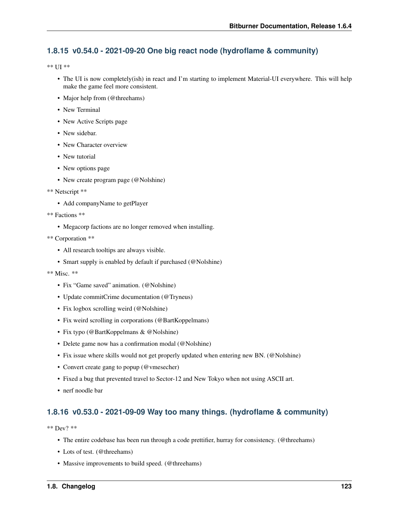## **1.8.15 v0.54.0 - 2021-09-20 One big react node (hydroflame & community)**

\*\* UI \*\*

- The UI is now completely(ish) in react and I'm starting to implement Material-UI everywhere. This will help make the game feel more consistent.
- Major help from (@threehams)
- New Terminal
- New Active Scripts page
- New sidebar.
- New Character overview
- New tutorial
- New options page
- New create program page (@Nolshine)
- \*\* Netscript \*\*
	- Add companyName to getPlayer
- \*\* Factions \*\*
	- Megacorp factions are no longer removed when installing.
- \*\* Corporation \*\*
	- All research tooltips are always visible.
	- Smart supply is enabled by default if purchased (@Nolshine)
- \*\* Misc. \*\*
	- Fix "Game saved" animation. (@Nolshine)
	- Update commitCrime documentation (@Tryneus)
	- Fix logbox scrolling weird (@Nolshine)
	- Fix weird scrolling in corporations (@BartKoppelmans)
	- Fix typo (@BartKoppelmans & @Nolshine)
	- Delete game now has a confirmation modal (@Nolshine)
	- Fix issue where skills would not get properly updated when entering new BN. (@Nolshine)
	- Convert create gang to popup (@vmesecher)
	- Fixed a bug that prevented travel to Sector-12 and New Tokyo when not using ASCII art.
	- nerf noodle bar

## **1.8.16 v0.53.0 - 2021-09-09 Way too many things. (hydroflame & community)**

\*\* Dev? \*\*

- The entire codebase has been run through a code prettifier, hurray for consistency. (@threehams)
- Lots of test. (@threehams)
- Massive improvements to build speed. (@threehams)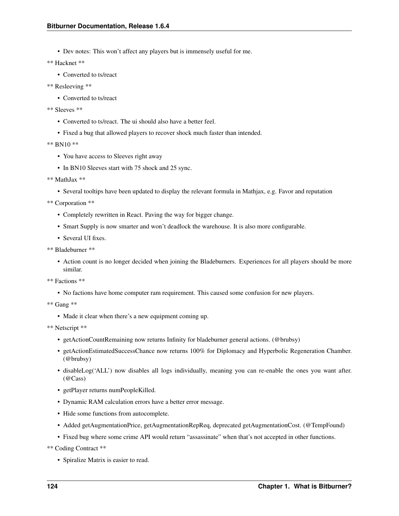• Dev notes: This won't affect any players but is immensely useful for me.

\*\* Hacknet \*\*

• Converted to ts/react

```
** Resleeving **
```
- Converted to ts/react
- \*\* Sleeves \*\*
	- Converted to ts/react. The ui should also have a better feel.
	- Fixed a bug that allowed players to recover shock much faster than intended.

\*\* BN10 \*\*

- You have access to Sleeves right away
- In BN10 Sleeves start with 75 shock and 25 sync.

```
** MathJax **
```
• Several tooltips have been updated to display the relevant formula in Mathjax, e.g. Favor and reputation

\*\* Corporation \*\*

- Completely rewritten in React. Paving the way for bigger change.
- Smart Supply is now smarter and won't deadlock the warehouse. It is also more configurable.
- Several UI fixes.

```
** Bladeburner **
```
• Action count is no longer decided when joining the Bladeburners. Experiences for all players should be more similar.

\*\* Factions \*\*

• No factions have home computer ram requirement. This caused some confusion for new players.

\*\* Gang \*\*

• Made it clear when there's a new equipment coming up.

\*\* Netscript \*\*

- getActionCountRemaining now returns Infinity for bladeburner general actions. (@brubsy)
- getActionEstimatedSuccessChance now returns 100% for Diplomacy and Hyperbolic Regeneration Chamber. (@brubsy)
- disableLog('ALL') now disables all logs individually, meaning you can re-enable the ones you want after. (@Cass)
- getPlayer returns numPeopleKilled.
- Dynamic RAM calculation errors have a better error message.
- Hide some functions from autocomplete.
- Added getAugmentationPrice, getAugmentationRepReq, deprecated getAugmentationCost. (@TempFound)
- Fixed bug where some crime API would return "assassinate" when that's not accepted in other functions.

\*\* Coding Contract \*\*

• Spiralize Matrix is easier to read.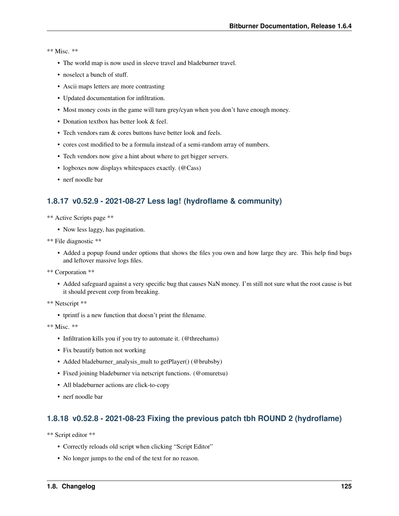#### \*\* Misc. \*\*

- The world map is now used in sleeve travel and bladeburner travel.
- noselect a bunch of stuff.
- Ascii maps letters are more contrasting
- Updated documentation for infiltration.
- Most money costs in the game will turn grey/cyan when you don't have enough money.
- Donation textbox has better look & feel.
- Tech vendors ram & cores buttons have better look and feels.
- cores cost modified to be a formula instead of a semi-random array of numbers.
- Tech vendors now give a hint about where to get bigger servers.
- logboxes now displays whitespaces exactly. (@Cass)
- nerf noodle bar

## **1.8.17 v0.52.9 - 2021-08-27 Less lag! (hydroflame & community)**

- \*\* Active Scripts page \*\*
	- Now less laggy, has pagination.
- \*\* File diagnostic \*\*
	- Added a popup found under options that shows the files you own and how large they are. This help find bugs and leftover massive logs files.
- \*\* Corporation \*\*
	- Added safeguard against a very specific bug that causes NaN money. I'm still not sure what the root cause is but it should prevent corp from breaking.
- \*\* Netscript \*\*
	- tprintf is a new function that doesn't print the filename.

\*\* Misc. \*\*

- Infiltration kills you if you try to automate it. (@threehams)
- Fix beautify button not working
- Added bladeburner\_analysis\_mult to getPlayer() (@brubsby)
- Fixed joining bladeburner via netscript functions. (@omuretsu)
- All bladeburner actions are click-to-copy
- nerf noodle bar

### **1.8.18 v0.52.8 - 2021-08-23 Fixing the previous patch tbh ROUND 2 (hydroflame)**

\*\* Script editor \*\*

- Correctly reloads old script when clicking "Script Editor"
- No longer jumps to the end of the text for no reason.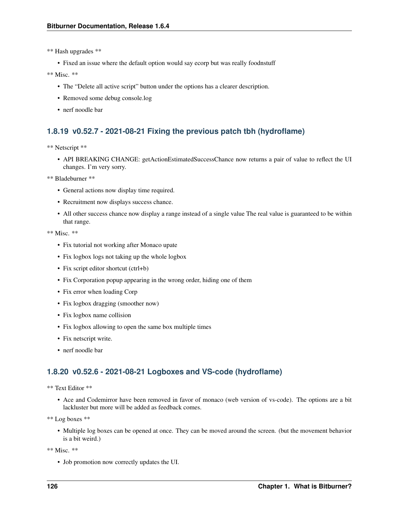\*\* Hash upgrades \*\*

• Fixed an issue where the default option would say ecorp but was really foodnstuff

\*\* Misc. \*\*

- The "Delete all active script" button under the options has a clearer description.
- Removed some debug console.log
- nerf noodle bar

## **1.8.19 v0.52.7 - 2021-08-21 Fixing the previous patch tbh (hydroflame)**

\*\* Netscript \*\*

• API BREAKING CHANGE: getActionEstimatedSuccessChance now returns a pair of value to reflect the UI changes. I'm very sorry.

\*\* Bladeburner \*\*

- General actions now display time required.
- Recruitment now displays success chance.
- All other success chance now display a range instead of a single value The real value is guaranteed to be within that range.

\*\* Misc. \*\*

- Fix tutorial not working after Monaco upate
- Fix logbox logs not taking up the whole logbox
- Fix script editor shortcut (ctrl+b)
- Fix Corporation popup appearing in the wrong order, hiding one of them
- Fix error when loading Corp
- Fix logbox dragging (smoother now)
- Fix logbox name collision
- Fix logbox allowing to open the same box multiple times
- Fix netscript write.
- nerf noodle bar

### **1.8.20 v0.52.6 - 2021-08-21 Logboxes and VS-code (hydroflame)**

\*\* Text Editor \*\*

• Ace and Codemirror have been removed in favor of monaco (web version of vs-code). The options are a bit lackluster but more will be added as feedback comes.

\*\* Log boxes \*\*

• Multiple log boxes can be opened at once. They can be moved around the screen. (but the movement behavior is a bit weird.)

\*\* Misc. \*\*

• Job promotion now correctly updates the UI.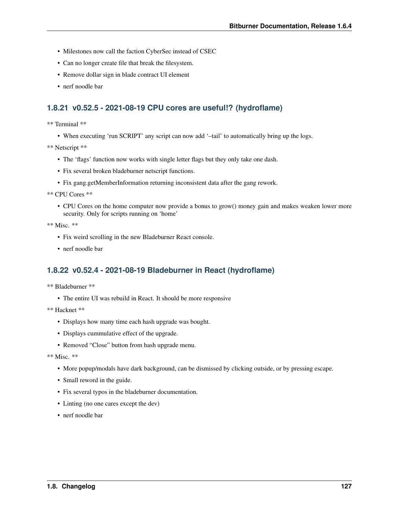- Milestones now call the faction CyberSec instead of CSEC
- Can no longer create file that break the filesystem.
- Remove dollar sign in blade contract UI element
- nerf noodle bar

### **1.8.21 v0.52.5 - 2021-08-19 CPU cores are useful!? (hydroflame)**

\*\* Terminal \*\*

• When executing 'run SCRIPT' any script can now add '–tail' to automatically bring up the logs.

\*\* Netscript \*\*

- The 'flags' function now works with single letter flags but they only take one dash.
- Fix several broken bladeburner netscript functions.
- Fix gang.getMemberInformation returning inconsistent data after the gang rework.

\*\* CPU Cores \*\*

• CPU Cores on the home computer now provide a bonus to grow() money gain and makes weaken lower more security. Only for scripts running on 'home'

\*\* Misc. \*\*

- Fix weird scrolling in the new Bladeburner React console.
- nerf noodle bar

### **1.8.22 v0.52.4 - 2021-08-19 Bladeburner in React (hydroflame)**

\*\* Bladeburner \*\*

• The entire UI was rebuild in React. It should be more responsive

\*\* Hacknet \*\*

- Displays how many time each hash upgrade was bought.
- Displays cummulative effect of the upgrade.
- Removed "Close" button from hash upgrade menu.

- More popup/modals have dark background, can be dismissed by clicking outside, or by pressing escape.
- Small reword in the guide.
- Fix several typos in the bladeburner documentation.
- Linting (no one cares except the dev)
- nerf noodle bar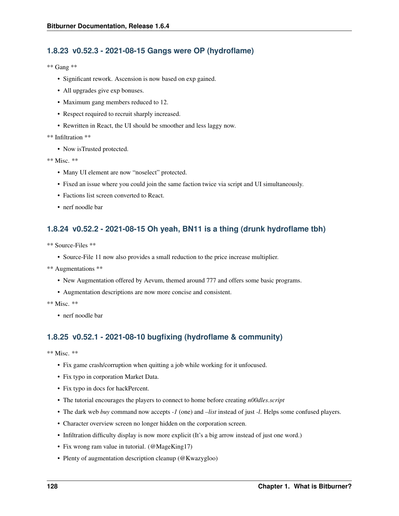## **1.8.23 v0.52.3 - 2021-08-15 Gangs were OP (hydroflame)**

\*\* Gang \*\*

- Significant rework. Ascension is now based on exp gained.
- All upgrades give exp bonuses.
- Maximum gang members reduced to 12.
- Respect required to recruit sharply increased.
- Rewritten in React, the UI should be smoother and less laggy now.

#### \*\* Infiltration \*\*

• Now isTrusted protected.

\*\* Misc. \*\*

- Many UI element are now "noselect" protected.
- Fixed an issue where you could join the same faction twice via script and UI simultaneously.
- Factions list screen converted to React.
- nerf noodle bar

## **1.8.24 v0.52.2 - 2021-08-15 Oh yeah, BN11 is a thing (drunk hydroflame tbh)**

- \*\* Source-Files \*\*
	- Source-File 11 now also provides a small reduction to the price increase multiplier.
- \*\* Augmentations \*\*
	- New Augmentation offered by Aevum, themed around 777 and offers some basic programs.
	- Augmentation descriptions are now more concise and consistent.

\*\* Misc. \*\*

• nerf noodle bar

## **1.8.25 v0.52.1 - 2021-08-10 bugfixing (hydroflame & community)**

- Fix game crash/corruption when quitting a job while working for it unfocused.
- Fix typo in corporation Market Data.
- Fix typo in docs for hackPercent.
- The tutorial encourages the players to connect to home before creating *n00dles.script*
- The dark web *buy* command now accepts *-1* (one) and *–list* instead of just *-l*. Helps some confused players.
- Character overview screen no longer hidden on the corporation screen.
- Infiltration difficulty display is now more explicit (It's a big arrow instead of just one word.)
- Fix wrong ram value in tutorial. (@MageKing17)
- Plenty of augmentation description cleanup (@Kwazygloo)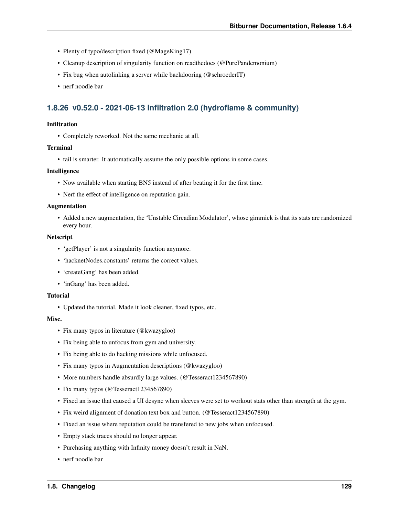- Plenty of typo/description fixed (@MageKing17)
- Cleanup description of singularity function on readthedocs (@PurePandemonium)
- Fix bug when autolinking a server while backdooring (@schroederIT)
- nerf noodle bar

### **1.8.26 v0.52.0 - 2021-06-13 Infiltration 2.0 (hydroflame & community)**

#### Infiltration

• Completely reworked. Not the same mechanic at all.

#### **Terminal**

• tail is smarter. It automatically assume the only possible options in some cases.

#### Intelligence

- Now available when starting BN5 instead of after beating it for the first time.
- Nerf the effect of intelligence on reputation gain.

#### Augmentation

• Added a new augmentation, the 'Unstable Circadian Modulator', whose gimmick is that its stats are randomized every hour.

#### Netscript

- 'getPlayer' is not a singularity function anymore.
- 'hacknetNodes.constants' returns the correct values.
- 'createGang' has been added.
- 'inGang' has been added.

#### **Tutorial**

• Updated the tutorial. Made it look cleaner, fixed typos, etc.

#### Misc.

- Fix many typos in literature (@kwazygloo)
- Fix being able to unfocus from gym and university.
- Fix being able to do hacking missions while unfocused.
- Fix many typos in Augmentation descriptions (@kwazygloo)
- More numbers handle absurdly large values. (@Tesseract1234567890)
- Fix many typos (@Tesseract1234567890)
- Fixed an issue that caused a UI desync when sleeves were set to workout stats other than strength at the gym.
- Fix weird alignment of donation text box and button. (@Tesseract1234567890)
- Fixed an issue where reputation could be transfered to new jobs when unfocused.
- Empty stack traces should no longer appear.
- Purchasing anything with Infinity money doesn't result in NaN.
- nerf noodle bar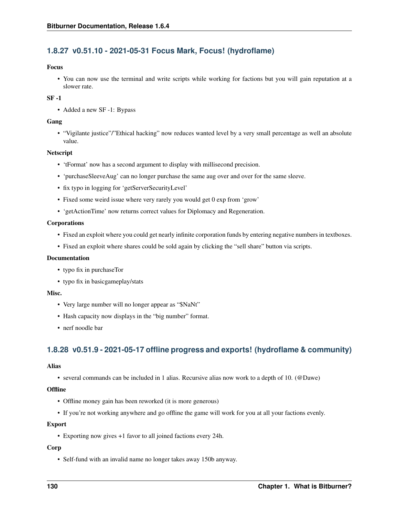## **1.8.27 v0.51.10 - 2021-05-31 Focus Mark, Focus! (hydroflame)**

#### Focus

• You can now use the terminal and write scripts while working for factions but you will gain reputation at a slower rate.

#### SF -1

• Added a new SF -1: Bypass

#### Gang

• "Vigilante justice"/"Ethical hacking" now reduces wanted level by a very small percentage as well an absolute value.

#### Netscript

- 'tFormat' now has a second argument to display with millisecond precision.
- 'purchaseSleeveAug' can no longer purchase the same aug over and over for the same sleeve.
- fix typo in logging for 'getServerSecurityLevel'
- Fixed some weird issue where very rarely you would get 0 exp from 'grow'
- 'getActionTime' now returns correct values for Diplomacy and Regeneration.

#### Corporations

- Fixed an exploit where you could get nearly infinite corporation funds by entering negative numbers in textboxes.
- Fixed an exploit where shares could be sold again by clicking the "sell share" button via scripts.

#### Documentation

- typo fix in purchaseTor
- typo fix in basicgameplay/stats

#### Misc.

- Very large number will no longer appear as "\$NaNt"
- Hash capacity now displays in the "big number" format.
- nerf noodle bar

## **1.8.28 v0.51.9 - 2021-05-17 offline progress and exports! (hydroflame & community)**

#### Alias

• several commands can be included in 1 alias. Recursive alias now work to a depth of 10. (@Dawe)

#### **Offline**

- Offline money gain has been reworked (it is more generous)
- If you're not working anywhere and go offline the game will work for you at all your factions evenly.

#### Export

• Exporting now gives +1 favor to all joined factions every 24h.

#### Corp

• Self-fund with an invalid name no longer takes away 150b anyway.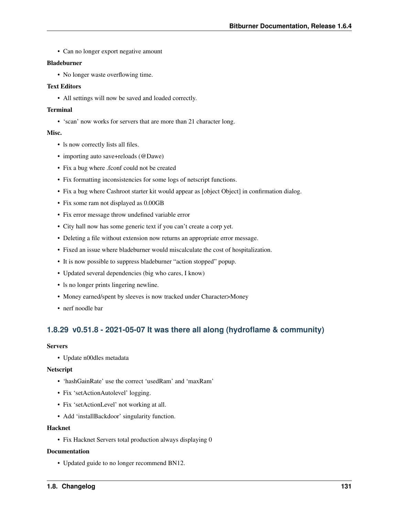• Can no longer export negative amount

#### Bladeburner

• No longer waste overflowing time.

#### Text Editors

• All settings will now be saved and loaded correctly.

#### Terminal

• 'scan' now works for servers that are more than 21 character long.

#### Misc.

- ls now correctly lists all files.
- importing auto save+reloads (@Dawe)
- Fix a bug where .fconf could not be created
- Fix formatting inconsistencies for some logs of netscript functions.
- Fix a bug where Cashroot starter kit would appear as [object Object] in confirmation dialog.
- Fix some ram not displayed as 0.00GB
- Fix error message throw undefined variable error
- City hall now has some generic text if you can't create a corp yet.
- Deleting a file without extension now returns an appropriate error message.
- Fixed an issue where bladeburner would miscalculate the cost of hospitalization.
- It is now possible to suppress bladeburner "action stopped" popup.
- Updated several dependencies (big who cares, I know)
- ls no longer prints lingering newline.
- Money earned/spent by sleeves is now tracked under Character>Money
- nerf noodle bar

## **1.8.29 v0.51.8 - 2021-05-07 It was there all along (hydroflame & community)**

#### **Servers**

• Update n00dles metadata

#### Netscript

- 'hashGainRate' use the correct 'usedRam' and 'maxRam'
- Fix 'setActionAutolevel' logging.
- Fix 'setActionLevel' not working at all.
- Add 'installBackdoor' singularity function.

#### Hacknet

• Fix Hacknet Servers total production always displaying 0

#### Documentation

• Updated guide to no longer recommend BN12.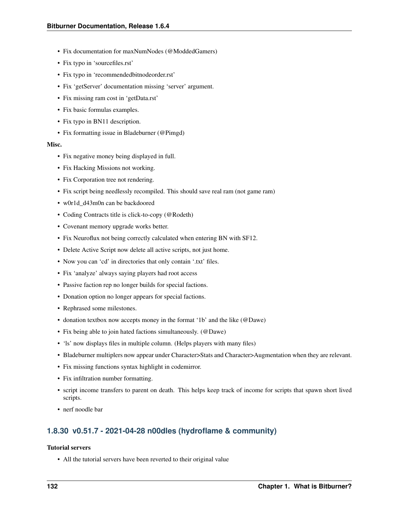- Fix documentation for maxNumNodes (@ModdedGamers)
- Fix typo in 'sourcefiles.rst'
- Fix typo in 'recommendedbitnodeorder.rst'
- Fix 'getServer' documentation missing 'server' argument.
- Fix missing ram cost in 'getData.rst'
- Fix basic formulas examples.
- Fix typo in BN11 description.
- Fix formatting issue in Bladeburner (@Pimgd)

#### Misc.

- Fix negative money being displayed in full.
- Fix Hacking Missions not working.
- Fix Corporation tree not rendering.
- Fix script being needlessly recompiled. This should save real ram (not game ram)
- w0r1d\_d43m0n can be backdoored
- Coding Contracts title is click-to-copy (@Rodeth)
- Covenant memory upgrade works better.
- Fix Neuroflux not being correctly calculated when entering BN with SF12.
- Delete Active Script now delete all active scripts, not just home.
- Now you can 'cd' in directories that only contain '.txt' files.
- Fix 'analyze' always saying players had root access
- Passive faction rep no longer builds for special factions.
- Donation option no longer appears for special factions.
- Rephrased some milestones.
- donation textbox now accepts money in the format '1b' and the like (@Dawe)
- Fix being able to join hated factions simultaneously. (@Dawe)
- 'ls' now displays files in multiple column. (Helps players with many files)
- Bladeburner multiplers now appear under Character>Stats and Character>Augmentation when they are relevant.
- Fix missing functions syntax highlight in codemirror.
- Fix infiltration number formatting.
- script income transfers to parent on death. This helps keep track of income for scripts that spawn short lived scripts.
- nerf noodle bar

### **1.8.30 v0.51.7 - 2021-04-28 n00dles (hydroflame & community)**

#### Tutorial servers

• All the tutorial servers have been reverted to their original value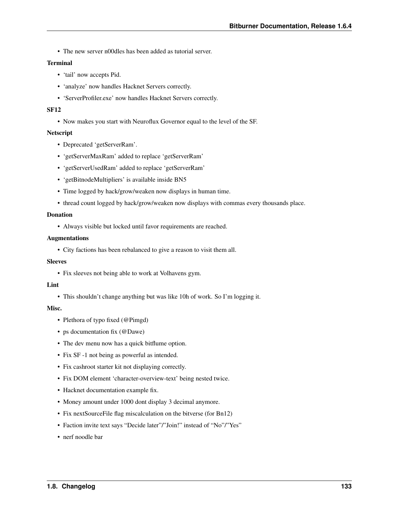• The new server n00dles has been added as tutorial server.

#### Terminal

- 'tail' now accepts Pid.
- 'analyze' now handles Hacknet Servers correctly.
- 'ServerProfiler.exe' now handles Hacknet Servers correctly.

#### SF12

• Now makes you start with Neuroflux Governor equal to the level of the SF.

#### Netscript

- Deprecated 'getServerRam'.
- 'getServerMaxRam' added to replace 'getServerRam'
- 'getServerUsedRam' added to replace 'getServerRam'
- 'getBitnodeMultipliers' is available inside BN5
- Time logged by hack/grow/weaken now displays in human time.
- thread count logged by hack/grow/weaken now displays with commas every thousands place.

#### Donation

• Always visible but locked until favor requirements are reached.

#### Augmentations

• City factions has been rebalanced to give a reason to visit them all.

#### **Sleeves**

• Fix sleeves not being able to work at Volhavens gym.

#### Lint

• This shouldn't change anything but was like 10h of work. So I'm logging it.

#### Misc.

- Plethora of typo fixed (@Pimgd)
- ps documentation fix (@Dawe)
- The dev menu now has a quick bitflume option.
- Fix SF -1 not being as powerful as intended.
- Fix cashroot starter kit not displaying correctly.
- Fix DOM element 'character-overview-text' being nested twice.
- Hacknet documentation example fix.
- Money amount under 1000 dont display 3 decimal anymore.
- Fix nextSourceFile flag miscalculation on the bitverse (for Bn12)
- Faction invite text says "Decide later"/"Join!" instead of "No"/"Yes"
- nerf noodle bar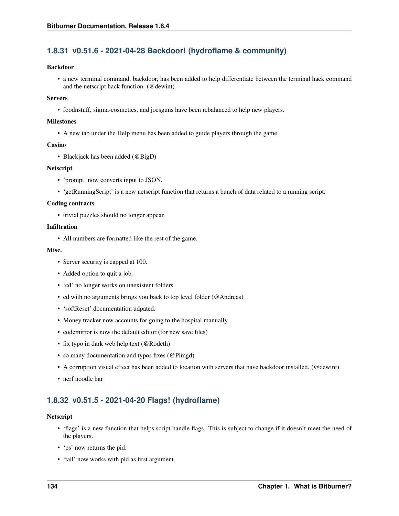## **1.8.31 v0.51.6 - 2021-04-28 Backdoor! (hydroflame & community)**

#### Backdoor

• a new terminal command, backdoor, has been added to help differentiate between the terminal hack command and the netscript hack function. (@dewint)

#### **Servers**

• foodnstuff, sigma-cosmetics, and joesguns have been rebalanced to help new players.

#### Milestones

• A new tab under the Help menu has been added to guide players through the game.

#### Casino

• Blackjack has been added (@BigD)

#### Netscript

- 'prompt' now converts input to JSON.
- 'getRunningScript' is a new netscript function that returns a bunch of data related to a running script.

#### Coding contracts

• trivial puzzles should no longer appear.

#### Infiltration

• All numbers are formatted like the rest of the game.

#### Misc.

- Server security is capped at 100.
- Added option to quit a job.
- 'cd' no longer works on unexistent folders.
- cd with no arguments brings you back to top level folder (@Andreas)
- 'softReset' documentation udpated.
- Money tracker now accounts for going to the hospital manually.
- codemirror is now the default editor (for new save files)
- fix typo in dark web help text (@Rodeth)
- so many documentation and typos fixes (@Pimgd)
- A corruption visual effect has been added to location with servers that have backdoor installed. (@dewint)
- nerf noodle bar

## **1.8.32 v0.51.5 - 2021-04-20 Flags! (hydroflame)**

#### Netscript

- 'flags' is a new function that helps script handle flags. This is subject to change if it doesn't meet the need of the players.
- 'ps' now returns the pid.
- 'tail' now works with pid as first argument.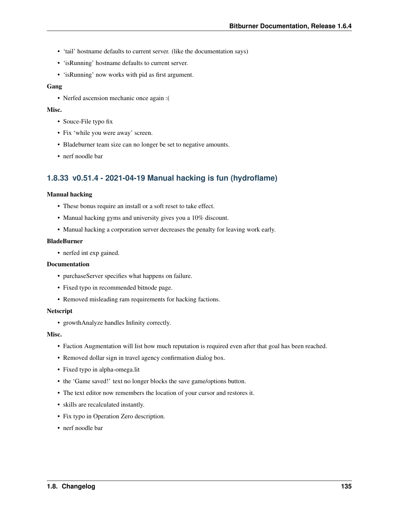- 'tail' hostname defaults to current server. (like the documentation says)
- 'isRunning' hostname defaults to current server.
- 'isRunning' now works with pid as first argument.

### Gang

• Nerfed ascension mechanic once again :(

#### Misc.

- Souce-File typo fix
- Fix 'while you were away' screen.
- Bladeburner team size can no longer be set to negative amounts.
- nerf noodle bar

## **1.8.33 v0.51.4 - 2021-04-19 Manual hacking is fun (hydroflame)**

#### Manual hacking

- These bonus require an install or a soft reset to take effect.
- Manual hacking gyms and university gives you a 10% discount.
- Manual hacking a corporation server decreases the penalty for leaving work early.

### BladeBurner

• nerfed int exp gained.

### Documentation

- purchaseServer specifies what happens on failure.
- Fixed typo in recommended bitnode page.
- Removed misleading ram requirements for hacking factions.

#### Netscript

• growthAnalyze handles Infinity correctly.

### Misc.

- Faction Augmentation will list how much reputation is required even after that goal has been reached.
- Removed dollar sign in travel agency confirmation dialog box.
- Fixed typo in alpha-omega.lit
- the 'Game saved!' text no longer blocks the save game/options button.
- The text editor now remembers the location of your cursor and restores it.
- skills are recalculated instantly.
- Fix typo in Operation Zero description.
- nerf noodle bar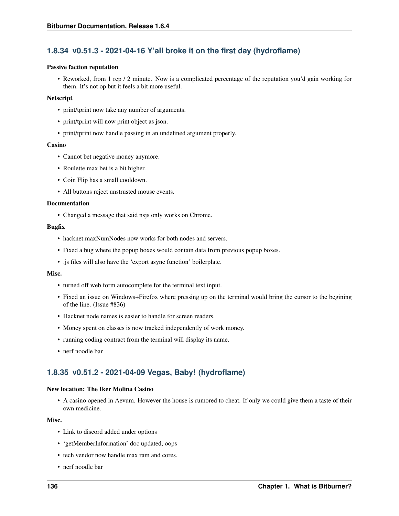# **1.8.34 v0.51.3 - 2021-04-16 Y'all broke it on the first day (hydroflame)**

### Passive faction reputation

• Reworked, from 1 rep / 2 minute. Now is a complicated percentage of the reputation you'd gain working for them. It's not op but it feels a bit more useful.

### Netscript

- print/tprint now take any number of arguments.
- print/tprint will now print object as json.
- print/tprint now handle passing in an undefined argument properly.

### Casino

- Cannot bet negative money anymore.
- Roulette max bet is a bit higher.
- Coin Flip has a small cooldown.
- All buttons reject unstrusted mouse events.

### Documentation

• Changed a message that said nsjs only works on Chrome.

### Bugfix

- hacknet.maxNumNodes now works for both nodes and servers.
- Fixed a bug where the popup boxes would contain data from previous popup boxes.
- .js files will also have the 'export async function' boilerplate.

### Misc.

- turned off web form autocomplete for the terminal text input.
- Fixed an issue on Windows+Firefox where pressing up on the terminal would bring the cursor to the begining of the line. (Issue #836)
- Hacknet node names is easier to handle for screen readers.
- Money spent on classes is now tracked independently of work money.
- running coding contract from the terminal will display its name.
- nerf noodle bar

# **1.8.35 v0.51.2 - 2021-04-09 Vegas, Baby! (hydroflame)**

### New location: The Iker Molina Casino

• A casino opened in Aevum. However the house is rumored to cheat. If only we could give them a taste of their own medicine.

### Misc.

- Link to discord added under options
- 'getMemberInformation' doc updated, oops
- tech vendor now handle max ram and cores.
- nerf noodle bar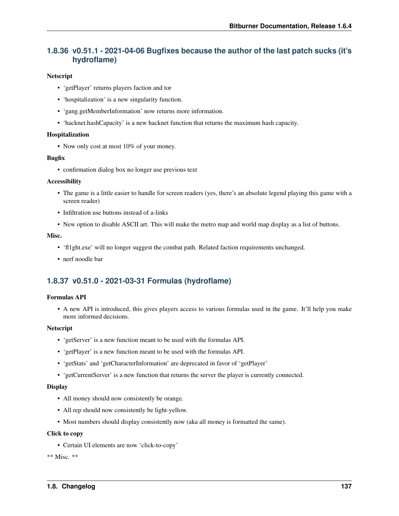# **1.8.36 v0.51.1 - 2021-04-06 Bugfixes because the author of the last patch sucks (it's hydroflame)**

### **Netscript**

- 'getPlayer' returns players faction and tor
- 'hospitalization' is a new singularity function.
- 'gang.getMemberInformation' now returns more information.
- 'hacknet.hashCapacity' is a new hacknet function that returns the maximum hash capacity.

### Hospitalization

• Now only cost at most 10% of your money.

### Bugfix

• confirmation dialog box no longer use previous text

### Accessibility

- The game is a little easier to handle for screen readers (yes, there's an absolute legend playing this game with a screen reader)
- Infiltration use buttons instead of a-links
- New option to disable ASCII art. This will make the metro map and world map display as a list of buttons.

### Misc.

- 'fl1ght.exe' will no longer suggest the combat path. Related faction requirements unchanged.
- nerf noodle bar

# **1.8.37 v0.51.0 - 2021-03-31 Formulas (hydroflame)**

### Formulas API

• A new API is introduced, this gives players access to various formulas used in the game. It'll help you make more informed decisions.

### Netscript

- 'getServer' is a new function meant to be used with the formulas API.
- 'getPlayer' is a new function meant to be used with the formulas API.
- 'getStats' and 'getCharacterInformation' are deprecated in favor of 'getPlayer'
- 'getCurrentServer' is a new function that returns the server the player is currently connected.

### **Display**

- All money should now consistently be orange.
- All rep should now consistently be light-yellow.
- Most numbers should display consistently now (aka all money is formatted the same).

### Click to copy

• Certain UI elements are now 'click-to-copy'

\*\* Misc. \*\*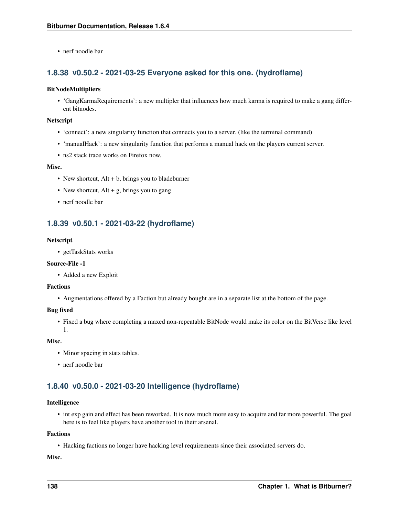• nerf noodle bar

# **1.8.38 v0.50.2 - 2021-03-25 Everyone asked for this one. (hydroflame)**

### BitNodeMultipliers

• 'GangKarmaRequirements': a new multipler that influences how much karma is required to make a gang different bitnodes.

### Netscript

- 'connect': a new singularity function that connects you to a server. (like the terminal command)
- 'manualHack': a new singularity function that performs a manual hack on the players current server.
- ns<sub>2</sub> stack trace works on Firefox now.

### Misc.

- New shortcut, Alt + b, brings you to bladeburner
- New shortcut,  $Alt + g$ , brings you to gang
- nerf noodle bar

## **1.8.39 v0.50.1 - 2021-03-22 (hydroflame)**

### Netscript

• getTaskStats works

### Source-File -1

• Added a new Exploit

### Factions

• Augmentations offered by a Faction but already bought are in a separate list at the bottom of the page.

### Bug fixed

• Fixed a bug where completing a maxed non-repeatable BitNode would make its color on the BitVerse like level 1.

### Misc.

- Minor spacing in stats tables.
- nerf noodle bar

# **1.8.40 v0.50.0 - 2021-03-20 Intelligence (hydroflame)**

### Intelligence

• int exp gain and effect has been reworked. It is now much more easy to acquire and far more powerful. The goal here is to feel like players have another tool in their arsenal.

### Factions

• Hacking factions no longer have hacking level requirements since their associated servers do.

Misc.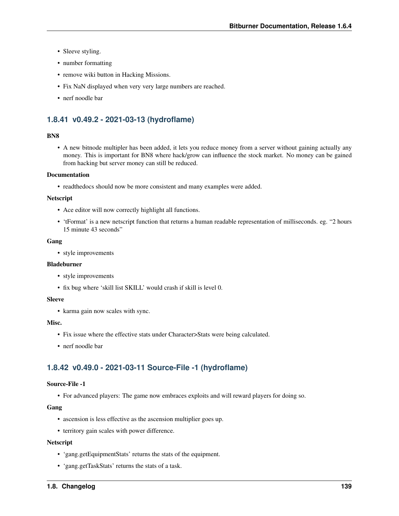- Sleeve styling.
- number formatting
- remove wiki button in Hacking Missions.
- Fix NaN displayed when very very large numbers are reached.
- nerf noodle bar

# **1.8.41 v0.49.2 - 2021-03-13 (hydroflame)**

### BN8

• A new bitnode multipler has been added, it lets you reduce money from a server without gaining actually any money. This is important for BN8 where hack/grow can influence the stock market. No money can be gained from hacking but server money can still be reduced.

### Documentation

• readthedocs should now be more consistent and many examples were added.

### **Netscript**

- Ace editor will now correctly highlight all functions.
- 'tFormat' is a new netscript function that returns a human readable representation of milliseconds. eg. "2 hours 15 minute 43 seconds"

### Gang

• style improvements

### Bladeburner

- style improvements
- fix bug where 'skill list SKILL' would crash if skill is level 0.

### **Sleeve**

• karma gain now scales with sync.

### Misc.

- Fix issue where the effective stats under Character>Stats were being calculated.
- nerf noodle bar

# **1.8.42 v0.49.0 - 2021-03-11 Source-File -1 (hydroflame)**

### Source-File -1

• For advanced players: The game now embraces exploits and will reward players for doing so.

### Gang

- ascension is less effective as the ascension multiplier goes up.
- territory gain scales with power difference.

### **Netscript**

- 'gang.getEquipmentStats' returns the stats of the equipment.
- 'gang.getTaskStats' returns the stats of a task.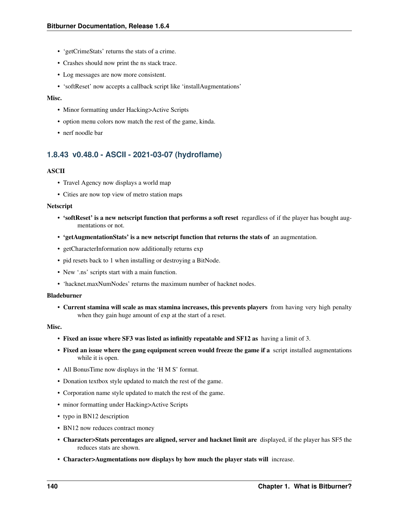- 'getCrimeStats' returns the stats of a crime.
- Crashes should now print the ns stack trace.
- Log messages are now more consistent.
- 'softReset' now accepts a callback script like 'installAugmentations'

#### Misc.

- Minor formatting under Hacking>Active Scripts
- option menu colors now match the rest of the game, kinda.
- nerf noodle bar

## **1.8.43 v0.48.0 - ASCII - 2021-03-07 (hydroflame)**

### ASCII

- Travel Agency now displays a world map
- Cities are now top view of metro station maps

#### Netscript

- 'softReset' is a new netscript function that performs a soft reset regardless of if the player has bought augmentations or not.
- 'getAugmentationStats' is a new netscript function that returns the stats of an augmentation.
- getCharacterInformation now additionally returns exp
- pid resets back to 1 when installing or destroying a BitNode.
- New '.ns' scripts start with a main function.
- 'hacknet.maxNumNodes' returns the maximum number of hacknet nodes.

#### Bladeburner

• Current stamina will scale as max stamina increases, this prevents players from having very high penalty when they gain huge amount of exp at the start of a reset.

#### Misc.

- Fixed an issue where SF3 was listed as infinitly repeatable and SF12 as having a limit of 3.
- Fixed an issue where the gang equipment screen would freeze the game if a script installed augmentations while it is open.
- All BonusTime now displays in the 'H M S' format.
- Donation textbox style updated to match the rest of the game.
- Corporation name style updated to match the rest of the game.
- minor formatting under Hacking>Active Scripts
- typo in BN12 description
- BN12 now reduces contract money
- Character>Stats percentages are aligned, server and hacknet limit are displayed, if the player has SF5 the reduces stats are shown.
- Character>Augmentations now displays by how much the player stats will increase.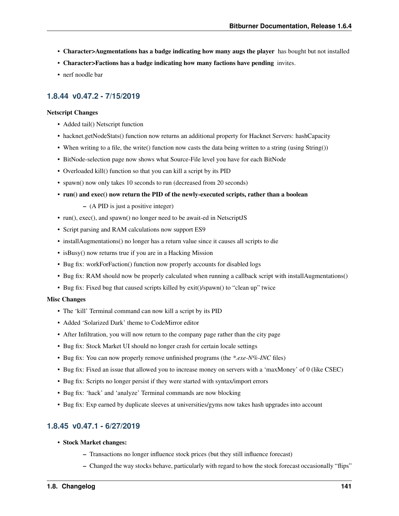- Character>Augmentations has a badge indicating how many augs the player has bought but not installed
- Character>Factions has a badge indicating how many factions have pending invites.
- nerf noodle bar

## **1.8.44 v0.47.2 - 7/15/2019**

### Netscript Changes

- Added tail() Netscript function
- hacknet.getNodeStats() function now returns an additional property for Hacknet Servers: hashCapacity
- When writing to a file, the write() function now casts the data being written to a string (using String())
- BitNode-selection page now shows what Source-File level you have for each BitNode
- Overloaded kill() function so that you can kill a script by its PID
- spawn() now only takes 10 seconds to run (decreased from 20 seconds)
- run() and exec() now return the PID of the newly-executed scripts, rather than a boolean
	- (A PID is just a positive integer)
- run(), exec(), and spawn() no longer need to be await-ed in NetscriptJS
- Script parsing and RAM calculations now support ES9
- installAugmentations() no longer has a return value since it causes all scripts to die
- isBusy() now returns true if you are in a Hacking Mission
- Bug fix: workForFaction() function now properly accounts for disabled logs
- Bug fix: RAM should now be properly calculated when running a callback script with installAugmentations()
- Bug fix: Fixed bug that caused scripts killed by exit()/spawn() to "clean up" twice

### Misc Changes

- The 'kill' Terminal command can now kill a script by its PID
- Added 'Solarized Dark' theme to CodeMirror editor
- After Infiltration, you will now return to the company page rather than the city page
- Bug fix: Stock Market UI should no longer crash for certain locale settings
- Bug fix: You can now properly remove unfinished programs (the *\*.exe-N%-INC* files)
- Bug fix: Fixed an issue that allowed you to increase money on servers with a 'maxMoney' of 0 (like CSEC)
- Bug fix: Scripts no longer persist if they were started with syntax/import errors
- Bug fix: 'hack' and 'analyze' Terminal commands are now blocking
- Bug fix: Exp earned by duplicate sleeves at universities/gyms now takes hash upgrades into account

## **1.8.45 v0.47.1 - 6/27/2019**

- Stock Market changes:
	- Transactions no longer influence stock prices (but they still influence forecast)
	- Changed the way stocks behave, particularly with regard to how the stock forecast occasionally "flips"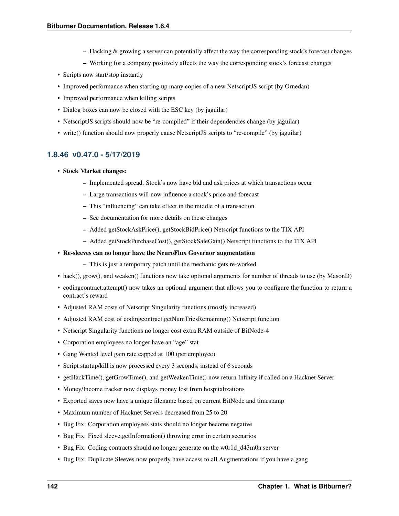- Hacking & growing a server can potentially affect the way the corresponding stock's forecast changes
- Working for a company positively affects the way the corresponding stock's forecast changes
- Scripts now start/stop instantly
- Improved performance when starting up many copies of a new NetscriptJS script (by Ornedan)
- Improved performance when killing scripts
- Dialog boxes can now be closed with the ESC key (by jaguilar)
- NetscriptJS scripts should now be "re-compiled" if their dependencies change (by jaguilar)
- write() function should now properly cause NetscriptJS scripts to "re-compile" (by jaguilar)

## **1.8.46 v0.47.0 - 5/17/2019**

- Stock Market changes:
	- Implemented spread. Stock's now have bid and ask prices at which transactions occur
	- Large transactions will now influence a stock's price and forecast
	- This "influencing" can take effect in the middle of a transaction
	- See documentation for more details on these changes
	- Added getStockAskPrice(), getStockBidPrice() Netscript functions to the TIX API
	- Added getStockPurchaseCost(), getStockSaleGain() Netscript functions to the TIX API
- Re-sleeves can no longer have the NeuroFlux Governor augmentation
	- This is just a temporary patch until the mechanic gets re-worked
- hack(), grow(), and weaken() functions now take optional arguments for number of threads to use (by MasonD)
- codingcontract.attempt() now takes an optional argument that allows you to configure the function to return a contract's reward
- Adjusted RAM costs of Netscript Singularity functions (mostly increased)
- Adjusted RAM cost of codingcontract.getNumTriesRemaining() Netscript function
- Netscript Singularity functions no longer cost extra RAM outside of BitNode-4
- Corporation employees no longer have an "age" stat
- Gang Wanted level gain rate capped at 100 (per employee)
- Script startup/kill is now processed every 3 seconds, instead of 6 seconds
- getHackTime(), getGrowTime(), and getWeakenTime() now return Infinity if called on a Hacknet Server
- Money/Income tracker now displays money lost from hospitalizations
- Exported saves now have a unique filename based on current BitNode and timestamp
- Maximum number of Hacknet Servers decreased from 25 to 20
- Bug Fix: Corporation employees stats should no longer become negative
- Bug Fix: Fixed sleeve.getInformation() throwing error in certain scenarios
- Bug Fix: Coding contracts should no longer generate on the w0r1d\_d43m0n server
- Bug Fix: Duplicate Sleeves now properly have access to all Augmentations if you have a gang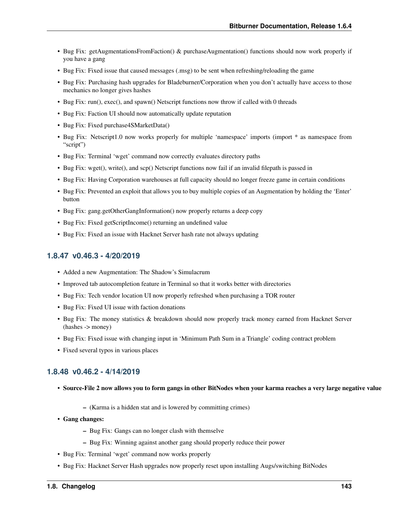- Bug Fix: getAugmentationsFromFaction() & purchaseAugmentation() functions should now work properly if you have a gang
- Bug Fix: Fixed issue that caused messages (.msg) to be sent when refreshing/reloading the game
- Bug Fix: Purchasing hash upgrades for Bladeburner/Corporation when you don't actually have access to those mechanics no longer gives hashes
- Bug Fix: run(), exec(), and spawn() Netscript functions now throw if called with 0 threads
- Bug Fix: Faction UI should now automatically update reputation
- Bug Fix: Fixed purchase4SMarketData()
- Bug Fix: Netscript1.0 now works properly for multiple 'namespace' imports (import \* as namespace from "script")
- Bug Fix: Terminal 'wget' command now correctly evaluates directory paths
- Bug Fix: wget(), write(), and scp() Netscript functions now fail if an invalid filepath is passed in
- Bug Fix: Having Corporation warehouses at full capacity should no longer freeze game in certain conditions
- Bug Fix: Prevented an exploit that allows you to buy multiple copies of an Augmentation by holding the 'Enter' button
- Bug Fix: gang.getOtherGangInformation() now properly returns a deep copy
- Bug Fix: Fixed getScriptIncome() returning an undefined value
- Bug Fix: Fixed an issue with Hacknet Server hash rate not always updating

### **1.8.47 v0.46.3 - 4/20/2019**

- Added a new Augmentation: The Shadow's Simulacrum
- Improved tab autocompletion feature in Terminal so that it works better with directories
- Bug Fix: Tech vendor location UI now properly refreshed when purchasing a TOR router
- Bug Fix: Fixed UI issue with faction donations
- Bug Fix: The money statistics & breakdown should now properly track money earned from Hacknet Server (hashes -> money)
- Bug Fix: Fixed issue with changing input in 'Minimum Path Sum in a Triangle' coding contract problem
- Fixed several typos in various places

### **1.8.48 v0.46.2 - 4/14/2019**

- Source-File 2 now allows you to form gangs in other BitNodes when your karma reaches a very large negative value
	- (Karma is a hidden stat and is lowered by committing crimes)
- Gang changes:
	- Bug Fix: Gangs can no longer clash with themselve
	- Bug Fix: Winning against another gang should properly reduce their power
- Bug Fix: Terminal 'wget' command now works properly
- Bug Fix: Hacknet Server Hash upgrades now properly reset upon installing Augs/switching BitNodes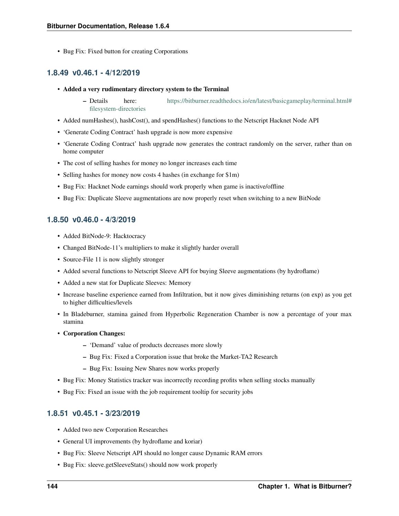• Bug Fix: Fixed button for creating Corporations

## **1.8.49 v0.46.1 - 4/12/2019**

- Added a very rudimentary directory system to the Terminal
	- Details here: [https://bitburner.readthedocs.io/en/latest/basicgameplay/terminal.html#](https://bitburner.readthedocs.io/en/latest/basicgameplay/terminal.html#filesystem-directories) [filesystem-directories](https://bitburner.readthedocs.io/en/latest/basicgameplay/terminal.html#filesystem-directories)
- Added numHashes(), hashCost(), and spendHashes() functions to the Netscript Hacknet Node API
- 'Generate Coding Contract' hash upgrade is now more expensive
- 'Generate Coding Contract' hash upgrade now generates the contract randomly on the server, rather than on home computer
- The cost of selling hashes for money no longer increases each time
- Selling hashes for money now costs 4 hashes (in exchange for \$1m)
- Bug Fix: Hacknet Node earnings should work properly when game is inactive/offline
- Bug Fix: Duplicate Sleeve augmentations are now properly reset when switching to a new BitNode

## **1.8.50 v0.46.0 - 4/3/2019**

- Added BitNode-9: Hacktocracy
- Changed BitNode-11's multipliers to make it slightly harder overall
- Source-File 11 is now slightly stronger
- Added several functions to Netscript Sleeve API for buying Sleeve augmentations (by hydroflame)
- Added a new stat for Duplicate Sleeves: Memory
- Increase baseline experience earned from Infiltration, but it now gives diminishing returns (on exp) as you get to higher difficulties/levels
- In Bladeburner, stamina gained from Hyperbolic Regeneration Chamber is now a percentage of your max stamina
- Corporation Changes:
	- 'Demand' value of products decreases more slowly
	- Bug Fix: Fixed a Corporation issue that broke the Market-TA2 Research
	- Bug Fix: Issuing New Shares now works properly
- Bug Fix: Money Statistics tracker was incorrectly recording profits when selling stocks manually
- Bug Fix: Fixed an issue with the job requirement tooltip for security jobs

## **1.8.51 v0.45.1 - 3/23/2019**

- Added two new Corporation Researches
- General UI improvements (by hydroflame and koriar)
- Bug Fix: Sleeve Netscript API should no longer cause Dynamic RAM errors
- Bug Fix: sleeve.getSleeveStats() should now work properly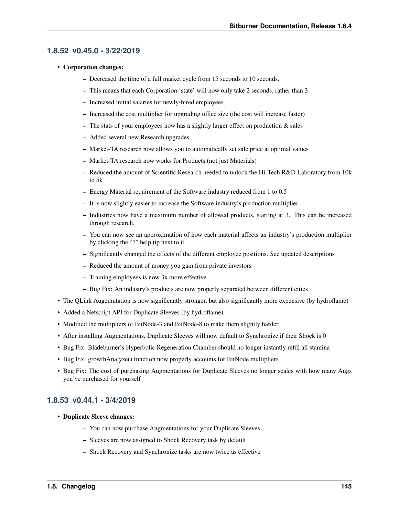### **1.8.52 v0.45.0 - 3/22/2019**

- Corporation changes:
	- Decreased the time of a full market cycle from 15 seconds to 10 seconds.
	- This means that each Corporation 'state' will now only take 2 seconds, rather than 3
	- Increased initial salaries for newly-hired employees
	- Increased the cost multiplier for upgrading office size (the cost will increase faster)
	- $-$  The stats of your employees now has a slightly larger effect on production  $\&$  sales
	- Added several new Research upgrades
	- Market-TA research now allows you to automatically set sale price at optimal values
	- Market-TA research now works for Products (not just Materials)
	- Reduced the amount of Scientific Research needed to unlock the Hi-Tech R&D Laboratory from 10k to 5k
	- Energy Material requirement of the Software industry reduced from 1 to 0.5
	- It is now slightly easier to increase the Software industry's production multiplier
	- Industries now have a maximum number of allowed products, starting at 3. This can be increased through research.
	- You can now see an approximation of how each material affects an industry's production multiplier by clicking the "?" help tip next to it
	- Significantly changed the effects of the different employee positions. See updated descriptions
	- Reduced the amount of money you gain from private investors
	- Training employees is now 3x more effective
	- Bug Fix: An industry's products are now properly separated between different cities
- The QLink Augemntation is now significantly stronger, but also significantly more expensive (by hydroflame)
- Added a Netscript API for Duplicate Sleeves (by hydroflame)
- Modified the multipliers of BitNode-3 and BitNode-8 to make them slightly harder
- After installing Augmentations, Duplicate Sleeves will now default to Synchronize if their Shock is 0
- Bug Fix: Bladeburner's Hyperbolic Regeneration Chamber should no longer instantly refill all stamina
- Bug Fix: growthAnalyze() function now properly accounts for BitNode multipliers
- Bug Fix: The cost of purchasing Augmentations for Duplicate Sleeves no longer scales with how many Augs you've purchased for yourself

### **1.8.53 v0.44.1 - 3/4/2019**

- Duplicate Sleeve changes:
	- You can now purchase Augmentations for your Duplicate Sleeves
	- Sleeves are now assigned to Shock Recovery task by default
	- Shock Recovery and Synchronize tasks are now twice as effective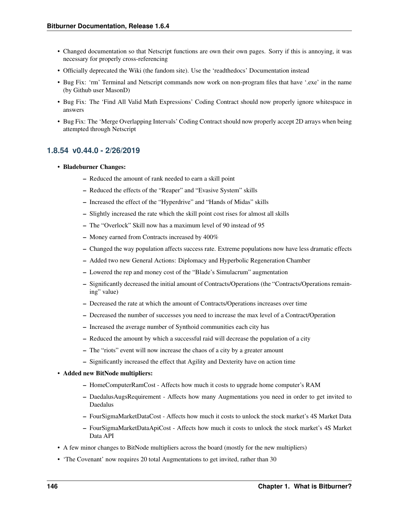- Changed documentation so that Netscript functions are own their own pages. Sorry if this is annoying, it was necessary for properly cross-referencing
- Officially deprecated the Wiki (the fandom site). Use the 'readthedocs' Documentation instead
- Bug Fix: 'rm' Terminal and Netscript commands now work on non-program files that have '.exe' in the name (by Github user MasonD)
- Bug Fix: The 'Find All Valid Math Expressions' Coding Contract should now properly ignore whitespace in answers
- Bug Fix: The 'Merge Overlapping Intervals' Coding Contract should now properly accept 2D arrays when being attempted through Netscript

## **1.8.54 v0.44.0 - 2/26/2019**

### • Bladeburner Changes:

- Reduced the amount of rank needed to earn a skill point
- Reduced the effects of the "Reaper" and "Evasive System" skills
- Increased the effect of the "Hyperdrive" and "Hands of Midas" skills
- Slightly increased the rate which the skill point cost rises for almost all skills
- The "Overlock" Skill now has a maximum level of 90 instead of 95
- Money earned from Contracts increased by 400%
- Changed the way population affects success rate. Extreme populations now have less dramatic effects
- Added two new General Actions: Diplomacy and Hyperbolic Regeneration Chamber
- Lowered the rep and money cost of the "Blade's Simulacrum" augmentation
- Significantly decreased the initial amount of Contracts/Operations (the "Contracts/Operations remaining" value)
- Decreased the rate at which the amount of Contracts/Operations increases over time
- Decreased the number of successes you need to increase the max level of a Contract/Operation
- Increased the average number of Synthoid communities each city has
- Reduced the amount by which a successful raid will decrease the population of a city
- The "riots" event will now increase the chaos of a city by a greater amount
- Significantly increased the effect that Agility and Dexterity have on action time
- Added new BitNode multipliers:
	- HomeComputerRamCost Affects how much it costs to upgrade home computer's RAM
	- DaedalusAugsRequirement Affects how many Augmentations you need in order to get invited to Daedalus
	- FourSigmaMarketDataCost Affects how much it costs to unlock the stock market's 4S Market Data
	- FourSigmaMarketDataApiCost Affects how much it costs to unlock the stock market's 4S Market Data API
- A few minor changes to BitNode multipliers across the board (mostly for the new multipliers)
- 'The Covenant' now requires 20 total Augmentations to get invited, rather than 30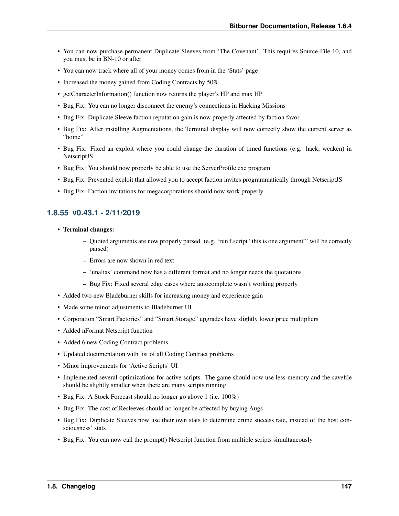- You can now purchase permanent Duplicate Sleeves from 'The Covenant'. This requires Source-File 10, and you must be in BN-10 or after
- You can now track where all of your money comes from in the 'Stats' page
- Increased the money gained from Coding Contracts by 50%
- getCharacterInformation() function now returns the player's HP and max HP
- Bug Fix: You can no longer disconnect the enemy's connections in Hacking Missions
- Bug Fix: Duplicate Sleeve faction reputation gain is now properly affected by faction favor
- Bug Fix: After installing Augmentations, the Terminal display will now correctly show the current server as "home"
- Bug Fix: Fixed an exploit where you could change the duration of timed functions (e.g. hack, weaken) in NetscriptJS
- Bug Fix: You should now properly be able to use the ServerProfile.exe program
- Bug Fix: Prevented exploit that allowed you to accept faction invites programmatically through NetscriptJS
- Bug Fix: Faction invitations for megacorporations should now work properly

## **1.8.55 v0.43.1 - 2/11/2019**

- Terminal changes:
	- Quoted arguments are now properly parsed. (e.g. 'run f.script "this is one argument"' will be correctly parsed)
	- Errors are now shown in red text
	- 'unalias' command now has a different format and no longer needs the quotations
	- Bug Fix: Fixed several edge cases where autocomplete wasn't working properly
- Added two new Bladeburner skills for increasing money and experience gain
- Made some minor adjustments to Bladeburner UI
- Corporation "Smart Factories" and "Smart Storage" upgrades have slightly lower price multipliers
- Added nFormat Netscript function
- Added 6 new Coding Contract problems
- Updated documentation with list of all Coding Contract problems
- Minor improvements for 'Active Scripts' UI
- Implemented several optimizations for active scripts. The game should now use less memory and the savefile should be slightly smaller when there are many scripts running
- Bug Fix: A Stock Forecast should no longer go above 1 (i.e. 100%)
- Bug Fix: The cost of Resleeves should no longer be affected by buying Augs
- Bug Fix: Duplicate Sleeves now use their own stats to determine crime success rate, instead of the host consciousness' stats
- Bug Fix: You can now call the prompt() Netscript function from multiple scripts simultaneously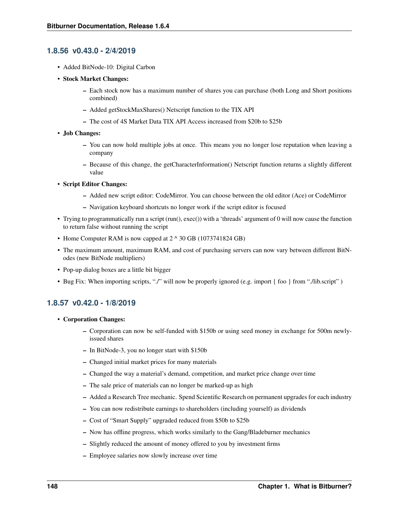## **1.8.56 v0.43.0 - 2/4/2019**

- Added BitNode-10: Digital Carbon
- Stock Market Changes:
	- Each stock now has a maximum number of shares you can purchase (both Long and Short positions combined)
	- Added getStockMaxShares() Netscript function to the TIX API
	- The cost of 4S Market Data TIX API Access increased from \$20b to \$25b
- Job Changes:
	- You can now hold multiple jobs at once. This means you no longer lose reputation when leaving a company
	- Because of this change, the getCharacterInformation() Netscript function returns a slightly different value
- Script Editor Changes:
	- Added new script editor: CodeMirror. You can choose between the old editor (Ace) or CodeMirror
	- Navigation keyboard shortcuts no longer work if the script editor is focused
- Trying to programmatically run a script (run(), exec()) with a 'threads' argument of 0 will now cause the function to return false without running the script
- Home Computer RAM is now capped at 2  $\land$  30 GB (1073741824 GB)
- The maximum amount, maximum RAM, and cost of purchasing servers can now vary between different BitNodes (new BitNode multipliers)
- Pop-up dialog boxes are a little bit bigger
- Bug Fix: When importing scripts, "./" will now be properly ignored (e.g. import { foo } from "./lib.script" )

## **1.8.57 v0.42.0 - 1/8/2019**

- Corporation Changes:
	- Corporation can now be self-funded with \$150b or using seed money in exchange for 500m newlyissued shares
	- In BitNode-3, you no longer start with \$150b
	- Changed initial market prices for many materials
	- Changed the way a material's demand, competition, and market price change over time
	- The sale price of materials can no longer be marked-up as high
	- Added a Research Tree mechanic. Spend Scientific Research on permanent upgrades for each industry
	- You can now redistribute earnings to shareholders (including yourself) as dividends
	- Cost of "Smart Supply" upgraded reduced from \$50b to \$25b
	- Now has offline progress, which works similarly to the Gang/Bladeburner mechanics
	- Slightly reduced the amount of money offered to you by investment firms
	- Employee salaries now slowly increase over time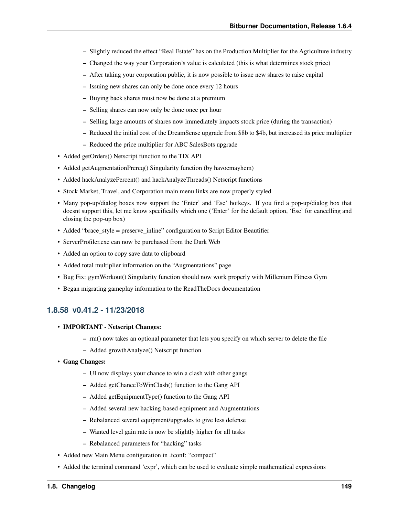- Slightly reduced the effect "Real Estate" has on the Production Multiplier for the Agriculture industry
- Changed the way your Corporation's value is calculated (this is what determines stock price)
- After taking your corporation public, it is now possible to issue new shares to raise capital
- Issuing new shares can only be done once every 12 hours
- Buying back shares must now be done at a premium
- Selling shares can now only be done once per hour
- Selling large amounts of shares now immediately impacts stock price (during the transaction)
- Reduced the initial cost of the DreamSense upgrade from \$8b to \$4b, but increased its price multiplier
- Reduced the price multiplier for ABC SalesBots upgrade
- Added getOrders() Netscript function to the TIX API
- Added getAugmentationPrereq() Singularity function (by havocmayhem)
- Added hackAnalyzePercent() and hackAnalyzeThreads() Netscript functions
- Stock Market, Travel, and Corporation main menu links are now properly styled
- Many pop-up/dialog boxes now support the 'Enter' and 'Esc' hotkeys. If you find a pop-up/dialog box that doesnt support this, let me know specifically which one ('Enter' for the default option, 'Esc' for cancelling and closing the pop-up box)
- Added "brace\_style = preserve\_inline" configuration to Script Editor Beautifier
- ServerProfiler.exe can now be purchased from the Dark Web
- Added an option to copy save data to clipboard
- Added total multiplier information on the "Augmentations" page
- Bug Fix: gymWorkout() Singularity function should now work properly with Millenium Fitness Gym
- Began migrating gameplay information to the ReadTheDocs documentation

## **1.8.58 v0.41.2 - 11/23/2018**

- IMPORTANT Netscript Changes:
	- rm() now takes an optional parameter that lets you specify on which server to delete the file
	- Added growthAnalyze() Netscript function
- Gang Changes:
	- UI now displays your chance to win a clash with other gangs
	- Added getChanceToWinClash() function to the Gang API
	- Added getEquipmentType() function to the Gang API
	- Added several new hacking-based equipment and Augmentations
	- Rebalanced several equipment/upgrades to give less defense
	- Wanted level gain rate is now be slightly higher for all tasks
	- Rebalanced parameters for "hacking" tasks
- Added new Main Menu configuration in .fconf: "compact"
- Added the terminal command 'expr', which can be used to evaluate simple mathematical expressions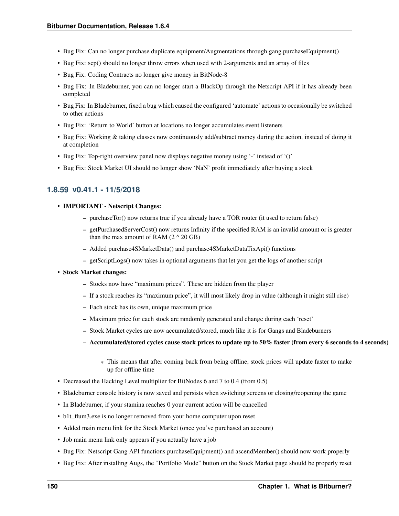- Bug Fix: Can no longer purchase duplicate equipment/Augmentations through gang.purchaseEquipment()
- Bug Fix: scp() should no longer throw errors when used with 2-arguments and an array of files
- Bug Fix: Coding Contracts no longer give money in BitNode-8
- Bug Fix: In Bladeburner, you can no longer start a BlackOp through the Netscript API if it has already been completed
- Bug Fix: In Bladeburner, fixed a bug which caused the configured 'automate' actions to occasionally be switched to other actions
- Bug Fix: 'Return to World' button at locations no longer accumulates event listeners
- Bug Fix: Working & taking classes now continuously add/subtract money during the action, instead of doing it at completion
- Bug Fix: Top-right overview panel now displays negative money using '-' instead of '()'
- Bug Fix: Stock Market UI should no longer show 'NaN' profit immediately after buying a stock

## **1.8.59 v0.41.1 - 11/5/2018**

- IMPORTANT Netscript Changes:
	- purchaseTor() now returns true if you already have a TOR router (it used to return false)
	- getPurchasedServerCost() now returns Infinity if the specified RAM is an invalid amount or is greater than the max amount of RAM  $(2 \land 20 \text{ GB})$
	- Added purchase4SMarketData() and purchase4SMarketDataTixApi() functions
	- getScriptLogs() now takes in optional arguments that let you get the logs of another script
- Stock Market changes:
	- Stocks now have "maximum prices". These are hidden from the player
	- If a stock reaches its "maximum price", it will most likely drop in value (although it might still rise)
	- Each stock has its own, unique maximum price
	- Maximum price for each stock are randomly generated and change during each 'reset'
	- Stock Market cycles are now accumulated/stored, much like it is for Gangs and Bladeburners
	- Accumulated/stored cycles cause stock prices to update up to 50% faster (from every 6 seconds to 4 seconds)
		- \* This means that after coming back from being offline, stock prices will update faster to make up for offline time
- Decreased the Hacking Level multiplier for BitNodes 6 and 7 to 0.4 (from 0.5)
- Bladeburner console history is now saved and persists when switching screens or closing/reopening the game
- In Bladeburner, if your stamina reaches 0 your current action will be cancelled
- b1t\_flum3.exe is no longer removed from your home computer upon reset
- Added main menu link for the Stock Market (once you've purchased an account)
- Job main menu link only appears if you actually have a job
- Bug Fix: Netscript Gang API functions purchaseEquipment() and ascendMember() should now work properly
- Bug Fix: After installing Augs, the "Portfolio Mode" button on the Stock Market page should be properly reset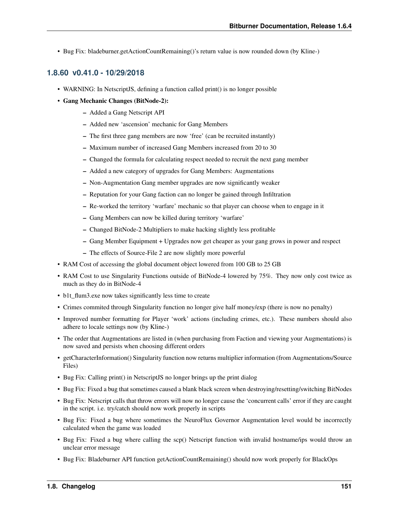• Bug Fix: bladeburner.getActionCountRemaining()'s return value is now rounded down (by Kline-)

## **1.8.60 v0.41.0 - 10/29/2018**

- WARNING: In NetscriptJS, defining a function called print() is no longer possible
- Gang Mechanic Changes (BitNode-2):
	- Added a Gang Netscript API
	- Added new 'ascension' mechanic for Gang Members
	- The first three gang members are now 'free' (can be recruited instantly)
	- Maximum number of increased Gang Members increased from 20 to 30
	- Changed the formula for calculating respect needed to recruit the next gang member
	- Added a new category of upgrades for Gang Members: Augmentations
	- Non-Augmentation Gang member upgrades are now significantly weaker
	- Reputation for your Gang faction can no longer be gained through Infiltration
	- Re-worked the territory 'warfare' mechanic so that player can choose when to engage in it
	- Gang Members can now be killed during territory 'warfare'
	- Changed BitNode-2 Multipliers to make hacking slightly less profitable
	- Gang Member Equipment + Upgrades now get cheaper as your gang grows in power and respect
	- The effects of Source-File 2 are now slightly more powerful
- RAM Cost of accessing the global document object lowered from 100 GB to 25 GB
- RAM Cost to use Singularity Functions outside of BitNode-4 lowered by 75%. They now only cost twice as much as they do in BitNode-4
- b1t flum3.exe now takes significantly less time to create
- Crimes commited through Singularity function no longer give half money/exp (there is now no penalty)
- Improved number formatting for Player 'work' actions (including crimes, etc.). These numbers should also adhere to locale settings now (by Kline-)
- The order that Augmentations are listed in (when purchasing from Faction and viewing your Augmentations) is now saved and persists when choosing different orders
- getCharacterInformation() Singularity function now returns multiplier information (from Augmentations/Source Files)
- Bug Fix: Calling print() in NetscriptJS no longer brings up the print dialog
- Bug Fix: Fixed a bug that sometimes caused a blank black screen when destroying/resetting/switching BitNodes
- Bug Fix: Netscript calls that throw errors will now no longer cause the 'concurrent calls' error if they are caught in the script. i.e. try/catch should now work properly in scripts
- Bug Fix: Fixed a bug where sometimes the NeuroFlux Governor Augmentation level would be incorrectly calculated when the game was loaded
- Bug Fix: Fixed a bug where calling the scp() Netscript function with invalid hostname/ips would throw an unclear error message
- Bug Fix: Bladeburner API function getActionCountRemaining() should now work properly for BlackOps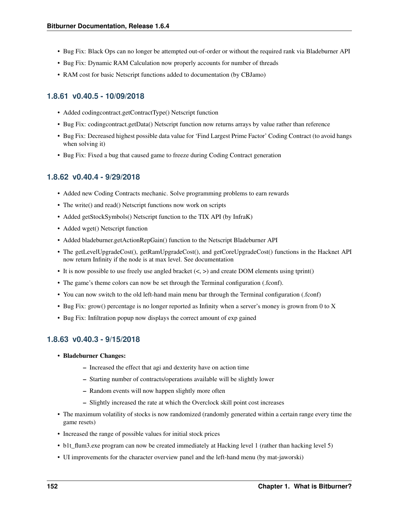- Bug Fix: Black Ops can no longer be attempted out-of-order or without the required rank via Bladeburner API
- Bug Fix: Dynamic RAM Calculation now properly accounts for number of threads
- RAM cost for basic Netscript functions added to documentation (by CBJamo)

# **1.8.61 v0.40.5 - 10/09/2018**

- Added codingcontract.getContractType() Netscript function
- Bug Fix: codingcontract.getData() Netscript function now returns arrays by value rather than reference
- Bug Fix: Decreased highest possible data value for 'Find Largest Prime Factor' Coding Contract (to avoid hangs when solving it)
- Bug Fix: Fixed a bug that caused game to freeze during Coding Contract generation

## **1.8.62 v0.40.4 - 9/29/2018**

- Added new Coding Contracts mechanic. Solve programming problems to earn rewards
- The write() and read() Netscript functions now work on scripts
- Added getStockSymbols() Netscript function to the TIX API (by InfraK)
- Added wget() Netscript function
- Added bladeburner.getActionRepGain() function to the Netscript Bladeburner API
- The getLevelUpgradeCost(), getRamUpgradeCost(), and getCoreUpgradeCost() functions in the Hacknet API now return Infinity if the node is at max level. See documentation
- It is now possible to use freely use angled bracket  $(<,>)$  and create DOM elements using tprint()
- The game's theme colors can now be set through the Terminal configuration (.fconf).
- You can now switch to the old left-hand main menu bar through the Terminal configuration (.fconf)
- Bug Fix: grow() percentage is no longer reported as Infinity when a server's money is grown from 0 to X
- Bug Fix: Infiltration popup now displays the correct amount of exp gained

## **1.8.63 v0.40.3 - 9/15/2018**

- Bladeburner Changes:
	- Increased the effect that agi and dexterity have on action time
	- Starting number of contracts/operations available will be slightly lower
	- Random events will now happen slightly more often
	- Slightly increased the rate at which the Overclock skill point cost increases
- The maximum volatility of stocks is now randomized (randomly generated within a certain range every time the game resets)
- Increased the range of possible values for initial stock prices
- b1t flum3.exe program can now be created immediately at Hacking level 1 (rather than hacking level 5)
- UI improvements for the character overview panel and the left-hand menu (by mat-jaworski)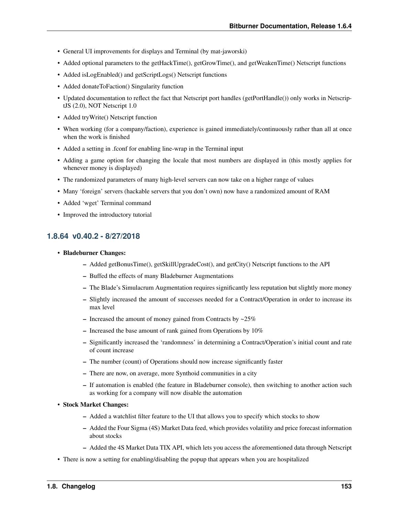- General UI improvements for displays and Terminal (by mat-jaworski)
- Added optional parameters to the getHackTime(), getGrowTime(), and getWeakenTime() Netscript functions
- Added isLogEnabled() and getScriptLogs() Netscript functions
- Added donateToFaction() Singularity function
- Updated documentation to reflect the fact that Netscript port handles (getPortHandle()) only works in NetscriptJS (2.0), NOT Netscript 1.0
- Added tryWrite() Netscript function
- When working (for a company/faction), experience is gained immediately/continuously rather than all at once when the work is finished
- Added a setting in .fconf for enabling line-wrap in the Terminal input
- Adding a game option for changing the locale that most numbers are displayed in (this mostly applies for whenever money is displayed)
- The randomized parameters of many high-level servers can now take on a higher range of values
- Many 'foreign' servers (hackable servers that you don't own) now have a randomized amount of RAM
- Added 'wget' Terminal command
- Improved the introductory tutorial

# **1.8.64 v0.40.2 - 8/27/2018**

- Bladeburner Changes:
	- Added getBonusTime(), getSkillUpgradeCost(), and getCity() Netscript functions to the API
	- Buffed the effects of many Bladeburner Augmentations
	- The Blade's Simulacrum Augmentation requires significantly less reputation but slightly more money
	- Slightly increased the amount of successes needed for a Contract/Operation in order to increase its max level
	- Increased the amount of money gained from Contracts by  $\sim$ 25%
	- Increased the base amount of rank gained from Operations by 10%
	- Significantly increased the 'randomness' in determining a Contract/Operation's initial count and rate of count increase
	- The number (count) of Operations should now increase significantly faster
	- There are now, on average, more Synthoid communities in a city
	- If automation is enabled (the feature in Bladeburner console), then switching to another action such as working for a company will now disable the automation
- Stock Market Changes:
	- Added a watchlist filter feature to the UI that allows you to specify which stocks to show
	- Added the Four Sigma (4S) Market Data feed, which provides volatility and price forecast information about stocks
	- Added the 4S Market Data TIX API, which lets you access the aforementioned data through Netscript
- There is now a setting for enabling/disabling the popup that appears when you are hospitalized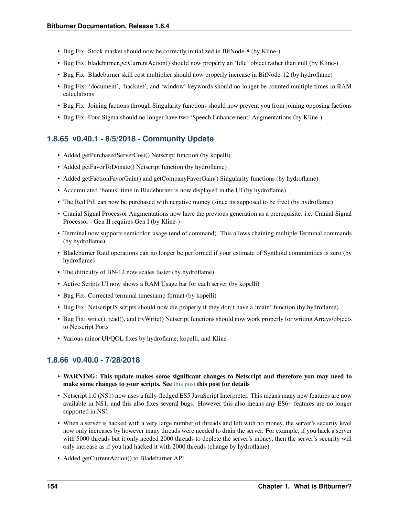- Bug Fix: Stock market should now be correctly initialized in BitNode-8 (by Kline-)
- Bug Fix: bladeburner.getCurrentAction() should now properly an 'Idle' object rather than null (by Kline-)
- Bug Fix: Bladeburner skill cost multiplier should now properly increase in BitNode-12 (by hydroflame)
- Bug Fix: 'document', 'hacknet', and 'window' keywords should no longer be counted multiple times in RAM calculations
- Bug Fix: Joining factions through Singularity functions should now prevent you from joining opposing factions
- Bug Fix: Four Sigma should no longer have two 'Speech Enhancement' Augmentations (by Kline-)

### **1.8.65 v0.40.1 - 8/5/2018 - Community Update**

- Added getPurchasedServerCost() Netscript function (by kopelli)
- Added getFavorToDonate() Netscript function (by hydroflame)
- Added getFactionFavorGain() and getCompanyFavorGain() Singularity functions (by hydroflame)
- Accumulated 'bonus' time in Bladeburner is now displayed in the UI (by hydroflame)
- The Red Pill can now be purchased with negative money (since its supposed to be free) (by hydroflame)
- Cranial Signal Processor Augmentations now have the previous generation as a prerequisite. i.e. Cranial Signal Processor - Gen II requires Gen I (by Kline-)
- Terminal now supports semicolon usage (end of command). This allows chaining multiple Terminal commands (by hydroflame)
- Bladeburner Raid operations can no longer be performed if your estimate of Synthoid communities is zero (by hydroflame)
- The difficulty of BN-12 now scales faster (by hydroflame)
- Active Scripts UI now shows a RAM Usage bar for each server (by kopelli)
- Bug Fix: Corrected terminal timestamp format (by kopelli)
- Bug Fix: NetscriptJS scripts should now die properly if they don't have a 'main' function (by hydroflame)
- Bug Fix: write(), read(), and tryWrite() Netscript functions should now work properly for writing Arrays/objects to Netscript Ports
- Various minor UI/QOL fixes by hydroflame, kopelli, and Kline-

### **1.8.66 v0.40.0 - 7/28/2018**

- WARNING: This update makes some significant changes to Netscript and therefore you may need to make some changes to your scripts. See [this post](https://www.reddit.com/r/Bitburner/comments/9252j4/psa_netscript_10_changes_in_next_version_v0400/) this post for details
- Netscript 1.0 (NS1) now uses a fully-fledged ES5 JavaScript Interpreter. This means many new features are now available in NS1, and this also fixes several bugs. However this also means any ES6+ features are no longer supported in NS1
- When a server is hacked with a very large number of threads and left with no money, the server's security level now only increases by however many threads were needed to drain the server. For example, if you hack a server with 5000 threads but it only needed 2000 threads to deplete the server's money, then the server's security will only increase as if you had hacked it with 2000 threads (change by hydroflame)
- Added getCurrentAction() to Bladeburner API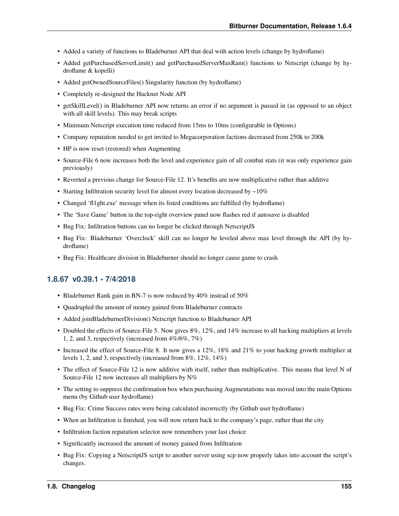- Added a variety of functions to Bladeburner API that deal with action levels (change by hydroflame)
- Added getPurchasedServerLimit() and getPurchasedServerMaxRam() functions to Netscript (change by hydroflame & kopelli)
- Added getOwnedSourceFiles() Singularity function (by hydroflame)
- Completely re-designed the Hacknet Node API
- getSkillLevel() in Bladeburner API now returns an error if no argument is passed in (as opposed to an object with all skill levels). This may break scripts
- Minimum Netscript execution time reduced from 15ms to 10ms (configurable in Options)
- Company reputation needed to get invited to Megacorporation factions decreased from 250k to 200k
- HP is now reset (restored) when Augmenting
- Source-File 6 now increases both the level and experience gain of all combat stats (it was only experience gain previously)
- Reverted a previous change for Source-File 12. It's benefits are now multiplicative rather than additive
- Starting Infiltration security level for almost every location decreased by  $\sim 10\%$
- Changed 'fl1ght.exe' message when its listed conditions are fulfilled (by hydroflame)
- The 'Save Game' button in the top-right overview panel now flashes red if autosave is disabled
- Bug Fix: Infiltration buttons can no longer be clicked through NetscriptJS
- Bug Fix: Bladeburner 'Overclock' skill can no longer be leveled above max level through the API (by hydroflame)
- Bug Fix: Healthcare division in Bladeburner should no longer cause game to crash

## **1.8.67 v0.39.1 - 7/4/2018**

- Bladeburner Rank gain in BN-7 is now reduced by 40% instead of 50%
- Quadrupled the amount of money gained from Bladeburner contracts
- Added joinBladeburnerDivision() Netscript function to Bladeburner API
- Doubled the effects of Source-File 5. Now gives 8%, 12%, and 14% increase to all hacking multipliers at levels 1, 2, and 3, respectively (increased from 4%/6%, 7%)
- Increased the effect of Source-File 8. It now gives a 12%, 18% and 21% to your hacking growth multiplier at levels 1, 2, and 3, respectively (increased from 8%, 12%, 14%)
- The effect of Source-File 12 is now additive with itself, rather than multiplicative. This means that level N of Source-File 12 now increases all multipliers by  $N\%$
- The setting to suppress the confirmation box when purchasing Augmentations was moved into the main Options menu (by Github user hydroflame)
- Bug Fix: Crime Success rates were being calculated incorrectly (by Github user hydroflame)
- When an Infiltration is finished, you will now return back to the company's page, rather than the city
- Infiltration faction reputation selector now remembers your last choice
- Significantly increased the amount of money gained from Infiltration
- Bug Fix: Copying a NetscriptJS script to another server using scp now properly takes into account the script's changes.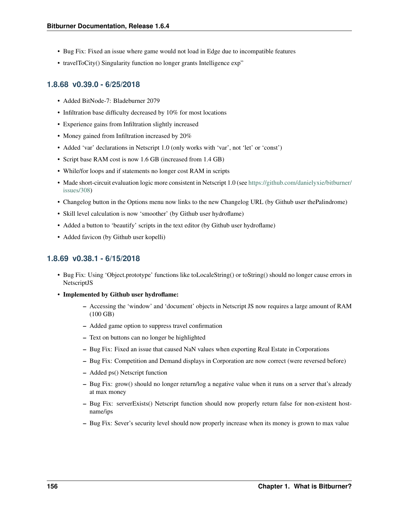- Bug Fix: Fixed an issue where game would not load in Edge due to incompatible features
- travelToCity() Singularity function no longer grants Intelligence  $\exp$ "

## **1.8.68 v0.39.0 - 6/25/2018**

- Added BitNode-7: Bladeburner 2079
- Infiltration base difficulty decreased by 10% for most locations
- Experience gains from Infiltration slightly increased
- Money gained from Infiltration increased by 20%
- Added 'var' declarations in Netscript 1.0 (only works with 'var', not 'let' or 'const')
- Script base RAM cost is now 1.6 GB (increased from 1.4 GB)
- While/for loops and if statements no longer cost RAM in scripts
- Made short-circuit evaluation logic more consistent in Netscript 1.0 (see [https://github.com/danielyxie/bitburner/](https://github.com/danielyxie/bitburner/issues/308) [issues/308\)](https://github.com/danielyxie/bitburner/issues/308)
- Changelog button in the Options menu now links to the new Changelog URL (by Github user thePalindrome)
- Skill level calculation is now 'smoother' (by Github user hydroflame)
- Added a button to 'beautify' scripts in the text editor (by Github user hydroflame)
- Added favicon (by Github user kopelli)

## **1.8.69 v0.38.1 - 6/15/2018**

- Bug Fix: Using 'Object.prototype' functions like toLocaleString() or toString() should no longer cause errors in NetscriptJS
- Implemented by Github user hydroflame:
	- Accessing the 'window' and 'document' objects in Netscript JS now requires a large amount of RAM (100 GB)
	- Added game option to suppress travel confirmation
	- Text on buttons can no longer be highlighted
	- Bug Fix: Fixed an issue that caused NaN values when exporting Real Estate in Corporations
	- Bug Fix: Competition and Demand displays in Corporation are now correct (were reversed before)
	- Added ps() Netscript function
	- Bug Fix: grow() should no longer return/log a negative value when it runs on a server that's already at max money
	- Bug Fix: serverExists() Netscript function should now properly return false for non-existent hostname/ips
	- Bug Fix: Sever's security level should now properly increase when its money is grown to max value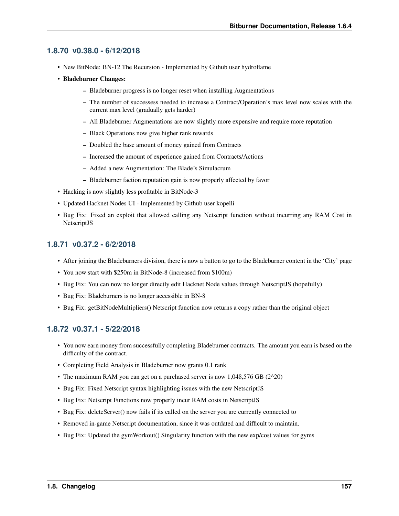# **1.8.70 v0.38.0 - 6/12/2018**

- New BitNode: BN-12 The Recursion Implemented by Github user hydroflame
- Bladeburner Changes:
	- Bladeburner progress is no longer reset when installing Augmentations
	- The number of successess needed to increase a Contract/Operation's max level now scales with the current max level (gradually gets harder)
	- All Bladeburner Augmentations are now slightly more expensive and require more reputation
	- Black Operations now give higher rank rewards
	- Doubled the base amount of money gained from Contracts
	- Increased the amount of experience gained from Contracts/Actions
	- Added a new Augmentation: The Blade's Simulacrum
	- Bladeburner faction reputation gain is now properly affected by favor
- Hacking is now slightly less profitable in BitNode-3
- Updated Hacknet Nodes UI Implemented by Github user kopelli
- Bug Fix: Fixed an exploit that allowed calling any Netscript function without incurring any RAM Cost in NetscriptJS

## **1.8.71 v0.37.2 - 6/2/2018**

- After joining the Bladeburners division, there is now a button to go to the Bladeburner content in the 'City' page
- You now start with \$250m in BitNode-8 (increased from \$100m)
- Bug Fix: You can now no longer directly edit Hacknet Node values through NetscriptJS (hopefully)
- Bug Fix: Bladeburners is no longer accessible in BN-8
- Bug Fix: getBitNodeMultipliers() Netscript function now returns a copy rather than the original object

# **1.8.72 v0.37.1 - 5/22/2018**

- You now earn money from successfully completing Bladeburner contracts. The amount you earn is based on the difficulty of the contract.
- Completing Field Analysis in Bladeburner now grants 0.1 rank
- The maximum RAM you can get on a purchased server is now 1,048,576 GB (2^20)
- Bug Fix: Fixed Netscript syntax highlighting issues with the new NetscriptJS
- Bug Fix: Netscript Functions now properly incur RAM costs in NetscriptJS
- Bug Fix: deleteServer() now fails if its called on the server you are currently connected to
- Removed in-game Netscript documentation, since it was outdated and difficult to maintain.
- Bug Fix: Updated the gymWorkout() Singularity function with the new exp/cost values for gyms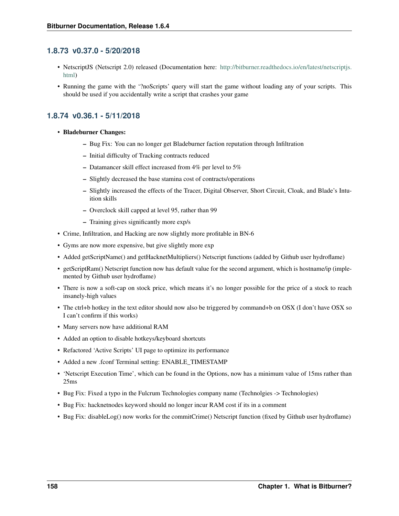## **1.8.73 v0.37.0 - 5/20/2018**

- NetscriptJS (Netscript 2.0) released (Documentation here: [http://bitburner.readthedocs.io/en/latest/netscriptjs.](http://bitburner.readthedocs.io/en/latest/netscriptjs.html) [html\)](http://bitburner.readthedocs.io/en/latest/netscriptjs.html)
- Running the game with the '?noScripts' query will start the game without loading any of your scripts. This should be used if you accidentally write a script that crashes your game

## **1.8.74 v0.36.1 - 5/11/2018**

- Bladeburner Changes:
	- Bug Fix: You can no longer get Bladeburner faction reputation through Infiltration
	- Initial difficulty of Tracking contracts reduced
	- Datamancer skill effect increased from 4% per level to 5%
	- Slightly decreased the base stamina cost of contracts/operations
	- Slightly increased the effects of the Tracer, Digital Observer, Short Circuit, Cloak, and Blade's Intuition skills
	- Overclock skill capped at level 95, rather than 99
	- Training gives significantly more exp/s
- Crime, Infiltration, and Hacking are now slightly more profitable in BN-6
- Gyms are now more expensive, but give slightly more exp
- Added getScriptName() and getHacknetMultipliers() Netscript functions (added by Github user hydroflame)
- getScriptRam() Netscript function now has default value for the second argument, which is hostname/ip (implemented by Github user hydroflame)
- There is now a soft-cap on stock price, which means it's no longer possible for the price of a stock to reach insanely-high values
- The ctrl+b hotkey in the text editor should now also be triggered by command+b on OSX (I don't have OSX so I can't confirm if this works)
- Many servers now have additional RAM
- Added an option to disable hotkeys/keyboard shortcuts
- Refactored 'Active Scripts' UI page to optimize its performance
- Added a new .fconf Terminal setting: ENABLE\_TIMESTAMP
- 'Netscript Execution Time', which can be found in the Options, now has a minimum value of 15ms rather than 25ms
- Bug Fix: Fixed a typo in the Fulcrum Technologies company name (Technolgies -> Technologies)
- Bug Fix: hacknetnodes keyword should no longer incur RAM cost if its in a comment
- Bug Fix: disableLog() now works for the commitCrime() Netscript function (fixed by Github user hydroflame)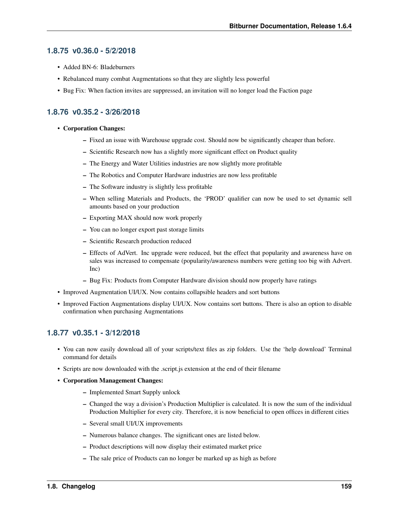### **1.8.75 v0.36.0 - 5/2/2018**

- Added BN-6: Bladeburners
- Rebalanced many combat Augmentations so that they are slightly less powerful
- Bug Fix: When faction invites are suppressed, an invitation will no longer load the Faction page

## **1.8.76 v0.35.2 - 3/26/2018**

- Corporation Changes:
	- Fixed an issue with Warehouse upgrade cost. Should now be significantly cheaper than before.
	- Scientific Research now has a slightly more significant effect on Product quality
	- The Energy and Water Utilities industries are now slightly more profitable
	- The Robotics and Computer Hardware industries are now less profitable
	- The Software industry is slightly less profitable
	- When selling Materials and Products, the 'PROD' qualifier can now be used to set dynamic sell amounts based on your production
	- Exporting MAX should now work properly
	- You can no longer export past storage limits
	- Scientific Research production reduced
	- Effects of AdVert. Inc upgrade were reduced, but the effect that popularity and awareness have on sales was increased to compensate (popularity/awareness numbers were getting too big with Advert. Inc)
	- Bug Fix: Products from Computer Hardware division should now properly have ratings
- Improved Augmentation UI/UX. Now contains collapsible headers and sort buttons
- Improved Faction Augmentations display UI/UX. Now contains sort buttons. There is also an option to disable confirmation when purchasing Augmentations

## **1.8.77 v0.35.1 - 3/12/2018**

- You can now easily download all of your scripts/text files as zip folders. Use the 'help download' Terminal command for details
- Scripts are now downloaded with the .script.js extension at the end of their filename
- Corporation Management Changes:
	- Implemented Smart Supply unlock
	- Changed the way a division's Production Multiplier is calculated. It is now the sum of the individual Production Multiplier for every city. Therefore, it is now beneficial to open offices in different cities
	- Several small UI/UX improvements
	- Numerous balance changes. The significant ones are listed below.
	- Product descriptions will now display their estimated market price
	- The sale price of Products can no longer be marked up as high as before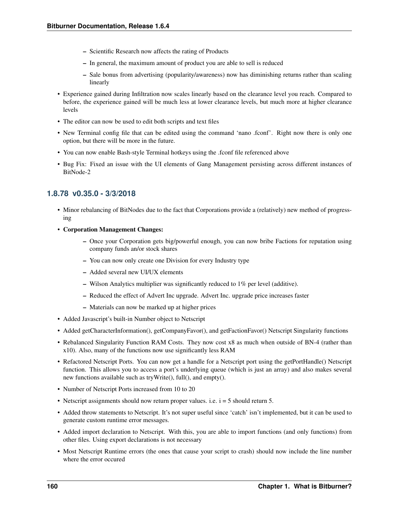- Scientific Research now affects the rating of Products
- In general, the maximum amount of product you are able to sell is reduced
- Sale bonus from advertising (popularity/awareness) now has diminishing returns rather than scaling linearly
- Experience gained during Infiltration now scales linearly based on the clearance level you reach. Compared to before, the experience gained will be much less at lower clearance levels, but much more at higher clearance levels
- The editor can now be used to edit both scripts and text files
- New Terminal config file that can be edited using the command 'nano .fconf'. Right now there is only one option, but there will be more in the future.
- You can now enable Bash-style Terminal hotkeys using the .fconf file referenced above
- Bug Fix: Fixed an issue with the UI elements of Gang Management persisting across different instances of BitNode-2

## **1.8.78 v0.35.0 - 3/3/2018**

- Minor rebalancing of BitNodes due to the fact that Corporations provide a (relatively) new method of progressing
- Corporation Management Changes:
	- Once your Corporation gets big/powerful enough, you can now bribe Factions for reputation using company funds an/or stock shares
	- You can now only create one Division for every Industry type
	- Added several new UI/UX elements
	- Wilson Analytics multiplier was significantly reduced to 1% per level (additive).
	- Reduced the effect of Advert Inc upgrade. Advert Inc. upgrade price increases faster
	- Materials can now be marked up at higher prices
- Added Javascript's built-in Number object to Netscript
- Added getCharacterInformation(), getCompanyFavor(), and getFactionFavor() Netscript Singularity functions
- Rebalanced Singularity Function RAM Costs. They now cost x8 as much when outside of BN-4 (rather than x10). Also, many of the functions now use significantly less RAM
- Refactored Netscript Ports. You can now get a handle for a Netscript port using the getPortHandle() Netscript function. This allows you to access a port's underlying queue (which is just an array) and also makes several new functions available such as tryWrite(), full(), and empty().
- Number of Netscript Ports increased from 10 to 20
- Netscript assignments should now return proper values. i.e.  $i = 5$  should return 5.
- Added throw statements to Netscript. It's not super useful since 'catch' isn't implemented, but it can be used to generate custom runtime error messages.
- Added import declaration to Netscript. With this, you are able to import functions (and only functions) from other files. Using export declarations is not necessary
- Most Netscript Runtime errors (the ones that cause your script to crash) should now include the line number where the error occured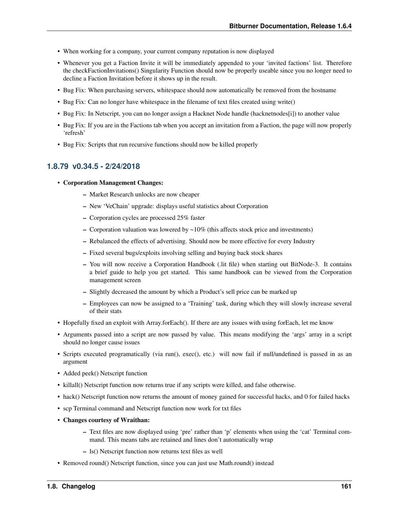- When working for a company, your current company reputation is now displayed
- Whenever you get a Faction Invite it will be immediately appended to your 'invited factions' list. Therefore the checkFactionInvitations() Singularity Function should now be properly useable since you no longer need to decline a Faction Invitation before it shows up in the result.
- Bug Fix: When purchasing servers, whitespace should now automatically be removed from the hostname
- Bug Fix: Can no longer have whitespace in the filename of text files created using write()
- Bug Fix: In Netscript, you can no longer assign a Hacknet Node handle (hacknetnodes[i]) to another value
- Bug Fix: If you are in the Factions tab when you accept an invitation from a Faction, the page will now properly 'refresh'
- Bug Fix: Scripts that run recursive functions should now be killed properly

## **1.8.79 v0.34.5 - 2/24/2018**

- Corporation Management Changes:
	- Market Research unlocks are now cheaper
	- New 'VeChain' upgrade: displays useful statistics about Corporation
	- Corporation cycles are processed 25% faster
	- Corporation valuation was lowered by  $\sim 10\%$  (this affects stock price and investments)
	- Rebalanced the effects of advertising. Should now be more effective for every Industry
	- Fixed several bugs/exploits involving selling and buying back stock shares
	- You will now receive a Corporation Handbook (.lit file) when starting out BitNode-3. It contains a brief guide to help you get started. This same handbook can be viewed from the Corporation management screen
	- Slightly decreased the amount by which a Product's sell price can be marked up
	- Employees can now be assigned to a 'Training' task, during which they will slowly increase several of their stats
- Hopefully fixed an exploit with Array.forEach(). If there are any issues with using forEach, let me know
- Arguments passed into a script are now passed by value. This means modifying the 'args' array in a script should no longer cause issues
- Scripts executed programatically (via run(), exec(), etc.) will now fail if null/undefined is passed in as an argument
- Added peek() Netscript function
- killall() Netscript function now returns true if any scripts were killed, and false otherwise.
- hack() Netscript function now returns the amount of money gained for successful hacks, and 0 for failed hacks
- scp Terminal command and Netscript function now work for txt files
- Changes courtesy of Wraithan:
	- Text files are now displayed using 'pre' rather than 'p' elements when using the 'cat' Terminal command. This means tabs are retained and lines don't automatically wrap
	- ls() Netscript function now returns text files as well
- Removed round() Netscript function, since you can just use Math.round() instead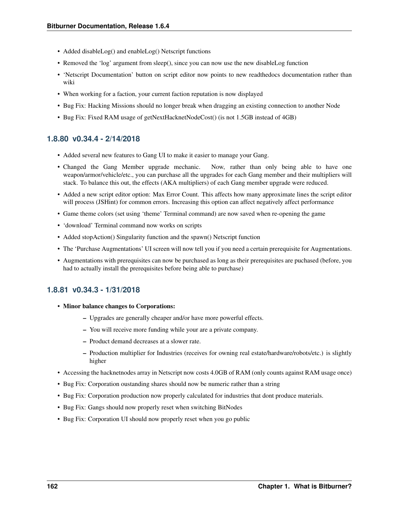- Added disableLog() and enableLog() Netscript functions
- Removed the 'log' argument from sleep(), since you can now use the new disableLog function
- 'Netscript Documentation' button on script editor now points to new readthedocs documentation rather than wiki
- When working for a faction, your current faction reputation is now displayed
- Bug Fix: Hacking Missions should no longer break when dragging an existing connection to another Node
- Bug Fix: Fixed RAM usage of getNextHacknetNodeCost() (is not 1.5GB instead of 4GB)

### **1.8.80 v0.34.4 - 2/14/2018**

- Added several new features to Gang UI to make it easier to manage your Gang.
- Changed the Gang Member upgrade mechanic. Now, rather than only being able to have one weapon/armor/vehicle/etc., you can purchase all the upgrades for each Gang member and their multipliers will stack. To balance this out, the effects (AKA multipliers) of each Gang member upgrade were reduced.
- Added a new script editor option: Max Error Count. This affects how many approximate lines the script editor will process (JSHint) for common errors. Increasing this option can affect negatively affect performance
- Game theme colors (set using 'theme' Terminal command) are now saved when re-opening the game
- 'download' Terminal command now works on scripts
- Added stopAction() Singularity function and the spawn() Netscript function
- The 'Purchase Augmentations' UI screen will now tell you if you need a certain prerequisite for Augmentations.
- Augmentations with prerequisites can now be purchased as long as their prerequisites are puchased (before, you had to actually install the prerequisites before being able to purchase)

### **1.8.81 v0.34.3 - 1/31/2018**

- Minor balance changes to Corporations:
	- Upgrades are generally cheaper and/or have more powerful effects.
	- You will receive more funding while your are a private company.
	- Product demand decreases at a slower rate.
	- Production multiplier for Industries (receives for owning real estate/hardware/robots/etc.) is slightly higher
- Accessing the hacknetnodes array in Netscript now costs 4.0GB of RAM (only counts against RAM usage once)
- Bug Fix: Corporation oustanding shares should now be numeric rather than a string
- Bug Fix: Corporation production now properly calculated for industries that dont produce materials.
- Bug Fix: Gangs should now properly reset when switching BitNodes
- Bug Fix: Corporation UI should now properly reset when you go public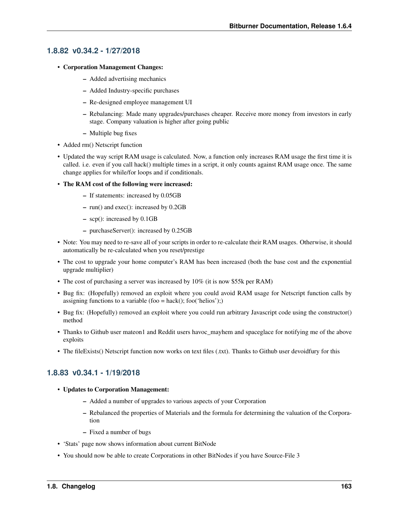## **1.8.82 v0.34.2 - 1/27/2018**

- Corporation Management Changes:
	- Added advertising mechanics
	- Added Industry-specific purchases
	- Re-designed employee management UI
	- Rebalancing: Made many upgrades/purchases cheaper. Receive more money from investors in early stage. Company valuation is higher after going public
	- Multiple bug fixes
- Added rm() Netscript function
- Updated the way script RAM usage is calculated. Now, a function only increases RAM usage the first time it is called. i.e. even if you call hack() multiple times in a script, it only counts against RAM usage once. The same change applies for while/for loops and if conditionals.
- The RAM cost of the following were increased:
	- If statements: increased by 0.05GB
	- run() and exec(): increased by 0.2GB
	- scp(): increased by 0.1GB
	- purchaseServer(): increased by 0.25GB
- Note: You may need to re-save all of your scripts in order to re-calculate their RAM usages. Otherwise, it should automatically be re-calculated when you reset/prestige
- The cost to upgrade your home computer's RAM has been increased (both the base cost and the exponential upgrade multiplier)
- The cost of purchasing a server was increased by 10% (it is now \$55k per RAM)
- Bug fix: (Hopefully) removed an exploit where you could avoid RAM usage for Netscript function calls by assigning functions to a variable (foo = hack(); foo('helios');)
- Bug fix: (Hopefully) removed an exploit where you could run arbitrary Javascript code using the constructor() method
- Thanks to Github user mateon1 and Reddit users havoc\_mayhem and spaceglace for notifying me of the above exploits
- The fileExists() Netscript function now works on text files (.txt). Thanks to Github user devoidfury for this

# **1.8.83 v0.34.1 - 1/19/2018**

- Updates to Corporation Management:
	- Added a number of upgrades to various aspects of your Corporation
	- Rebalanced the properties of Materials and the formula for determining the valuation of the Corporation
	- Fixed a number of bugs
- 'Stats' page now shows information about current BitNode
- You should now be able to create Corporations in other BitNodes if you have Source-File 3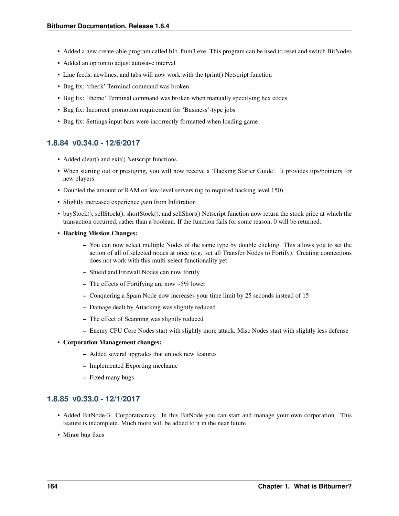- Added a new create-able program called b1t flum3.exe. This program can be used to reset and switch BitNodes
- Added an option to adjust autosave interval
- Line feeds, newlines, and tabs will now work with the tprint() Netscript function
- Bug fix: 'check' Terminal command was broken
- Bug fix: 'theme' Terminal command was broken when manually specifying hex codes
- Bug fix: Incorrect promotion requirement for 'Business'-type jobs
- Bug fix: Settings input bars were incorrectly formatted when loading game

## **1.8.84 v0.34.0 - 12/6/2017**

- Added clear() and exit() Netscript functions
- When starting out or prestiging, you will now receive a 'Hacking Starter Guide'. It provides tips/pointers for new players
- Doubled the amount of RAM on low-level servers (up to required hacking level 150)
- Slightly increased experience gain from Infiltration
- buyStock(), sellStock(), shortStock(), and sellShort() Netscript function now return the stock price at which the transaction occurred, rather than a boolean. If the function fails for some reason, 0 will be returned.
- Hacking Mission Changes:
	- You can now select multiple Nodes of the same type by double clicking. This allows you to set the action of all of selected nodes at once (e.g. set all Transfer Nodes to Fortify). Creating connections does not work with this multi-select functionality yet
	- Shield and Firewall Nodes can now fortify
	- The effects of Fortifying are now  $\sim 5\%$  lower
	- Conquering a Spam Node now increases your time limit by 25 seconds instead of 15
	- Damage dealt by Attacking was slightly reduced
	- The effect of Scanning was slightly reduced
	- Enemy CPU Core Nodes start with slightly more attack. Misc Nodes start with slightly less defense

### • Corporation Management changes:

- Added several upgrades that unlock new features
- Implemented Exporting mechanic
- Fixed many bugs

# **1.8.85 v0.33.0 - 12/1/2017**

- Added BitNode-3: Corporatocracy. In this BitNode you can start and manage your own corporation. This feature is incomplete. Much more will be added to it in the near future
- Minor bug fixes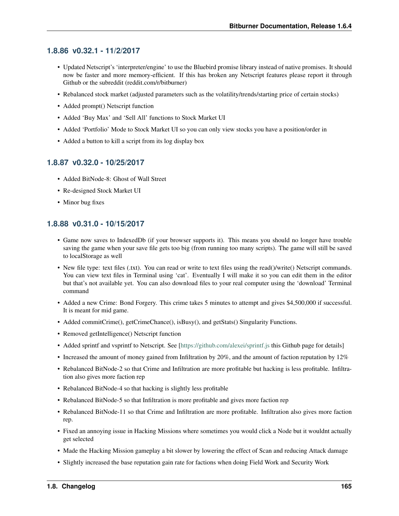## **1.8.86 v0.32.1 - 11/2/2017**

- Updated Netscript's 'interpreter/engine' to use the Bluebird promise library instead of native promises. It should now be faster and more memory-efficient. If this has broken any Netscript features please report it through Github or the subreddit (reddit.com/r/bitburner)
- Rebalanced stock market (adjusted parameters such as the volatility/trends/starting price of certain stocks)
- Added prompt() Netscript function
- Added 'Buy Max' and 'Sell All' functions to Stock Market UI
- Added 'Portfolio' Mode to Stock Market UI so you can only view stocks you have a position/order in
- Added a button to kill a script from its log display box

# **1.8.87 v0.32.0 - 10/25/2017**

- Added BitNode-8: Ghost of Wall Street
- Re-designed Stock Market UI
- Minor bug fixes

# **1.8.88 v0.31.0 - 10/15/2017**

- Game now saves to IndexedDb (if your browser supports it). This means you should no longer have trouble saving the game when your save file gets too big (from running too many scripts). The game will still be saved to localStorage as well
- New file type: text files (.txt). You can read or write to text files using the read()/write() Netscript commands. You can view text files in Terminal using 'cat'. Eventually I will make it so you can edit them in the editor but that's not available yet. You can also download files to your real computer using the 'download' Terminal command
- Added a new Crime: Bond Forgery. This crime takes 5 minutes to attempt and gives \$4,500,000 if successful. It is meant for mid game.
- Added commitCrime(), getCrimeChance(), isBusy(), and getStats() Singularity Functions.
- Removed getIntelligence() Netscript function
- Added sprintf and vsprintf to Netscript. See [\[https://github.com/alexei/sprintf.js](https://github.com/alexei/sprintf.js) this Github page for details]
- Increased the amount of money gained from Infiltration by 20%, and the amount of faction reputation by 12%
- Rebalanced BitNode-2 so that Crime and Infiltration are more profitable but hacking is less profitable. Infiltration also gives more faction rep
- Rebalanced BitNode-4 so that hacking is slightly less profitable
- Rebalanced BitNode-5 so that Infiltration is more profitable and gives more faction rep
- Rebalanced BitNode-11 so that Crime and Infiltration are more profitable. Infiltration also gives more faction rep.
- Fixed an annoying issue in Hacking Missions where sometimes you would click a Node but it wouldnt actually get selected
- Made the Hacking Mission gameplay a bit slower by lowering the effect of Scan and reducing Attack damage
- Slightly increased the base reputation gain rate for factions when doing Field Work and Security Work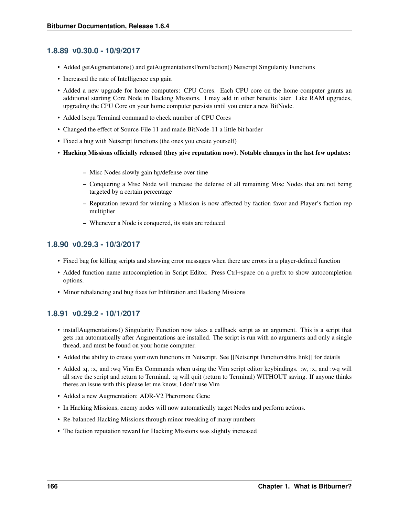## **1.8.89 v0.30.0 - 10/9/2017**

- Added getAugmentations() and getAugmentationsFromFaction() Netscript Singularity Functions
- Increased the rate of Intelligence exp gain
- Added a new upgrade for home computers: CPU Cores. Each CPU core on the home computer grants an additional starting Core Node in Hacking Missions. I may add in other benefits later. Like RAM upgrades, upgrading the CPU Core on your home computer persists until you enter a new BitNode.
- Added lscpu Terminal command to check number of CPU Cores
- Changed the effect of Source-File 11 and made BitNode-11 a little bit harder
- Fixed a bug with Netscript functions (the ones you create yourself)
- Hacking Missions officially released (they give reputation now). Notable changes in the last few updates:
	- Misc Nodes slowly gain hp/defense over time
	- Conquering a Misc Node will increase the defense of all remaining Misc Nodes that are not being targeted by a certain percentage
	- Reputation reward for winning a Mission is now affected by faction favor and Player's faction rep multiplier
	- Whenever a Node is conquered, its stats are reduced

## **1.8.90 v0.29.3 - 10/3/2017**

- Fixed bug for killing scripts and showing error messages when there are errors in a player-defined function
- Added function name autocompletion in Script Editor. Press Ctrl+space on a prefix to show autocompletion options.
- Minor rebalancing and bug fixes for Infiltration and Hacking Missions

# **1.8.91 v0.29.2 - 10/1/2017**

- installAugmentations() Singularity Function now takes a callback script as an argument. This is a script that gets ran automatically after Augmentations are installed. The script is run with no arguments and only a single thread, and must be found on your home computer.
- Added the ability to create your own functions in Netscript. See [[Netscript Functions|this link]] for details
- Added :q, :x, and :wq Vim Ex Commands when using the Vim script editor keybindings. :w, :x, and :wq will all save the script and return to Terminal. :q will quit (return to Terminal) WITHOUT saving. If anyone thinks theres an issue with this please let me know, I don't use Vim
- Added a new Augmentation: ADR-V2 Pheromone Gene
- In Hacking Missions, enemy nodes will now automatically target Nodes and perform actions.
- Re-balanced Hacking Missions through minor tweaking of many numbers
- The faction reputation reward for Hacking Missions was slightly increased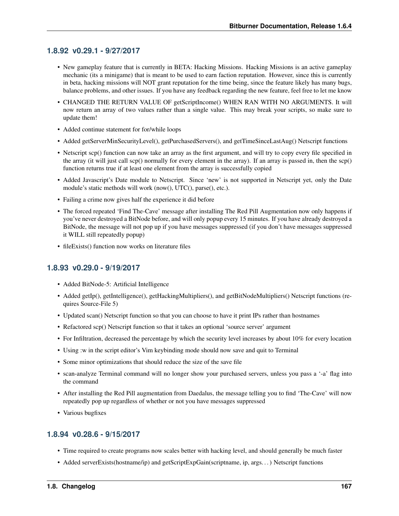## **1.8.92 v0.29.1 - 9/27/2017**

- New gameplay feature that is currently in BETA: Hacking Missions. Hacking Missions is an active gameplay mechanic (its a minigame) that is meant to be used to earn faction reputation. However, since this is currently in beta, hacking missions will NOT grant reputation for the time being, since the feature likely has many bugs, balance problems, and other issues. If you have any feedback regarding the new feature, feel free to let me know
- CHANGED THE RETURN VALUE OF getScriptIncome() WHEN RAN WITH NO ARGUMENTS. It will now return an array of two values rather than a single value. This may break your scripts, so make sure to update them!
- Added continue statement for for/while loops
- Added getServerMinSecurityLevel(), getPurchasedServers(), and getTimeSinceLastAug() Netscript functions
- Netscript scp() function can now take an array as the first argument, and will try to copy every file specified in the array (it will just call scp() normally for every element in the array). If an array is passed in, then the scp() function returns true if at least one element from the array is successfully copied
- Added Javascript's Date module to Netscript. Since 'new' is not supported in Netscript yet, only the Date module's static methods will work (now(), UTC(), parse(), etc.).
- Failing a crime now gives half the experience it did before
- The forced repeated 'Find The-Cave' message after installing The Red Pill Augmentation now only happens if you've never destroyed a BitNode before, and will only popup every 15 minutes. If you have already destroyed a BitNode, the message will not pop up if you have messages suppressed (if you don't have messages suppressed it WILL still repeatedly popup)
- fileExists() function now works on literature files

## **1.8.93 v0.29.0 - 9/19/2017**

- Added BitNode-5: Artificial Intelligence
- Added getIp(), getIntelligence(), getHackingMultipliers(), and getBitNodeMultipliers() Netscript functions (requires Source-File 5)
- Updated scan() Netscript function so that you can choose to have it print IPs rather than hostnames
- Refactored scp() Netscript function so that it takes an optional 'source server' argument
- For Infiltration, decreased the percentage by which the security level increases by about 10% for every location
- Using :w in the script editor's Vim keybinding mode should now save and quit to Terminal
- Some minor optimizations that should reduce the size of the save file
- scan-analyze Terminal command will no longer show your purchased servers, unless you pass a '-a' flag into the command
- After installing the Red Pill augmentation from Daedalus, the message telling you to find 'The-Cave' will now repeatedly pop up regardless of whether or not you have messages suppressed
- Various bugfixes

## **1.8.94 v0.28.6 - 9/15/2017**

- Time required to create programs now scales better with hacking level, and should generally be much faster
- Added serverExists(hostname/ip) and getScriptExpGain(scriptname, ip, args. . . ) Netscript functions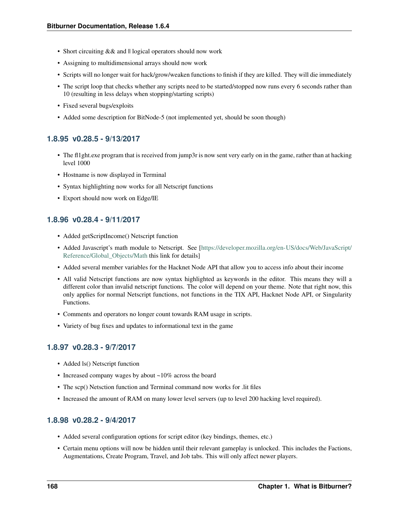- Short circuiting & & and  $\parallel$  logical operators should now work
- Assigning to multidimensional arrays should now work
- Scripts will no longer wait for hack/grow/weaken functions to finish if they are killed. They will die immediately
- The script loop that checks whether any scripts need to be started/stopped now runs every 6 seconds rather than 10 (resulting in less delays when stopping/starting scripts)
- Fixed several bugs/exploits
- Added some description for BitNode-5 (not implemented yet, should be soon though)

### **1.8.95 v0.28.5 - 9/13/2017**

- The fl1ght.exe program that is received from jump3r is now sent very early on in the game, rather than at hacking level 1000
- Hostname is now displayed in Terminal
- Syntax highlighting now works for all Netscript functions
- Export should now work on Edge/IE

## **1.8.96 v0.28.4 - 9/11/2017**

- Added getScriptIncome() Netscript function
- Added Javascript's math module to Netscript. See [\[https://developer.mozilla.org/en-US/docs/Web/JavaScript/](https://developer.mozilla.org/en-US/docs/Web/JavaScript/Reference/Global_Objects/Math) [Reference/Global\\_Objects/Math](https://developer.mozilla.org/en-US/docs/Web/JavaScript/Reference/Global_Objects/Math) this link for details]
- Added several member variables for the Hacknet Node API that allow you to access info about their income
- All valid Netscript functions are now syntax highlighted as keywords in the editor. This means they will a different color than invalid netscript functions. The color will depend on your theme. Note that right now, this only applies for normal Netscript functions, not functions in the TIX API, Hacknet Node API, or Singularity Functions.
- Comments and operators no longer count towards RAM usage in scripts.
- Variety of bug fixes and updates to informational text in the game

## **1.8.97 v0.28.3 - 9/7/2017**

- Added ls() Netscript function
- Increased company wages by about ~10% across the board
- The scp() Netsction function and Terminal command now works for .lit files
- Increased the amount of RAM on many lower level servers (up to level 200 hacking level required).

### **1.8.98 v0.28.2 - 9/4/2017**

- Added several configuration options for script editor (key bindings, themes, etc.)
- Certain menu options will now be hidden until their relevant gameplay is unlocked. This includes the Factions, Augmentations, Create Program, Travel, and Job tabs. This will only affect newer players.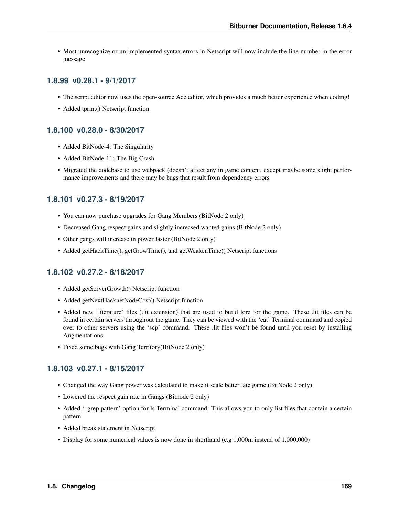• Most unrecognize or un-implemented syntax errors in Netscript will now include the line number in the error message

## **1.8.99 v0.28.1 - 9/1/2017**

- The script editor now uses the open-source Ace editor, which provides a much better experience when coding!
- Added tprint() Netscript function

## **1.8.100 v0.28.0 - 8/30/2017**

- Added BitNode-4: The Singularity
- Added BitNode-11: The Big Crash
- Migrated the codebase to use webpack (doesn't affect any in game content, except maybe some slight performance improvements and there may be bugs that result from dependency errors

## **1.8.101 v0.27.3 - 8/19/2017**

- You can now purchase upgrades for Gang Members (BitNode 2 only)
- Decreased Gang respect gains and slightly increased wanted gains (BitNode 2 only)
- Other gangs will increase in power faster (BitNode 2 only)
- Added getHackTime(), getGrowTime(), and getWeakenTime() Netscript functions

# **1.8.102 v0.27.2 - 8/18/2017**

- Added getServerGrowth() Netscript function
- Added getNextHacknetNodeCost() Netscript function
- Added new 'literature' files (.lit extension) that are used to build lore for the game. These .lit files can be found in certain servers throughout the game. They can be viewed with the 'cat' Terminal command and copied over to other servers using the 'scp' command. These .lit files won't be found until you reset by installing Augmentations
- Fixed some bugs with Gang Territory(BitNode 2 only)

# **1.8.103 v0.27.1 - 8/15/2017**

- Changed the way Gang power was calculated to make it scale better late game (BitNode 2 only)
- Lowered the respect gain rate in Gangs (Bitnode 2 only)
- Added '| grep pattern' option for ls Terminal command. This allows you to only list files that contain a certain pattern
- Added break statement in Netscript
- Display for some numerical values is now done in shorthand (e.g 1.000m instead of 1,000,000)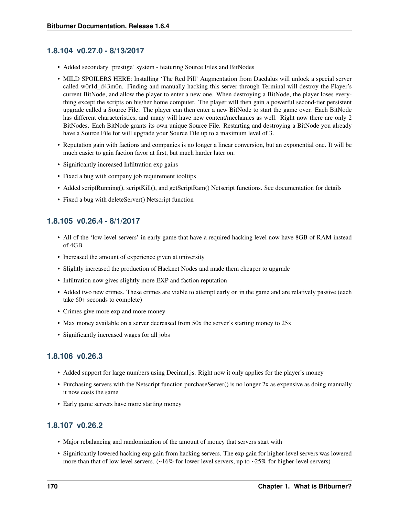## **1.8.104 v0.27.0 - 8/13/2017**

- Added secondary 'prestige' system featuring Source Files and BitNodes
- MILD SPOILERS HERE: Installing 'The Red Pill' Augmentation from Daedalus will unlock a special server called w0r1d\_d43m0n. Finding and manually hacking this server through Terminal will destroy the Player's current BitNode, and allow the player to enter a new one. When destroying a BitNode, the player loses everything except the scripts on his/her home computer. The player will then gain a powerful second-tier persistent upgrade called a Source File. The player can then enter a new BitNode to start the game over. Each BitNode has different characteristics, and many will have new content/mechanics as well. Right now there are only 2 BitNodes. Each BitNode grants its own unique Source File. Restarting and destroying a BitNode you already have a Source File for will upgrade your Source File up to a maximum level of 3.
- Reputation gain with factions and companies is no longer a linear conversion, but an exponential one. It will be much easier to gain faction favor at first, but much harder later on.
- Significantly increased Infiltration exp gains
- Fixed a bug with company job requirement tooltips
- Added scriptRunning(), scriptKill(), and getScriptRam() Netscript functions. See documentation for details
- Fixed a bug with deleteServer() Netscript function

## **1.8.105 v0.26.4 - 8/1/2017**

- All of the 'low-level servers' in early game that have a required hacking level now have 8GB of RAM instead of 4GB
- Increased the amount of experience given at university
- Slightly increased the production of Hacknet Nodes and made them cheaper to upgrade
- Infiltration now gives slightly more EXP and faction reputation
- Added two new crimes. These crimes are viable to attempt early on in the game and are relatively passive (each take 60+ seconds to complete)
- Crimes give more exp and more money
- Max money available on a server decreased from 50x the server's starting money to 25x
- Significantly increased wages for all jobs

## **1.8.106 v0.26.3**

- Added support for large numbers using Decimal.js. Right now it only applies for the player's money
- Purchasing servers with the Netscript function purchaseServer() is no longer 2x as expensive as doing manually it now costs the same
- Early game servers have more starting money

## **1.8.107 v0.26.2**

- Major rebalancing and randomization of the amount of money that servers start with
- Significantly lowered hacking exp gain from hacking servers. The exp gain for higher-level servers was lowered more than that of low level servers.  $(-16\%$  for lower level servers, up to  $-25\%$  for higher-level servers)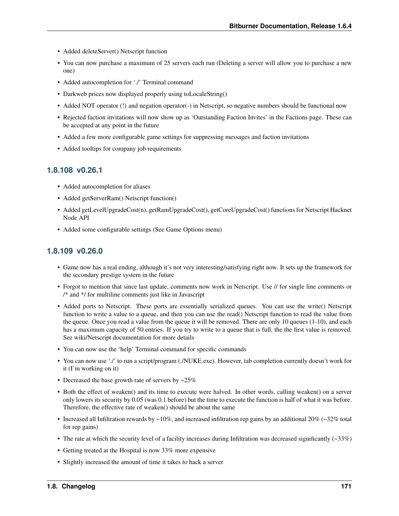- Added deleteServer() Netscript function
- You can now purchase a maximum of 25 servers each run (Deleting a server will allow you to purchase a new one)
- Added autocompletion for './' Terminal command
- Darkweb prices now displayed properly using to LocaleString()
- Added NOT operator (!) and negation operator (-) in Netscript, so negative numbers should be functional now
- Rejected faction invitations will now show up as 'Outstanding Faction Invites' in the Factions page. These can be accepted at any point in the future
- Added a few more configurable game settings for suppressing messages and faction invitations
- Added tooltips for company job requirements

#### **1.8.108 v0.26.1**

- Added autocompletion for aliases
- Added getServerRam() Netscript function()
- Added getLevelUpgradeCost(n), getRamUpgradeCost(), getCoreUpgradeCost() functions for Netscript Hacknet Node API
- Added some configurable settings (See Game Options menu)

#### **1.8.109 v0.26.0**

- Game now has a real ending, although it's not very interesting/satisfying right now. It sets up the framework for the secondary prestige system in the future
- Forgot to mention that since last update, comments now work in Netscript. Use // for single line comments or /\* and \*/ for multiline comments just like in Javascript
- Added ports to Netscript. These ports are essentially serialized queues. You can use the write() Netscript function to write a value to a queue, and then you can use the read() Netscript function to read the value from the queue. Once you read a value from the queue it will be removed. There are only 10 queues (1-10), and each has a maximum capacity of 50 entries. If you try to write to a queue that is full, the the first value is removed. See wiki/Netscript documentation for more details
- You can now use the 'help' Terminal command for specific commands
- You can now use './' to run a script/program (./NUKE.exe). However, tab completion currently doesn't work for it (I'm working on it)
- Decreased the base growth rate of servers by  $\sim 25\%$
- Both the effect of weaken() and its time to execute were halved. In other words, calling weaken() on a server only lowers its security by 0.05 (was 0.1 before) but the time to execute the function is half of what it was before. Therefore, the effective rate of weaken() should be about the same
- Increased all Infiltration rewards by  $\sim$ 10%, and increased infiltration rep gains by an additional 20% ( $\sim$ 32% total for rep gains)
- The rate at which the security level of a facility increases during Infiltration was decreased significantly  $(-33%)$
- Getting treated at the Hospital is now 33% more expensive
- Slightly increased the amount of time it takes to hack a server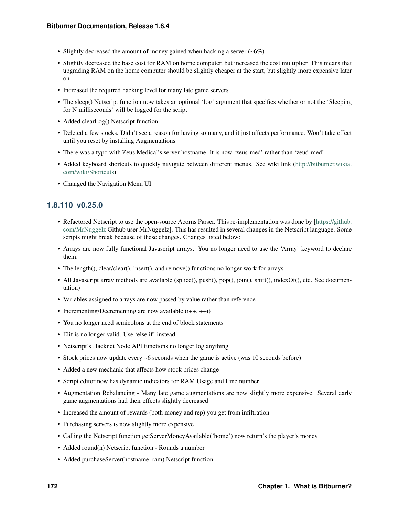- Slightly decreased the amount of money gained when hacking a server  $(-6%)$
- Slightly decreased the base cost for RAM on home computer, but increased the cost multiplier. This means that upgrading RAM on the home computer should be slightly cheaper at the start, but slightly more expensive later on
- Increased the required hacking level for many late game servers
- The sleep() Netscript function now takes an optional 'log' argument that specifies whether or not the 'Sleeping for N milliseconds' will be logged for the script
- Added clearLog() Netscript function
- Deleted a few stocks. Didn't see a reason for having so many, and it just affects performance. Won't take effect until you reset by installing Augmentations
- There was a typo with Zeus Medical's server hostname. It is now 'zeus-med' rather than 'zeud-med'
- Added keyboard shortcuts to quickly navigate between different menus. See wiki link [\(http://bitburner.wikia.](http://bitburner.wikia.com/wiki/Shortcuts) [com/wiki/Shortcuts\)](http://bitburner.wikia.com/wiki/Shortcuts)
- Changed the Navigation Menu UI

### **1.8.110 v0.25.0**

- Refactored Netscript to use the open-source Acorns Parser. This re-implementation was done by [\[https://github.](https://github.com/MrNuggelz) [com/MrNuggelz](https://github.com/MrNuggelz) Github user MrNuggelz]. This has resulted in several changes in the Netscript language. Some scripts might break because of these changes. Changes listed below:
- Arrays are now fully functional Javascript arrays. You no longer need to use the 'Array' keyword to declare them.
- The length(), clear/clear(), insert(), and remove() functions no longer work for arrays.
- All Javascript array methods are available (splice(), push(), pop(), join(), shift(), indexOf(), etc. See documentation)
- Variables assigned to arrays are now passed by value rather than reference
- Incrementing/Decrementing are now available  $(i++, ++i)$
- You no longer need semicolons at the end of block statements
- Elif is no longer valid. Use 'else if' instead
- Netscript's Hacknet Node API functions no longer log anything
- Stock prices now update every ~6 seconds when the game is active (was 10 seconds before)
- Added a new mechanic that affects how stock prices change
- Script editor now has dynamic indicators for RAM Usage and Line number
- Augmentation Rebalancing Many late game augmentations are now slightly more expensive. Several early game augmentations had their effects slightly decreased
- Increased the amount of rewards (both money and rep) you get from infiltration
- Purchasing servers is now slightly more expensive
- Calling the Netscript function getServerMoneyAvailable('home') now return's the player's money
- Added round(n) Netscript function Rounds a number
- Added purchaseServer(hostname, ram) Netscript function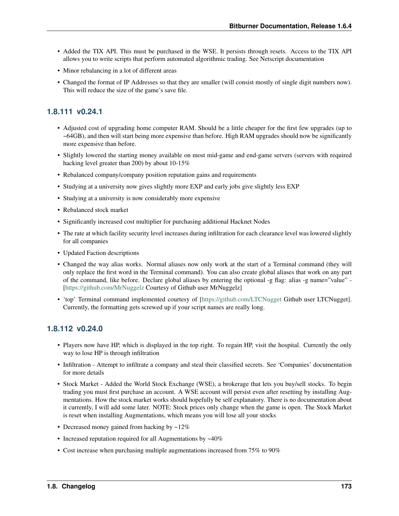- Added the TIX API. This must be purchased in the WSE. It persists through resets. Access to the TIX API allows you to write scripts that perform automated algorithmic trading. See Netscript documentation
- Minor rebalancing in a lot of different areas
- Changed the format of IP Addresses so that they are smaller (will consist mostly of single digit numbers now). This will reduce the size of the game's save file.

### **1.8.111 v0.24.1**

- Adjusted cost of upgrading home computer RAM. Should be a little cheaper for the first few upgrades (up to ~64GB), and then will start being more expensive than before. High RAM upgrades should now be significantly more expensive than before.
- Slightly lowered the starting money available on most mid-game and end-game servers (servers with required hacking level greater than 200) by about 10-15%
- Rebalanced company/company position reputation gains and requirements
- Studying at a university now gives slightly more EXP and early jobs give slightly less EXP
- Studying at a university is now considerably more expensive
- Rebalanced stock market
- Significantly increased cost multiplier for purchasing additional Hacknet Nodes
- The rate at which facility security level increases during infiltration for each clearance level was lowered slightly for all companies
- Updated Faction descriptions
- Changed the way alias works. Normal aliases now only work at the start of a Terminal command (they will only replace the first word in the Terminal command). You can also create global aliases that work on any part of the command, like before. Declare global aliases by entering the optional -g flag: alias -g name="value" - [\[https://github.com/MrNuggelz](https://github.com/MrNuggelz) Courtesy of Github user MrNuggelz]
- 'top' Terminal command implemented courtesy of [\[https://github.com/LTCNugget](https://github.com/LTCNugget) Github user LTCNugget]. Currently, the formatting gets screwed up if your script names are really long.

#### **1.8.112 v0.24.0**

- Players now have HP, which is displayed in the top right. To regain HP, visit the hospital. Currently the only way to lose HP is through infiltration
- Infiltration Attempt to infiltrate a company and steal their classified secrets. See 'Companies' documentation for more details
- Stock Market Added the World Stock Exchange (WSE), a brokerage that lets you buy/sell stocks. To begin trading you must first purchase an account. A WSE account will persist even after resetting by installing Augmentations. How the stock market works should hopefully be self explanatory. There is no documentation about it currently, I will add some later. NOTE: Stock prices only change when the game is open. The Stock Market is reset when installing Augmentations, which means you will lose all your stocks
- Decreased money gained from hacking by ~12%
- Increased reputation required for all Augmentations by ~40%
- Cost increase when purchasing multiple augmentations increased from 75% to 90%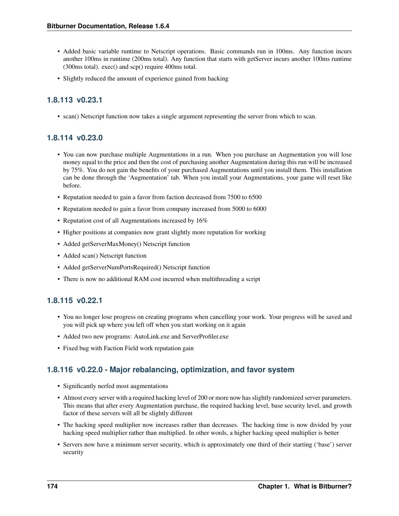- Added basic variable runtime to Netscript operations. Basic commands run in 100ms. Any function incurs another 100ms in runtime (200ms total). Any function that starts with getServer incurs another 100ms runtime (300ms total). exec() and scp() require 400ms total.
- Slightly reduced the amount of experience gained from hacking

### **1.8.113 v0.23.1**

• scan() Netscript function now takes a single argument representing the server from which to scan.

### **1.8.114 v0.23.0**

- You can now purchase multiple Augmentations in a run. When you purchase an Augmentation you will lose money equal to the price and then the cost of purchasing another Augmentation during this run will be increased by 75%. You do not gain the benefits of your purchased Augmentations until you install them. This installation can be done through the 'Augmentation' tab. When you install your Augmentations, your game will reset like before.
- Reputation needed to gain a favor from faction decreased from 7500 to 6500
- Reputation needed to gain a favor from company increased from 5000 to 6000
- Reputation cost of all Augmentations increased by 16%
- Higher positions at companies now grant slightly more reputation for working
- Added getServerMaxMoney() Netscript function
- Added scan() Netscript function
- Added getServerNumPortsRequired() Netscript function
- There is now no additional RAM cost incurred when multithreading a script

### **1.8.115 v0.22.1**

- You no longer lose progress on creating programs when cancelling your work. Your progress will be saved and you will pick up where you left off when you start working on it again
- Added two new programs: AutoLink.exe and ServerProfiler.exe
- Fixed bug with Faction Field work reputation gain

### **1.8.116 v0.22.0 - Major rebalancing, optimization, and favor system**

- Significantly nerfed most augmentations
- Almost every server with a required hacking level of 200 or more now has slightly randomized server parameters. This means that after every Augmentation purchase, the required hacking level, base security level, and growth factor of these servers will all be slightly different
- The hacking speed multiplier now increases rather than decreases. The hacking time is now divided by your hacking speed multiplier rather than multiplied. In other words, a higher hacking speed multiplier is better
- Servers now have a minimum server security, which is approximately one third of their starting ('base') server security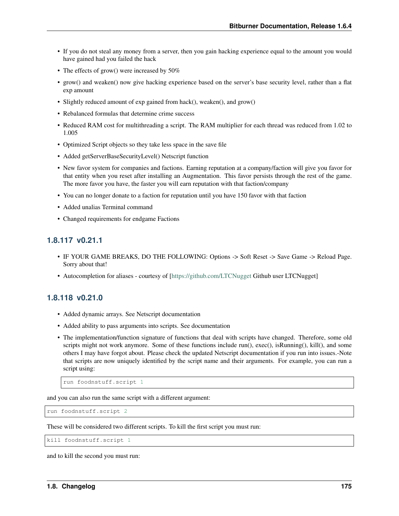- If you do not steal any money from a server, then you gain hacking experience equal to the amount you would have gained had you failed the hack
- The effects of grow() were increased by 50%
- grow() and weaken() now give hacking experience based on the server's base security level, rather than a flat exp amount
- Slightly reduced amount of exp gained from hack(), weaken(), and grow()
- Rebalanced formulas that determine crime success
- Reduced RAM cost for multithreading a script. The RAM multiplier for each thread was reduced from 1.02 to 1.005
- Optimized Script objects so they take less space in the save file
- Added getServerBaseSecurityLevel() Netscript function
- New favor system for companies and factions. Earning reputation at a company/faction will give you favor for that entity when you reset after installing an Augmentation. This favor persists through the rest of the game. The more favor you have, the faster you will earn reputation with that faction/company
- You can no longer donate to a faction for reputation until you have 150 favor with that faction
- Added unalias Terminal command
- Changed requirements for endgame Factions

#### **1.8.117 v0.21.1**

- IF YOUR GAME BREAKS, DO THE FOLLOWING: Options -> Soft Reset -> Save Game -> Reload Page. Sorry about that!
- Autocompletion for aliases courtesy of [\[https://github.com/LTCNugget](https://github.com/LTCNugget) Github user LTCNugget]

#### **1.8.118 v0.21.0**

- Added dynamic arrays. See Netscript documentation
- Added ability to pass arguments into scripts. See documentation
- The implementation/function signature of functions that deal with scripts have changed. Therefore, some old scripts might not work anymore. Some of these functions include run(), exec(), isRunning(), kill(), and some others I may have forgot about. Please check the updated Netscript documentation if you run into issues.-Note that scripts are now uniquely identified by the script name and their arguments. For example, you can run a script using:

```
run foodnstuff.script 1
```
and you can also run the same script with a different argument:

run foodnstuff.script 2

These will be considered two different scripts. To kill the first script you must run:

kill foodnstuff.script 1

and to kill the second you must run: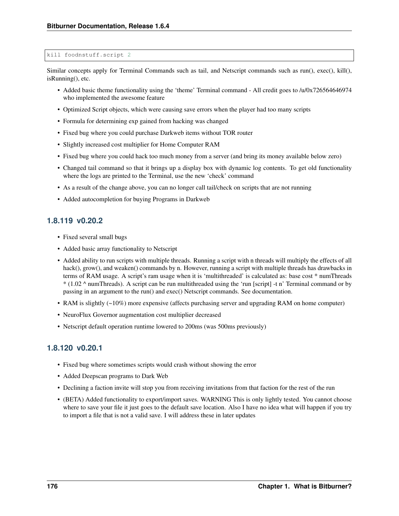#### kill foodnstuff.script 2

Similar concepts apply for Terminal Commands such as tail, and Netscript commands such as run(), exec(), kill(), isRunning(), etc.

- Added basic theme functionality using the 'theme' Terminal command All credit goes to /u/0x726564646974 who implemented the awesome feature
- Optimized Script objects, which were causing save errors when the player had too many scripts
- Formula for determining exp gained from hacking was changed
- Fixed bug where you could purchase Darkweb items without TOR router
- Slightly increased cost multiplier for Home Computer RAM
- Fixed bug where you could hack too much money from a server (and bring its money available below zero)
- Changed tail command so that it brings up a display box with dynamic log contents. To get old functionality where the logs are printed to the Terminal, use the new 'check' command
- As a result of the change above, you can no longer call tail/check on scripts that are not running
- Added autocompletion for buying Programs in Darkweb

#### **1.8.119 v0.20.2**

- Fixed several small bugs
- Added basic array functionality to Netscript
- Added ability to run scripts with multiple threads. Running a script with n threads will multiply the effects of all hack(), grow(), and weaken() commands by n. However, running a script with multiple threads has drawbacks in terms of RAM usage. A script's ram usage when it is 'multithreaded' is calculated as: base cost \* numThreads  $*(1.02 \wedge$  numThreads). A script can be run multithreaded using the 'run [script] -t n' Terminal command or by passing in an argument to the run() and exec() Netscript commands. See documentation.
- RAM is slightly (~10%) more expensive (affects purchasing server and upgrading RAM on home computer)
- NeuroFlux Governor augmentation cost multiplier decreased
- Netscript default operation runtime lowered to 200ms (was 500ms previously)

#### **1.8.120 v0.20.1**

- Fixed bug where sometimes scripts would crash without showing the error
- Added Deepscan programs to Dark Web
- Declining a faction invite will stop you from receiving invitations from that faction for the rest of the run
- (BETA) Added functionality to export/import saves. WARNING This is only lightly tested. You cannot choose where to save your file it just goes to the default save location. Also I have no idea what will happen if you try to import a file that is not a valid save. I will address these in later updates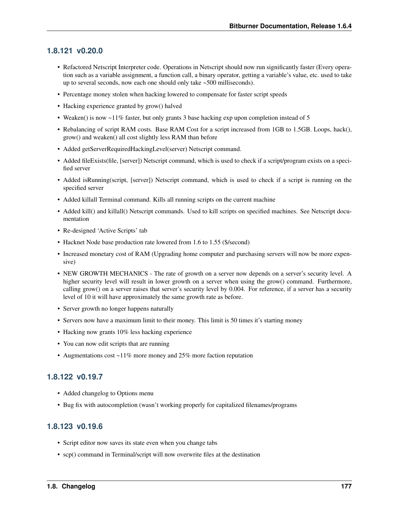#### **1.8.121 v0.20.0**

- Refactored Netscript Interpreter code. Operations in Netscript should now run significantly faster (Every operation such as a variable assignment, a function call, a binary operator, getting a variable's value, etc. used to take up to several seconds, now each one should only take ~500 milliseconds).
- Percentage money stolen when hacking lowered to compensate for faster script speeds
- Hacking experience granted by grow() halved
- Weaken() is now  $\sim$  11% faster, but only grants 3 base hacking exp upon completion instead of 5
- Rebalancing of script RAM costs. Base RAM Cost for a script increased from 1GB to 1.5GB. Loops, hack(), grow() and weaken() all cost slightly less RAM than before
- Added getServerRequiredHackingLevel(server) Netscript command.
- Added fileExists(file, [server]) Netscript command, which is used to check if a script/program exists on a specified server
- Added isRunning(script, [server]) Netscript command, which is used to check if a script is running on the specified server
- Added killall Terminal command. Kills all running scripts on the current machine
- Added kill() and killall() Netscript commands. Used to kill scripts on specified machines. See Netscript documentation
- Re-designed 'Active Scripts' tab
- Hacknet Node base production rate lowered from 1.6 to 1.55 (\$/second)
- Increased monetary cost of RAM (Upgrading home computer and purchasing servers will now be more expensive)
- NEW GROWTH MECHANICS The rate of growth on a server now depends on a server's security level. A higher security level will result in lower growth on a server when using the grow() command. Furthermore, calling grow() on a server raises that server's security level by 0.004. For reference, if a server has a security level of 10 it will have approximately the same growth rate as before.
- Server growth no longer happens naturally
- Servers now have a maximum limit to their money. This limit is 50 times it's starting money
- Hacking now grants 10% less hacking experience
- You can now edit scripts that are running
- Augmentations cost ~11% more money and 25% more faction reputation

#### **1.8.122 v0.19.7**

- Added changelog to Options menu
- Bug fix with autocompletion (wasn't working properly for capitalized filenames/programs

### **1.8.123 v0.19.6**

- Script editor now saves its state even when you change tabs
- scp() command in Terminal/script will now overwrite files at the destination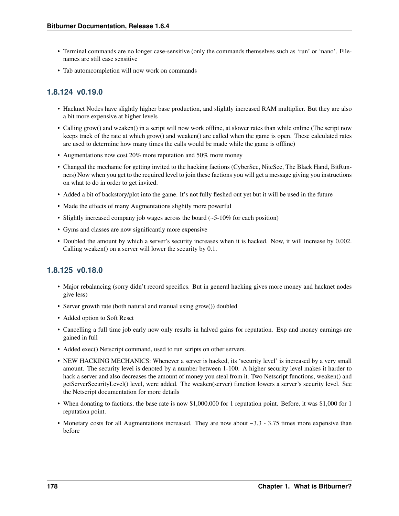- Terminal commands are no longer case-sensitive (only the commands themselves such as 'run' or 'nano'. Filenames are still case sensitive
- Tab automcompletion will now work on commands

### **1.8.124 v0.19.0**

- Hacknet Nodes have slightly higher base production, and slightly increased RAM multiplier. But they are also a bit more expensive at higher levels
- Calling grow() and weaken() in a script will now work offline, at slower rates than while online (The script now keeps track of the rate at which grow() and weaken() are called when the game is open. These calculated rates are used to determine how many times the calls would be made while the game is offline)
- Augmentations now cost 20% more reputation and 50% more money
- Changed the mechanic for getting invited to the hacking factions (CyberSec, NiteSec, The Black Hand, BitRunners) Now when you get to the required level to join these factions you will get a message giving you instructions on what to do in order to get invited.
- Added a bit of backstory/plot into the game. It's not fully fleshed out yet but it will be used in the future
- Made the effects of many Augmentations slightly more powerful
- Slightly increased company job wages across the board (~5-10% for each position)
- Gyms and classes are now significantly more expensive
- Doubled the amount by which a server's security increases when it is hacked. Now, it will increase by 0.002. Calling weaken() on a server will lower the security by 0.1.

### **1.8.125 v0.18.0**

- Major rebalancing (sorry didn't record specifics. But in general hacking gives more money and hacknet nodes give less)
- Server growth rate (both natural and manual using grow()) doubled
- Added option to Soft Reset
- Cancelling a full time job early now only results in halved gains for reputation. Exp and money earnings are gained in full
- Added exec() Netscript command, used to run scripts on other servers.
- NEW HACKING MECHANICS: Whenever a server is hacked, its 'security level' is increased by a very small amount. The security level is denoted by a number between 1-100. A higher security level makes it harder to hack a server and also decreases the amount of money you steal from it. Two Netscript functions, weaken() and getServerSecurityLevel() level, were added. The weaken(server) function lowers a server's security level. See the Netscript documentation for more details
- When donating to factions, the base rate is now \$1,000,000 for 1 reputation point. Before, it was \$1,000 for 1 reputation point.
- Monetary costs for all Augmentations increased. They are now about ~3.3 3.75 times more expensive than before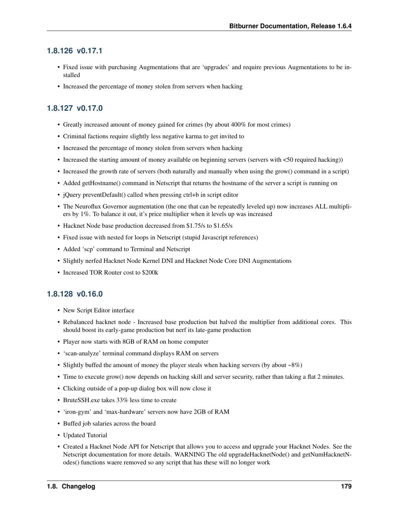#### **1.8.126 v0.17.1**

- Fixed issue with purchasing Augmentations that are 'upgrades' and require previous Augmentations to be installed
- Increased the percentage of money stolen from servers when hacking

### **1.8.127 v0.17.0**

- Greatly increased amount of money gained for crimes (by about 400% for most crimes)
- Criminal factions require slightly less negative karma to get invited to
- Increased the percentage of money stolen from servers when hacking
- Increased the starting amount of money available on beginning servers (servers with <50 required hacking))
- Increased the growth rate of servers (both naturally and manually when using the grow() command in a script)
- Added getHostname() command in Netscript that returns the hostname of the server a script is running on
- jQuery preventDefault() called when pressing ctrl+b in script editor
- The Neuroflux Governor augmentation (the one that can be repeatedly leveled up) now increases ALL multipliers by 1%. To balance it out, it's price multiplier when it levels up was increased
- Hacknet Node base production decreased from \$1.75/s to \$1.65/s
- Fixed issue with nested for loops in Netscript (stupid Javascript references)
- Added 'scp' command to Terminal and Netscript
- Slightly nerfed Hacknet Node Kernel DNI and Hacknet Node Core DNI Augmentations
- Increased TOR Router cost to \$200k

#### **1.8.128 v0.16.0**

- New Script Editor interface
- Rebalanced hacknet node Increased base production but halved the multiplier from additional cores. This should boost its early-game production but nerf its late-game production
- Player now starts with 8GB of RAM on home computer
- 'scan-analyze' terminal command displays RAM on servers
- Slightly buffed the amount of money the player steals when hacking servers (by about ~8%)
- Time to execute grow() now depends on hacking skill and server security, rather than taking a flat 2 minutes.
- Clicking outside of a pop-up dialog box will now close it
- BruteSSH.exe takes 33% less time to create
- 'iron-gym' and 'max-hardware' servers now have 2GB of RAM
- Buffed job salaries across the board
- Updated Tutorial
- Created a Hacknet Node API for Netscript that allows you to access and upgrade your Hacknet Nodes. See the Netscript documentation for more details. WARNING The old upgradeHacknetNode() and getNumHacknetNodes() functions waere removed so any script that has these will no longer work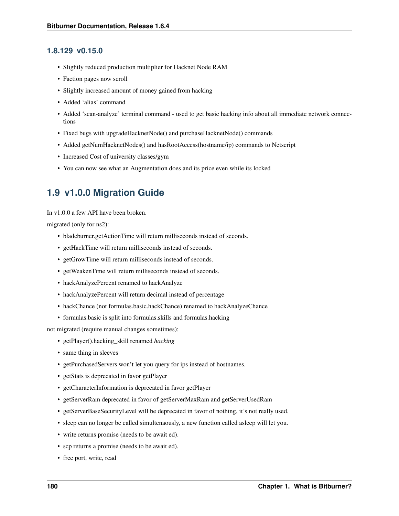#### **1.8.129 v0.15.0**

- Slightly reduced production multiplier for Hacknet Node RAM
- Faction pages now scroll
- Slightly increased amount of money gained from hacking
- Added 'alias' command
- Added 'scan-analyze' terminal command used to get basic hacking info about all immediate network connections
- Fixed bugs with upgradeHacknetNode() and purchaseHacknetNode() commands
- Added getNumHacknetNodes() and hasRootAccess(hostname/ip) commands to Netscript
- Increased Cost of university classes/gym
- You can now see what an Augmentation does and its price even while its locked

### **1.9 v1.0.0 Migration Guide**

In v1.0.0 a few API have been broken.

migrated (only for ns2):

- bladeburner.getActionTime will return milliseconds instead of seconds.
- getHackTime will return milliseconds instead of seconds.
- getGrowTime will return milliseconds instead of seconds.
- getWeakenTime will return milliseconds instead of seconds.
- hackAnalyzePercent renamed to hackAnalyze
- hackAnalyzePercent will return decimal instead of percentage
- hackChance (not formulas.basic.hackChance) renamed to hackAnalyzeChance
- formulas.basic is split into formulas.skills and formulas.hacking

not migrated (require manual changes sometimes):

- getPlayer().hacking\_skill renamed *hacking*
- same thing in sleeves
- getPurchasedServers won't let you query for ips instead of hostnames.
- getStats is deprecated in favor getPlayer
- getCharacterInformation is deprecated in favor getPlayer
- getServerRam deprecated in favor of getServerMaxRam and getServerUsedRam
- getServerBaseSecurityLevel will be deprecated in favor of nothing, it's not really used.
- sleep can no longer be called simultenaously, a new function called asleep will let you.
- write returns promise (needs to be await ed).
- scp returns a promise (needs to be await ed).
- free port, write, read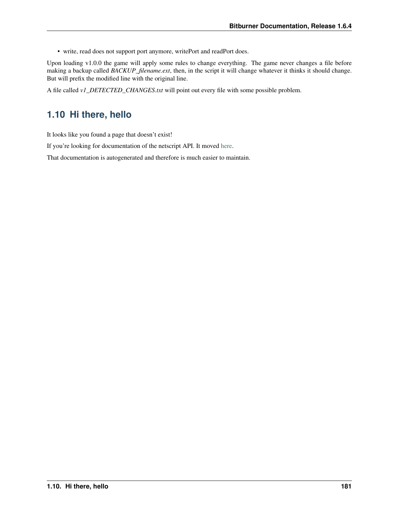• write, read does not support port anymore, writePort and readPort does.

Upon loading v1.0.0 the game will apply some rules to change everything. The game never changes a file before making a backup called *BACKUP\_filename.ext*, then, in the script it will change whatever it thinks it should change. But will prefix the modified line with the original line.

A file called *v1\_DETECTED\_CHANGES.txt* will point out every file with some possible problem.

### **1.10 Hi there, hello**

It looks like you found a page that doesn't exist!

If you're looking for documentation of the netscript API. It moved [here.](https://github.com/danielyxie/bitburner/blob/dev/markdown/bitburner.ns.md)

That documentation is autogenerated and therefore is much easier to maintain.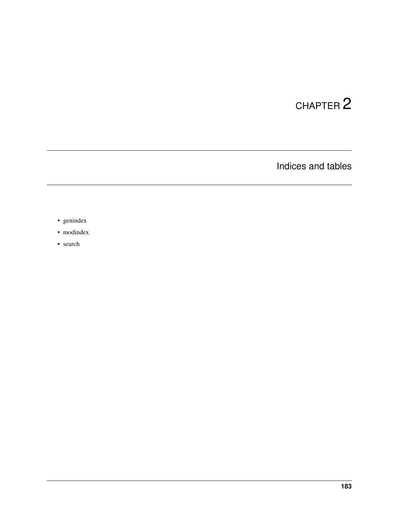# CHAPTER 2

Indices and tables

- genindex
- modindex
- search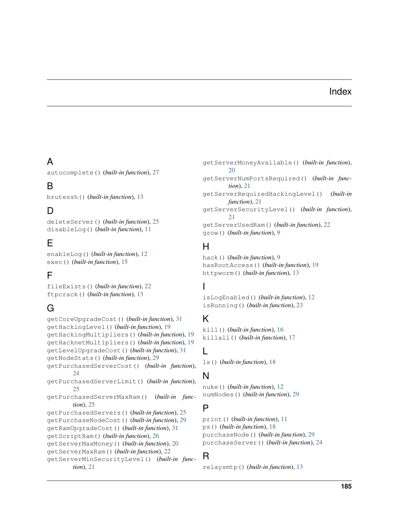### Index

## A

autocomplete() (*built-in function*), [27](#page-36-0)

### B

brutessh() (*built-in function*), [13](#page-22-0)

### D

deleteServer() (*built-in function*), [25](#page-34-0) disableLog() (*built-in function*), [11](#page-20-0)

### E

enableLog() (*built-in function*), [12](#page-21-0) exec() (*built-in function*), [15](#page-24-0)

### F

fileExists() (*built-in function*), [22](#page-31-0) ftpcrack() (*built-in function*), [13](#page-22-0)

### G

getCoreUpgradeCost() (*built-in function*), [31](#page-40-0) getHackingLevel() (*built-in function*), [19](#page-28-0) getHackingMultipliers() (*built-in function*), [19](#page-28-0) getHacknetMultipliers() (*built-in function*), [19](#page-28-0) getLevelUpgradeCost() (*built-in function*), [31](#page-40-0) getNodeStats() (*built-in function*), [29](#page-38-0) getPurchasedServerCost() (*built-in function*), [24](#page-33-0) getPurchasedServerLimit() (*built-in function*), [25](#page-34-0) getPurchasedServerMaxRam() (*built-in function*), [25](#page-34-0) getPurchasedServers() (*built-in function*), [25](#page-34-0) getPurchaseNodeCost() (*built-in function*), [29](#page-38-0) getRamUpgradeCost() (*built-in function*), [31](#page-40-0) getScriptRam() (*built-in function*), [26](#page-35-0) getServerMaxMoney() (*built-in function*), [20](#page-29-0) getServerMaxRam() (*built-in function*), [22](#page-31-0) getServerMinSecurityLevel() (*built-in function*), [21](#page-30-0)

getServerMoneyAvailable() (*built-in function*), [20](#page-29-0) getServerNumPortsRequired() (*built-in function*), [21](#page-30-0) getServerRequiredHackingLevel() (*built-in function*), [21](#page-30-0) getServerSecurityLevel() (*built-in function*), [21](#page-30-0) getServerUsedRam() (*built-in function*), [22](#page-31-0) grow() (*built-in function*), [9](#page-18-0)

### H

hack() (*built-in function*), [9](#page-18-0) hasRootAccess() (*built-in function*), [19](#page-28-0) httpworm() (*built-in function*), [13](#page-22-0)

### I

isLogEnabled() (*built-in function*), [12](#page-21-0) isRunning() (*built-in function*), [23](#page-32-0)

### K

kill() (*built-in function*), [16](#page-25-0) killall() (*built-in function*), [17](#page-26-0)

### L

ls() (*built-in function*), [18](#page-27-0)

### N

nuke() (*built-in function*), [12](#page-21-0) numNodes() (*built-in function*), [29](#page-38-0)

### P

print() (*built-in function*), [11](#page-20-0) ps() (*built-in function*), [18](#page-27-0) purchaseNode() (*built-in function*), [29](#page-38-0) purchaseServer() (*built-in function*), [24](#page-33-0)

### R

relaysmtp() (*built-in function*), [13](#page-22-0)